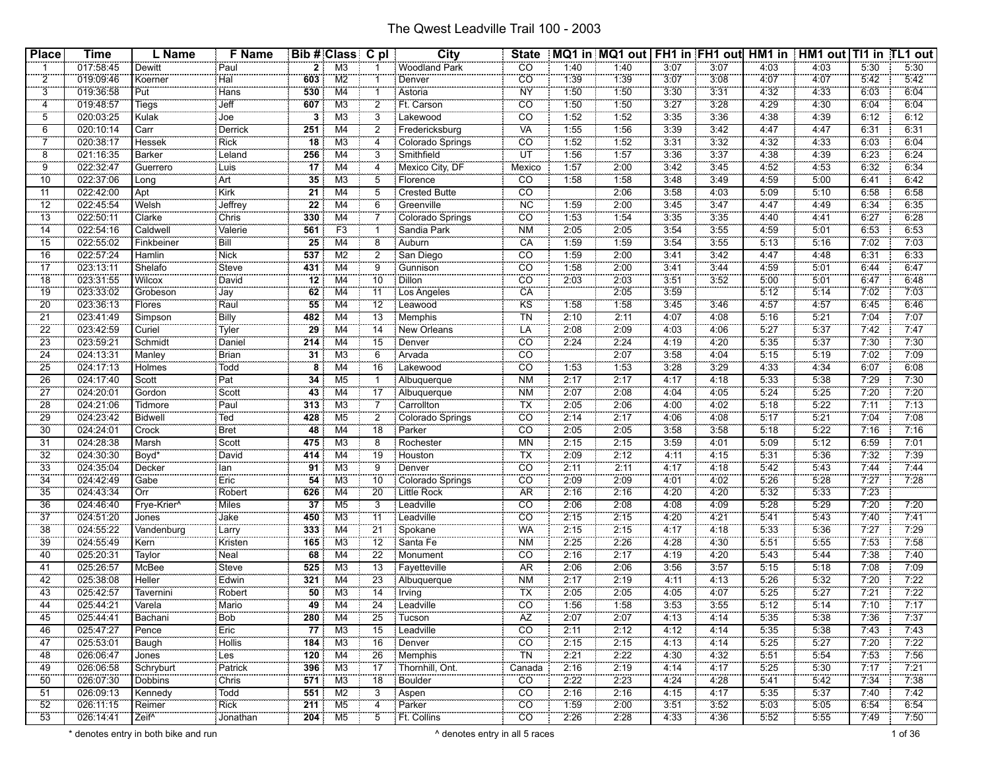| <b>Place</b>          | <b>Time</b>            | L Name               | <b>F</b> Name              |                 | <b>Bib # Class C pl</b> |                       | <b>City</b>                     | <b>State</b>      |              | MQ1 in MQ1 out   FH1 in FH1 out   HM1 in   HM1 out   TI1 in TL1 out |              |              |              |              |              |              |
|-----------------------|------------------------|----------------------|----------------------------|-----------------|-------------------------|-----------------------|---------------------------------|-------------------|--------------|---------------------------------------------------------------------|--------------|--------------|--------------|--------------|--------------|--------------|
| $\mathbf 1$           | 017:58:45              |                      | Paul                       | $\overline{2}$  | M3                      |                       | Woodland Park                   | $\overline{CO}$   | 1:40         | 1:40                                                                | 3:07         | 3:07         | 4:03         | 4:03         | 5:30         | 5:30         |
| $\overline{2}$        | 019:09:46              | Dewitt<br>Koerner    | Hal                        | 603             | M2                      |                       | Denver                          | $\overline{CO}$   | 1:39         | 1:39                                                                | 3:07         | 3:08         | 4.07         | 4:07         | 5:42         | 5:42         |
| 3                     | 019:36:58              | Put                  | Hans                       | 530             | M4                      |                       | Astoria                         | <b>NY</b>         | 1:50         | 1:50                                                                | 3:30         | 3:31         | 4:32         | 4:33         | 6:03         | 6:04         |
| 4                     | 019:48:57              | Tiegs                | Jeff                       | 607             | M <sub>3</sub>          | $\overline{c}$        | Ft. Carson                      | $\overline{co}$   | 1:50         | 1:50                                                                | 3:27         | 3:28         | 4:29         | 4:30         | 6:04         | 6:04         |
| 5                     | 020:03:25              | Kulak                | ngan s<br>Joe              | 3               | M3                      | 3                     | Lakewood                        | CO                | 1:52         | 1:52                                                                | 3:35         | 3:36         | 4:38         | 4:39         | 6:12         | 6:12         |
| 6                     | 020:10:14              | Carr                 | Derrick                    | 251             | M4                      | $\overline{c}$        | Fredericksburg                  | VA                | 1:55         | 1:56                                                                | 3:39         | 3:42         | 4:47         | 4:47         | 6:31         | 6:31         |
|                       | 020:38:17              | Hessek               | Rick                       | 18              | M3                      | 4                     | Colorado Springs                | $\overline{co}$   | 1:52         | 1:52                                                                | 3:31         | 3:32         | 4:32         | 4:33         | 6:03         | 6:04         |
| $\overline{8}$        | 021:16:35              | Barker               | Leland                     | 256             | M4                      | 3                     | Smithfield                      | ÜΤ                | 1:56         | 1:57                                                                | 3:36         | 3:37         | 4:38         | 4:39         | 6:23         | 6:24         |
| 9                     | 022:32:47              | Guerrero             | Luis                       | 17              | M4                      |                       | Mexico City, DF                 | Mexico            | 1:57         | 2:00                                                                | 3:42         | 3:45         | 4:52         | 4:53         | 6:32         | 6:34         |
| 10                    | 022:37:06              | Long                 | Art                        | 35              | M3                      | 5                     | Florence                        | CO                | 1:58         | 1:58                                                                | 3:48         | 3:49         | 4:59         | 5:00         | 6:41         | 6:42         |
| 11                    | 022:42:00              | Apt                  | Kirk                       | 21              | M4                      | 5                     | Crested Butte                   | CO                |              | 2:06                                                                | 3:58         | 4:03         | 5:09         | 5:10         | 6:58         | 6:58         |
| $\overline{12}$       | 022:45:54              | Welsh                | Jeffrey                    | $\overline{22}$ | M4                      | 6                     | Greenville                      | <b>NC</b>         | 1:59         | 2:00                                                                | 3:45         | 3:47         | 4:47         | 4:49         | 6:34         | 6:35         |
| 13                    | 022:50:11              | Clarke               | Chris                      | 330             | M4                      |                       |                                 | $\overline{co}$   | 1:53         | 1:54                                                                | 3:35         | 3:35         | 4:40         | 4:41         | 6:27         | 6:28         |
| 14                    | 022:54:16              | Caldwell             | Valerie                    | 561             | F3                      |                       | Colorado Springs<br>Sandia Park | <b>NM</b>         | 2:05         | 2:05                                                                | 3:54         | 3:55         | 4:59         | 5:01         | 6:53         | 6:53         |
| 15                    | 022:55:02              | Finkbeiner           | Bill                       | 25              | M4                      | 8                     | Auburn                          | CA                | 1:59         | 1:59                                                                | 3:54         | 3:55         | 5:13         | 5:16         | 7:02         | 7:03         |
| 16                    | 022:57:24              | Hamlin               | <b>Nick</b>                | 537             | M <sub>2</sub>          | $\overline{c}$        | San Diego                       | CO                | 1:59         | 2:00                                                                | 3:41         | 3:42         | 4:47         | 4:48         | 6:31         | 6:33         |
| 17                    | 023:13:11              | Shelafo              | Steve                      | 431             | M4                      | $\overline{9}$        | Gunnison                        | CO                | 1:58         | 2:00                                                                | 3:41         | 3:44         | 4:59         | 5:01         | 6:44         | 6:47         |
| 18                    | 023:31:55              | <b>Wilcox</b>        | David                      | 12              | M4                      | 10                    | Dillon                          | CO <sup>T</sup>   | 2:03         | 2:03                                                                | 3:51         | 3:52         | 5:00         | 5:01         | 6:47         | 6:48         |
|                       |                        |                      |                            |                 |                         |                       |                                 | CA                |              |                                                                     | 3:59         |              | 5:12         |              | 7:02         |              |
| 19<br>20              | 023:33:02<br>023:36:13 | Grobeson<br>Flores   | Jay<br>Raul                | 62<br>55        | M4<br>M4                | 11<br>$\overline{12}$ | Los Angeles                     | KS <sup>T</sup>   | 1:58         | 2:05<br>1:58                                                        | 3.45         | 3:46         | 4.57         | 5:14<br>4:57 | 6:45         | 7:03<br>6:46 |
|                       |                        |                      |                            |                 |                         |                       | Leawood                         |                   |              |                                                                     |              |              |              |              |              |              |
| 21<br>$\overline{22}$ | 023:41:49              | Simpson<br>Curiel    | <b>Billy</b>               | 482<br>29       | M4                      | 13                    | Memphis                         | <b>TN</b>         | 2:10         | 2:11                                                                | 4:07         | 4:08         | 5:16         | 5:21<br>5:37 | 7:04<br>7:42 | 7:07         |
| 23                    | 023:42:59<br>023:59:21 | Schmidt              | Tyler<br>Daniel            | 214             | M4<br>M4                | 14<br>15              | <b>New Orleans</b><br>Denver    | LA<br>CO          | 2:08<br>2:24 | 2:09<br>2:24                                                        | 4:03<br>4:19 | 4:06<br>4:20 | 5:27<br>5:35 | 5:37         | 7:30         | 7:47<br>7:30 |
|                       |                        |                      |                            |                 |                         |                       |                                 | $\overline{CO}$   |              |                                                                     |              |              |              |              |              |              |
| 24                    | 024:13:31              | Manley               | Brian                      | 31 <sup>1</sup> | M3                      | 6                     | Arvada                          |                   |              | 2:07                                                                | 3:58         | 4:04         | 5:15         | 5:19         | 7:02         | 7:09         |
| 25                    | 024:17:13              | Holmes               | Todd                       | 8               | M4                      | 16                    | Lakewood                        | CO                | 1:53         | 1:53                                                                | 3:28         | 3:29         | 4:33         | 4:34         | 6:07         | 6:08         |
| 26                    | 024:17:40              | Scott                | Pat                        | 34              | M <sub>5</sub>          |                       | Albuquerque                     | NM                | 2:17         | 2:17                                                                | 4:17         | 4:18         | 5:33         | 5:38         | 7:29         | 7:30         |
| 27                    | 024:20:01              | Gordon               | Scott                      | 43              | M4                      | 17                    | Albuquerque                     | <b>NM</b>         | 2:07         | 2:08                                                                | 4:04         | 4:05         | 5:24         | 5:25         | 7:20         | 7:20         |
| 28                    | 024:21:06              | Tidmore              | Paul                       | 313             | M <sub>3</sub>          | 7                     | Carrollton                      | <b>TX</b>         | 2:05         | 2:06                                                                | 4:00         | 4:02         | 5:18         | 5:22         | 7:11         | 7:13         |
| 29                    | 024:23:42              | Bidwell              | Ted                        | 428             | M <sub>5</sub>          | $\overline{2}$        | Colorado Springs                | CO                | 2:14         | 2:17                                                                | 4.06         | 4:08         | 5:17         | 5:21         | 7.04         | 7:08         |
| 30                    | 024:24:01              | Crock                | Bret                       | 48              | M4                      | 18                    | Parker                          | CO <sup>"</sup>   | 2:05         | 2:05                                                                | 3:58         | 3:58         | 5:18         | 5:22         | 7:16         | 7:16         |
| $\overline{31}$       | 024:28:38              | Marsh                | Scott                      | 475             | M <sub>3</sub>          | 8                     | Rochester                       | <b>MN</b>         | 2:15         | 2:15                                                                | 3:59         | 4:01         | 5:09         | 5:12         | 6:59         | 7:01         |
| 32                    | 024:30:30              | Boyd*                | David<br>                  | 414             | M <sub>4</sub>          | 19                    | Houston                         | <b>TX</b>         | 2:09         | 2:12                                                                | 4:11         | 4:15         | 5:31         | 5:36         | 7:32         | 7:39         |
| 33                    | 024:35:04              | Decker               | lan                        | 91              | M3                      | 9                     | Denver                          | CO                | 2:11         | 2:11                                                                | 4:17         | 4:18         | 5:42         | 5:43         | 7:44         | 7:44         |
| 34                    | 024:42:49              | Gabe                 | Eric                       | 54              | M3                      | 10                    | Colorado Springs                | $\overline{co}$   | 2:09         | 2:09                                                                | 4:01         | 4:02         | 5:26         | 5:28         | 7:27         | 7:28         |
| 35                    | 024:43:34              | $rac{1}{\text{Orr}}$ | Robert                     | 626             | M4                      | 20                    | Little Rock                     | AR <sup>T</sup>   | 2:16         | 2:16                                                                | 4.20         | 4:20         | 5:32         | 5:33         | 7:23         |              |
| 36                    | 024:46:40              | Frye-Krier^          | Miles                      | 37              | M <sub>5</sub>          | 3                     | Leadville                       | CO                | 2:06         | 2:08                                                                | 4:08         | 4:09         | 5:28         | 5:29         | 7:20         | 7:20         |
| 37                    | 024:51:20              | Jones                | Jake<br>تتنبب              | 450             | M3                      | 11                    | Leadville                       | $\overline{CO}$   | 2:15         | 2:15                                                                | 4:20         | 4:21         | 5:41         | 5:43         | 7:40         | 7:41         |
| 38                    | 024:55:22              | Vandenburg           | Larry                      | 333             | M4                      | 21                    | Spokane                         | <b>WA</b>         | 2:15         | 2:15                                                                | 4:17         | 4:18         | 5:33         | 5:36         | 7:27         | 7:29         |
| 39                    | 024:55:49              | Kern                 | Kristen                    | 165             | M3                      | 12                    | Santa Fe                        | <b>NM</b>         | 2:25         | 2:26                                                                | 4:28         | 4:30         | 5:51         | 5:55         | 7:53         | 7:58         |
| 40                    | 025:20:31              | Taylor               | Neal                       | 68              | M4                      | $\overline{22}$       | Monument                        | CO                | 2:16         | 2:17                                                                | 4:19         | 4:20         | 5:43         | 5:44         | 7:38         | 7:40         |
| 41                    | 025:26:57              | McBee                | Steve                      | 525             | M <sub>3</sub>          | 13                    | Fayetteville                    | AR                | 2:06         | 2:06                                                                | 3:56         | 3:57         | 5:15         | 5:18         | 7:08         | 7:09         |
| 42                    | 025:38:08              | Heller               | Edwin                      | 321             | M4                      | 23                    | Albuquerque                     | <b>NM</b>         | 2:17         | 2:19                                                                | 4:11         | 4:13         | 5:26         | 5:32         | 7:20         | 7:22         |
| 43                    | 025:42:57              | Tavernini            | Robert                     | 50              | M <sub>3</sub>          | 14                    | Irving                          | TX                | 2:05         | 2:05                                                                | 4:05         | 4:07         | 5:25         | 5:27         | 7:21         | 7:22         |
| 44                    | 025:44:21              | Varela<br>.          | Mario                      | 49              | M4                      | 24                    | : Leadville                     | $\overline{CO}$   | 1:56         | 1:58                                                                | 3:53         | 3:55         | 5:12         | 5:14         | 7:10         | 7:17         |
| 45                    | 025:44:41              | Bachani              | Bob                        |                 | 280 M4                  | 25                    | : Tucson                        | ÄZ                | 2:07         | 2:07                                                                | 4:13         | 4:14         | 5:35         | 5:38         | 7:36         | 7:37         |
| 46                    | 025:47:27              | Pence                | Eric                       | 77              | M3                      | 15                    | Leadville                       | CO.               | 2:11         | 2:12                                                                | 4:12         | 4:14         | 5:35         | 5:38         | 7:43         | 7:43         |
| 47                    | 025:53:01              | Baugh                | Hollis                     |                 | $784$ M3                | 16                    | Denver                          | $\overline{CO}$   | 2:15         | 2:15                                                                | 4:13         | 4:14         | 5:25         | 5:27         | 7:20         | 7:22         |
| 48                    | 026:06:47              | Jones                | Les                        |                 | 120 M4                  | 26                    | Memphis                         | TN                | 2:21         | 2:22                                                                | 4:30         | 4:32         | 5:51         | 5:54         | 7:53         | 7:56         |
| 49                    | 026:06:58              | Schryburt            | <b>CONCRETE</b><br>Patrick |                 | $396$ M3                | $\overline{17}$       | : Thornhill, Ont.               | 0000000<br>Canada | 2:16         | 2:19                                                                | 4:14         | 4:17         | 5:25         | 5:30         | 7:17         | 7:21         |
| 50                    | 026:07:30              | Dobbins              | Chris                      |                 | $571$ M3                | $\overline{18}$       | Boulder                         | <u>co</u>         | 2:22         | 2:23                                                                | 4:24         | 4.28         | 5:41         | 5:42         | 7:34         | 7:38         |
| 51                    | 026:09:13              | Kennedy              | Todd                       |                 | $551$ M2                | 3                     | Aspen                           | $\overline{co}$   | 2:16         | 2:16                                                                | 4:15         | 4:17         | 5:35         | 5:37         | 7:40         | 7:42         |
| 52                    | 026:11:15              | Reimer               | Rick                       |                 | $211$ M5                | 4                     | Parker                          | $\overline{co}$   | 1:59         | 2:00                                                                | 3:51         | 3:52         | 5:03         | 5:05         | 6:54         | 6:54         |
| 53                    | 026:14:41              | Zeif <sup>^</sup>    | : Jonathan                 |                 | $204$ M5                | $\overline{5}$        | Ft. Collins                     | $\overline{CO}$   | 2:26         | 2:28                                                                | 4:33         | 4:36         | 5:52         | 5:55         | 7.49         | 7:50         |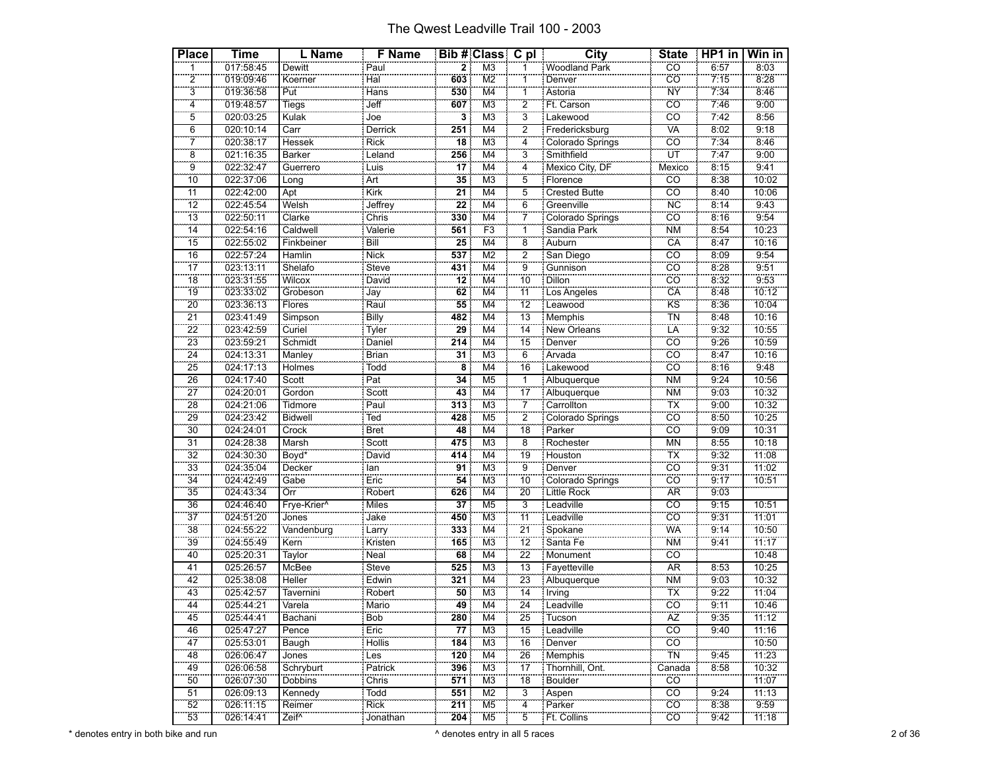| <b>Place</b>    | <b>Time</b> | L Name            | <b>F</b> Name    |                                    | Bib # Class C pl          |                         | City                 | <b>State</b>                   | $HPI$ in | Win in |
|-----------------|-------------|-------------------|------------------|------------------------------------|---------------------------|-------------------------|----------------------|--------------------------------|----------|--------|
|                 | 017:58:45   | Dewitt            | Paul             | $\overline{\mathbf{2}}$            | M <sub>3</sub>            |                         | Woodland Park        | CO                             | 6:57     | 8:03   |
| $\overline{2}$  | 019:09:46   | Koerner           | Hal              | 603                                | M <sub>2</sub>            | 1                       | Denver               | cö                             | 7:15     | 8:28   |
| $\overline{3}$  | 019:36:58   | Put               | Hans             | 530                                | M4                        | 1                       | Astoria              | <b>NY</b>                      | 7:34     | 8:46   |
| $\overline{4}$  | 019:48:57   | Tiegs             | Jeff             | 607                                | M <sub>3</sub>            | $\overline{2}$          | Ft. Carson           | CO                             | 7:46     | 9:00   |
| 5               | 020:03:25   | Kulak             | Joe              | 3                                  | M <sub>3</sub>            | $\overline{3}$          | Lakewood             | cö                             | 7.42     | 8:56   |
| $\overline{6}$  | 020:10:14   | Carr              | Derrick          | 251                                | M4                        | $\overline{\mathbf{c}}$ | Fredericksburg       | <b>VA</b>                      | 8:02     | 9:18   |
| $\overline{7}$  | 020:38:17   | Hessek            | Rick             | 18                                 | M <sub>3</sub>            | $\overline{4}$          | Colorado Springs     | CO                             | 7:34     | 8:46   |
| $\ddot{\bf 8}$  | 021:16:35   | Barker            | Leland           | 256                                | M4                        | $\overline{3}$          | Smithfield           | ÜΤ                             | 7:47     | 9:00   |
| $\overline{9}$  | 022:32:47   | Guerrero          | Luis             | 17                                 | M4                        | 4                       | Mexico City, DF      | Mexico                         | 8:15     | 9:41   |
| $\overline{10}$ | 022:37:06   | Long              | Art              | 35                                 | M <sub>3</sub>            | $\overline{5}$          | Florence             | $\overline{CO}$                | 8:38     | 10:02  |
| 11              | 022:42:00   | Apt               | Kirk             | 21                                 | M4                        | $\overline{5}$          | <b>Crested Butte</b> | $\overline{co}$                | 8:40     | 10:06  |
| 12              | 022:45:54   | Welsh             | Jeffrey          | $\overline{22}$                    | M4                        | 6                       | Greenville           | <b>NC</b>                      | 8:14     | 9:43   |
| $\overline{13}$ | 022:50:11   | Clarke            | Chris            | 330                                | M <sub>4</sub>            | 7                       | Colorado Springs     | $\overline{c}\overline{o}$     | 8:16     | 9:54   |
| $\overline{14}$ | 022:54:16   | Caldwell          | Valerie          | 561                                | F <sub>3</sub>            | $\overline{1}$          | Sandia Park          | <b>NM</b>                      | 8:54     | 10:23  |
| 15              | 022:55:02   | Finkbeiner        | Bill             | 25                                 | M4                        | 8                       | Auburn               | CA                             | 8:47     | 10:16  |
| $\overline{16}$ | 022:57:24   | Hamlin            | <b>Nick</b>      | 537                                | M <sub>2</sub>            | $\overline{2}$          | San Diego            | $\overline{co}$                | 8:09     | 9:54   |
| $\overline{17}$ | 023:13:11   | Shelafo           | Steve            | 431                                | M4                        | $\overline{9}$          | Gunnison             | cö                             | 8:28     | 9:51   |
| 18              | 023:31:55   | Wilcox            | David            | 12                                 | M4                        | 10                      | <b>Dillon</b>        | CÖ                             | 8:32     | 9:53   |
| 19              | 023:33:02   | Grobeson          | Jay<br>Raul      | 62                                 | $\overline{\mathsf{M}}$ 4 | $\overline{11}$         | Los Angeles          | $\overline{CA}$                | 8:48     | 10:12  |
| 20              | 023:36:13   | Flores            |                  | 55                                 | M4                        | $\overline{12}$         | Leawood              | KS                             | 8:36     | 10:04  |
| $\overline{21}$ | 023:41:49   | Simpson           | <b>Billy</b>     | 482                                | M4                        | 13                      | <b>Memphis</b>       | <b>TN</b>                      | 8:48     | 10:16  |
| $\overline{22}$ | 023:42:59   | Curiel            | Tyler            | 29                                 | M <sub>4</sub>            | $\overline{14}$         | New Orleans          | LÄ                             | 9:32     | 10:55  |
| 23              | 023:59:21   | Schmidt           | Daniel           | 214                                | M4                        | 15                      | Denver               | cö                             | 9:26     | 10:59  |
| $\overline{24}$ | 024:13:31   | Manley            | Brian            | 31                                 | M <sub>3</sub>            | 6                       | Arvada               | CÖ                             | 8:47     | 10:16  |
| 25              | 024:17:13   | Holmes            | Todd             | $\overline{\overline{\mathbf{8}}}$ | $\overline{M4}$           | 16                      | Lakewood             | CO                             | 8:16     | 9:48   |
| 26              | 024:17:40   | Scott             | $\overline{Pat}$ | 34                                 | M <sub>5</sub>            | $\overline{1}$          | Albuquerque          | <b>NM</b>                      | 9:24     | 10:56  |
| $\overline{27}$ | 024:20:01   | Gordon            | Scott            | 43                                 | M4                        | 17                      | Albuquerque          | <b>NM</b>                      | 9:03     | 10:32  |
| 28              | 024:21:06   | Tidmore           | Paul             | $\overline{313}$                   | M <sub>3</sub>            | $\overline{7}$          | Carrollton           | <b>TX</b>                      | 9:00     | 10:32  |
| 29              | 024:23:42   | Bidwell           | Ted              | 428                                | M <sub>5</sub>            | $\overline{2}$          | Colorado Springs     | cö                             | 8:50     | 10:25  |
| $\overline{30}$ | 024:24:01   | Crock             | <b>Bret</b>      | 48                                 | M4                        | 18                      | Parker               | CÖ                             | 9:09     | 10:31  |
| $\overline{31}$ | 024:28:38   | Marsh             | Scott            | 475                                | M <sub>3</sub>            | $\overline{8}$          | Rochester            | <b>MN</b>                      | 8:55     | 10:18  |
| 32              | 024:30:30   | Boyd*             | David            | 414                                | M4                        | 19                      | Houston              | TX                             | 9:32     | 11:08  |
| $\overline{33}$ | 024:35:04   | Decker            | lan              | 91                                 | M <sub>3</sub>            | 9                       | Denver               | CO                             | 9:31     | 11:02  |
| $\overline{34}$ | 024:42:49   | Gabe              | Eric             | 54                                 | M <sub>3</sub>            | $\overline{10}$         | Colorado Springs     | CÖ                             | 9:17     | 10:51  |
| 35              | 024:43:34   | Örr               | Robert           | 626                                | M4                        | 20                      | Little Rock          | <b>AR</b>                      | 9:03     |        |
| 36              | 024:46:40   | Frye-Krier^       | <b>Miles</b>     | 37                                 | M <sub>5</sub>            | $\overline{3}$          | Leadville            | $\overline{co}$                | 9:15     | 10:51  |
| $\overline{37}$ | 024:51:20   | Jones             | Jake<br>Larry    | 450                                | M <sub>3</sub>            | $\frac{1}{11}$          | Leadville            | CO                             | 9:31     | 11:01  |
| 38              | 024:55:22   | Vandenburg        |                  | 333                                | M4                        | $\overline{21}$         | Spokane              | WÄ                             | 9:14     | 10:50  |
| $\overline{39}$ | 024:55:49   | Kern              | Kristen          | 165                                | $\overline{M3}$           | $\overline{12}$         | Santa Fe             | <b>NM</b>                      | 9:41     | 11:17  |
| 40              | 025:20:31   | Taylor            | Neal             | 68                                 | M4                        | $\overline{22}$         | Monument             | CÖ                             |          | 10:48  |
| 41              | 025:26:57   | McBee             | Steve            | 525                                | M <sub>3</sub>            | 13                      | Fayetteville         | <b>AR</b>                      | 8:53     | 10:25  |
| 42              | 025:38:08   | Heller            | Edwin            | 321                                | $\overline{M4}$           | 23<br>$\overline{14}$   | Albuquerque          | <b>NM</b>                      | 9:03     | 10:32  |
| 43              | 025:42:57   | Tavernini         | Robert           | 50                                 | M <sub>3</sub>            |                         | Trving<br>Leadville  | $\overline{\mathsf{TX}}$<br>cö | 9:22     | 11:04  |
| 44              | 025:44:21   | Varela            | Mario            | 49                                 | M <sub>4</sub>            | $\overline{24}$         |                      |                                | 9:11     | 10:46  |
| 45              | 025:44:41   | Bachani           | Bob              | 280                                | M4                        | 25                      | : Tucson             | ÄŻ                             | 9:35     | 11:12  |
| 46              | 025:47:27   | Pence             | Eric             | 77                                 | M <sub>3</sub>            | 15                      | : Leadville          | $\overline{co}$                | 9:40     | 11:16  |
| 47              | 025:53:01   | Baugh             | <b>Hollis</b>    | 184                                | M <sub>3</sub>            | 16                      | Denver               | cö                             |          | 10:50  |
| 48              | 026:06:47   | Jones             | Les              | 120                                | M4                        | 26<br>$\overline{17}$   | Memphis              | TN                             | 9:45     | 11:23  |
| 49              | 026:06:58   | Schryburt         | Patrick          | 396                                | M <sub>3</sub>            |                         | Thornhill, Ont.      | Canada                         | 8:58     | 10:32  |
| 50              | 026:07:30   | <b>Dobbins</b>    | Chris            | 571                                | MЗ                        | 18                      | Boulder              | CÖ.                            |          | 11:07  |
| 51              | 026:09:13   | Kennedy           | Todd<br>Rick     | 551                                | M <sub>2</sub>            | 3<br>$\overline{4}$     | Aspen                | CO                             | 9:24     | 11:13  |
| 52              | 026:11:15   | Reimer            |                  | 211                                | M <sub>5</sub>            |                         | Parker               | $\overline{CO}$                | 8:38     | 9:59   |
| 53              | 026:14:41   | Zeif <sup>^</sup> | Jonathan         | 204                                | M5                        | $\overline{5}$          | Ft. Collins          | CÖ.                            | 9:42     | 11:18  |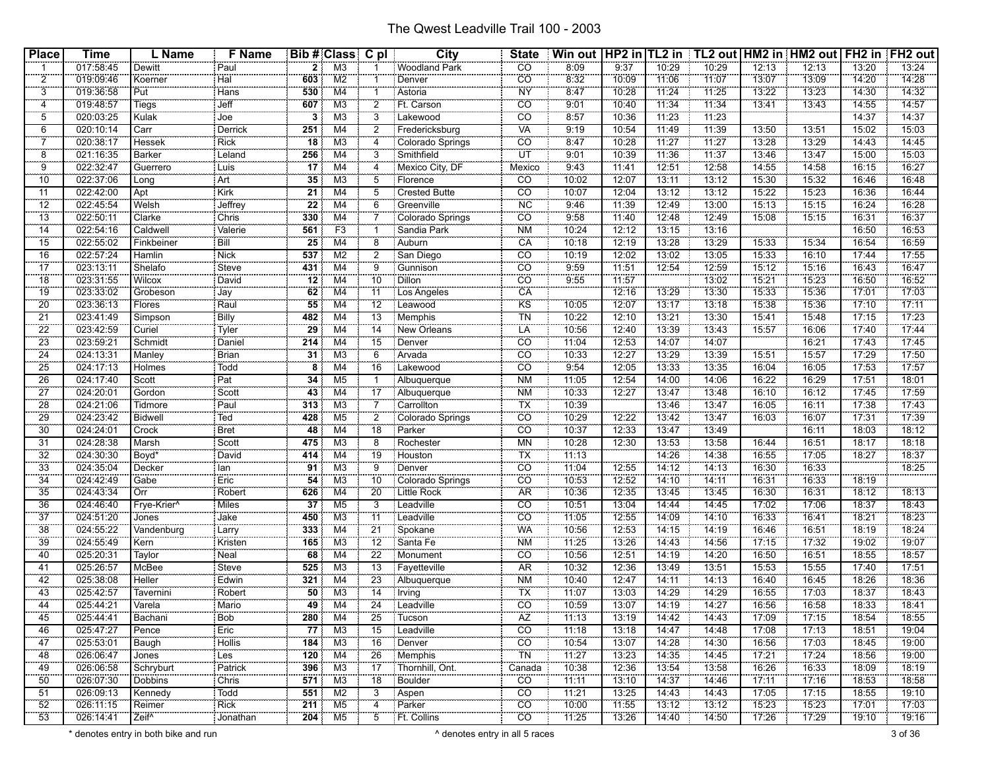| <b>Place</b>          | <b>Time</b>            | L Name              | F Name              |                 | Bib # Class C pl          |                 | <b>City</b>                     | <b>State</b>             | Win out   HP2 in   TL2 in   TL2 out   HM2 in   HM2 out   FH2 in   FH2 out |                |                |       |       |       |       |       |
|-----------------------|------------------------|---------------------|---------------------|-----------------|---------------------------|-----------------|---------------------------------|--------------------------|---------------------------------------------------------------------------|----------------|----------------|-------|-------|-------|-------|-------|
|                       | 017:58:45              | Dewitt              | Paul                | $\overline{2}$  | M3                        |                 | Woodland Park                   | $\overline{CO}$          | 8:09                                                                      | 9:37           | 10:29          | 10:29 | 12:13 | 12:13 | 13:20 | 13:24 |
| $\overline{2}$        | 019:09:46              | Koerner             | Hal                 | 603             | M2                        |                 | Denver                          | $\overline{CO}$          | 8:32                                                                      | 10:09          | 11:06          | 71:07 | 13:07 | 13:09 | 14:20 | 14:28 |
| 3                     | 019:36:58              | Put                 | Hans                | 530             | M4                        |                 | Astoria                         | <b>NY</b>                | 8:47                                                                      | 10:28          | 11:24          | 11:25 | 13:22 | 13:23 | 14:30 | 14:32 |
| 4                     | 019:48:57              | Tiegs               | Jeff                | 607             | M <sub>3</sub>            | 2               | Ft. Carson                      | CO                       | 9:01                                                                      | 10:40          | 11:34          | 11:34 | 13:41 | 13:43 | 14:55 | 14:57 |
| $\overline{5}$        | 020:03:25              | Kulak               | .<br>Joe            |                 | M <sub>3</sub>            | 3               | Lakewood                        | $\overline{co}$          | 8:57                                                                      | 10:36          | 11:23          | 11:23 |       |       | 14:37 | 14:37 |
| 6                     | 020:10:14              | Carr                | Derrick             | 251             | M4                        | 2               | Fredericksburg                  | VA                       | 9:19                                                                      | 10:54          | 11:49          | 11:39 | 13:50 | 13:51 | 15:02 | 15:03 |
| $\overline{7}$        | 020:38:17              | Hessek              | <b>Rick</b>         | $\overline{18}$ | M <sub>3</sub>            |                 | Colorado Springs                | CO                       | 8:47                                                                      | 10:28          | 11:27          | 11:27 | 13:28 | 13:29 | 14:43 | 14:45 |
| $\overline{8}$        | 021:16:35              | Barker              | معدودو<br>Leland    | 256             | $\overline{M4}$           | 3               | Smithfield                      | ÜŤ                       | 9:01                                                                      | 10:39          | 71:36          | 11:37 | 13:46 | 13:47 | 15:00 | 15:03 |
| 9                     | 022:32:47              | Guerrero            | : Luis              | 17              | M4                        |                 | Mexico City, DF                 | Mexico                   | 9:43                                                                      | 11:41          | 12:51          | 12:58 | 14:55 | 14:58 | 16:15 | 16:27 |
| 10                    | 022:37:06              |                     | Art                 | 35              | MЗ                        | 5               | Florence                        | CO.                      | 10:02                                                                     | 12:07          | 13:11          | 13:12 | 15:30 | 15:32 | 16:46 | 16:48 |
| 11                    | 022:42:00              | Long<br>Apt         | <b>Kirk</b>         | 21              | M4                        | 5               | Crested Butte                   | $\overline{c}$           | 10:07                                                                     | 12:04          | 13:12          | 13:12 | 15:22 | 15:23 | 16:36 | 16:44 |
| 12                    | 022:45:54              |                     |                     | 22              |                           | 6               |                                 | <b>NC</b>                | 9:46                                                                      | 11:39          | 12:49          | 13:00 | 15:13 | 15:15 |       | 16:28 |
|                       |                        | Welsh<br>Clarke     | Jeffrey             |                 | M4                        |                 | Greenville                      | $\overline{CO}$          |                                                                           |                |                | 12:49 |       | 15:15 | 16:24 | 16:37 |
| 13<br>$\overline{14}$ | 022:50:11<br>022:54:16 | Caldwell            | Chris<br>Valerie    | 330<br>561      | M4<br>F <sub>3</sub>      |                 | Colorado Springs<br>Sandia Park | <b>NM</b>                | 9:58<br>10:24                                                             | 11:40<br>12:12 | 12:48<br>13:15 | 13:16 | 15:08 |       | 16:31 | 16:53 |
|                       |                        |                     |                     |                 |                           |                 |                                 |                          |                                                                           |                |                |       |       |       | 16:50 |       |
| 15                    | 022:55:02              | Finkbeiner          | Bill                | 25              | M4                        |                 | Auburn                          | CA                       | 10:18                                                                     | 12:19          | 13:28          | 13:29 | 15:33 | 15:34 | 16:54 | 16:59 |
| 16                    | 022:57:24              | Hamlin              | Nick                | 537             | M <sub>2</sub>            | 2               | San Diego                       | $\overline{CO}$          | 10:19                                                                     | 12:02          | 13:02          | 13:05 | 15:33 | 16:10 | 17:44 | 17:55 |
| $\overline{17}$       | 023:13:11              | Shelafo             | Steve               | 431             | $\overline{\mathsf{M}}$ 4 | ö               |                                 | $\overline{co}$          | 9.59                                                                      | 11:51          | 12:54          | 12:59 | 75:12 | 15:16 | 16:43 | 16:47 |
| 18                    | 023:31:55              | <b>Wilcox</b>       | David               | 12              | M4                        | 10              | <b>Dillon</b>                   | $\overline{CO}$          | 9:55                                                                      | 11:57          |                | 13:02 | 15:21 | 15:23 | 16:50 | 16:52 |
| 19                    | 023:33:02              | Grobeson            | Jay<br>Raul         | 62              | M4                        | 11              | Los Angeles                     | CA                       |                                                                           | 12:16          | 13:29          | 13:30 | 15:33 | 15:36 | 17:01 | 17:03 |
| 20                    | 023:36:13              | Flores              |                     | 55              | M4                        | 12              | Leawood                         | KS                       | 10:05                                                                     | 12:07          | 13:17          | 13:18 | 15:38 | 15:36 | 17:10 | 17:11 |
| 21                    | 023:41:49              | Simpson             | Billy               | 482             | M4                        | 13              | Memphis                         | TN                       | 10:22                                                                     | 12:10          | 13:21          | 13:30 | 15:41 | 15:48 | 17:15 | 17:23 |
| 22                    | 023:42:59              | Curiel              | Tyler               | 29              | M <sub>4</sub>            | 14              | New Orleans                     | <b>LA</b>                | 10:56                                                                     | 12:40          | 13:39          | 13:43 | 15:57 | 16:06 | 17:40 | 17:44 |
| 23                    | 023:59:21              | Schmidt             | Daniel              | 214             | M <sub>4</sub>            | 15              | Denver                          | $\overline{CO}$          | 11:04                                                                     | 12:53          | 14:07          | 14:07 |       | 16:21 | 17:43 | 17:45 |
| $\overline{24}$       | 024:13:31              | Manley              | Brian               | 31              | M3                        | 6               | Arvada                          | CO                       | 10:33                                                                     | 12:27          | 13:29          | 13:39 | 15:51 | 15:57 | 17:29 | 17:50 |
| 25                    | 024:17:13              | Holmes              | Todd                | 8               | M4                        | 16              | Lakewood                        | CO                       | 9:54                                                                      | 12:05          | 13:33          | 13:35 | 16:04 | 16:05 | 17:53 | 17:57 |
| 26                    | 024:17:40              | Scott               | Pat                 | 34              | M <sub>5</sub>            |                 | Albuquerque                     | <b>NM</b>                | 11:05                                                                     | 12:54          | 14:00          | 14:06 | 16:22 | 16:29 | 17:51 | 18:01 |
| 27                    | 024:20:01              | Gordon              | Scott               | 43              | M <sub>4</sub>            | 17              | Albuquerque                     | <b>NM</b>                | 10:33                                                                     | 12:27          | 13:47          | 13:48 | 16:10 | 16:12 | 17:45 | 17:59 |
| 28                    | 024:21:06              | Tidmore             | Paul                | 313             | M <sub>3</sub>            |                 | Carrollton                      | $\overline{\mathsf{TX}}$ | 10:39                                                                     |                | 13:46          | 13:47 | 16:05 | 16:11 | 17:38 | 17:43 |
| 29                    | 024:23:42              | Bidwell             | Ted                 | 428             | M <sub>5</sub>            | $\overline{2}$  | Colorado Springs                | CO                       | 10:29                                                                     | 12:22          | 13:42          | 13:47 | 16:03 | 16:07 | 77:31 | 17:39 |
| 30                    | 024:24:01              | Crock               | Bret                | 48              | M4                        | 18              | Parker                          | CO                       | 10:37                                                                     | 12:33          | 13:47          | 13:49 |       | 16:11 | 18:03 | 18:12 |
| 31                    | 024:28:38              | Marsh               | Scott               | 475             | M <sub>3</sub>            | 8               | Rochester                       | <b>MN</b>                | 10:28                                                                     | 12:30          | 13:53          | 13:58 | 16:44 | 16:51 | 18:17 | 18:18 |
| 32                    | 024:30:30              | Boyd <sup>®</sup>   | David               | 414             | M <sub>4</sub>            | 19              | Houston                         | <b>TX</b>                | 11:13                                                                     |                | 14:26          | 14:38 | 16:55 | 17:05 | 78:27 | 18:37 |
| 33                    | 024:35:04              | Decker              | lan                 | 91              | M3                        | 9               | Denver                          | CO                       | 11:04                                                                     | 12:55          | 14:12          | 14:13 | 16:30 | 16:33 |       | 18:25 |
| 34                    | 024:42:49              | Gabe                | Eric                | $\overline{54}$ | M <sub>3</sub>            | 10              | Colorado Springs                | $\overline{CO}$          | 10:53                                                                     | 12:52          | 14:10          | 14:11 | 16:31 | 16:33 | 18:19 |       |
| 35                    | 024:43:34              | Örr                 | Robert              | 626             | $\overline{\mathsf{M}}$ 4 | 20              | Little Rock                     | <b>AR</b>                | 10:36                                                                     | 12:35          | 13:45          | 13:45 | 16:30 | 16:31 | 18:12 | 18:13 |
| 36                    | 024:46:40              | Frye-Krier^         | Miles               | 37              | M <sub>5</sub>            | 3               | Leadville                       | $\overline{co}$          | 10:51                                                                     | 13:04          | 14:44          | 14:45 | 17:02 | 17:06 | 18:37 | 18:43 |
| 37                    | 024:51:20              |                     |                     | 450             | M3                        | 11              | Leadville                       | $\overline{CO}$          | 11:05                                                                     | 12:55          | 14:09          | 14:10 | 16:33 | 16:41 | 18:21 | 18:23 |
| 38                    | 024:55:22              | Jones<br>Vandenburg | Jake<br>,,,,,,,     | 333             | M <sub>4</sub>            | 21              | Spokane                         | <b>WA</b>                | 10:56                                                                     | 12:53          | 14:15          | 14:19 | 16:46 | 16:51 | 18:19 | 18:24 |
|                       |                        |                     | Larry               |                 |                           |                 |                                 |                          |                                                                           |                |                |       |       | 17:32 |       | 19:07 |
| 39                    | 024:55:49              | Kern                | Kristen             | 165             | M3                        | 12              | Santa Fe                        | <b>NM</b>                | 11:25                                                                     | 13:26          | 14:43          | 14:56 | 17:15 |       | 19:02 | 18:57 |
| 40                    | 025:20:31              | Taylor              | Neal                | 68              | M4                        | 22              | : Monument                      | CO                       | 10:56                                                                     | 12:51          | 14:19          | 14:20 | 16:50 | 16:51 | 18:55 |       |
| 41                    | 025:26:57              | McBee               | Steve               | 525             | M3                        | 13              | Fayetteville                    | AR                       | 10:32                                                                     | 12:36          | 13:49          | 13:51 | 15:53 | 15:55 | 17:40 | 17:51 |
| 42                    | 025:38:08              | <b>Heller</b>       | Edwin               | 321             | M4                        | 23              | Albuquerque                     | <b>NM</b>                | 10:40                                                                     | 12:47          | 14:11          | 14:13 | 16:40 | 16:45 | 18:26 | 18:36 |
| 43                    | 025:42:57              | Tavernini           | Robert              | $\overline{50}$ | M3                        | 14              | <b>I</b> Irving                 | $\overline{\mathsf{TX}}$ | 11:07                                                                     | 13:03          | 14:29          | 14:29 | 16:55 | 17:03 | 18:37 | 18:43 |
| 44                    | 025:44:21              | Varela<br>          | $\frac{1}{1}$ Mario | 49              | M4                        | $\overline{24}$ | Leadville                       | $\overline{CO}$          | 10:59                                                                     | 13:07          | 14:19          | 14:27 | 16:56 | 16:58 | 78:33 | 18:41 |
| 45                    | 025:44:41              | Bachani             | : Bob               |                 | 280 M4                    |                 | 25 Tucson                       | AZ                       | 11:13                                                                     | 13:19          | 14:42          | 14:43 | 17:09 | 17:15 | 18:54 | 18:55 |
| 46                    | 025:47:27              | Pence               | Eric                | 77              | M3                        | 15              | Leadville                       | $\overline{CO}$          | 11:18                                                                     | 13:18          | 14:47          | 14:48 | 17:08 | 17:13 | 18:51 | 19:04 |
| 47                    | 025:53:01              | Baugh               | Hollis              | 184             | M3                        | 16              | Denver                          | $\overline{CO}$          | 10:54                                                                     | 13:07          | 14:28          | 14:30 | 16:56 | 17:03 | 18:45 | 19:00 |
| 48                    | 026:06:47              | Jones               | : Les               | 120             | M4                        | 26              | Memphis                         | TN                       | 11:27                                                                     | 13:23          | 14:35          | 14:45 | 17:21 | 17:24 | 18:56 | 19:00 |
| 49                    | 026:06:58              | Schryburt           | Patrick             | 396             | M3                        | 17              | Thornhill, Ont.                 | Canada                   | 10:38                                                                     | 12:36          | 13:54          | 13:58 | 16:26 | 16:33 | 18:09 | 18:19 |
| 50                    | 026:07:30              | Dobbins             | : Chris             | 571             | M3                        | 18              | : Boulder                       | $\overline{CO}$          | 11:11                                                                     | 73:10          | 14:37          | 14:46 | 77:11 | 17:16 | 18:53 | 18:58 |
| 51                    | 026:09:13              | Kennedy             | : Todd              | 551             | M2                        | 3               | Aspen                           | $\overline{co}$          | 11:21                                                                     | 13:25          | 14:43          | 14:43 | 17:05 | 17:15 | 18:55 | 19:10 |
| 52                    | 026:11:15              | Reimer              | : Rick              | 211             | M <sub>5</sub>            | 4               | Parker                          | $\overline{CO}$          | 10:00                                                                     | 11:55          | 13:12          | 13:12 | 15:23 | 15:23 | 17:01 | 17:03 |
| 53                    | 026:14:41              | Zeif <sup>^</sup>   | .<br>: Jonathan     | 204             | M5                        | $\overline{5}$  | Ft. Collins                     | CO                       | 71:25                                                                     | 13:26          | 14:40          | 14:50 | 17:26 | 17:29 | 19:10 | 19:16 |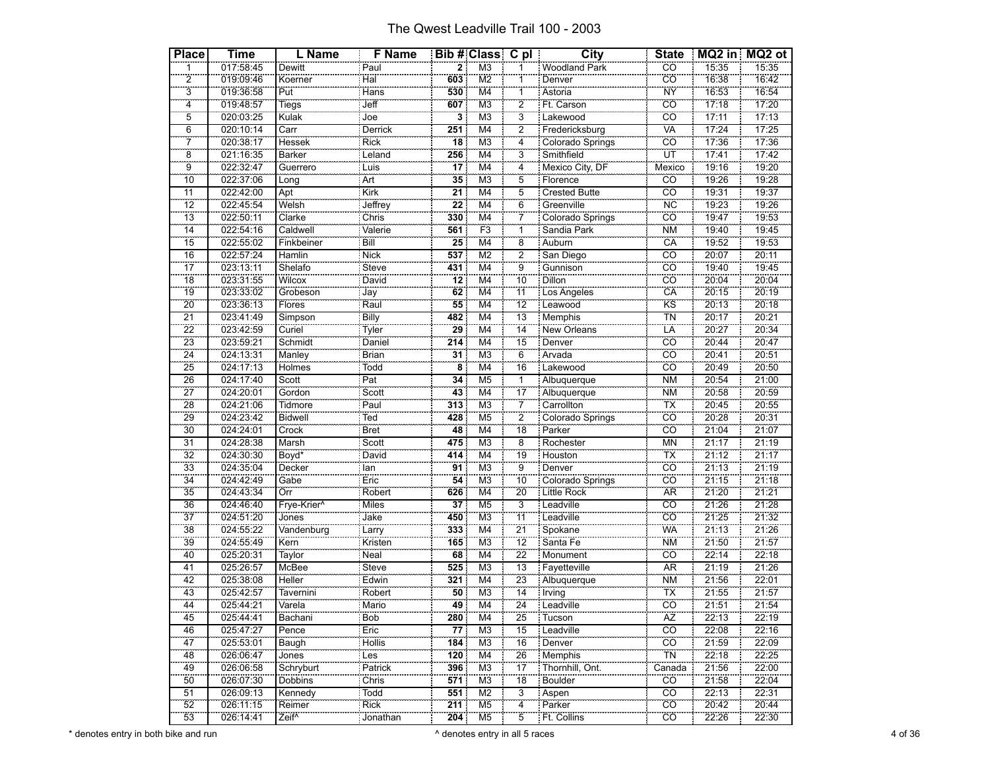| <b>Place</b>            | Time                   | L Name                      | <b>F</b> Name             |                         | Bib # Class C pl                                      |                                   | <b>City</b>                | <b>State</b>                          |                | MQ2 in MQ2 ot  |
|-------------------------|------------------------|-----------------------------|---------------------------|-------------------------|-------------------------------------------------------|-----------------------------------|----------------------------|---------------------------------------|----------------|----------------|
| $\overline{1}$          | 017:58:45              | Dewitt                      | Paul                      | $\overline{\mathbf{2}}$ | M3                                                    | 1                                 | Woodland Park              | <b>CO</b>                             | 15:35          | 15:35          |
| $\overline{2}$          | 019:09:46              | Koerner                     | Hal                       | 603                     | $\overline{\text{M2}}$                                | 1                                 | Denver                     | <b>CO</b>                             | 16:38          | 16:42          |
| $\overline{3}$          | 019:36:58              | Put                         | Hans                      | 530                     | M4                                                    | 1                                 | Astoria                    | <b>NY</b>                             | 16:53          | 16:54          |
| $\frac{1}{4}$           | 019:48:57              | Tiegs                       | Jeff                      | 607                     | M <sub>3</sub>                                        | $\overline{2}$                    | Ft. Carson                 | $\overline{co}$                       | 17:18          | 17:20          |
| $\overline{5}$          | 020:03:25              | Kulak                       | Joe                       | $\overline{\mathbf{3}}$ | M <sub>3</sub>                                        | $\overline{3}$                    | Lakewood                   | cö                                    | 17:11          | 17:13          |
| $\overline{6}$          | 020:10:14              | Carr                        | Derrick                   | 251                     | M4                                                    | 2                                 | Fredericksburg             | VA                                    | 17:24          | 17:25          |
| $\overline{7}$          | 020:38:17              | Hessek                      | Rick                      | $\overline{18}$         | $\overline{\mathsf{M}3}$                              | $\overline{4}$                    | Colorado Springs           | co                                    | 17:36          | 17:36          |
| $\overline{\mathbf{8}}$ | 021:16:35              | Barker                      | Leland                    | 256                     | $\overline{\mathsf{M}}$ 4                             | $\overline{3}$                    | Smithfield                 | ÜΤ                                    | 17:41          | 17:42          |
| $\overline{9}$          | 022:32:47              | Guerrero                    | Luis                      | $\overline{17}$         | M4                                                    | 4                                 | Mexico City, DF            | Mexico                                | 19:16          | 19:20          |
| $\overline{10}$         | 022:37:06              | Long                        | Art                       | $\overline{35}$         | M <sub>3</sub>                                        | $\overline{5}$                    | Florence                   | CO                                    | 19:26          | 19:28          |
| 11                      | 022:42:00              | Apt                         | Kirk                      | 21                      | M4                                                    | $\overline{5}$                    | <b>Crested Butte</b>       | $\overline{co}$                       | 19:31          | 19:37          |
| 12                      | 022:45:54              | Welsh                       | Jeffrey                   | $\overline{22}$         | M4                                                    | 6<br>÷                            | Greenville                 | <b>NC</b>                             | 19:23          | 19:26          |
| $\overline{13}$         | 022:50:11              | Clarke                      | $\overline{\text{Chris}}$ | 330                     | $\overline{\mathsf{M}}$ 4                             | 7                                 | Colorado Springs           | $\overline{co}$                       | 19:47          | 19:53          |
| $\overline{14}$         | 022:54:16              | Caldwell                    | Valerie                   | 561                     | F <sub>3</sub>                                        | ï                                 | Sandia Park                | <b>NM</b>                             | 19:40          | 19:45          |
| 15                      | 022:55:02              | Finkbeiner                  | Bill                      | $\overline{25}$         | M4                                                    | $\overline{8}$                    | Auburn                     | CA                                    | 19:52          | 19:53          |
| 16                      | 022:57:24              | Hamlin                      | <b>Nick</b>               | 537                     | M <sub>2</sub>                                        | $\overline{2}$                    | San Diego                  | $\overline{co}$                       | 20:07          | 20:11          |
| $\overline{17}$         | 023:13:11              | Shelafo                     | Steve                     | 431                     | M4                                                    | g.                                | Gunnison                   | <b>CO</b>                             | 19:40          | 19:45          |
| 18                      | 023:31:55              | Wilcox                      | David                     | 12                      | M4                                                    | 10                                | <b>Dillon</b>              | ĈÖ                                    | 20:04          | 20:04          |
| $\overline{19}$         | 023:33:02              | Grobeson                    | Jay                       | 62                      | $\overline{\mathsf{M}}$ 4                             | $\overline{11}$                   | Los Angeles                | CÄ                                    | 20:15          | 20:19          |
| 20                      | 023:36:13              | Flores                      | Raul                      | 55                      | $\overline{M4}$                                       | $\overline{12}$                   | Leawood                    | <b>KS</b>                             | 20:13          | 20:18          |
| $\overline{21}$         | 023:41:49              | Simpson                     | <b>Billy</b>              | 482                     | M4                                                    | 13                                | Memphis                    | <b>TN</b>                             | 20:17          | 20:21          |
| $\overline{22}$         | 023:42:59              | Curiel                      | Tyler                     | 29                      | $\overline{\mathsf{M}}$ 4                             | $\overline{14}$                   | New Orleans                | <b>LA</b>                             | 20:27          | 20:34          |
| 23                      | 023:59:21              | Schmidt                     | Daniel                    | 214                     | M <sub>4</sub>                                        | $\overline{15}$                   | Denver                     | <b>CO</b>                             | 20:44          | 20:47          |
| $\overline{24}$         | 024:13:31              | Manley                      | Brian                     | $\overline{31}$         | M <sub>3</sub>                                        | 6                                 | Arvada                     | ĈÖ                                    | 20:41          | 20:51          |
| $\overline{25}$         | 024:17:13              | Holmes                      | Todd                      | $\frac{1}{8}$           | $\overline{\mathsf{M}}$ 4                             | 16                                | Lakewood                   | $\overline{CO}$                       | 20:49          | 20:50          |
| 26                      | 024:17:40              | Scott                       | Pat                       | 34                      | M <sub>5</sub>                                        | $\overline{1}$                    | Albuquerque                | <b>NM</b>                             | 20:54          | 21:00          |
| 27                      | 024:20:01              | Gordon                      | Scott                     | 43                      | M4                                                    | $\overline{17}$                   | Albuquerque                | <b>NM</b>                             | 20:58          | 20:59          |
| 28                      | 024:21:06              | Tidmore                     | Paul                      | 313                     | M3                                                    | $\bar{7}$                         | Carrollton                 | $\overline{\mathsf{TX}}$              | 20:45          | 20:55          |
| 29                      | 024:23:42              | Bidwell                     | Ted                       | 428                     | M <sub>5</sub>                                        | $\overline{2}$                    | Colorado Springs           | <b>CO</b>                             | 20:28          | 20:31          |
| $\overline{30}$         | 024:24:01              | Crock                       | <b>Bret</b>               | 48                      | M4                                                    | $\overline{18}$                   | Parker                     | ĈÖ                                    | 21:04          | 21:07          |
| $\overline{31}$         | 024:28:38              | Marsh                       | Scott                     | 475                     | M <sub>3</sub>                                        | $\overline{8}$                    | Rochester                  | <b>MN</b>                             | 21:17          | 21:19          |
| 32                      | 024:30:30              | Boyd <sup>*</sup>           | David                     | 414                     | M4                                                    | 19                                | Houston                    | TX                                    | 21:12          | 21:17          |
| 33                      | 024:35:04              | Decker                      | lan                       | $\overline{91}$         | M <sub>3</sub>                                        | $\overline{9}$<br>$\overline{10}$ | Denver                     | CÔ                                    | 21:13          | 21:19          |
| $\overline{34}$         | 024:42:49              | Gabe                        | Eric<br>Robert            | 54                      | M <sub>3</sub>                                        |                                   | Colorado Springs           | $\overline{co}$                       | 21:15          | 21:18          |
| 35                      | 024:43:34              | Örr                         |                           | 626                     | M <sub>4</sub>                                        | 20                                | Little Rock                | <b>AR</b>                             | 21:20          | 21:21          |
| 36<br>$\overline{37}$   | 024:46:40              | Frye-Krier^                 | Miles                     | 37                      | M <sub>5</sub>                                        | $\overline{3}$<br>$\overline{11}$ | Leadville                  | $\overline{co}$<br>$\overline{CO}$    | 21:26          | 21:28<br>21:32 |
|                         | 024:51:20              | Jones                       | Jake                      | 450                     | $\overline{\mathsf{M}3}$<br>$\overline{\mathsf{M}}$ 4 | $\overline{21}$                   | Leadville<br>Spokane       | WÄ                                    | 21:25<br>21:13 | 21:26          |
| 38                      | 024:55:22              | Vandenburg                  | Larry                     | 333                     |                                                       | $\overline{12}$                   | Santa Fe                   |                                       |                |                |
| 39<br>40                | 024:55:49              | Kern                        | Kristen                   | 165                     | M <sub>3</sub><br>$\overline{\mathsf{M}}$ 4           | $\overline{22}$                   |                            | <b>NM</b>                             | 21:50          | 21:57          |
|                         | 025:20:31<br>025:26:57 | Taylor                      | Neal<br><b>Steve</b>      | 68<br>525               | M <sub>3</sub>                                        | 13                                | Monument                   | CO<br><b>AR</b>                       | 22:14<br>21:19 | 22:18<br>21:26 |
| 41                      |                        | McBee                       |                           |                         |                                                       | 23                                | Fayetteville               |                                       | 21:56          | 22:01          |
| 42<br>$\overline{43}$   | 025:38:08<br>025:42:57 | Heller                      | Edwin                     | 321<br>50               | M4<br>M3                                              | $\overline{14}$                   | Albuquerque                | <b>NM</b><br>$\overline{\mathsf{TX}}$ | 21:55          | 21:57          |
| 44                      | 025:44:21              | Tavernini<br>Varela         | Robert<br>Mario           | 49                      | $\overline{M4}$                                       | $\overline{24}$                   | Trving<br>Eleadville       | cö                                    | 21:51          | 21:54          |
|                         |                        |                             |                           | 280                     |                                                       | 25                                |                            | AZ <sup>"</sup>                       | 22:13          | 22:19          |
| 45<br>46                | 025:44:41              | Bachani                     | Bob                       | 77                      | M4<br>M3                                              |                                   | <b>Tucson</b>              | $\overline{co}$                       | 22:08          |                |
|                         | 025:47:27<br>025:53:01 | Pence                       | Eric<br>Hollis            | 184                     |                                                       | 15<br>16                          | Leadville<br>Denver        | <b>CO</b>                             | 21:59          | 22:16<br>22:09 |
| 47                      |                        | Baugh                       |                           |                         | M <sub>3</sub>                                        |                                   |                            |                                       | 22:18          | 22:25          |
| 48<br>49                | 026:06:47<br>026:06:58 | Jones                       | Les                       | 120<br>396              | M4<br>M <sub>3</sub>                                  | 26<br>$\overline{17}$             | Memphis<br>Thornhill, Ont. | $\overline{\mathsf{TN}}$              | 21:56          | 22:00          |
|                         | 026:07:30              | Schryburt<br><b>Dobbins</b> | Patrick                   |                         |                                                       | $\overline{18}$                   | Boulder                    | Canada<br>CÖ.                         | 21:58          | 22:04          |
| 50<br>51                |                        |                             | Chris                     | 571<br>551              | M <sub>3</sub>                                        |                                   |                            |                                       |                |                |
| 52                      | 026:09:13<br>026:11:15 | Kennedy<br>Reimer           | Todd<br>Rick              | $\overline{211}$        | M2<br>M <sub>5</sub>                                  | 3<br>4                            | Aspen<br>Parker            | CO<br>$\overline{CO}$                 | 22:13<br>20:42 | 22:31<br>20:44 |
| 53                      | 026:14:41              | Zeif <sup>^</sup>           |                           | 204                     | M5                                                    | $\overline{5}$                    | Ft. Collins                | <b>CO</b>                             | 22:26          | 22:30          |
|                         |                        |                             | Jonathan                  |                         |                                                       |                                   |                            |                                       |                |                |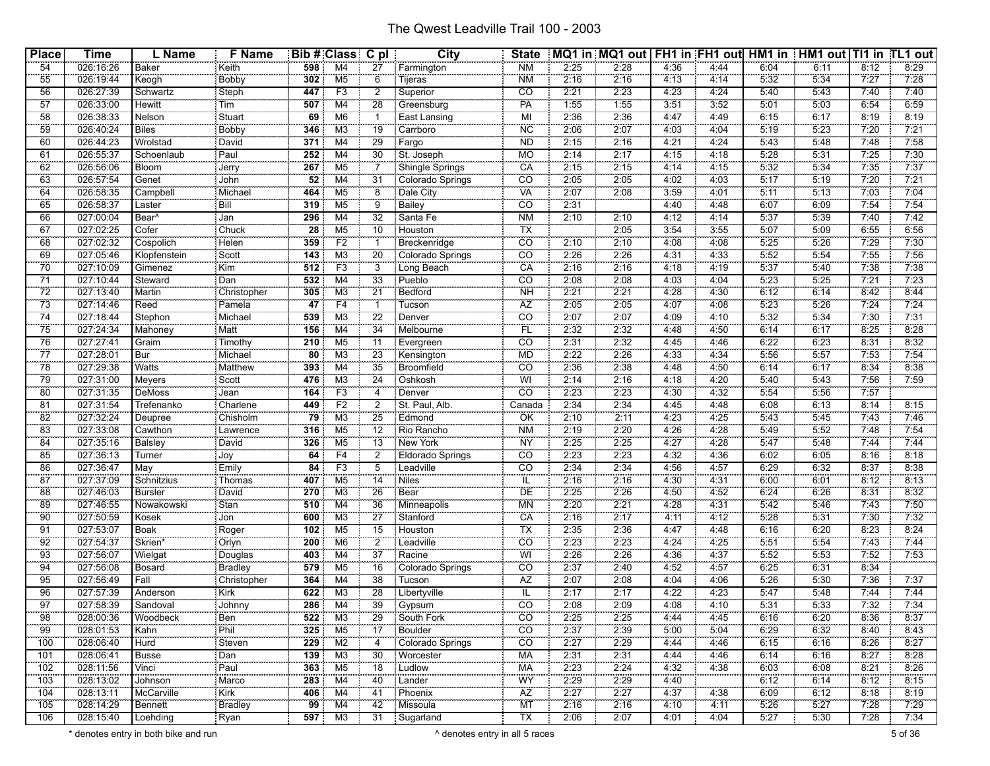| <b>Place</b>     | <b>Time</b>            | L Name            | <b>F</b> Name            |                        | Bib # Class C pl                 |                      | City                         | <b>State</b>                      |              | MQ1 in MQ1 out   FH1 in FH1 out   HM1 in   HM1 out   TI1 in TL1 out |              |              |              |              |              |              |
|------------------|------------------------|-------------------|--------------------------|------------------------|----------------------------------|----------------------|------------------------------|-----------------------------------|--------------|---------------------------------------------------------------------|--------------|--------------|--------------|--------------|--------------|--------------|
| 54               | 026:16:26              | Baker             | Keith                    | 598                    | M4                               | 27                   | Farmington                   | <b>NM</b>                         | 2:25         | 2:28                                                                | 4:36         | 4:44         | 6:04         | 6:11         | 8:12         | 8:29         |
| 55               | 026:19:44              | E                 | Bobby                    | 302                    | M <sub>5</sub>                   | $\overline{6}$       | Tijeras                      | <b>NM</b>                         | 2:16         | 2:16                                                                | 4:13         | 4:14         | 5:32         | 5:34         | 7:27         | 7:28         |
| 56               | 026:27:39              | Schwartz          | Steph                    | 447                    | F3                               | $\overline{2}$       | Superior                     | CO                                | 2:21         | 2:23                                                                | 4:23         | 4:24         | 5:40         | 5:43         | 7:40         | 7:40         |
| $\overline{57}$  | 026:33:00              | Hewitt            | Tim                      | 507                    | M4                               | 28                   |                              | PA                                | 1:55         | 1:55                                                                | 3:51         | 3:52         | 5:01         | 5:03         | 6:54         | 6:59         |
| 58               | 026:38:33              | Nelson            | Stuart                   | 69                     | M <sub>6</sub>                   |                      | Greensburg<br>East Lansing   | MI                                | 2:36         | 2:36                                                                | 4:47         | 4.49         | 6:15         | 6:17         | 8:19         | 8:19         |
| 59               | 026:40:24              | Biles             | Bobby                    | 346                    | M <sub>3</sub>                   | 19                   | Carrboro                     | NC <sup></sup>                    | 2:06         | 2:07                                                                | 4:03         | 4:04         | 5:19         | 5:23         | 7:20         | 7:21         |
| 60               | 026:44:23              | Wrolstad          | David                    | 371                    | M4                               | 29                   | Fargo                        | <b>ND</b>                         | 2:15         | 2:16                                                                | 4:21         | 4:24         | 5:43         | 5:48         | 7:48         | 7:58         |
| 61               | 026:55:37              | Schoenlaub        | Paul                     | 252                    | M4                               | 30                   | St. Joseph                   | МO                                | 2:14         | 2:17                                                                | 4:15         | 4:18         | 5:28         | 5:31         | 7:25         | 7:30         |
| 62               | 026:56:06              | Bloom             | Jerry                    | 267                    | M5                               |                      | Shingle Springs              | CA                                | 2:15         | 2:15                                                                | 4:14         | 4:15         | 5:32         | 5:34         | 7:35         | 7:37         |
| 63               | 026:57:54              | Genet             | John                     | $\overline{52}$        | M4                               | 31                   | Colorado Springs             | $\overline{c}$                    | 2:05         | 2:05                                                                | 4:02         | 4:03         | 5:17         | 5:19         | 7:20         | 7:21         |
| 64               | 026:58:35              | Campbell          | Michael                  | 464                    | M <sub>5</sub>                   | $\ddot{\mathbf{8}}$  | Dale City                    | <b>VA</b>                         | 2:07         | 2:08                                                                | 3:59         | 4:01         | 5:11         | 5:13         | 7:03         | 7:04         |
| 65               | 026:58:37              | Laster            | Bill                     | 319                    | M <sub>5</sub>                   | 9                    | Bailey                       | $\overline{CO}$                   | 2:31         |                                                                     | 4:40         | 4:48         | 6:07         | 6:09         | 7:54         | 7:54         |
| 66               | 027:00:04              | Bear <sup>^</sup> | Jan                      | 296                    | M4                               | $\overline{32}$      | Santa Fe                     | N <sub>M</sub>                    | 2:10         | 2:10                                                                | 4:12         | 4:14         | 5:37         | 5:39         | 7:40         | 7:42         |
| 67               | 027:02:25              | Cofer             | Chuck                    | 28                     | M <sub>5</sub>                   | 10                   | Houston                      | TX                                |              | 2:05                                                                | 3:54         | 3:55         | 5:07         | 5:09         | 6:55         | 6:56         |
| 68               | 027:02:32              | Cospolich         | Helen                    | 359                    | F2                               |                      | Breckenridge                 | $\overline{CO}$                   | 2:10         | 2:10                                                                | 4:08         | 4:08         | 5:25         | 5:26         | 7:29         | 7:30         |
| 69               | 027:05:46              | Klopfenstein      | Scott                    | 143                    | M3                               | 20                   | Colorado Springs             | $\overline{co}$                   | 2:26         | 2:26                                                                | 4:31         | 4:33         | 5:52         | 5:54         | 7:55         | 7:56         |
| 70               | 027:10:09              | Gimenez           | Kim                      | 512                    | F3                               | $\overline{3}$       | Long Beach                   | CA                                | 2:16         | 2:16                                                                | 4:18         | 4:19         | 5:37         | 5:40         | 7:38         | 7:38         |
| 71               | 027:10:44              | Steward           | Dan                      | 532                    | M4                               | 33                   | Pueblo                       | CO                                | 2:08         | 2:08                                                                | 4:03         | 4:04         | 5:23         | 5:25         | 7:21         | 7:23         |
| $\overline{72}$  | 027:13:40              | Martin            | Christopher              | 305                    | M <sub>3</sub>                   | $\overline{21}$      | <b>Bedford</b>               | NH                                | 2:21         | 2:21                                                                | 4:28         | 4:30         | 6:12         | 6:14         | 8:42         | 8:44         |
| 73               | 027:14:46              | Reed              | Pamela                   | 47                     | F4                               |                      | Tucson                       | ÄZ                                | 2:05         | 2:05                                                                | 4:07         | 4.08         | 5:23         | 5:26         | 7:24         | 7:24         |
| 74               | 027:18:44              | Stephon           | Michael                  | 539                    | M <sub>3</sub>                   | 22                   | Denver                       | $\overline{co}$                   | 2:07         | 2:07                                                                | 4:09         | 4:10         | 5:32         | 5:34         | 7:30         | 7:31         |
| 75               | 027:24:34              | Mahoney           | Matt                     | 156                    | M4                               | 34                   | Melbourne                    | FL                                | 2:32         | 2:32                                                                | 4:48         | 4:50         | 6:14         | 6:17         | 8:25         | 8:28         |
| 76               | 027:27:41              | Graim             | Timothy                  | 210                    | M <sub>5</sub>                   | 11                   | Evergreen                    | CO                                | 2:31         | 2:32                                                                | 4:45         | 4:46         | 6:22         | 6:23         | 8:31         | 8:32         |
| 77               | 027:28:01              | Bur               | Michael                  | 80                     | M <sub>3</sub>                   | 23                   | Kensington                   | <b>MD</b>                         | 2:22         | 2:26                                                                | 4:33         | 4:34         | 5:56         | 5:57         | 7:53         | 7:54         |
| 78               | 027:29:38              | Watts             | Matthew                  | 393                    | M4                               | 35                   | Broomfield                   | <b>CO</b>                         | 2:36         | 2:38                                                                | 4:48         | 4:50         | 6:14         | 6:17         | 8:34         | 8:38         |
| 79               | 027:31:00              | Meyers            | Scott                    | 476                    | M <sub>3</sub>                   | 24                   | Oshkosh                      | WI                                | 2:14         | 2:16                                                                | 4.18         | 4:20         | 5:40         | 5:43         | 7:56         | 7:59         |
| 80               | 027:31:35              | DeMoss            |                          | 164                    | F <sub>3</sub>                   | 4                    | Denver                       | $\overline{C}\overline{O}$        | 2:23         | 2:23                                                                | 4:30         | 4:32         | 5:54         | 5:56         | 7:57         |              |
| 81               | 027:31:54              | Trefenanko        | Jean<br>Charlene         | 449                    | F2                               | $\overline{2}$       | St. Paul, Alb.               | Canada                            | 2:34         | 2:34                                                                | 4:45         | 4:48         | 6:08         | 6:13         | 8:14         | 8:15         |
| 82               | 027:32:24              | Deupree           | Chisholm                 | 79                     | M <sub>3</sub>                   | 25                   | Edmond                       | $\overline{\overline{\text{OK}}}$ | 2:10         | 2:11                                                                | 4:23         | 4:25         | 5:43         | 5:45         | 7:43         | 7:46         |
|                  | 027:33:08              |                   |                          |                        | M <sub>5</sub>                   | 12                   |                              | <b>NM</b>                         | 2:19         |                                                                     | 4:26         |              | 5:49         | 5:52         | 7:48         |              |
| 83               | 027:35:16              | Cawthon           | Lawrence                 | 316                    | M <sub>5</sub>                   | $\overline{13}$      | Rio Rancho                   |                                   | 2:25         | 2:20<br>2:25                                                        | 4:27         | 4:28<br>4:28 | 5:47         | 5.48         | 7:44         | 7:54         |
| 84<br>85         | 027:36:13              | Balsley<br>Turner | David<br>Joy             | 326<br>$\overline{64}$ | F4                               | $\overline{2}$       | New York<br>Eldorado Springs | <b>NY</b><br>CO                   | 2:23         | 2:23                                                                | 4:32         | 4:36         | 6:02         | 6:05         | 8:16         | 7:44<br>8:18 |
|                  |                        |                   |                          |                        |                                  |                      |                              |                                   |              |                                                                     |              |              |              |              |              |              |
| 86<br>87         | 027:36:47              | May<br>Schnitzius | Emily                    | 84                     | F <sub>3</sub><br>M <sub>5</sub> | 5                    | Leadville                    | CO<br>$\overline{\mathsf{IL}}$    | 2:34         | 2:34                                                                | 4:56         | 4:57         | 6:29         | 6:32         | 8:37         | 8:38         |
| 88               | 027:37:09<br>027:46:03 | Bursler           | Thomas<br>David          | 407<br>270             | M <sub>3</sub>                   | 14<br>26             | <b>Niles</b><br>Bear         | ÖΕ                                | 2:16<br>2:25 | 2:16<br>2:26                                                        | 4:30<br>4:50 | 4:31<br>4:52 | 6:00<br>6:24 | 6:01<br>6:26 | 8:12<br>8:31 | 8:13<br>8:32 |
|                  |                        |                   |                          |                        |                                  |                      |                              |                                   |              |                                                                     |              |              |              |              |              |              |
| 89               | 027:46:55              | Nowakowski        | Stan                     | 510                    | M4                               | 36                   | Minneapolis                  | MN                                | 2:20         | 2:21                                                                | 4:28         | 4:31         | 5:42         | 5:46         | 7:43         | 7:50         |
| 90               | 027:50:59              | Kosek             | Jon                      | 600                    | M <sub>3</sub>                   | 27                   | Stanford                     | CA                                | 2:16         | 2:17                                                                | 4:11         | 4:12         | 5:28         | 5:31         | 7:30         | 7:32         |
| 91               | 027:53:07              | <b>Boak</b>       | Roger                    | 102                    | M <sub>5</sub>                   | 15                   | Houston                      | <b>TX</b>                         | 2:35         | 2:36                                                                | 4:47         | 4:48         | 6:16         | 6:20         | 8:23         | 8:24         |
| 92<br>93         | 027:54:37              | Skrien*           | Orlyn                    | 200                    | M <sub>6</sub>                   | 2<br>$\overline{37}$ | Leadville<br>Racine          | $\overline{co}$<br>WI             | 2:23         | 2:23<br>2:26                                                        | 4:24         | 4:25         | 5:51         | 5:54         | 7:43<br>7:52 | 7:44<br>7:53 |
|                  | 027:56:07              | Wielgat           | Douglas                  | 403                    | M4                               |                      |                              |                                   | 2:26         |                                                                     | 4:36         | 4:37         | 5:52         | 5:53         |              |              |
| 94               | 027:56:08              | Bosard            | Bradley                  | 579                    | M <sub>5</sub>                   | 16                   | Colorado Springs             | CO                                | 2:37         | 2:40                                                                | 4:52         | 4:57         | 6:25         | 6:31         | 8:34         |              |
| 95               | 027:56:49              | Fall              | Christopher              | 364                    | M4                               | 38                   | Tucson                       | AZ                                | 2:07         | 2:08                                                                | 4:04         | 4:06         | 5:26         | 5:30         | 7:36         | 7:37         |
| 96               | 027:57:39              | Anderson          | Kirk                     | 622                    | M <sub>3</sub>                   | 28                   | Libertyville                 | IL                                | 2:17         | 2:17                                                                | 4:22         | 4:23         | 5:47         | 5:48         | 7:44         | 7:44         |
| 97               | 027:58:39              | Sandoval<br>      | Johnny<br><u>.</u>       | 286                    | M4                               | 39                   | Gypsum                       | $\overline{CO}$                   | 2:08         | 2:09                                                                | 4:08         | 4:10         | 5:31         | 5:33         | 7:32         | 7:34         |
| 98               | 028:00:36              | Woodbeck          | : Ben                    |                        | <b>522</b> M3                    | - 29                 | South Fork                   | CO.                               | 2:25         | 2:25                                                                | 4:44         | 4:45         | 6:16         | 6:20         | 8:36         | 8:37         |
| 99               | 028:01:53              | Kahn              | Phil                     |                        | $325$ M5                         | $\overline{17}$      | Boulder                      | $\overline{co}$                   | 2:37         | 2:39                                                                | 5:00         | 5:04         | 6:29         | 6:32         | 8:40         | 8:43         |
| $\overline{100}$ | 028:06:40              | Hurd              | Steven                   | 229                    | M2                               | 4                    | Colorado Springs             | $\overline{co}$                   | 2:27         | 2:29                                                                | 4:44         | 4:46         | 6:15         | 6:16         | 8:26         | 8:27         |
| 101              | 028:06:41              | <b>Busse</b>      | Dan                      |                        | $139$ M3                         | 30                   | Worcester                    | МA                                | 2:31         | 2:31                                                                | 4:44         | 4:46         | 6:14         | 6:16         | 8:27         | 8:28         |
| 102              | 028:11:56              | Vinci             | Paul                     |                        | 363 M5                           | $\overline{18}$      | Ludlow                       | <b>MA</b>                         | 2:23         | 2:24                                                                | 4:32         | 4:38         | 6:03         | 6:08         | 8:21         | 8:26         |
| 103              | 028:13:02              | Johnson           | Marco                    |                        | 283 M4                           | 40                   | Lander                       | WY                                | 2:29         | 2:29                                                                | 4:40         |              | 6:12         | 6:14         | 8:12         | 8:15         |
| 104              | 028:13:11              | McCarville        | kirk (<br><b>CONTROL</b> |                        | 406 M4                           | 41                   | Phoenix                      | AZ                                | 2:27         | 2:27                                                                | 4:37         | 4:38         | 6:09         | 6:12         | 8:18         | 8:19         |
| 105              | 028:14:29              | Bennett           | Bradley                  |                        | $99$ M4                          | 42                   | Missoula                     | MT <sup>-</sup>                   | 2:16         | 2:16                                                                | 4:10         | 4:11         | 5:26         | 5:27         | 7:28         | 7:29         |
| 106              | 028:15:40              | Loehding          | Ryan                     |                        | 597 M3                           |                      | 31   Sugarland               | TX                                | 2:06         | 2:07                                                                | 4:01         | 4:04         | 5:27         | 5:30         | 7:28         | 7:34         |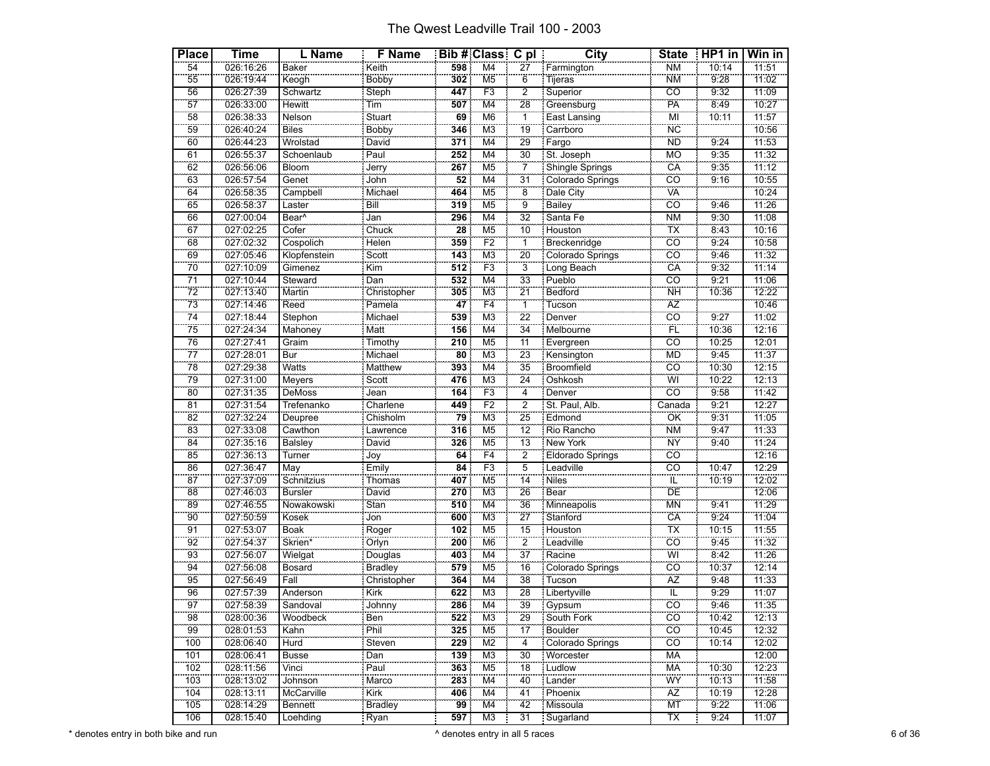| <b>City</b><br>54<br>598<br>M4<br><b>NM</b><br>11:51<br>026:16:26<br>Baker<br>27<br>10:14<br>Keith<br>Farmington<br>55<br>Bobby<br>302<br>M <sub>5</sub><br>Tijeras<br><b>NM</b><br>9:28<br>Keogh<br>11:02<br>026:19:44<br>6<br>56<br>447<br>F3<br>$\overline{co}$<br>11:09<br>026:27:39<br><b>Steph</b><br>2<br>Superior<br>9:32<br>Schwartz<br><br>Tim<br>$\overline{57}$<br>28<br>PÄ<br>507<br>M4<br>8:49<br>10:27<br>026:33:00<br>Hewitt<br>Greensburg<br>East Lansing<br>Stuart<br>ï<br>10:11<br>58<br>MI<br>M <sub>6</sub><br>11:57<br>026:38:33<br>Nelson<br>69<br>59<br><b>Biles</b><br><b>NC</b><br>10:56<br>026:40:24<br><b>Bobby</b><br>346<br>M <sub>3</sub><br>19<br>Carrboro<br>29<br>M4<br>60<br>026:44:23<br>371<br><b>ND</b><br>9:24<br>11:53<br>Wrolstad<br>David<br>Fargo<br>61<br>026:55:37<br>Schoenlaub<br>Paul<br>252<br>M4<br>30<br>St. Joseph<br><b>MO</b><br>9:35<br>11:32<br>CA<br>267<br>M <sub>5</sub><br>11:12<br>62<br>026:56:06<br>Bloom<br>Shingle Springs<br>9:35<br>Jerry<br>7<br>$\overline{31}$<br>co<br>Genet<br>63<br>M <sub>4</sub><br>9:16<br>52<br>026:57:54<br>Colorado Springs<br>10:55<br>John<br>Campbell<br>Michael<br>64<br>M <sub>5</sub><br>$\overline{\mathbf{8}}$<br>VÄ<br>026:58:35<br>464<br>10:24<br>Dale City<br>CÖ<br>65<br>319<br>$\overline{9}$<br>9:46<br>11:26<br>026:58:37<br>Bill<br>M <sub>5</sub><br>Laster<br><b>Bailey</b><br>$\overline{32}$<br>66<br>Bear <sup>^</sup><br>296<br>M <sub>4</sub><br>Santa Fe<br><b>NM</b><br>9:30<br>11:08<br>027:00:04<br>Jan<br>Cofer<br>67<br>Chuck<br>M <sub>5</sub><br>10<br>TX<br>8:43<br>28<br>10:16<br>027:02:25<br>Houston<br>CÖ<br>F2<br>68<br>9:24<br>10:58<br>027:02:32<br>Cospolich<br><b>Helen</b><br>359<br><b>Breckenridge</b><br>1<br>Scott<br>20<br>69<br>co<br>M <sub>3</sub><br>9:46<br>027:05:46<br>11:32<br>Klopfenstein<br>143<br>Colorado Springs<br>$\frac{300}{\text{Kim}}$<br>70<br>$\overline{3}$<br>CÄ<br>F <sub>3</sub><br>512<br>027:10:09<br>Gimenez<br>9:32<br>11:14<br>Long Beach<br>$\overline{co}$<br>$\overline{71}$<br>532<br>33<br>9:21<br>11:06<br>027:10:44<br>M4<br>Pueblo<br>Steward<br>Dan<br>$\overline{72}$<br>$\overline{21}$<br>305<br>M <sub>3</sub><br>Bedford<br><b>NH</b><br>10:36<br>027:13:40<br>12:22<br>Martin<br>Christopher<br>Pamela<br>47<br>Reed<br>Tucson<br>73<br>F4<br>ï<br>ÄŻ<br>10:46<br>027:14:46<br>cö<br>9:27<br>74<br>027:18:44<br>Stephon<br>Michael<br>539<br>M <sub>3</sub><br>22<br>11:02<br>Denver<br>75<br>FL<br>34<br>027:24:34<br>Matt<br>156<br>M4<br>10:36<br>12:16<br>Mahoney<br>Melbourne<br>027:27:41<br>$\overline{c}$<br>76<br>Timothy<br>210<br>M <sub>5</sub><br>11<br>Evergreen<br>10:25<br>12:01<br>Graim<br><b>MD</b><br>027:28:01<br>$\overline{80}$<br>23<br>9:45<br>11:37<br>77<br>Bur<br>Michael<br>M <sub>3</sub><br>Kensington<br>78<br>35<br>Broomfield<br>co<br>10:30<br>$\overline{\text{M4}}$<br>Watts<br>393<br>12:15<br>027:29:38<br>Matthew<br>$rac{1}{\sqrt{1-\frac{1}{2}}}\frac{1}{\sqrt{1-\frac{1}{2}}\sqrt{1-\frac{1}{2}}\sqrt{1-\frac{1}{2}}\sqrt{1-\frac{1}{2}}\sqrt{1-\frac{1}{2}}\sqrt{1-\frac{1}{2}}\sqrt{1-\frac{1}{2}}\sqrt{1-\frac{1}{2}}\sqrt{1-\frac{1}{2}}\sqrt{1-\frac{1}{2}}\sqrt{1-\frac{1}{2}}\sqrt{1-\frac{1}{2}}\sqrt{1-\frac{1}{2}}\sqrt{1-\frac{1}{2}}\sqrt{1-\frac{1}{2}}\sqrt{1-\frac{1}{2}}\sqrt{1-\frac{1}{2}}\sqrt{1-\frac{1}{2}}\sqrt$<br>79<br>24<br>WI<br>10:22<br>476<br>M <sub>3</sub><br>12:13<br>027:31:00<br>Meyers<br>Oshkosh<br>F3<br><b>CO</b><br>80<br>027:31:35<br>DeMoss<br>164<br>9:58<br>11:42<br>Jean<br>4<br>Denver<br>$\overline{F2}$<br>$\overline{2}$<br>$\overline{81}$<br>027:31:54<br>449<br>St. Paul, Alb.<br>9:21<br>12:27<br>Trefenanko<br>Charlene<br>Canada<br>Chisholm<br>82<br>M <sub>3</sub><br>25<br>79<br>ÖK<br>9:31<br>11:05<br>027:32:24<br>Edmond<br>Deupree<br><b>NM</b><br>11:33<br>83<br>027:33:08<br>Cawthon<br>316<br>M <sub>5</sub><br>12<br>Rio Rancho<br>9:47<br>Lawrence<br>$\overline{13}$<br>M <sub>5</sub><br><b>NY</b><br>David<br>9:40<br>11:24<br>84<br>027:35:16<br>326<br><b>New York</b><br><b>Balsley</b><br>————<br>Joy<br>85<br>F4<br>$\overline{2}$<br>64<br>CO<br>Turner<br>12:16<br>027:36:13<br>Eldorado Springs<br>F3<br>$\overline{co}$<br>12:29<br>86<br>027:36:47<br>$\overline{5}$<br>Emily<br>84<br>Leadville<br>10:47<br>May<br>$\overline{14}$<br>87<br>ïĔ<br>M <sub>5</sub><br>10:19<br>12:02<br>027:37:09<br><b>Niles</b><br>Schnitzius<br>Thomas<br>407<br>David<br>26<br>DE<br>88<br>M <sub>3</sub><br>12:06<br>027:46:03<br>270<br>Bear<br>Bursler<br><b>MN</b><br>510<br>89<br>Stan<br>36<br>9:41<br>11:29<br>027:46:55<br>Nowakowski<br>M4<br>Minneapolis<br>Stanford<br>CA<br>9:24<br>90<br>027:50:59<br>600<br>M <sub>3</sub><br>27<br>11:04<br>Kosek<br>Jon<br>91<br>102<br>M <sub>5</sub><br>15<br>TX<br>11:55<br>027:53:07<br>Boak<br>Roger<br>Houston<br>10:15<br>$\overline{2}$<br>200<br>CÖ<br>11:32<br>92<br>027:54:37<br>M <sub>6</sub><br>Leadville<br>9:45<br>Skrien*<br>Orlyn<br>$\overline{37}$<br>93<br>WÏ<br>Racine<br>8:42<br>M4<br>11:26<br>027:56:07<br>Douglas<br>403<br>Wielgat |
|--------------------------------------------------------------------------------------------------------------------------------------------------------------------------------------------------------------------------------------------------------------------------------------------------------------------------------------------------------------------------------------------------------------------------------------------------------------------------------------------------------------------------------------------------------------------------------------------------------------------------------------------------------------------------------------------------------------------------------------------------------------------------------------------------------------------------------------------------------------------------------------------------------------------------------------------------------------------------------------------------------------------------------------------------------------------------------------------------------------------------------------------------------------------------------------------------------------------------------------------------------------------------------------------------------------------------------------------------------------------------------------------------------------------------------------------------------------------------------------------------------------------------------------------------------------------------------------------------------------------------------------------------------------------------------------------------------------------------------------------------------------------------------------------------------------------------------------------------------------------------------------------------------------------------------------------------------------------------------------------------------------------------------------------------------------------------------------------------------------------------------------------------------------------------------------------------------------------------------------------------------------------------------------------------------------------------------------------------------------------------------------------------------------------------------------------------------------------------------------------------------------------------------------------------------------------------------------------------------------------------------------------------------------------------------------------------------------------------------------------------------------------------------------------------------------------------------------------------------------------------------------------------------------------------------------------------------------------------------------------------------------------------------------------------------------------------------------------------------------------------------------------------------------------------------------------------------------------------------------------------------------------------------------------------------------------------------------------------------------------------------------------------------------------------------------------------------------------------------------------------------------------------------------------------------------------------------------------------------------------------------------------------------------------------------------------------------------------------------------------------------------------------------------------------------------------------------------------------------------------------------------------------------------------------------------------------------------------------------------------------------------------------------------------------------------------------------------------------------------------------------------------------------------------------------------------------------------------------------------------------------------------------------------------------------------------------------------------------------------------------------------------------------------------------------------------------------------------------------------------------------------------------------------------------------------------------------------------------------------------------------------------------------------------------------------------------------------------------------------------------------------------------------------------------------------------------------------------------------------------------------------------------------------------------------------------------------------------------------------------------------------------------------------------------------------------------------------------------------------------------|
|                                                                                                                                                                                                                                                                                                                                                                                                                                                                                                                                                                                                                                                                                                                                                                                                                                                                                                                                                                                                                                                                                                                                                                                                                                                                                                                                                                                                                                                                                                                                                                                                                                                                                                                                                                                                                                                                                                                                                                                                                                                                                                                                                                                                                                                                                                                                                                                                                                                                                                                                                                                                                                                                                                                                                                                                                                                                                                                                                                                                                                                                                                                                                                                                                                                                                                                                                                                                                                                                                                                                                                                                                                                                                                                                                                                                                                                                                                                                                                                                                                                                                                                                                                                                                                                                                                                                                                                                                                                                                                                                                                                                                                                                                                                                                                                                                                                                                                                                                                                                                                                                                                                          |
|                                                                                                                                                                                                                                                                                                                                                                                                                                                                                                                                                                                                                                                                                                                                                                                                                                                                                                                                                                                                                                                                                                                                                                                                                                                                                                                                                                                                                                                                                                                                                                                                                                                                                                                                                                                                                                                                                                                                                                                                                                                                                                                                                                                                                                                                                                                                                                                                                                                                                                                                                                                                                                                                                                                                                                                                                                                                                                                                                                                                                                                                                                                                                                                                                                                                                                                                                                                                                                                                                                                                                                                                                                                                                                                                                                                                                                                                                                                                                                                                                                                                                                                                                                                                                                                                                                                                                                                                                                                                                                                                                                                                                                                                                                                                                                                                                                                                                                                                                                                                                                                                                                                          |
|                                                                                                                                                                                                                                                                                                                                                                                                                                                                                                                                                                                                                                                                                                                                                                                                                                                                                                                                                                                                                                                                                                                                                                                                                                                                                                                                                                                                                                                                                                                                                                                                                                                                                                                                                                                                                                                                                                                                                                                                                                                                                                                                                                                                                                                                                                                                                                                                                                                                                                                                                                                                                                                                                                                                                                                                                                                                                                                                                                                                                                                                                                                                                                                                                                                                                                                                                                                                                                                                                                                                                                                                                                                                                                                                                                                                                                                                                                                                                                                                                                                                                                                                                                                                                                                                                                                                                                                                                                                                                                                                                                                                                                                                                                                                                                                                                                                                                                                                                                                                                                                                                                                          |
|                                                                                                                                                                                                                                                                                                                                                                                                                                                                                                                                                                                                                                                                                                                                                                                                                                                                                                                                                                                                                                                                                                                                                                                                                                                                                                                                                                                                                                                                                                                                                                                                                                                                                                                                                                                                                                                                                                                                                                                                                                                                                                                                                                                                                                                                                                                                                                                                                                                                                                                                                                                                                                                                                                                                                                                                                                                                                                                                                                                                                                                                                                                                                                                                                                                                                                                                                                                                                                                                                                                                                                                                                                                                                                                                                                                                                                                                                                                                                                                                                                                                                                                                                                                                                                                                                                                                                                                                                                                                                                                                                                                                                                                                                                                                                                                                                                                                                                                                                                                                                                                                                                                          |
|                                                                                                                                                                                                                                                                                                                                                                                                                                                                                                                                                                                                                                                                                                                                                                                                                                                                                                                                                                                                                                                                                                                                                                                                                                                                                                                                                                                                                                                                                                                                                                                                                                                                                                                                                                                                                                                                                                                                                                                                                                                                                                                                                                                                                                                                                                                                                                                                                                                                                                                                                                                                                                                                                                                                                                                                                                                                                                                                                                                                                                                                                                                                                                                                                                                                                                                                                                                                                                                                                                                                                                                                                                                                                                                                                                                                                                                                                                                                                                                                                                                                                                                                                                                                                                                                                                                                                                                                                                                                                                                                                                                                                                                                                                                                                                                                                                                                                                                                                                                                                                                                                                                          |
|                                                                                                                                                                                                                                                                                                                                                                                                                                                                                                                                                                                                                                                                                                                                                                                                                                                                                                                                                                                                                                                                                                                                                                                                                                                                                                                                                                                                                                                                                                                                                                                                                                                                                                                                                                                                                                                                                                                                                                                                                                                                                                                                                                                                                                                                                                                                                                                                                                                                                                                                                                                                                                                                                                                                                                                                                                                                                                                                                                                                                                                                                                                                                                                                                                                                                                                                                                                                                                                                                                                                                                                                                                                                                                                                                                                                                                                                                                                                                                                                                                                                                                                                                                                                                                                                                                                                                                                                                                                                                                                                                                                                                                                                                                                                                                                                                                                                                                                                                                                                                                                                                                                          |
|                                                                                                                                                                                                                                                                                                                                                                                                                                                                                                                                                                                                                                                                                                                                                                                                                                                                                                                                                                                                                                                                                                                                                                                                                                                                                                                                                                                                                                                                                                                                                                                                                                                                                                                                                                                                                                                                                                                                                                                                                                                                                                                                                                                                                                                                                                                                                                                                                                                                                                                                                                                                                                                                                                                                                                                                                                                                                                                                                                                                                                                                                                                                                                                                                                                                                                                                                                                                                                                                                                                                                                                                                                                                                                                                                                                                                                                                                                                                                                                                                                                                                                                                                                                                                                                                                                                                                                                                                                                                                                                                                                                                                                                                                                                                                                                                                                                                                                                                                                                                                                                                                                                          |
|                                                                                                                                                                                                                                                                                                                                                                                                                                                                                                                                                                                                                                                                                                                                                                                                                                                                                                                                                                                                                                                                                                                                                                                                                                                                                                                                                                                                                                                                                                                                                                                                                                                                                                                                                                                                                                                                                                                                                                                                                                                                                                                                                                                                                                                                                                                                                                                                                                                                                                                                                                                                                                                                                                                                                                                                                                                                                                                                                                                                                                                                                                                                                                                                                                                                                                                                                                                                                                                                                                                                                                                                                                                                                                                                                                                                                                                                                                                                                                                                                                                                                                                                                                                                                                                                                                                                                                                                                                                                                                                                                                                                                                                                                                                                                                                                                                                                                                                                                                                                                                                                                                                          |
|                                                                                                                                                                                                                                                                                                                                                                                                                                                                                                                                                                                                                                                                                                                                                                                                                                                                                                                                                                                                                                                                                                                                                                                                                                                                                                                                                                                                                                                                                                                                                                                                                                                                                                                                                                                                                                                                                                                                                                                                                                                                                                                                                                                                                                                                                                                                                                                                                                                                                                                                                                                                                                                                                                                                                                                                                                                                                                                                                                                                                                                                                                                                                                                                                                                                                                                                                                                                                                                                                                                                                                                                                                                                                                                                                                                                                                                                                                                                                                                                                                                                                                                                                                                                                                                                                                                                                                                                                                                                                                                                                                                                                                                                                                                                                                                                                                                                                                                                                                                                                                                                                                                          |
|                                                                                                                                                                                                                                                                                                                                                                                                                                                                                                                                                                                                                                                                                                                                                                                                                                                                                                                                                                                                                                                                                                                                                                                                                                                                                                                                                                                                                                                                                                                                                                                                                                                                                                                                                                                                                                                                                                                                                                                                                                                                                                                                                                                                                                                                                                                                                                                                                                                                                                                                                                                                                                                                                                                                                                                                                                                                                                                                                                                                                                                                                                                                                                                                                                                                                                                                                                                                                                                                                                                                                                                                                                                                                                                                                                                                                                                                                                                                                                                                                                                                                                                                                                                                                                                                                                                                                                                                                                                                                                                                                                                                                                                                                                                                                                                                                                                                                                                                                                                                                                                                                                                          |
|                                                                                                                                                                                                                                                                                                                                                                                                                                                                                                                                                                                                                                                                                                                                                                                                                                                                                                                                                                                                                                                                                                                                                                                                                                                                                                                                                                                                                                                                                                                                                                                                                                                                                                                                                                                                                                                                                                                                                                                                                                                                                                                                                                                                                                                                                                                                                                                                                                                                                                                                                                                                                                                                                                                                                                                                                                                                                                                                                                                                                                                                                                                                                                                                                                                                                                                                                                                                                                                                                                                                                                                                                                                                                                                                                                                                                                                                                                                                                                                                                                                                                                                                                                                                                                                                                                                                                                                                                                                                                                                                                                                                                                                                                                                                                                                                                                                                                                                                                                                                                                                                                                                          |
|                                                                                                                                                                                                                                                                                                                                                                                                                                                                                                                                                                                                                                                                                                                                                                                                                                                                                                                                                                                                                                                                                                                                                                                                                                                                                                                                                                                                                                                                                                                                                                                                                                                                                                                                                                                                                                                                                                                                                                                                                                                                                                                                                                                                                                                                                                                                                                                                                                                                                                                                                                                                                                                                                                                                                                                                                                                                                                                                                                                                                                                                                                                                                                                                                                                                                                                                                                                                                                                                                                                                                                                                                                                                                                                                                                                                                                                                                                                                                                                                                                                                                                                                                                                                                                                                                                                                                                                                                                                                                                                                                                                                                                                                                                                                                                                                                                                                                                                                                                                                                                                                                                                          |
|                                                                                                                                                                                                                                                                                                                                                                                                                                                                                                                                                                                                                                                                                                                                                                                                                                                                                                                                                                                                                                                                                                                                                                                                                                                                                                                                                                                                                                                                                                                                                                                                                                                                                                                                                                                                                                                                                                                                                                                                                                                                                                                                                                                                                                                                                                                                                                                                                                                                                                                                                                                                                                                                                                                                                                                                                                                                                                                                                                                                                                                                                                                                                                                                                                                                                                                                                                                                                                                                                                                                                                                                                                                                                                                                                                                                                                                                                                                                                                                                                                                                                                                                                                                                                                                                                                                                                                                                                                                                                                                                                                                                                                                                                                                                                                                                                                                                                                                                                                                                                                                                                                                          |
|                                                                                                                                                                                                                                                                                                                                                                                                                                                                                                                                                                                                                                                                                                                                                                                                                                                                                                                                                                                                                                                                                                                                                                                                                                                                                                                                                                                                                                                                                                                                                                                                                                                                                                                                                                                                                                                                                                                                                                                                                                                                                                                                                                                                                                                                                                                                                                                                                                                                                                                                                                                                                                                                                                                                                                                                                                                                                                                                                                                                                                                                                                                                                                                                                                                                                                                                                                                                                                                                                                                                                                                                                                                                                                                                                                                                                                                                                                                                                                                                                                                                                                                                                                                                                                                                                                                                                                                                                                                                                                                                                                                                                                                                                                                                                                                                                                                                                                                                                                                                                                                                                                                          |
|                                                                                                                                                                                                                                                                                                                                                                                                                                                                                                                                                                                                                                                                                                                                                                                                                                                                                                                                                                                                                                                                                                                                                                                                                                                                                                                                                                                                                                                                                                                                                                                                                                                                                                                                                                                                                                                                                                                                                                                                                                                                                                                                                                                                                                                                                                                                                                                                                                                                                                                                                                                                                                                                                                                                                                                                                                                                                                                                                                                                                                                                                                                                                                                                                                                                                                                                                                                                                                                                                                                                                                                                                                                                                                                                                                                                                                                                                                                                                                                                                                                                                                                                                                                                                                                                                                                                                                                                                                                                                                                                                                                                                                                                                                                                                                                                                                                                                                                                                                                                                                                                                                                          |
|                                                                                                                                                                                                                                                                                                                                                                                                                                                                                                                                                                                                                                                                                                                                                                                                                                                                                                                                                                                                                                                                                                                                                                                                                                                                                                                                                                                                                                                                                                                                                                                                                                                                                                                                                                                                                                                                                                                                                                                                                                                                                                                                                                                                                                                                                                                                                                                                                                                                                                                                                                                                                                                                                                                                                                                                                                                                                                                                                                                                                                                                                                                                                                                                                                                                                                                                                                                                                                                                                                                                                                                                                                                                                                                                                                                                                                                                                                                                                                                                                                                                                                                                                                                                                                                                                                                                                                                                                                                                                                                                                                                                                                                                                                                                                                                                                                                                                                                                                                                                                                                                                                                          |
|                                                                                                                                                                                                                                                                                                                                                                                                                                                                                                                                                                                                                                                                                                                                                                                                                                                                                                                                                                                                                                                                                                                                                                                                                                                                                                                                                                                                                                                                                                                                                                                                                                                                                                                                                                                                                                                                                                                                                                                                                                                                                                                                                                                                                                                                                                                                                                                                                                                                                                                                                                                                                                                                                                                                                                                                                                                                                                                                                                                                                                                                                                                                                                                                                                                                                                                                                                                                                                                                                                                                                                                                                                                                                                                                                                                                                                                                                                                                                                                                                                                                                                                                                                                                                                                                                                                                                                                                                                                                                                                                                                                                                                                                                                                                                                                                                                                                                                                                                                                                                                                                                                                          |
|                                                                                                                                                                                                                                                                                                                                                                                                                                                                                                                                                                                                                                                                                                                                                                                                                                                                                                                                                                                                                                                                                                                                                                                                                                                                                                                                                                                                                                                                                                                                                                                                                                                                                                                                                                                                                                                                                                                                                                                                                                                                                                                                                                                                                                                                                                                                                                                                                                                                                                                                                                                                                                                                                                                                                                                                                                                                                                                                                                                                                                                                                                                                                                                                                                                                                                                                                                                                                                                                                                                                                                                                                                                                                                                                                                                                                                                                                                                                                                                                                                                                                                                                                                                                                                                                                                                                                                                                                                                                                                                                                                                                                                                                                                                                                                                                                                                                                                                                                                                                                                                                                                                          |
|                                                                                                                                                                                                                                                                                                                                                                                                                                                                                                                                                                                                                                                                                                                                                                                                                                                                                                                                                                                                                                                                                                                                                                                                                                                                                                                                                                                                                                                                                                                                                                                                                                                                                                                                                                                                                                                                                                                                                                                                                                                                                                                                                                                                                                                                                                                                                                                                                                                                                                                                                                                                                                                                                                                                                                                                                                                                                                                                                                                                                                                                                                                                                                                                                                                                                                                                                                                                                                                                                                                                                                                                                                                                                                                                                                                                                                                                                                                                                                                                                                                                                                                                                                                                                                                                                                                                                                                                                                                                                                                                                                                                                                                                                                                                                                                                                                                                                                                                                                                                                                                                                                                          |
|                                                                                                                                                                                                                                                                                                                                                                                                                                                                                                                                                                                                                                                                                                                                                                                                                                                                                                                                                                                                                                                                                                                                                                                                                                                                                                                                                                                                                                                                                                                                                                                                                                                                                                                                                                                                                                                                                                                                                                                                                                                                                                                                                                                                                                                                                                                                                                                                                                                                                                                                                                                                                                                                                                                                                                                                                                                                                                                                                                                                                                                                                                                                                                                                                                                                                                                                                                                                                                                                                                                                                                                                                                                                                                                                                                                                                                                                                                                                                                                                                                                                                                                                                                                                                                                                                                                                                                                                                                                                                                                                                                                                                                                                                                                                                                                                                                                                                                                                                                                                                                                                                                                          |
|                                                                                                                                                                                                                                                                                                                                                                                                                                                                                                                                                                                                                                                                                                                                                                                                                                                                                                                                                                                                                                                                                                                                                                                                                                                                                                                                                                                                                                                                                                                                                                                                                                                                                                                                                                                                                                                                                                                                                                                                                                                                                                                                                                                                                                                                                                                                                                                                                                                                                                                                                                                                                                                                                                                                                                                                                                                                                                                                                                                                                                                                                                                                                                                                                                                                                                                                                                                                                                                                                                                                                                                                                                                                                                                                                                                                                                                                                                                                                                                                                                                                                                                                                                                                                                                                                                                                                                                                                                                                                                                                                                                                                                                                                                                                                                                                                                                                                                                                                                                                                                                                                                                          |
|                                                                                                                                                                                                                                                                                                                                                                                                                                                                                                                                                                                                                                                                                                                                                                                                                                                                                                                                                                                                                                                                                                                                                                                                                                                                                                                                                                                                                                                                                                                                                                                                                                                                                                                                                                                                                                                                                                                                                                                                                                                                                                                                                                                                                                                                                                                                                                                                                                                                                                                                                                                                                                                                                                                                                                                                                                                                                                                                                                                                                                                                                                                                                                                                                                                                                                                                                                                                                                                                                                                                                                                                                                                                                                                                                                                                                                                                                                                                                                                                                                                                                                                                                                                                                                                                                                                                                                                                                                                                                                                                                                                                                                                                                                                                                                                                                                                                                                                                                                                                                                                                                                                          |
|                                                                                                                                                                                                                                                                                                                                                                                                                                                                                                                                                                                                                                                                                                                                                                                                                                                                                                                                                                                                                                                                                                                                                                                                                                                                                                                                                                                                                                                                                                                                                                                                                                                                                                                                                                                                                                                                                                                                                                                                                                                                                                                                                                                                                                                                                                                                                                                                                                                                                                                                                                                                                                                                                                                                                                                                                                                                                                                                                                                                                                                                                                                                                                                                                                                                                                                                                                                                                                                                                                                                                                                                                                                                                                                                                                                                                                                                                                                                                                                                                                                                                                                                                                                                                                                                                                                                                                                                                                                                                                                                                                                                                                                                                                                                                                                                                                                                                                                                                                                                                                                                                                                          |
|                                                                                                                                                                                                                                                                                                                                                                                                                                                                                                                                                                                                                                                                                                                                                                                                                                                                                                                                                                                                                                                                                                                                                                                                                                                                                                                                                                                                                                                                                                                                                                                                                                                                                                                                                                                                                                                                                                                                                                                                                                                                                                                                                                                                                                                                                                                                                                                                                                                                                                                                                                                                                                                                                                                                                                                                                                                                                                                                                                                                                                                                                                                                                                                                                                                                                                                                                                                                                                                                                                                                                                                                                                                                                                                                                                                                                                                                                                                                                                                                                                                                                                                                                                                                                                                                                                                                                                                                                                                                                                                                                                                                                                                                                                                                                                                                                                                                                                                                                                                                                                                                                                                          |
|                                                                                                                                                                                                                                                                                                                                                                                                                                                                                                                                                                                                                                                                                                                                                                                                                                                                                                                                                                                                                                                                                                                                                                                                                                                                                                                                                                                                                                                                                                                                                                                                                                                                                                                                                                                                                                                                                                                                                                                                                                                                                                                                                                                                                                                                                                                                                                                                                                                                                                                                                                                                                                                                                                                                                                                                                                                                                                                                                                                                                                                                                                                                                                                                                                                                                                                                                                                                                                                                                                                                                                                                                                                                                                                                                                                                                                                                                                                                                                                                                                                                                                                                                                                                                                                                                                                                                                                                                                                                                                                                                                                                                                                                                                                                                                                                                                                                                                                                                                                                                                                                                                                          |
|                                                                                                                                                                                                                                                                                                                                                                                                                                                                                                                                                                                                                                                                                                                                                                                                                                                                                                                                                                                                                                                                                                                                                                                                                                                                                                                                                                                                                                                                                                                                                                                                                                                                                                                                                                                                                                                                                                                                                                                                                                                                                                                                                                                                                                                                                                                                                                                                                                                                                                                                                                                                                                                                                                                                                                                                                                                                                                                                                                                                                                                                                                                                                                                                                                                                                                                                                                                                                                                                                                                                                                                                                                                                                                                                                                                                                                                                                                                                                                                                                                                                                                                                                                                                                                                                                                                                                                                                                                                                                                                                                                                                                                                                                                                                                                                                                                                                                                                                                                                                                                                                                                                          |
|                                                                                                                                                                                                                                                                                                                                                                                                                                                                                                                                                                                                                                                                                                                                                                                                                                                                                                                                                                                                                                                                                                                                                                                                                                                                                                                                                                                                                                                                                                                                                                                                                                                                                                                                                                                                                                                                                                                                                                                                                                                                                                                                                                                                                                                                                                                                                                                                                                                                                                                                                                                                                                                                                                                                                                                                                                                                                                                                                                                                                                                                                                                                                                                                                                                                                                                                                                                                                                                                                                                                                                                                                                                                                                                                                                                                                                                                                                                                                                                                                                                                                                                                                                                                                                                                                                                                                                                                                                                                                                                                                                                                                                                                                                                                                                                                                                                                                                                                                                                                                                                                                                                          |
|                                                                                                                                                                                                                                                                                                                                                                                                                                                                                                                                                                                                                                                                                                                                                                                                                                                                                                                                                                                                                                                                                                                                                                                                                                                                                                                                                                                                                                                                                                                                                                                                                                                                                                                                                                                                                                                                                                                                                                                                                                                                                                                                                                                                                                                                                                                                                                                                                                                                                                                                                                                                                                                                                                                                                                                                                                                                                                                                                                                                                                                                                                                                                                                                                                                                                                                                                                                                                                                                                                                                                                                                                                                                                                                                                                                                                                                                                                                                                                                                                                                                                                                                                                                                                                                                                                                                                                                                                                                                                                                                                                                                                                                                                                                                                                                                                                                                                                                                                                                                                                                                                                                          |
|                                                                                                                                                                                                                                                                                                                                                                                                                                                                                                                                                                                                                                                                                                                                                                                                                                                                                                                                                                                                                                                                                                                                                                                                                                                                                                                                                                                                                                                                                                                                                                                                                                                                                                                                                                                                                                                                                                                                                                                                                                                                                                                                                                                                                                                                                                                                                                                                                                                                                                                                                                                                                                                                                                                                                                                                                                                                                                                                                                                                                                                                                                                                                                                                                                                                                                                                                                                                                                                                                                                                                                                                                                                                                                                                                                                                                                                                                                                                                                                                                                                                                                                                                                                                                                                                                                                                                                                                                                                                                                                                                                                                                                                                                                                                                                                                                                                                                                                                                                                                                                                                                                                          |
|                                                                                                                                                                                                                                                                                                                                                                                                                                                                                                                                                                                                                                                                                                                                                                                                                                                                                                                                                                                                                                                                                                                                                                                                                                                                                                                                                                                                                                                                                                                                                                                                                                                                                                                                                                                                                                                                                                                                                                                                                                                                                                                                                                                                                                                                                                                                                                                                                                                                                                                                                                                                                                                                                                                                                                                                                                                                                                                                                                                                                                                                                                                                                                                                                                                                                                                                                                                                                                                                                                                                                                                                                                                                                                                                                                                                                                                                                                                                                                                                                                                                                                                                                                                                                                                                                                                                                                                                                                                                                                                                                                                                                                                                                                                                                                                                                                                                                                                                                                                                                                                                                                                          |
|                                                                                                                                                                                                                                                                                                                                                                                                                                                                                                                                                                                                                                                                                                                                                                                                                                                                                                                                                                                                                                                                                                                                                                                                                                                                                                                                                                                                                                                                                                                                                                                                                                                                                                                                                                                                                                                                                                                                                                                                                                                                                                                                                                                                                                                                                                                                                                                                                                                                                                                                                                                                                                                                                                                                                                                                                                                                                                                                                                                                                                                                                                                                                                                                                                                                                                                                                                                                                                                                                                                                                                                                                                                                                                                                                                                                                                                                                                                                                                                                                                                                                                                                                                                                                                                                                                                                                                                                                                                                                                                                                                                                                                                                                                                                                                                                                                                                                                                                                                                                                                                                                                                          |
|                                                                                                                                                                                                                                                                                                                                                                                                                                                                                                                                                                                                                                                                                                                                                                                                                                                                                                                                                                                                                                                                                                                                                                                                                                                                                                                                                                                                                                                                                                                                                                                                                                                                                                                                                                                                                                                                                                                                                                                                                                                                                                                                                                                                                                                                                                                                                                                                                                                                                                                                                                                                                                                                                                                                                                                                                                                                                                                                                                                                                                                                                                                                                                                                                                                                                                                                                                                                                                                                                                                                                                                                                                                                                                                                                                                                                                                                                                                                                                                                                                                                                                                                                                                                                                                                                                                                                                                                                                                                                                                                                                                                                                                                                                                                                                                                                                                                                                                                                                                                                                                                                                                          |
|                                                                                                                                                                                                                                                                                                                                                                                                                                                                                                                                                                                                                                                                                                                                                                                                                                                                                                                                                                                                                                                                                                                                                                                                                                                                                                                                                                                                                                                                                                                                                                                                                                                                                                                                                                                                                                                                                                                                                                                                                                                                                                                                                                                                                                                                                                                                                                                                                                                                                                                                                                                                                                                                                                                                                                                                                                                                                                                                                                                                                                                                                                                                                                                                                                                                                                                                                                                                                                                                                                                                                                                                                                                                                                                                                                                                                                                                                                                                                                                                                                                                                                                                                                                                                                                                                                                                                                                                                                                                                                                                                                                                                                                                                                                                                                                                                                                                                                                                                                                                                                                                                                                          |
|                                                                                                                                                                                                                                                                                                                                                                                                                                                                                                                                                                                                                                                                                                                                                                                                                                                                                                                                                                                                                                                                                                                                                                                                                                                                                                                                                                                                                                                                                                                                                                                                                                                                                                                                                                                                                                                                                                                                                                                                                                                                                                                                                                                                                                                                                                                                                                                                                                                                                                                                                                                                                                                                                                                                                                                                                                                                                                                                                                                                                                                                                                                                                                                                                                                                                                                                                                                                                                                                                                                                                                                                                                                                                                                                                                                                                                                                                                                                                                                                                                                                                                                                                                                                                                                                                                                                                                                                                                                                                                                                                                                                                                                                                                                                                                                                                                                                                                                                                                                                                                                                                                                          |
|                                                                                                                                                                                                                                                                                                                                                                                                                                                                                                                                                                                                                                                                                                                                                                                                                                                                                                                                                                                                                                                                                                                                                                                                                                                                                                                                                                                                                                                                                                                                                                                                                                                                                                                                                                                                                                                                                                                                                                                                                                                                                                                                                                                                                                                                                                                                                                                                                                                                                                                                                                                                                                                                                                                                                                                                                                                                                                                                                                                                                                                                                                                                                                                                                                                                                                                                                                                                                                                                                                                                                                                                                                                                                                                                                                                                                                                                                                                                                                                                                                                                                                                                                                                                                                                                                                                                                                                                                                                                                                                                                                                                                                                                                                                                                                                                                                                                                                                                                                                                                                                                                                                          |
|                                                                                                                                                                                                                                                                                                                                                                                                                                                                                                                                                                                                                                                                                                                                                                                                                                                                                                                                                                                                                                                                                                                                                                                                                                                                                                                                                                                                                                                                                                                                                                                                                                                                                                                                                                                                                                                                                                                                                                                                                                                                                                                                                                                                                                                                                                                                                                                                                                                                                                                                                                                                                                                                                                                                                                                                                                                                                                                                                                                                                                                                                                                                                                                                                                                                                                                                                                                                                                                                                                                                                                                                                                                                                                                                                                                                                                                                                                                                                                                                                                                                                                                                                                                                                                                                                                                                                                                                                                                                                                                                                                                                                                                                                                                                                                                                                                                                                                                                                                                                                                                                                                                          |
|                                                                                                                                                                                                                                                                                                                                                                                                                                                                                                                                                                                                                                                                                                                                                                                                                                                                                                                                                                                                                                                                                                                                                                                                                                                                                                                                                                                                                                                                                                                                                                                                                                                                                                                                                                                                                                                                                                                                                                                                                                                                                                                                                                                                                                                                                                                                                                                                                                                                                                                                                                                                                                                                                                                                                                                                                                                                                                                                                                                                                                                                                                                                                                                                                                                                                                                                                                                                                                                                                                                                                                                                                                                                                                                                                                                                                                                                                                                                                                                                                                                                                                                                                                                                                                                                                                                                                                                                                                                                                                                                                                                                                                                                                                                                                                                                                                                                                                                                                                                                                                                                                                                          |
|                                                                                                                                                                                                                                                                                                                                                                                                                                                                                                                                                                                                                                                                                                                                                                                                                                                                                                                                                                                                                                                                                                                                                                                                                                                                                                                                                                                                                                                                                                                                                                                                                                                                                                                                                                                                                                                                                                                                                                                                                                                                                                                                                                                                                                                                                                                                                                                                                                                                                                                                                                                                                                                                                                                                                                                                                                                                                                                                                                                                                                                                                                                                                                                                                                                                                                                                                                                                                                                                                                                                                                                                                                                                                                                                                                                                                                                                                                                                                                                                                                                                                                                                                                                                                                                                                                                                                                                                                                                                                                                                                                                                                                                                                                                                                                                                                                                                                                                                                                                                                                                                                                                          |
|                                                                                                                                                                                                                                                                                                                                                                                                                                                                                                                                                                                                                                                                                                                                                                                                                                                                                                                                                                                                                                                                                                                                                                                                                                                                                                                                                                                                                                                                                                                                                                                                                                                                                                                                                                                                                                                                                                                                                                                                                                                                                                                                                                                                                                                                                                                                                                                                                                                                                                                                                                                                                                                                                                                                                                                                                                                                                                                                                                                                                                                                                                                                                                                                                                                                                                                                                                                                                                                                                                                                                                                                                                                                                                                                                                                                                                                                                                                                                                                                                                                                                                                                                                                                                                                                                                                                                                                                                                                                                                                                                                                                                                                                                                                                                                                                                                                                                                                                                                                                                                                                                                                          |
| Colorado Springs<br>94<br>Bosard<br>579<br>M <sub>5</sub><br>16<br>CÖ<br>10:37<br>12:14<br>027:56:08                                                                                                                                                                                                                                                                                                                                                                                                                                                                                                                                                                                                                                                                                                                                                                                                                                                                                                                                                                                                                                                                                                                                                                                                                                                                                                                                                                                                                                                                                                                                                                                                                                                                                                                                                                                                                                                                                                                                                                                                                                                                                                                                                                                                                                                                                                                                                                                                                                                                                                                                                                                                                                                                                                                                                                                                                                                                                                                                                                                                                                                                                                                                                                                                                                                                                                                                                                                                                                                                                                                                                                                                                                                                                                                                                                                                                                                                                                                                                                                                                                                                                                                                                                                                                                                                                                                                                                                                                                                                                                                                                                                                                                                                                                                                                                                                                                                                                                                                                                                                                     |
| <b>Extra</b><br>Bradley<br>Fall<br>95<br>38<br>027:56:49<br>Christopher<br>364<br>M4<br><b>AZ</b><br>9:48<br>11:33<br>Tucson                                                                                                                                                                                                                                                                                                                                                                                                                                                                                                                                                                                                                                                                                                                                                                                                                                                                                                                                                                                                                                                                                                                                                                                                                                                                                                                                                                                                                                                                                                                                                                                                                                                                                                                                                                                                                                                                                                                                                                                                                                                                                                                                                                                                                                                                                                                                                                                                                                                                                                                                                                                                                                                                                                                                                                                                                                                                                                                                                                                                                                                                                                                                                                                                                                                                                                                                                                                                                                                                                                                                                                                                                                                                                                                                                                                                                                                                                                                                                                                                                                                                                                                                                                                                                                                                                                                                                                                                                                                                                                                                                                                                                                                                                                                                                                                                                                                                                                                                                                                             |
| M3<br>$\overline{28}$<br>96<br>622<br>9:29<br>027:57:39<br><b>Kirk</b><br>Libertyville<br>IL<br>11:07<br>Anderson                                                                                                                                                                                                                                                                                                                                                                                                                                                                                                                                                                                                                                                                                                                                                                                                                                                                                                                                                                                                                                                                                                                                                                                                                                                                                                                                                                                                                                                                                                                                                                                                                                                                                                                                                                                                                                                                                                                                                                                                                                                                                                                                                                                                                                                                                                                                                                                                                                                                                                                                                                                                                                                                                                                                                                                                                                                                                                                                                                                                                                                                                                                                                                                                                                                                                                                                                                                                                                                                                                                                                                                                                                                                                                                                                                                                                                                                                                                                                                                                                                                                                                                                                                                                                                                                                                                                                                                                                                                                                                                                                                                                                                                                                                                                                                                                                                                                                                                                                                                                        |
| 39<br>CO<br>97<br>M4<br>11:35<br>027:58:39<br>Sandoval<br>286<br>Gypsum<br>9:46<br>Johnny                                                                                                                                                                                                                                                                                                                                                                                                                                                                                                                                                                                                                                                                                                                                                                                                                                                                                                                                                                                                                                                                                                                                                                                                                                                                                                                                                                                                                                                                                                                                                                                                                                                                                                                                                                                                                                                                                                                                                                                                                                                                                                                                                                                                                                                                                                                                                                                                                                                                                                                                                                                                                                                                                                                                                                                                                                                                                                                                                                                                                                                                                                                                                                                                                                                                                                                                                                                                                                                                                                                                                                                                                                                                                                                                                                                                                                                                                                                                                                                                                                                                                                                                                                                                                                                                                                                                                                                                                                                                                                                                                                                                                                                                                                                                                                                                                                                                                                                                                                                                                                |
| .<br>$\overline{98}$<br>cö<br>12:13<br>028:00:36<br>522<br>MЗ<br>29<br>10:42<br>Woodbeck<br>Ben                                                                                                                                                                                                                                                                                                                                                                                                                                                                                                                                                                                                                                                                                                                                                                                                                                                                                                                                                                                                                                                                                                                                                                                                                                                                                                                                                                                                                                                                                                                                                                                                                                                                                                                                                                                                                                                                                                                                                                                                                                                                                                                                                                                                                                                                                                                                                                                                                                                                                                                                                                                                                                                                                                                                                                                                                                                                                                                                                                                                                                                                                                                                                                                                                                                                                                                                                                                                                                                                                                                                                                                                                                                                                                                                                                                                                                                                                                                                                                                                                                                                                                                                                                                                                                                                                                                                                                                                                                                                                                                                                                                                                                                                                                                                                                                                                                                                                                                                                                                                                          |
| South Fork<br>Phil<br>Boulder<br>99<br>17<br>CO<br>M <sub>5</sub><br>325<br>10:45<br>12:32<br>028:01:53<br>Kahn                                                                                                                                                                                                                                                                                                                                                                                                                                                                                                                                                                                                                                                                                                                                                                                                                                                                                                                                                                                                                                                                                                                                                                                                                                                                                                                                                                                                                                                                                                                                                                                                                                                                                                                                                                                                                                                                                                                                                                                                                                                                                                                                                                                                                                                                                                                                                                                                                                                                                                                                                                                                                                                                                                                                                                                                                                                                                                                                                                                                                                                                                                                                                                                                                                                                                                                                                                                                                                                                                                                                                                                                                                                                                                                                                                                                                                                                                                                                                                                                                                                                                                                                                                                                                                                                                                                                                                                                                                                                                                                                                                                                                                                                                                                                                                                                                                                                                                                                                                                                          |
| $rac{1}{\text{Steven}}$<br>CO<br>100<br>$\overline{\mathsf{M2}}$<br>10:14<br>229<br>12:02<br>Colorado Springs<br>028:06:40<br><b>Hurd</b><br>4                                                                                                                                                                                                                                                                                                                                                                                                                                                                                                                                                                                                                                                                                                                                                                                                                                                                                                                                                                                                                                                                                                                                                                                                                                                                                                                                                                                                                                                                                                                                                                                                                                                                                                                                                                                                                                                                                                                                                                                                                                                                                                                                                                                                                                                                                                                                                                                                                                                                                                                                                                                                                                                                                                                                                                                                                                                                                                                                                                                                                                                                                                                                                                                                                                                                                                                                                                                                                                                                                                                                                                                                                                                                                                                                                                                                                                                                                                                                                                                                                                                                                                                                                                                                                                                                                                                                                                                                                                                                                                                                                                                                                                                                                                                                                                                                                                                                                                                                                                           |
| 12:00<br>101<br>139<br><b>MA</b><br>028:06:41<br><b>Busse</b><br>MЗ<br>30<br>Worcester<br>Dan                                                                                                                                                                                                                                                                                                                                                                                                                                                                                                                                                                                                                                                                                                                                                                                                                                                                                                                                                                                                                                                                                                                                                                                                                                                                                                                                                                                                                                                                                                                                                                                                                                                                                                                                                                                                                                                                                                                                                                                                                                                                                                                                                                                                                                                                                                                                                                                                                                                                                                                                                                                                                                                                                                                                                                                                                                                                                                                                                                                                                                                                                                                                                                                                                                                                                                                                                                                                                                                                                                                                                                                                                                                                                                                                                                                                                                                                                                                                                                                                                                                                                                                                                                                                                                                                                                                                                                                                                                                                                                                                                                                                                                                                                                                                                                                                                                                                                                                                                                                                                            |
| 102<br>363<br>M <sub>5</sub><br>$\overline{18}$<br>12:23<br>028:11:56<br>Vinci<br>Paul<br>MA<br>10:30<br>Ludlow                                                                                                                                                                                                                                                                                                                                                                                                                                                                                                                                                                                                                                                                                                                                                                                                                                                                                                                                                                                                                                                                                                                                                                                                                                                                                                                                                                                                                                                                                                                                                                                                                                                                                                                                                                                                                                                                                                                                                                                                                                                                                                                                                                                                                                                                                                                                                                                                                                                                                                                                                                                                                                                                                                                                                                                                                                                                                                                                                                                                                                                                                                                                                                                                                                                                                                                                                                                                                                                                                                                                                                                                                                                                                                                                                                                                                                                                                                                                                                                                                                                                                                                                                                                                                                                                                                                                                                                                                                                                                                                                                                                                                                                                                                                                                                                                                                                                                                                                                                                                          |
| 103<br>WY<br>10:13<br>283<br>M <sub>4</sub><br>40<br>11:58<br>028:13:02<br>Lander<br>Johnson<br>Marco                                                                                                                                                                                                                                                                                                                                                                                                                                                                                                                                                                                                                                                                                                                                                                                                                                                                                                                                                                                                                                                                                                                                                                                                                                                                                                                                                                                                                                                                                                                                                                                                                                                                                                                                                                                                                                                                                                                                                                                                                                                                                                                                                                                                                                                                                                                                                                                                                                                                                                                                                                                                                                                                                                                                                                                                                                                                                                                                                                                                                                                                                                                                                                                                                                                                                                                                                                                                                                                                                                                                                                                                                                                                                                                                                                                                                                                                                                                                                                                                                                                                                                                                                                                                                                                                                                                                                                                                                                                                                                                                                                                                                                                                                                                                                                                                                                                                                                                                                                                                                    |
| ÄŻ<br>104<br>406<br>12:28<br>028:13:11<br>McCarville<br>Kirk<br>M4<br>Phoenix<br>10:19<br>41                                                                                                                                                                                                                                                                                                                                                                                                                                                                                                                                                                                                                                                                                                                                                                                                                                                                                                                                                                                                                                                                                                                                                                                                                                                                                                                                                                                                                                                                                                                                                                                                                                                                                                                                                                                                                                                                                                                                                                                                                                                                                                                                                                                                                                                                                                                                                                                                                                                                                                                                                                                                                                                                                                                                                                                                                                                                                                                                                                                                                                                                                                                                                                                                                                                                                                                                                                                                                                                                                                                                                                                                                                                                                                                                                                                                                                                                                                                                                                                                                                                                                                                                                                                                                                                                                                                                                                                                                                                                                                                                                                                                                                                                                                                                                                                                                                                                                                                                                                                                                             |
| 105<br>028:14:29<br>99<br>42<br>9:22<br>11:06<br><b>Bradley</b><br>M4<br>Missoula<br>МT<br>Bennett                                                                                                                                                                                                                                                                                                                                                                                                                                                                                                                                                                                                                                                                                                                                                                                                                                                                                                                                                                                                                                                                                                                                                                                                                                                                                                                                                                                                                                                                                                                                                                                                                                                                                                                                                                                                                                                                                                                                                                                                                                                                                                                                                                                                                                                                                                                                                                                                                                                                                                                                                                                                                                                                                                                                                                                                                                                                                                                                                                                                                                                                                                                                                                                                                                                                                                                                                                                                                                                                                                                                                                                                                                                                                                                                                                                                                                                                                                                                                                                                                                                                                                                                                                                                                                                                                                                                                                                                                                                                                                                                                                                                                                                                                                                                                                                                                                                                                                                                                                                                                       |
| 106<br>028:15:40<br>31<br>Loehding<br>597<br>MЗ<br>Sugarland<br>ТX<br>9:24<br>11:07<br>Ryan                                                                                                                                                                                                                                                                                                                                                                                                                                                                                                                                                                                                                                                                                                                                                                                                                                                                                                                                                                                                                                                                                                                                                                                                                                                                                                                                                                                                                                                                                                                                                                                                                                                                                                                                                                                                                                                                                                                                                                                                                                                                                                                                                                                                                                                                                                                                                                                                                                                                                                                                                                                                                                                                                                                                                                                                                                                                                                                                                                                                                                                                                                                                                                                                                                                                                                                                                                                                                                                                                                                                                                                                                                                                                                                                                                                                                                                                                                                                                                                                                                                                                                                                                                                                                                                                                                                                                                                                                                                                                                                                                                                                                                                                                                                                                                                                                                                                                                                                                                                                                              |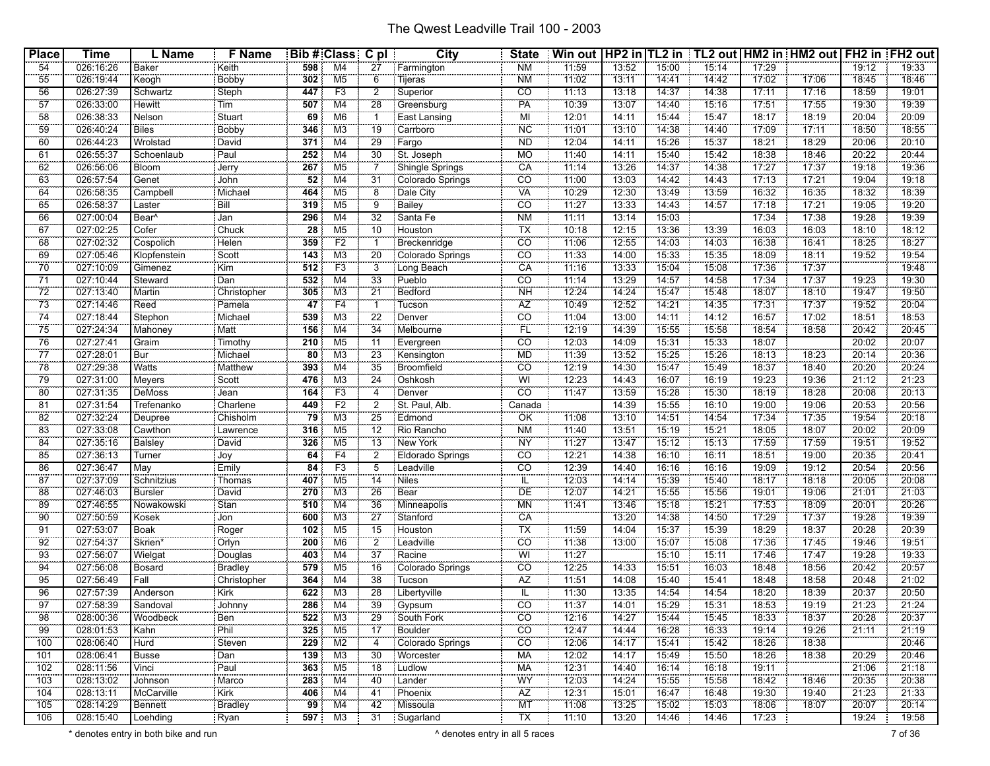| <b>Place</b>          | <b>Time</b>            | L Name                   | <b>F</b> Name                |                 | Bib # Class C pl                 |                 | City                       | <b>State</b>    | Win out   HP2 in   TL2 in   TL2 out   HM2 in   HM2 out   FH2 in   FH2 out |                |                |                |                |                |                |                |
|-----------------------|------------------------|--------------------------|------------------------------|-----------------|----------------------------------|-----------------|----------------------------|-----------------|---------------------------------------------------------------------------|----------------|----------------|----------------|----------------|----------------|----------------|----------------|
| 54                    | 026:16:26              | Baker                    | Keith                        | 598             | M4                               | 27              | Farmington                 | <b>NM</b>       | 11:59                                                                     | 13:52          | 15:00          | 15:14          | 17:29          |                | 19:12          | 19:33          |
| 55                    | 026:19:44              | Keogh                    | Bobby                        | 302             | M <sub>5</sub>                   | $\overline{6}$  | Tijeras                    | <b>NM</b>       | 11:02                                                                     | 13:11          | 14:41          | 14:42          | 17:02          | 17:06          | 18:45          | 18:46          |
| 56                    | 026:27:39              | Schwartz                 | Steph                        | 447             | F3                               | $\overline{2}$  | Superior                   | $\overline{co}$ | 11:13                                                                     | 13:18          | 14:37          | 14:38          | 17:11          | 17:16          | 18:59          | 19:01          |
| 57                    | 026:33:00              | <b>Hewitt</b>            | Tim                          | 507             | M4                               | 28              | Greensburg                 | PA              | 10:39                                                                     | 13:07          | 14:40          | 15:16          | 17:51          | 17:55          | 19:30          | 19:39          |
| 58                    | 026:38:33              | Nelson <sup>1</sup>      | Stuart                       | 69              | M <sub>6</sub>                   |                 | East Lansing               | ΪŴΙ             | 12:01                                                                     | 14:11          | 15:44          | 15:47          | 18:17          | 18:19          | 20:04          | 20:09          |
| 59                    | 026:40:24              | <b>Biles</b>             | <b>Bobby</b>                 | 346             | MЗ                               | 19              | Carrboro                   | <b>NC</b>       | 11:01                                                                     | 13:10          | 14:38          | 14:40          | 17:09          | 17:11          | 18:50          | 18:55          |
| 60                    | 026:44:23              | Wrolstad                 | David                        | 371             | M4                               | 29              | : Fargo                    | <b>ND</b>       | 12:04                                                                     | 14:11          | 15:26          | 15:37          | 18:21          | 18:29          | 20:06          | 20:10          |
| 61                    | 026:55:37              | Schoenlaub               | Paul                         | 252             | M4                               | 30              | St. Joseph                 | <b>MO</b>       | 11:40                                                                     | 14:11          | 15:40          | 15:42          | 18:38          | 18:46          | 20:22          | 20:44          |
| 62                    | 026:56:06              | Bloom                    | <br>Jerry                    | 267             | M5                               |                 | Shingle Springs            | CA              | 11:14                                                                     | 13:26          | 14:37          | 14:38          | 17:27          | 17:37          | 19:18          | 19:36          |
| 63                    | 026:57:54              | Genet                    | John                         | $\overline{52}$ | M4                               | 31              | Colorado Springs           | $\overline{co}$ | 11:00                                                                     | 13:03          | 14:42          | 14:43          | 17:13          | 17:21          | 19:04          | 19:18          |
| 64                    | 026:58:35              | Campbell                 | Michael                      | 464             | M <sub>5</sub>                   | ë.              | Dale City                  | <b>VA</b>       | 10:29                                                                     | 12:30          | 13:49          | 13:59          | 16:32          | 16:35          | 18:32          | 18:39          |
| 65                    | 026:58:37              | Laster                   | Bill                         | 319             | M5                               | 9               | Bailey                     | $\overline{co}$ | 11:27                                                                     | 13:33          | 14:43          | 14:57          | 17:18          | 17:21          | 19:05          | 19:20          |
| 66                    | 027:00:04              | Bear <sup>^</sup>        | Jan                          | 296             | M4                               | $\overline{32}$ | Santa Fe                   | N <sub>M</sub>  | 11:11                                                                     | 13:14          | 15:03          |                | 17:34          | 17:38          | 19:28          | 19:39          |
| 67                    | 027:02:25              | Cofer                    | Chuck                        | 28              | M <sub>5</sub>                   | 10              | Houston                    | ТX              | 10:18                                                                     | 72:15          | 13:36          | 13:39          | 16:03          | 16:03          | 78:10          | 18:12          |
| 68                    | 027:02:32              | Cospolich                | Helen                        | 359             | F2                               |                 | Breckenridge               | $\overline{CO}$ | 11:06                                                                     | 12:55          | 14:03          | 14:03          | 16:38          | 16:41          | 18:25          | 18:27          |
| 69                    | 027:05:46              | Klopfenstein             | Scott                        | 143             | M3                               | $\overline{20}$ | Colorado Springs           | $\overline{co}$ | 11:33                                                                     | 14:00          | 15:33          | 15:35          | 18:09          | 18:11          | 19:52          | 19:54          |
| 70                    | 027:10:09              | Gimenez                  | Kim                          | 512             | F <sub>3</sub>                   | 3               | Long Beach                 | CA              | 11:16                                                                     | 13:33          | 15:04          | 15:08          | 17:36          | 17:37          |                | 19:48          |
| 71                    | 027:10:44              | Steward                  | : Dan                        | 532             | M4                               | $\overline{33}$ | Pueblo                     | $\overline{co}$ | 11:14                                                                     | 13:29          | 14:57          | 14:58          | 17:34          | 17:37          | 19:23          | 19:30          |
| $\overline{72}$       | 027:13:40              | Martin                   | Christopher                  | 305             | M3                               | $\overline{21}$ | Bedford                    | <b>NH</b>       | 12:24                                                                     | 14:24          | 15:47          | 15:48          | 18:07          | 18:10          | 19:47          | 19:50          |
| 73                    | 027:14:46              | Reed                     | Pamela                       | 47              | F4                               |                 | Tucson                     | ÄZ              | 10:49                                                                     | 12:52          | 14:21          | 14:35          | 17.31          | 17:37          | 19:52          | 20:04          |
| $\overline{74}$       | 027:18:44              | Stephon                  | Michael                      | 539             | MЗ                               | 22              | : Denver                   | $\overline{co}$ | 11:04                                                                     | 13:00          | 14:11          | 14:12          | 16:57          | 17:02          | 18:51          | 18:53          |
| 75                    | 027:24:34              | Mahoney                  | Matt                         | 156             | M4                               | 34              | : Melbourne                | FL              | 12:19                                                                     | 14:39          | 15:55          | 15:58          | 18:54          | 18:58          | 20:42          | 20:45          |
| 76                    | 027:27:41              | Graim                    | Timothy                      | 210             | M <sub>5</sub>                   | 11              | Evergreen                  | $\overline{c}$  | 12:03                                                                     | 14:09          | 15:31          | 15:33          | 18:07          |                | 20:02          | 20:07          |
| 77                    | 027:28:01              | Bur                      | Michael                      | $\overline{80}$ | MЗ                               | 23              | Kensington                 | MD              | 11:39                                                                     | 13:52          | 15:25          | 15:26          | 18:13          | 18:23          | 20:14          | 20:36          |
| 78                    | 027:29:38              | Watts                    | Matthew                      | 393             | M4                               | $\overline{35}$ | <b>Broomfield</b>          | CO              | 12:19                                                                     | 14:30          | 15:47          | 15:49          | 18:37          | 18:40          | 20:20          | 20:24          |
| 79                    | 027:31:00              | Meyers                   | Scott                        | 476             | M <sub>3</sub>                   | $\overline{24}$ | Oshkosh                    | WI              | 12:23                                                                     | 14:43          | 16:07          | 16:19          | 19:23          | 19:36          | 21:12          | 21:23          |
| 80                    | 027:31:35              | DeMoss                   | Jean                         | 164             | F <sub>3</sub>                   | 4               | Denver                     | CO              | 11:47                                                                     | 13:59          | 15:28          | 15:30          | 18:19          | 18:28          | 20:08          | 20:13          |
| 81                    | 027:31:54              | Trefenanko               | Charlene                     | 449             | F <sub>2</sub>                   | 2               | St. Paul, Alb.             | Canada          |                                                                           | 14:39          | 15:55          | 16:10          | 19:00          | 19:06          | 20:53          | 20:56          |
| $\overline{82}$       | 027:32:24              | Deupree                  | Chisholm                     | 79              | M <sub>3</sub>                   | 25              | Edmond                     | ÖK              | 11:08                                                                     | 73:10          | 14:51          | 14:54          | 17:34          | 17:35          | 19:54          | 20:18          |
| 83                    | 027:33:08              | Cawthon                  | Lawrence                     | 316             | M5                               | 12              | Rio Rancho                 | ΝM              | 11:40                                                                     | 13:51          | 15:19          | 15:21          | 18:05          | 18:07          | 20:02          | 20:09          |
| 84                    | 027:35:16              | <b>Balsley</b><br>Turner | David                        | 326             | M <sub>5</sub>                   | 13              | : New York                 | <b>NY</b>       | 11:27                                                                     | 13:47          | 15:12          | 15:13          | 17:59          | 17:59          | 19:51          | 19:52          |
| 85                    | 027:36:13              |                          | <br>  Joy                    | 64              | F4                               | $\overline{2}$  | Eldorado Springs           | CO              | 12:21                                                                     | 14:38          | 16:10          | 16:11          | 18:51          | 19:00          | 20:35          | 20:41          |
| 86                    | 027:36:47              | May                      | Emily                        | 84              | F3                               | 5               | Leadville<br>Niles         | $\overline{co}$ | 12:39                                                                     | 14:40          | 16:16          | 16:16<br>15:40 | 19:09          | 19:12          | 20:54          | 20:56          |
| $\overline{87}$<br>88 | 027:37:09              | Schnitzius               | Thomas<br>David              | 407             | M <sub>5</sub><br>M <sub>3</sub> | 14<br>26        | Bear                       | IL<br>DE        | 12:03<br>12:07                                                            | 14:14          | 15:39          | 15:56          | 18:17          | 18:18<br>19:06 | 20:05          | 20:08<br>21:03 |
|                       | 027:46:03              | Bursler                  | .                            | 270             |                                  |                 |                            |                 |                                                                           | 14:21          | 15:55          |                | 19:01          |                | 21:01          |                |
| 89                    | 027:46:55              | Nowakowski               | $\frac{1}{2}$ Stan           | 510             | M4<br>M <sub>3</sub>             | 36              | Minneapolis                | ΜN<br>CA        | 11:41                                                                     | 13:46          | 15:18<br>14:38 | 15:21<br>14:50 | 17:53<br>17:29 | 18:09<br>17:37 | 20:01          | 20:26<br>19:39 |
| 90<br>91              | 027:50:59<br>027:53:07 | Kosek<br>Boak            | Jon                          | 600<br>102      | M <sub>5</sub>                   | 27<br>15        | Stanford<br>Houston        | ТX              | 11:59                                                                     | 13:20<br>14:04 | 15:37          | 15:39          | 18:29          | 18:37          | 19:28<br>20:28 | 20:39          |
| 92                    | 027:54:37              | Skrien*                  | Roger                        |                 |                                  |                 |                            | $\overline{CO}$ | 11:38                                                                     |                |                |                |                |                |                | 19:51          |
|                       | 027:56:07              | Wielgat                  | Orlyn                        | 200             | M6                               | $\overline{37}$ | Leadville                  | WI              | 11:27                                                                     | 13:00          | 15:07<br>15:10 | 15:08<br>15:11 | 17:36<br>17:46 | 17:45<br>17:47 | 19:46<br>19:28 | 19:33          |
| 93<br>94              | 027:56:08              | Bosard                   | Douglas<br>Bradley           | 403<br>579      | M4<br>M <sub>5</sub>             | 16              | Racine<br>Colorado Springs | $\overline{CO}$ | 12:25                                                                     | 14:33          | 15:51          | 16:03          | 18:48          | 18:56          | 20:42          | 20:57          |
| 95                    | 027:56:49              | Fall                     | Christopher                  | 364             | M4                               | 38              | : Tucson                   | ÄŻ              | 11:51                                                                     | 14:08          | 15:40          | 15:41          | 18:48          | 18:58          | 20:48          | 21:02          |
| 96                    | 027:57:39              | Anderson                 | Kirk                         | 622             | M3                               | $\overline{28}$ | Libertyville               | IL              | 11:30                                                                     | 13:35          | 14:54          | 14:54          | 18:20          | 18:39          | 20:37          | 20:50          |
| 97                    | 027:58:39              | Sandoval                 | Johnny                       | 286             | M4                               | 39              | Gypsum                     | $\overline{co}$ | 71:37                                                                     | 14:01          | 15:29          | 15:31          | 18:53          | 79:19          | 21:23          | 21:24          |
| <br>98                | 028:00:36              | .<br>Woodbeck            | <b></b><br>Ben               | 522             | M3                               | 29              | South Fork                 | <br>CO.         | 12:16                                                                     | 14:27          | 15:44          | 15:45          | 18:33          | 18:37          | 20:28          | 20:37          |
| 99                    | 028:01:53              | Kahn                     | Phil                         | 325             | M5                               | 17              | Boulder                    | $\overline{CO}$ | 12:47                                                                     | 14:44          | 16:28          | 16:33          | 19:14          | 19:26          | 21:11          | 21:19          |
| 100                   | 028:06:40              | Hurd <sup>1</sup>        | Steven                       | 229             | M2                               | 4               | Colorado Springs           | $\overline{CO}$ | 12:06                                                                     | 74:17          | 15:41          | 15:42          | 18:26          | 18:38          |                | 20:46          |
| 101                   | 028:06:41              | Busse                    | : Dan                        | 139             | M3                               | 30              | Worcester                  | <b>MA</b>       | 12:02                                                                     | 14:17          | 15:49          | 15:50          | 18:26          | 18:38          | 20:29          | 20:46          |
| 102                   | 028:11:56              | Vinci                    | Paul                         | 363             | M <sub>5</sub>                   | 18              | Ludlow                     | МA              | 12:31                                                                     | 14:40          | 16:14          | 16:18          | 19:11          |                | 21:06          | 21:18          |
| 103                   | 028:13:02              | Johnson                  | Marco                        | 283             | M4                               | 40              | : Lander                   | WY              | 12:03                                                                     | 14:24          | 15:55          | 15:58          | 18:42          | 18:46          | 20:35          | 20:38          |
| 104                   | 028:13:11              | McCarville               | : Kirk                       | 406             | M4                               | 41              | Phoenix                    | $\overline{AZ}$ | 12:31                                                                     | 15:01          | 16:47          | 16:48          | 19:30          | 19:40          | 21:23          | 21:33          |
| 105                   | 028:14:29              | Bennett                  | <b>CONTRACTOR</b><br>Bradley | 99              | M4                               | 42              | : Missoula                 | <b>MT</b>       | 11:08                                                                     | 13:25          | 15:02          | 15:03          | 18:06          | 18:07          | 20:07          | 20:14          |
| 106                   | 028:15:40              | Loehding                 | Ryan                         | 597             | M3                               |                 | 31 Sugarland               | TX              | 11:10                                                                     | 13:20          | 14:46          | 14:46          | 17:23          |                | 19:24          | 19:58          |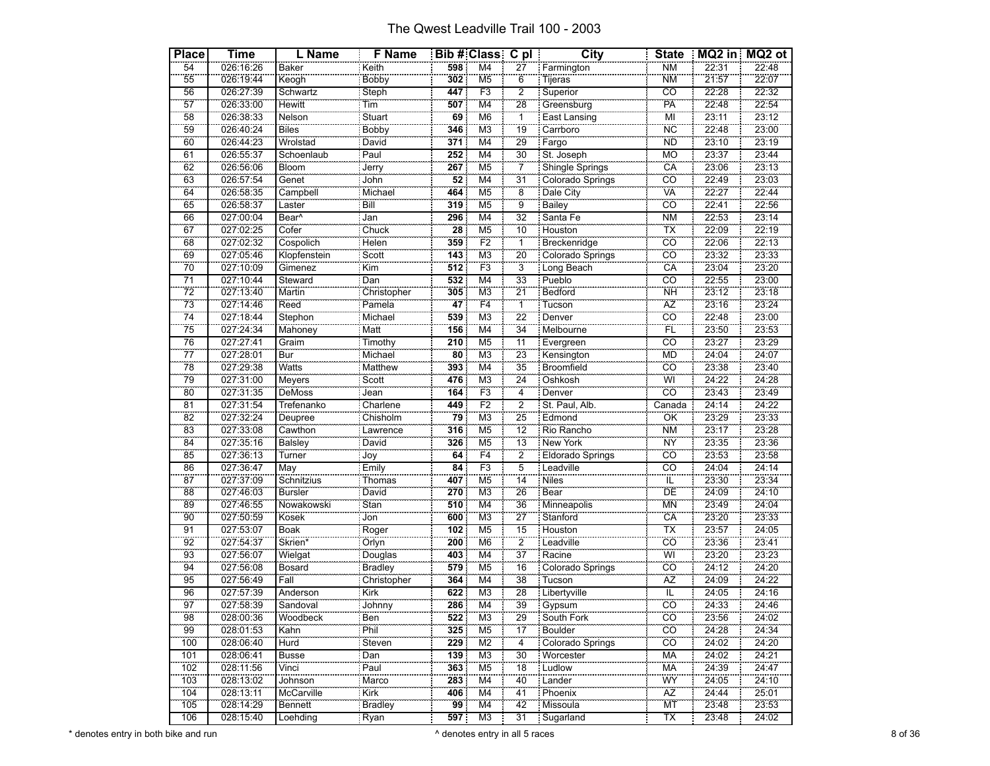| <b>Place</b>    | Time                   | L Name            | F Name             |                  | Bib#Class Cpl             |                            | <b>City</b>                  | <b>State</b>             |                | MQ2 in MQ2 ot  |
|-----------------|------------------------|-------------------|--------------------|------------------|---------------------------|----------------------------|------------------------------|--------------------------|----------------|----------------|
| 54              | 026:16:26              | Baker             | Keith              | 598              | M <sub>4</sub>            | 27                         | Farmington                   | <b>NM</b>                | 22:31          | 22:48          |
| 55              | 026:19:44              | Keogh             | Bobby              | 302              | M <sub>5</sub>            | $\overline{6}$             | Tijeras                      | <b>NM</b>                | 21:57          | 22:07          |
| 56              | 026:27:39              | Schwartz          | Steph              | 447              | F3                        | $\overline{2}$             | Superior                     | $\overline{co}$          | 22:28          | 22:32          |
| $\overline{57}$ | 026:33:00              | Hewitt            | Tim                | 507              | M <sub>4</sub>            | 28                         | Greensburg                   | PÄ                       | 22:48          | 22:54          |
| 58              | 026:38:33              | Nelson            | Stuart             | 69               | M <sub>6</sub>            | $\overline{1}$             | East Lansing                 | Mİ                       | 23:11          | 23:12          |
| 59              | 026:40:24              | <b>Biles</b>      | <b>Bobby</b>       | 346              | M <sub>3</sub>            | $\overline{19}$            | Carrboro                     | <b>NC</b>                | 22:48          | 23:00          |
| 60              | 026:44:23              | Wrolstad          | David              | 371              | M <sub>4</sub>            | 29                         | Fargo                        | <b>ND</b>                | 23:10          | 23:19          |
| 61              | 026:55:37              | Schoenlaub        | Paul               | 252              | M4                        | 30                         | St. Joseph                   | <b>MO</b>                | 23:37          | 23:44          |
| 62              | 026:56:06              | Bloom             | Jerry              | 267              | M <sub>5</sub>            | 7                          | Shingle Springs              | CA                       | 23:06          | 23:13          |
| 63              | 026:57:54              | Genet             | John               | $\overline{52}$  | $\overline{\mathsf{M}}$ 4 | $\overline{31}$            | Colorado Springs             | $\overline{co}$          | 22:49          | 23:03          |
| 64              | 026:58:35              | Campbell          | Michael            | 464              | M <sub>5</sub>            | $\overline{\bf 8}$         | Dale City                    | <b>VA</b>                | 22:27          | 22:44          |
| 65              | 026:58:37              | Laster            | Bill               | 319              | M <sub>5</sub>            | ġ,                         | <b>Bailey</b>                | $\overline{CO}$          | 22:41          | 22:56          |
| 66              | 027:00:04              | Bear <sup>^</sup> | Jan                | 296              | M <sub>4</sub>            | 32                         | Santa Fe                     | N <sub>M</sub>           | 22:53          | 23:14          |
| 67              | 027:02:25              | Cofer             | $C$ huck           | 28               | M <sub>5</sub>            | 10                         | Houston                      | TX                       | 22:09          | 22:19          |
| 68              | 027:02:32              | Cospolich         | Helen              | 359              | F2                        | 1                          | Breckenridge                 | CÖ                       | 22:06          | 22:13          |
| 69              | 027:05:46              | Klopfenstein      | Scott              | 143              | $\overline{\mathsf{M}3}$  | $\overline{20}$            | Colorado Springs             | $\overline{co}$          | 23:32          | 23:33          |
| 70              | 027:10:09              | Gimenez           | Kim                | $\overline{512}$ | F <sub>3</sub>            | $\overline{3}$             | Long Beach                   | CA                       | 23:04          | 23:20          |
| $\overline{71}$ | 027:10:44              | Steward           | Dan                | 532              | M4                        | 33                         | Pueblo                       | $\overline{co}$          | 22:55          | 23:00          |
| $\overline{72}$ | 027:13:40              | Martin            | Christopher        | 305              | M <sub>3</sub>            | $\overline{21}$            | Bedford                      | NH                       | 23:12          | 23:18          |
| 73              | 027:14:46              | Reed              | Pamela             | 47               | F4                        | $\overline{1}$             | Tucson                       | ÄŻ                       | 23:16          | 23:24          |
| 74              | 027:18:44              | Stephon           | Michael            | 539              | M <sub>3</sub>            | $\overline{2}\overline{2}$ | Denver                       | CO                       | 22:48          | 23:00          |
| 75              | 027:24:34              | Mahoney           | Matt               | 156              | M4                        | $\overline{34}$            | Melbourne                    | $\overline{FL}$          | 23:50          | 23:53          |
| 76              | 027:27:41              | Graim             | <b>Timothy</b>     | 210              | M <sub>5</sub>            | $\overline{11}$            | Evergreen                    | $\overline{c}$           | 23:27          | 23:29          |
| $\overline{77}$ | 027:28:01              | Bur               | Michael            | $\overline{80}$  | M <sub>3</sub>            | 23                         | Kensington                   | <b>MD</b>                | 24:04          | 24:07          |
| 78              | 027:29:38              | Watts             | Matthew            | 393              | $\overline{\mathsf{M}}$ 4 | $\overline{35}$            | <b>Broomfield</b>            | $\overline{co}$          | 23:38          | 23:40          |
| 79              | 027:31:00              | Meyers            | Scott              | 476              | M <sub>3</sub>            | $\overline{24}$            | Oshkosh                      | Wi                       | 24:22          | 24:28          |
| $\overline{80}$ | 027:31:35              | DeMoss            | Jean               | 164              | F <sub>3</sub>            | 4                          | Denver                       | $\overline{CO}$          | 23:43          | 23:49          |
| 81              | 027:31:54              | Trefenanko        | Charlene           | 449              | F <sub>2</sub>            | $\overline{2}$             | St. Paul, Alb.               | Canada                   | 24:14          | 24:22          |
| 82              | 027:32:24              | Deupree           | Chisholm           | 79               | M <sub>3</sub>            | 25                         | Edmond                       | ÖK                       | 23:29          | 23:33          |
| 83              | 027:33:08              | Cawthon           | Lawrence           | 316              | M <sub>5</sub>            | 12                         | Rio Rancho                   | <b>NM</b>                | 23:17          | 23:28          |
| 84              | 027:35:16              | <b>Balsley</b>    | David              | 326              | M <sub>5</sub>            | $\overline{13}$            | New York                     | <b>NY</b>                | 23:35          | 23:36          |
| 85              | 027:36:13              | Turner            | Joy                | 64               | F <sub>4</sub>            | $\overline{2}$             | Eldorado Springs             | co                       | 23:53          | 23:58          |
| 86              | 027:36:47              | May               | Emily              | 84               | F3                        | 5                          | Leadville                    | $\overline{co}$          | 24:04          | 24:14          |
| 87              | 027:37:09              | Schnitzius        | Thomas             | 407              | M <sub>5</sub>            | $\overline{14}$            | <b>Niles</b>                 | ΪĹ                       | 23:30          | 23:34          |
| 88              | 027:46:03              | <b>Bursler</b>    | David              | 270              | M <sub>3</sub>            | 26                         | E <sub>ear</sub>             | ΪÖ                       | 24:09          | 24:10          |
| 89              | 027:46:55              | Nowakowski        | Stan               | 510              | M <sub>4</sub>            | 36                         | Minneapolis                  | <b>MN</b>                | 23:49          | 24:04          |
| 90              | 027:50:59              | Kosek             | Jon                | 600              | M <sub>3</sub>            | $\overline{27}$            | Stanford                     | CA                       | 23:20          | 23:33          |
| 91              | 027:53:07              | Boak              | Roger              | 102              | M <sub>5</sub>            | 15                         | Houston                      | TX                       | 23:57          | 24:05          |
| 92              | 027:54:37              | Skrien*           | Orlyn              | 200              | M <sub>6</sub>            | $\overline{2}$             | Leadville                    | CÖ                       | 23:36          | 23:41          |
| 93              | 027:56:07              | Wielgat           |                    | 403              | $\overline{\mathsf{M}}$ 4 | $\overline{37}$            | Racine                       | WI                       | 23:20          | 23:23          |
| 94              | 027:56:08              | Bosard            | Douglas<br>Bradley | 579              | M <sub>5</sub>            | 16                         | Colorado Springs             | CÖ                       | 24:12          | 24:20          |
| 95              | 027:56:49              | Fall              | Christopher        | 364              | M4                        | 38                         | Tucson                       | <b>AZ</b>                | 24:09          | 24:22          |
| 96              | 027:57:39              | Anderson          | <b>Kirk</b>        | 622              | M <sub>3</sub>            | 28                         | Libertyville                 | $\overline{\mathsf{IL}}$ | 24:05          | 24:16          |
| 97              | 027:58:39              | Sandoval          | Johnny             | 286              | M <sub>4</sub>            | 39                         | : Gypsum                     | co                       | 24:33          | 24:46          |
| 98              | 028:00:36              | Woodbeck          | .                  | $\overline{522}$ | M3                        | 29                         |                              | $\overline{co}$          | 23:56          | 24:02          |
| 99              | 028:01:53              | Kahn              | Ben<br>Phil        | 325              | M <sub>5</sub>            | $\overline{17}$            | South Fork<br><b>Boulder</b> | $\overline{CO}$          | 24:28          | 24:34          |
| 100             | 028:06:40              | Hurd              | Steven             | 229              | M2                        | $\overline{4}$             | Colorado Springs             | CÖ                       | 24:02          | 24:20          |
|                 | 028:06:41              |                   |                    |                  | M <sub>3</sub>            |                            | Worcester                    | <b>MA</b>                |                |                |
| 101<br>102      | 028:11:56              | Busse<br>Vinci    | Dan<br>Paul        | 139<br>363       | M <sub>5</sub>            | 30<br>18                   | Ludlow                       | MA                       | 24:02<br>24:39 | 24:21<br>24:47 |
| 103             | 028:13:02              |                   |                    | 283              | M <sub>4</sub>            | 40                         |                              | WŸ                       | 24:05          | 24:10          |
|                 |                        | Johnson           | Marco              |                  |                           |                            | Lander                       |                          |                |                |
| 104             | 028:13:11<br>028:14:29 | McCarville        | Kirk               | 406              | M4                        | 41<br>42                   | Phoenix                      | AZ<br>ΜT                 | 24:44<br>23:48 | 25:01<br>23:53 |
| 105<br>106      | 028:15:40              | Bennett           | Bradley            | 99<br>597        | M4<br>M3                  | 31                         | Missoula                     | TX                       | 23:48          | 24:02          |
|                 |                        | Loehding          | : Ryan             |                  |                           |                            | Sugarland                    |                          |                |                |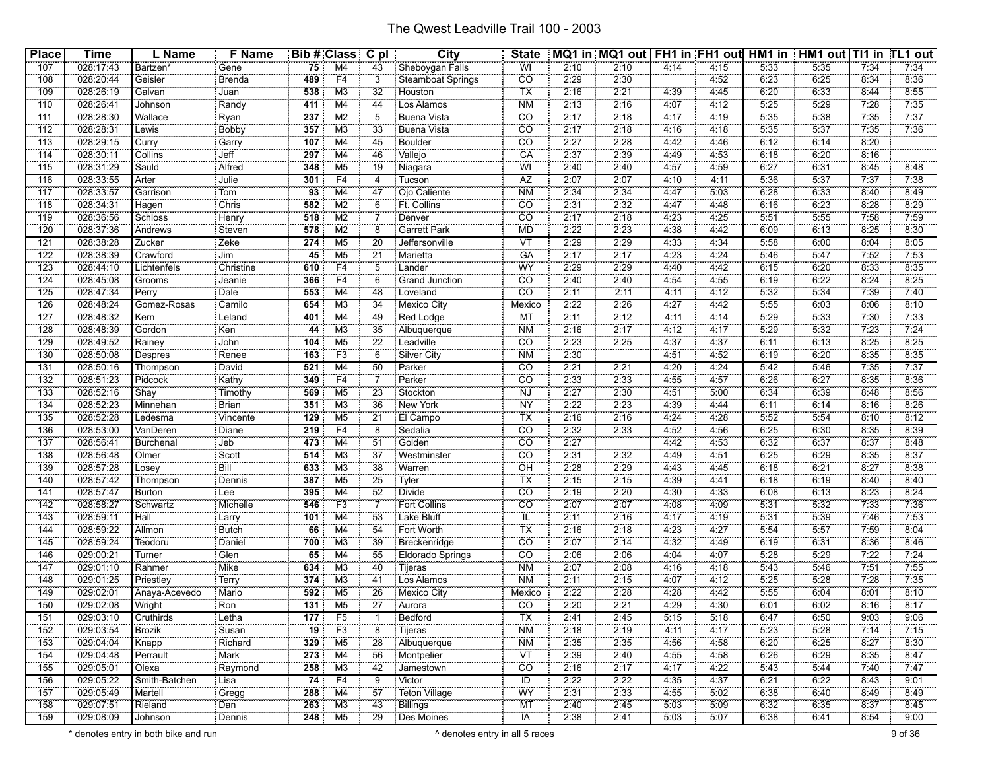| <b>Place</b>     | <b>Time</b>            | L Name                  | <b>F</b> Name    |                  | Bib # Class C pl |                       | City                     | <b>State</b>                                |              | MQ1 in  MQ1 out   FH1 in  FH1 out  HM1 in   HM1 out   TI1 in  TL1 out |              |              |              |              |              |              |
|------------------|------------------------|-------------------------|------------------|------------------|------------------|-----------------------|--------------------------|---------------------------------------------|--------------|-----------------------------------------------------------------------|--------------|--------------|--------------|--------------|--------------|--------------|
| 107              | 028:17:43              | Bartzen <sup>®</sup>    | Gene             | 75:              | M4               | 43                    | Sheboygan Falls          | WI                                          | 2:10         | 2:10                                                                  | 4:14         | 4:15         | 5:33         | 5:35         | 7:34         | 7:34         |
| 108              | 028:20:44              | Geisler                 | Brenda           | 489              | F <sub>4</sub>   | 3                     | Steamboat Springs        | CO                                          | 2:29         | 2:30                                                                  |              | 4:52         | 6:23         | 6:25         | 8:34         | 8:36         |
| 109              | 028:26:19              | Galvan                  | Juan             | 538              | M3               | 32                    | Houston                  | $\overline{\mathsf{TX}}$                    | 2:16         | 2:21                                                                  | 4:39         | 4:45         | 6:20         | 6:33         | 8:44         | 8:55         |
| 110              | 028:26:41              | Johnson                 | Randy            | 411              | M4               | 44                    | Los Alamos               | <b>NM</b>                                   | 2:13         | 2:16                                                                  | 4:07         | 4:12         | 5:25         | 5:29         | 7:28         | 7:35         |
| 111              | 028:28:30              | Wallace                 | Ryan             | 237              | M <sub>2</sub>   | 5                     | <b>Buena Vista</b>       | CO                                          | 2:17         | 2:18                                                                  | 4:17         | 4:19         | 5:35         | 5:38         | 7:35         | 7:37         |
| $\overline{112}$ | 028:28:31              | Lewis                   | Bobby            | 357              | M <sub>3</sub>   | 33                    | <b>Buena Vista</b>       | <b>CO</b>                                   | 2:17         | 2:18                                                                  | 4:16         | 4:18         | 5:35         | 5:37         | 7:35         | 7:36         |
| $\overline{113}$ | 028:29:15              | 00000000<br>Curry       | Garry            | 107              | M4               | 45                    | <b>Boulder</b>           | CO                                          | 2:27         | 2:28                                                                  | 4:42         | 4:46         | 6:12         | 6:14         | 8:20         |              |
| 114              | 028:30:11              | Collins                 | Jeff             | 297              | M4               | 46                    | Vallejo                  | CA                                          | 2:37         | 2:39                                                                  | 4:49         | 4:53         | 6:18         | 6:20         | 8:16         |              |
| 115              | 028:31:29              | Sauld                   | Alfred           | 348              | M5               | 19                    | Niagara                  | WI                                          | 2:40         | 2:40                                                                  | 4:57         | 4:59         | 6:27         | 6:31         | 8:45         | 8:48         |
| 116              | 028:33:55              | Arter                   | Julie            | 301              | F <sub>4</sub>   | 4                     | Tucson                   | AZ                                          | 2:07         | 2:07                                                                  | 4:10         | 4:11         | 5:36         | 5:37         | 7:37         | 7:38         |
| 117              | 028:33:57              | Garrison                | Tom              | 93               | M4               | 47                    | Ojo Caliente             | <b>NM</b>                                   | 2:34         | 2:34                                                                  | 4:47         | 5:03         | 6:28         | 6:33         | 8:40         | 8:49         |
| 118              | 028:34:31              | Hagen                   | Chris            | 582              | M <sub>2</sub>   | 6                     | Ft. Collins              | $\overline{CO}$                             | 2:31         | 2:32                                                                  | 4:47         | 4:48         | 6:16         | 6:23         | 8:28         | 8:29         |
| 119              | 028:36:56              | Schloss                 | Henry            | 518              | M <sub>2</sub>   |                       | Denver                   | CO                                          | 2:17         | 2:18                                                                  | 4:23         | 4:25         | 5:51         | 5:55         | 7:58         | 7:59         |
| 120              | 028:37:36              | Andrews                 | Steven           | 578              | $\overline{M2}$  | ë.                    | Garrett Park             | <b>MD</b>                                   | 2:22         | 2:23                                                                  | 4:38         | 4:42         | 6:09         | 6:13         | 8:25         | 8:30         |
| 121              | 028:38:28              | Zucker                  | Zeke             | 274              | M <sub>5</sub>   | 20                    | Jeffersonville           | VT                                          | 2:29         | 2:29                                                                  | 4:33         | 4:34         | 5:58         | 6:00         | 8:04         | 8:05         |
| 122              | 028:38:39              | Crawford                | Jim              | 45               | M <sub>5</sub>   | 21                    | Marietta                 | GA                                          | 2:17         | 2:17                                                                  | 4:23         | 4:24         | 5:46         | 5.47         | 7:52         | 7:53         |
| 123              | 028:44:10              | Lichtenfels             | Christine        | 610              | F <sub>4</sub>   | 5                     | Lander                   | WY                                          | 2:29         | 2:29                                                                  | 4:40         | 4:42         | 6:15         | 6:20         | 8:33         | 8:35         |
| 124              | 028:45:08              | Grooms                  | Jeanie           | 366              | F4               | 6                     | <b>Grand Junction</b>    | <b>CO</b>                                   | 2:40         | 2:40                                                                  | 4:54         | 4:55         | 6:19         | 6:22         | 8:24         | 8:25         |
| 125              | 028:47:34              | Perry                   | Dale             | 553              | M4               | 48                    | Loveland                 | CO                                          | 2:11         | 2:11                                                                  | 4:11         | 4:12         | 5:32         | 5:34         | 7:39         | 7:40         |
| 126              | 028:48:24              | Gomez-Rosas             | Camilo           | 654              | M <sub>3</sub>   | 34                    | <b>Mexico City</b>       | Mexico                                      | 2:22         | 2:26                                                                  | 4:27         | 4:42         | 5:55         | 6:03         | 8:06         | 8:10         |
| 127              | 028:48:32              | Kern                    | Leland           | 401              | M4               | 49                    | Red Lodge                | <b>MT</b>                                   | 2:11         | 2:12                                                                  | 4:11         | 4:14         | 5:29         | 5:33         | 7:30         | 7:33         |
| 128              | 028:48:39              | Gordon                  | Ken              | 44               | M3               | 35                    | Albuquerque              | <b>NM</b>                                   | 2:16         | 2:17                                                                  | 4:12         | 4:17         | 5:29         | 5:32         | 7:23         | 7:24         |
| 129              | 028:49:52              | Rainey                  | John             | 104              | M5               | 22                    | Leadville                | CO                                          | 2:23         | 2:25                                                                  | 4:37         | 4:37         | 6:11         | 6:13         | 8:25         | 8:25         |
| 130              | 028:50:08              | Despres                 | Renee            | 163              | F <sub>3</sub>   | 6                     | <b>Silver City</b>       | <b>NM</b>                                   | 2:30         |                                                                       | 4:51         | 4:52         | 6:19         | 6:20         | 8:35         | 8:35         |
| 131              | 028:50:16              | Thompson                | David            | 521              | M4               | 50                    | Parker                   | CO                                          | 2:21         | 2:21                                                                  | 4:20         | 4:24         | 5:42         | 5:46         | 7:35         | 7:37         |
| 132              | 028:51:23              | Pidcock                 | Kathy            | 349              | F4               |                       | Parker                   | CO                                          | 2:33         | 2:33                                                                  | 4:55         | 4:57         | 6:26         | 6:27         | 8:35         | 8:36         |
| 133              | 028:52:16              | Shay                    | Timothy          | 569              | M5               | 23                    | Stockton                 | NJ                                          | 2:27         | 2:30                                                                  | 4:51         | 5:00         | 6:34         | 6:39         | 8:48         | 8:56         |
| 134              | 028:52:23              | Minnehan                | Brian            | 351              | M3               | 36                    | New York                 | <b>NY</b>                                   | 2:22         | 2:23                                                                  | 4:39         | 4:44         | 6:11         | 6:14         | 8:16         | 8:26         |
| 135              | 028:52:28              | Ledesma                 | Vincente         | 129              | M <sub>5</sub>   | $\overline{21}$       | El Campo                 | TX                                          | 2:16         | 2:16                                                                  | 4:24         | 4:28         | 5:52         | 5.54         | 8:10         | 8:12         |
| 136              | 028:53:00              | VanDeren                | Diane            | 219              | F4               | 8                     | Sedalia                  | CO                                          | 2:32         | 2:33                                                                  | 4:52         | 4:56         | 6:25         | 6:30         | 8:35         | 8:39         |
| 137              | 028:56:41              | <b>Burchenal</b>        | Jeb              | 473              | M4               | 51                    | Golden                   | CO                                          | 2:27         |                                                                       | 4:42         | 4:53         | 6:32         | 6:37         | 8:37         | 8:48         |
| 138              | 028:56:48              | Olmer                   | Scott            | $\overline{514}$ | M3               | $\overline{37}$       | Westminster              | CO                                          | 2:31         | 2:32                                                                  | 4:49         | 4:51         | 6:25         | 6:29         | 8:35         | 8:37         |
| 139              | 028:57:28              |                         | Bill             | 633              | M3               | 38                    | Warren                   | OH                                          | 2:28         | 2:29                                                                  | 4:43         |              | 6:18         | 6:21         | 8:27         | 8:38         |
| 140              | 028:57:42              | Losey                   |                  | 387              | M <sub>5</sub>   | 25                    | Tyler                    | TX                                          | 2:15         | 2:15                                                                  | 4:39         | 4:45         | 6:18         | 6:19         | 8:40         | 8:40         |
| 141              | 028:57:47              | Thompson                | Dennis<br>Lee    | 395              | M4               | 52                    | <b>Divide</b>            | CO                                          | 2:19         | 2:20                                                                  | 4:30         | 4:41<br>4:33 | 6:08         | 6:13         | 8:23         | 8:24         |
| 142              | 028:58:27              | <b>Burton</b>           |                  | 546              | F <sub>3</sub>   |                       |                          | $\overline{co}$                             | 2:07         | 2:07                                                                  | 4:08         | 4:09         | 5:31         | 5:32         | 7:33         | 7:36         |
| 143              | 028:59:11              | Schwartz<br>Hall        | Michelle         | 101              |                  | 53                    | Fort Collins             | IL                                          | 2:11         | 2:16                                                                  | 4:17         | 4:19         | 5:31         | 5:39         | 7:46         | 7:53         |
| 144              | 028:59:22              | Allmon                  | Larry<br>Butch   | 66               | M4<br>M4         | 54                    | Lake Bluff<br>Fort Worth | ТX                                          | 2:16         | 2:18                                                                  | 4:23         | 4:27         | 5:54         | 5:57         | 7:59         | 8:04         |
| 145              | 028:59:24              | Teodoru                 | Daniel           |                  | M3               | 39                    |                          | CO                                          | 2:07         | 2:14                                                                  | 4:32         | 4:49         | 6:19         | 6:31         | 8:36         | 8:46         |
|                  |                        |                         |                  | 700              |                  |                       | Breckenridge             |                                             |              |                                                                       |              |              |              |              |              |              |
| 146<br>147       | 029:00:21<br>029:01:10 | Turner<br>Rahmer        | Glen<br>Mike     | 65<br>634        | M4<br>M3         | 55<br>40              | <b>Eldorado Springs</b>  | CO<br><b>NM</b>                             | 2:06<br>2:07 | 2:06<br>2:08                                                          | 4:04<br>4:16 | 4:07<br>4:18 | 5:28<br>5:43 | 5:29<br>5:46 | 7:22<br>7:51 | 7:24<br>7:55 |
|                  |                        |                         |                  |                  |                  |                       | Tijeras                  |                                             |              |                                                                       |              |              |              |              |              |              |
| 148              | 029:01:25              | Priestley               | Terry            | 374              | M3<br>M5         | 41                    | Los Alamos               | <b>NM</b>                                   | 2:11<br>2:22 | 2:15<br>2:28                                                          | 4:07         | 4:12         | 5:25<br>5:55 | 5:28         | 7:28         | 7:35         |
| 149<br>150       | 029:02:01              | Anaya-Acevedo<br>Wright | Mario<br>Ron     | 592              | $\overline{M5}$  | 26<br>$\overline{27}$ | Mexico City<br>Aurora    | Mexico<br>$\overline{\overline{\text{co}}}$ | 2:20         | 2:21                                                                  | 4:28<br>4:29 | 4:42<br>4:30 | 6:01         | 6:04<br>6:02 | 8:01<br>8:16 | 8:10<br>8:17 |
|                  | 029:02:08              |                         |                  | 731              |                  |                       |                          |                                             |              |                                                                       |              |              |              |              |              |              |
| 151              | 029:03:10              | Cruthirds               | Letha<br>------- | 177              | F5<br>F3         |                       | Bedford                  | TX                                          | 2:41         | 2:45                                                                  | 5:15         | 5:18         | 6:47         | 6:50         | 9:03         | 9:06         |
| $152$            | 029:03:54              | Brozik                  | Susan<br>Richard | 19               |                  | $\overline{8}$        | Tijeras                  | <b>NM</b>                                   | 2:18         | 2:19                                                                  | 4:11         | 4:17         | 5:23         | 5:28         | 7:14         | 7:15         |
| $\frac{1}{153}$  | 029:04:04              | Knapp                   |                  | 329              | M5               | 28                    | Albuquerque              | <b>NM</b>                                   | 2:35         | 2:35                                                                  | 4:56         | 4:58         | 6:20         | 6:25         | 8:27         | 8:30         |
| 154              | 029:04:48              | Perrault                | Mark<br>.        | 273              | M4               | 56                    | Montpelier               | VT                                          | 2:39         | 2:40                                                                  | 4:55         | 4:58         | 6:26         | 6:29         | 8:35         | 8:47         |
| 155              | 029:05:01              | Olexa                   | Raymond          | 258              | M3               | 42                    | Jamestown                | CO                                          | 2:16         | 2:17                                                                  | 4:17         | 4:22         | 5:43         | 5:44         | 7:40         | 7:47         |
| 156              | 029:05:22              | Smith-Batchen           | l Lisa           | 74               | F4               | 9                     | Victor                   | ID                                          | 2:22         | 2:22                                                                  | 4:35         | 4:37         | 6:21         | 6:22         | 8:43         | 9:01         |
| $\overline{157}$ | 029:05:49              | Martell                 | Gregg            |                  | 288 M4           | 57                    | Teton Village            | WY                                          | 2:31         | 2:33                                                                  | 4:55         | 5:02         | 6:38         | 6:40         | 8:49         | 8:49         |
| 158              | 029:07:51              | Rieland                 | Dan              | 263              | $\overline{M3}$  | 43                    | Billings                 | <b>MT</b>                                   | 2:40         | 2:45                                                                  | 5:03         | 5:09         | 6:32         | 6:35         | 8:37         | 8:45         |
| 159              | 029:08:09              | Johnson                 | Dennis           | 248              | M5               | 29                    | Des Moines               | <b>IA</b>                                   | 2:38         | 2:41                                                                  | 5:03         | 5:07         | 6:38         | 6:41         | 8:54         | 9:00         |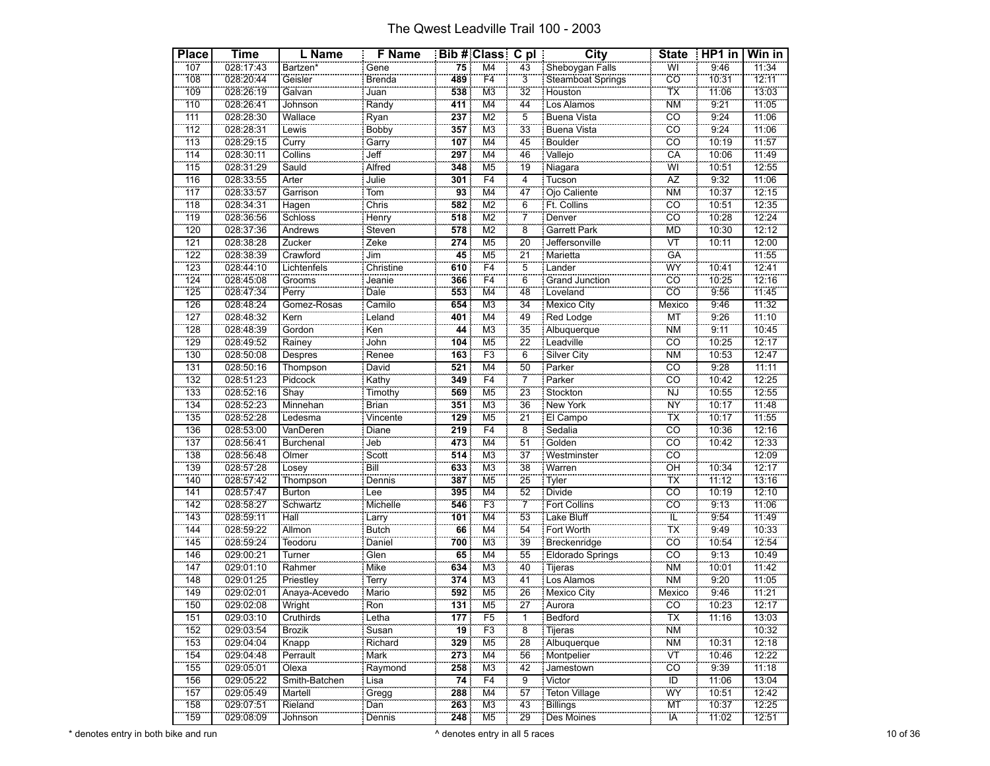| <b>Place</b> | <b>Time</b> | L Name           | <b>F</b> Name          |                 | <b>Bib # Class C pl</b>   |                           | City                    | <b>State</b>               | $HPI$ in | Win in |
|--------------|-------------|------------------|------------------------|-----------------|---------------------------|---------------------------|-------------------------|----------------------------|----------|--------|
| 107          | 028:17:43   | Bartzen*         | Gene                   | 75              | $\overline{M4}$           | 43                        | Sheboygan Falls         | WÏ                         | 9:46     | 11:34  |
| 108          | 028:20:44   | Geisler          | Brenda                 | 489             | F <sub>4</sub>            | $\overline{3}$            | Steamboat Springs       | cö                         | 10:31    | 12:11  |
| 109          | 028:26:19   | Galvan           | Juan                   | 538             | M <sub>3</sub>            | 32                        | Houston                 | <b>TX</b>                  | 11:06    | 13:03  |
| 110          | 028:26:41   | Johnson          | Randy                  | 411             | M4                        | $\overline{44}$           | Los Alamos              | <b>NM</b>                  | 9:21     | 11:05  |
| 111          | 028:28:30   | Wallace          | Ryan                   | 237             | M <sub>2</sub>            | 5                         | Buena Vista             | $\overline{c}$             | 9:24     | 11:06  |
| 112          | 028:28:31   | Lewis            | Bobby                  | 357             | M <sub>3</sub>            | 33                        | <b>Buena Vista</b>      | CÖ                         | 9:24     | 11:06  |
| 113          | 028:29:15   | Curry            |                        | 107             | M <sub>4</sub>            | 45                        | <b>Boulder</b>          | $\overline{c}\overline{o}$ | 10:19    | 11:57  |
| 114          | 028:30:11   | Collins          | Garry<br>Jeff          | 297             | M <sub>4</sub>            | 46                        | Vallejo                 | CÄ                         | 10:06    | 11:49  |
| 115          | 028:31:29   | Sauld            | Alfred                 | 348             | M <sub>5</sub>            | 19                        | Niagara                 | WI                         | 10:51    | 12:55  |
| 116          | 028:33:55   | Arter            | Julie                  | 301             | F4                        | $\overline{4}$            | Tucson                  | AZ                         | 9:32     | 11:06  |
| 117          | 028:33:57   | Garrison         |                        | 93              | M <sub>4</sub>            | 47                        | Ojo Caliente            | <b>NM</b>                  | 10:37    | 12:15  |
| 118          | 028:34:31   | Hagen            | Chris                  | 582             | M <sub>2</sub>            | 6                         | Ft. Collins             | CÖ                         | 10:51    | 12:35  |
| 119          | 028:36:56   | Schloss          |                        | 518             | $\overline{\text{M2}}$    | $\overline{7}$            | Denver                  | cö                         | 10:28    | 12:24  |
| 120          | 028:37:36   | Andrews          | Henry<br>Steven        | 578             | M <sub>2</sub>            | $\overline{\overline{8}}$ | Garrett Park            | <b>MD</b>                  | 10:30    | 12:12  |
| 121          | 028:38:28   | Zucker           | Zeke                   | 274             | M <sub>5</sub>            | 20                        | Jeffersonville          | $\overline{\text{VT}}$     | 10:11    | 12:00  |
| 122          | 028:38:39   | Crawford         | Jim                    | 45              | M <sub>5</sub>            | $\overline{21}$           | <b>Marietta</b>         | GÄ                         |          | 11:55  |
| 123          | 028:44:10   | Lichtenfels      | Christine              | 610             | F <sub>4</sub>            | $\overline{5}$            | Lander                  | WY                         | 10:41    | 12:41  |
| 124          | 028:45:08   | Grooms           | Jeanie                 | 366             | F4                        | 6                         | <b>Grand Junction</b>   | <b>CO</b>                  | 10:25    | 12:16  |
| 125          | 028:47:34   | Perry            | Dale                   | 553             | M <sub>4</sub>            | 48                        | Loveland                | CO                         | 9:56     | 11:45  |
| 126          | 028:48:24   | Gomez-Rosas      | Camilo                 | 654             | M <sub>3</sub>            | 34                        | <b>Mexico City</b>      | Mexico                     | 9:46     | 11:32  |
| 127          | 028:48:32   | Kern             | Leland                 | 401             | M4                        | 49                        | Red Lodge               | МT                         | 9:26     | 11:10  |
| 128          | 028:48:39   | Gordon           | Ken                    | 44              | M <sub>3</sub>            | $\overline{35}$           | Albuquerque             | <b>NM</b>                  | 9:11     | 10:45  |
| 129          | 028:49:52   | Rainey           | John                   | 104             | M <sub>5</sub>            | $\overline{22}$           | Leadville               | CÖ                         | 10:25    | 12:17  |
| 130          | 028:50:08   | Despres          | Renee                  | 163             | F3                        | 6                         | <b>Silver City</b>      | <b>NM</b>                  | 10:53    | 12:47  |
| 131          | 028:50:16   | Thompson         | David                  | 521             | M <sub>4</sub>            | $\overline{50}$           | Parker                  | $\overline{co}$            | 9:28     | 11:11  |
| 132          | 028:51:23   | Pidcock          | Kathy                  | 349             | F4                        | 7                         | Parker                  | CÖ                         | 10:42    | 12:25  |
| 133          | 028:52:16   | Shay             | Timothy                | 569             | M <sub>5</sub>            | 23                        | Stockton                | <b>NJ</b>                  | 10:55    | 12:55  |
| 134          | 028:52:23   | Minnehan         | Brian                  | 351             | M <sub>3</sub>            | 36                        | New York                | <b>NY</b>                  | 10:17    | 11:48  |
| 135          | 028:52:28   | Ledesma          | Vincente               | 129             | M <sub>5</sub>            | $\overline{21}$           | El Campo                | TX                         | 10:17    | 11:55  |
| 136          | 028:53:00   | VanDeren         | Diane                  | 219             | F4                        | 8                         | Sedalia                 | CO                         | 10:36    | 12:16  |
| 137          | 028:56:41   | <b>Burchenal</b> | Jeb                    | 473             | M <sub>4</sub>            | $\overline{51}$           | Golden                  | CO                         | 10:42    | 12:33  |
| 138          | 028:56:48   | Olmer            | Scott                  | 514             | M3                        | $\overline{37}$           | Westminster             | cö                         |          | 12:09  |
| 139          | 028:57:28   | Losey            | Bill                   | 633             | M <sub>3</sub>            | 38                        | Warren                  | ÖĤ                         | 10:34    | 12:17  |
| 140          | 028:57:42   | Thompson         | Dennis                 | 387             | M <sub>5</sub>            | $\overline{25}$           | Tyler                   | TX                         | 11:12    | 13:16  |
| 141          | 028:57:47   | <b>Burton</b>    | Lee                    | 395             | M <sub>4</sub>            | 52                        | Divide                  | $\overline{c}$             | 10:19    | 12:10  |
| 142          | 028:58:27   | Schwartz         | Michelle               | 546             | F3                        | $\overline{7}$            | Fort Collins            | CÖ                         | 9:13     | 11:06  |
| 143          | 028:59:11   | Hall             | Larry<br>Butch         | 101             | $\overline{\mathsf{M}}$ 4 | $\overline{53}$           | Lake Bluff              | ΪĽ                         | 9:54     | 11:49  |
| 144          | 028:59:22   | <b>Allmon</b>    |                        | 66              | M4                        | 54                        | Fort Worth              | TX                         | 9:49     | 10:33  |
| 145          | 028:59:24   | Teodoru          | Daniel                 | 700             | M <sub>3</sub>            | 39                        | Breckenridge            | $\overline{co}$            | 10:54    | 12:54  |
| 146          | 029:00:21   | Turner           | Glen                   | 65              | M <sub>4</sub>            | 55                        | <b>Eldorado Springs</b> | $\overline{co}$            | 9:13     | 10:49  |
| 147          | 029:01:10   | Rahmer           | Mike                   | 634             | M <sub>3</sub>            | 40                        | Tijeras                 | <b>NM</b>                  | 10:01    | 11:42  |
| 148          | 029:01:25   | Priestley        | Terry                  | 374             | M <sub>3</sub>            | 41                        | Los Alamos              | <b>NM</b>                  | 9:20     | 11:05  |
| 149          | 029:02:01   | Anaya-Acevedo    | Mario                  | 592             | M <sub>5</sub>            | $\overline{26}$           | Mexico City             | Mexico                     | 9:46     | 11:21  |
| 150          | 029:02:08   | Wright           | $\frac{1}{\text{Ron}}$ | 131             | M <sub>5</sub>            | 27                        | Aurora                  | CO                         | 10:23    | 12:17  |
| 151          | 029:03:10   | Cruthirds        | Letha                  | 177             | F <sub>5</sub>            | 1                         | Bedford                 | ТX                         | 11:16    | 13:03  |
| 152          | 029:03:54   | <b>Brozik</b>    | Susan                  | $\overline{19}$ | F <sub>3</sub>            | $\overline{8}$            | Tijeras                 | <b>NM</b>                  |          | 10:32  |
| 153          | 029:04:04   | Knapp            | Richard                | 329             | M <sub>5</sub>            | $\overline{28}$           | Albuquerque             | <b>NM</b>                  | 10:31    | 12:18  |
| 154          | 029:04:48   | Perrault         | Mark                   | 273             | M4                        | 56                        | Montpelier              | ΪVΤ                        | 10:46    | 12:22  |
| 155          | 029:05:01   | Olexa            | Raymond                | 258             | M <sub>3</sub>            | 42                        | Jamestown               | CO                         | 9:39     | 11:18  |
| 156          | 029:05:22   | Smith-Batchen    | Lisa                   | 74              | F <sub>4</sub>            | 9                         | Victor                  | ID                         | 11:06    | 13:04  |
| 157          | 029:05:49   | Martell          | Gregg                  | 288             | M4                        | 57                        | Teton Village           | WY                         | 10:51    | 12:42  |
| 158          | 029:07:51   | Rieland          | Dan                    | 263             | M <sub>3</sub>            | 43                        | Billings                | <b>MT</b>                  | 10:37    | 12:25  |
| 159          | 029:08:09   | Johnson          | Dennis                 | 248             | M <sub>5</sub>            | $\overline{29}$           | Des Moines              | IÄ                         | 11:02    | 12:51  |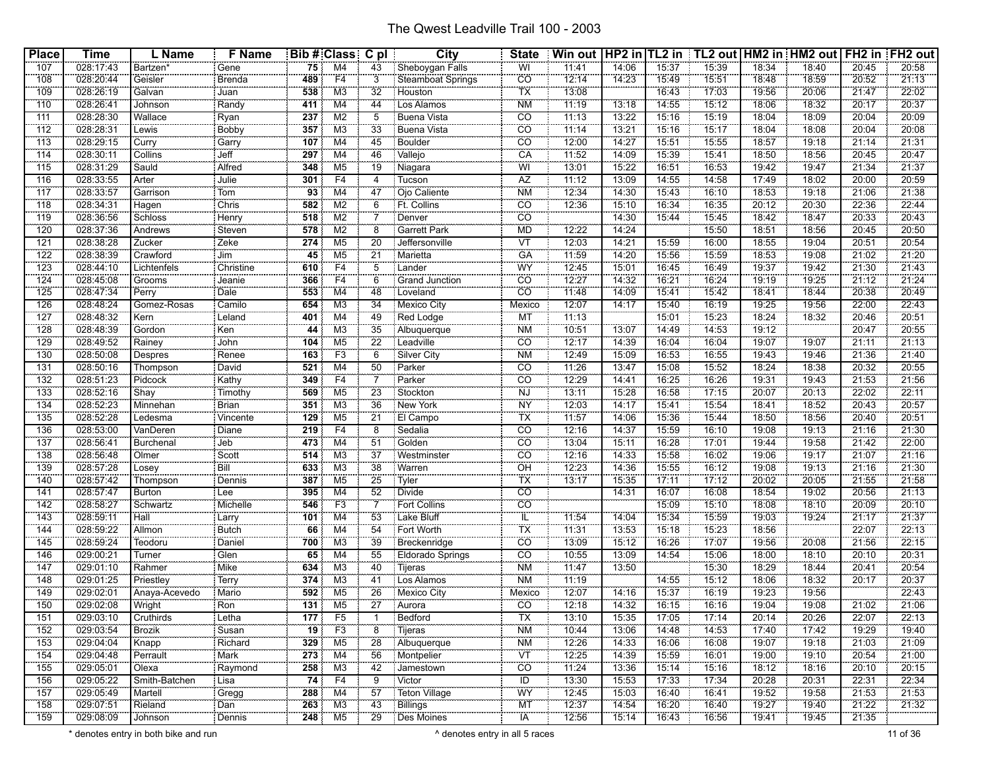| <b>Place</b>    | <b>Time</b> | L Name           | <b>F</b> Name             |                  | Bib # Class C pl          |                       | <b>City</b>              | <b>State</b>                             | Win out   HP2 in   TL2 in   TL2 out   HM2 in   HM2 out   FH2 in   FH2 out |                |                |       |                |       |                |       |
|-----------------|-------------|------------------|---------------------------|------------------|---------------------------|-----------------------|--------------------------|------------------------------------------|---------------------------------------------------------------------------|----------------|----------------|-------|----------------|-------|----------------|-------|
| 107             | 028:17:43   | Bartzen*         | Gene                      | 75               | M4                        | 43                    | Sheboygan Falls          | WI                                       | 11:41                                                                     | 14:06          | 15:37          | 15:39 | 18:34          | 18:40 | 20:45          | 20:58 |
| 108             | 028:20:44   | Geisler          | Brenda                    | 489              | F4                        | 3                     | Steamboat Springs        | <b>CO</b>                                | 12:14                                                                     | 14:23          | 15:49          | 15:51 | 18:48          | 18:59 | 20:52          | 21:13 |
| 109             | 028:26:19   | Galvan           | I Juan                    | 538              | MЗ                        | 32                    | Houston                  | $\overline{\mathsf{TX}}$                 | 13:08                                                                     |                | 16:43          | 17:03 | 19:56          | 20:06 | 21:47          | 22:02 |
| 110             | 028:26:41   | Johnson          | Randy                     | 411              | M4                        | 44                    | Los Alamos               | <b>NM</b>                                | 11:19                                                                     | 13:18          | 14:55          | 15:12 | 18:06          | 18:32 | 20:17          | 20:37 |
| 111             | 028:28:30   | Wallace          | Ryan                      | 237              | M <sub>2</sub>            | 5                     | Buena Vista              | CO                                       | 11:13                                                                     | 13:22          | 15:16          | 15:19 | 18:04          | 18:09 | 20:04          | 20:09 |
| 112             | 028:28:31   | Lewis            | <b>Bobby</b>              | 357              | M <sub>3</sub>            | 33                    | Buena Vista              | <u>CO</u>                                | 71:14                                                                     | 13:21          | 15:16          | 15:17 | 18:04          | 18:08 | 20:04          | 20:08 |
| 113             | 028:29:15   | Curry            | Garry                     | 107              | M <sub>4</sub>            | 45                    | <b>Boulder</b>           | $\overline{CO}$                          | 12:00                                                                     | 14:27          | 15:51          | 15:55 | 18:57          | 19:18 | 21:14          | 21:31 |
| 114             | 028:30:11   | Collins          | Jeff                      | 297              | $\overline{\mathsf{M}}$ 4 | 46                    | Vallejo                  | CA                                       | 11:52                                                                     | 14:09          | 15:39          | 15:41 | 18:50          | 18:56 | 20:45          | 20:47 |
| 115             | 028:31:29   | Sauld            | Alfred                    | 348              | M5                        | 19                    | Niagara                  | WI                                       | 13:01                                                                     | 15:22          | 16:51          | 16:53 | 19:42          | 19:47 | 21:34          | 21:37 |
| 116             | 028:33:55   | Arter            | : Julie                   | 301              | F <sub>4</sub>            | 4                     | Tucson                   | $\overline{AZ}$                          | 11:12                                                                     | 13:09          | 14:55          | 14:58 | 17:49          | 18:02 | 20:00          | 20:59 |
| 117             | 028:33:57   | Garrison         | <u>.</u><br>: Tom         | $\overline{93}$  | M4                        | 47                    | Ojo Caliente             | <b>NM</b>                                | 12:34                                                                     | 14:30          | 15:43          | 16:10 | 18:53          | 19:18 | 21:06          | 21:38 |
| 118             | 028:34:31   | Hagen            | Chris                     | 582              | M2                        | 6                     | Ft. Collins              | $\overline{CO}$                          | 12:36                                                                     | 15:10          | 16:34          | 16:35 | 20:12          | 20:30 | 22:36          | 22:44 |
| 119             | 028:36:56   | Schloss          |                           | 518              | M <sub>2</sub>            |                       | Denver                   | $\overline{CO}$                          |                                                                           | 14:30          | 15:44          | 15:45 | 18:42          | 18:47 | 20:33          | 20:43 |
| 120             | 028:37:36   | Andrews          | Henry<br>Steven           | 578              | M2                        | ë,                    | Garrett Park             | <b>MD</b>                                | 12:22                                                                     | 14:24          |                | 15:50 | 18:51          | 18:56 | 20:45          | 20:50 |
| 121             | 028:38:28   | Zucker           | : Zeke                    | 274              | M <sub>5</sub>            | 20                    | Jeffersonville           | VT                                       | 12:03                                                                     | 14:21          | 15:59          | 16:00 | 18:55          | 19:04 | 20:51          | 20:54 |
| 122             | 028:38:39   | Crawford         | Jim                       | 45               | M <sub>5</sub>            | 21                    | Marietta                 | GA                                       | 11:59                                                                     | 14:20          | 15:56          | 15:59 | 18:53          | 19:08 | 21:02          | 21:20 |
| $\frac{1}{23}$  | 028:44:10   | Lichtenfels      | Christine                 | 610              | F4                        | $\overline{5}$        | Lander                   | WY                                       | 12:45                                                                     | 15:01          | 16:45          | 16:49 | 19:37          | 19:42 | 21:30          | 21:43 |
| 124             | 028:45:08   | Grooms           | Jeanie                    | 366              | F4                        | 6                     | Grand Junction           | $\overline{CO}$                          | 12:27                                                                     | 14:32          | 16:21          | 16:24 | 19:19          | 19:25 | 21:12          | 21:24 |
| 125             | 028:47:34   | Perry            | Dale                      | 553              | M4                        | 48                    | Loveland                 | CO                                       | 11:48                                                                     | 14:09          | 15:41          | 15:42 | 18:41          | 18:44 | 20:38          | 20:49 |
| 126             | 028:48:24   | Gomez-Rosas      | : Camilo                  | 654              | M <sub>3</sub>            | 34                    | Mexico City              | Mexico                                   | 12:07                                                                     | 14:17          | 15:40          | 16:19 | 19:25          | 19:56 | 22:00          | 22:43 |
| 127             | 028:48:32   |                  |                           |                  | M4                        | 49                    |                          | MT                                       | 11:13                                                                     |                | 15:01          | 15:23 | 18:24          | 18:32 | 20:46          | 20:51 |
|                 | 028:48:39   | Kern             | Leland                    | 401              |                           |                       | Red Lodge                |                                          | 10:51                                                                     |                |                | 14:53 |                |       |                | 20:55 |
| 128<br>129      | 028:49:52   | Gordon<br>Rainey | : Ken<br>John             | 44<br>104        | MЗ<br>M <sub>5</sub>      | 35<br>$\overline{22}$ | Albuquerque<br>Leadville | <b>NM</b><br><b>CO</b>                   | 12:17                                                                     | 13:07<br>14:39 | 14:49<br>16:04 | 16:04 | 19:12<br>19:07 | 19:07 | 20:47<br>21:11 | 21:13 |
|                 |             |                  |                           |                  |                           |                       |                          |                                          |                                                                           |                |                |       |                |       |                |       |
| 130             | 028:50:08   | Despres          | Renee                     | 163              | F <sub>3</sub>            | 6                     | <b>Silver City</b>       | <b>NM</b>                                | 12:49                                                                     | 15:09          | 16:53          | 16:55 | 19:43          | 19:46 | 21:36          | 21:40 |
| 131             | 028:50:16   | Thompson         | David                     | 521              | M <sub>4</sub>            | 50                    | Parker                   | <b>CO</b>                                | 11:26                                                                     | 13:47          | 15:08          | 15:52 | 18:24          | 18:38 | 20:32          | 20:55 |
| $\frac{1}{132}$ | 028:51:23   | Pidcock          | Kathy                     | 349              | F4                        |                       | Parker                   | $\overline{CO}$                          | 12:29                                                                     | 14:41          | 16:25          | 16:26 | 19:31          | 19:43 | 21:53          | 21:56 |
| 133             | 028:52:16   | Shay             | Timothy                   | 569              | M <sub>5</sub>            | 23                    | Stockton                 | <b>NJ</b>                                | 13:11                                                                     | 15:28          | 16:58          | 17:15 | 20:07          | 20:13 | 22:02          | 22:11 |
| 134             | 028:52:23   | Minnehan         | Brian                     | 351              | MЗ                        | 36                    | New York                 | <b>NY</b>                                | 12:03                                                                     | 14:17          | 15:41          | 15:54 | 18:41          | 18:52 | 20:43          | 20:57 |
| 135             | 028:52:28   | Ledesma          | Vincente                  | $\overline{129}$ | M <sub>5</sub>            | $\overline{21}$       | El Campo                 | TX                                       | 11:57                                                                     | 14:06          | 15:36          | 15:44 | 18:50          | 18:56 | 20:40          | 20:51 |
| 136             | 028:53:00   | VanDeren         | Diane                     | 219              | F4                        | 8                     | Sedalia                  | CO                                       | 12:16                                                                     | 14:37          | 15:59          | 16:10 | 19:08          | 19:13 | 21:16          | 21:30 |
| 137             | 028:56:41   | <b>Burchenal</b> | Jeb                       | 473              | M4                        | 51                    | Golden                   | $\overline{co}$                          | 13:04                                                                     | 15:11          | 16:28          | 17:01 | 19:44          | 19:58 | 21:42          | 22:00 |
| $\frac{1}{138}$ | 028:56:48   | Olmer            | $s$ cott                  | 514              | M <sub>3</sub>            | $\overline{37}$       | Westminster              | <b>CO</b>                                | 12:16                                                                     | 14:33          | 15:58          | 16:02 | 19:06          | 19:17 | 21:07          | 21:16 |
| 139             | 028:57:28   | Losey            | Bill<br><b>CONTRACTOR</b> | 633              | M <sub>3</sub>            | 38                    | Warren                   | <b>OH</b>                                | 12:23                                                                     | 14:36          | 15:55          | 16:12 | 19:08          | 19:13 | 21:16          | 21:30 |
| 140             | 028:57:42   | Thompson         | : Dennis                  | 387              | M <sub>5</sub>            | 25                    | : Tyler                  | TX                                       | 13:17                                                                     | 15:35          | 17:11          | 17:12 | 20:02          | 20:05 | 21:55          | 21:58 |
| 141             | 028:57:47   | <b>Burton</b>    | : Lee                     | 395              | M4                        | 52                    | <b>Divide</b>            | $\overline{c}$                           |                                                                           | 14:31          | 16:07          | 16:08 | 18:54          | 19:02 | 20:56          | 21:13 |
| $\frac{1}{142}$ | 028:58:27   | Schwartz         | Michelle                  | 546              | F <sub>3</sub>            | $\overline{7}$        | <b>Fort Collins</b>      | $\overline{co}$                          |                                                                           |                | 15:09          | 15:10 | 18:08          | 18:10 | 20:09          | 20:10 |
| 143             | 028:59:11   | Hall             | : Larry                   | 101              | M4                        | 53                    | Lake Bluff               | $\mathbb{T}^2$                           | 11:54                                                                     | 14:04          | 15:34          | 15:59 | 19:03          | 19:24 | 21:17          | 21:37 |
| 144             | 028:59:22   | Allmon           | Butch                     | 66               | M4                        | 54                    | Fort Worth               | ТX                                       | $\frac{1}{11:31}$                                                         | 13:53          | 15:18          | 15:23 | 18:56          |       | 22:07          | 22:13 |
| 145             | 028:59:24   | Teodoru          | Daniel                    | 700              | MЗ                        | 39                    | Breckenridge             | $\overline{CO}$                          | 13:09                                                                     | 15:12          | 16:26          | 17:07 | 19:56          | 20:08 | 21:56          | 22:15 |
| 146             | 029:00:21   | Turner           | Glen                      | 65               | M <sub>4</sub>            | 55                    | Eldorado Springs         | $\overline{CO}$                          | 10:55                                                                     | 13:09          | 14:54          | 15:06 | 18:00          | 18:10 | 20:10          | 20:31 |
| 147             | 029:01:10   | Rahmer           | Mike                      | 634              | M <sub>3</sub>            | 40                    | Tijeras                  | <b>NM</b>                                | 11:47                                                                     | 13:50          |                | 15:30 | 18:29          | 18:44 | 20:41          | 20:54 |
| 148             | 029:01:25   | Priestley        | : Terry                   | 374              | M <sub>3</sub>            | 41                    | Los Alamos               | <b>NM</b>                                | 11:19                                                                     |                | 14:55          | 15:12 | 18:06          | 18:32 | 20:17          | 20:37 |
| 149             | 029:02:01   | Anaya-Acevedo    | : Mario                   | 592              | M <sub>5</sub>            | 26                    | Mexico City<br>Aurora    | Mexico                                   | 12:07                                                                     | 14:16          | 15:37          | 16:19 | 19:23          | 19:56 |                | 22:43 |
| 150             | 029:02:08   | Wright           | Ron                       | $\overline{131}$ | M <sub>5</sub>            | $\overline{27}$       |                          | $\overline{c}$ correction $\overline{c}$ | 12:18                                                                     | 14:32          | 16:15          | 16:16 | 19:04          | 19:08 | 21:02          | 21:06 |
| 151             | 029:03:10   | Cruthirds        | l Letha                   | 177              | F5                        | -1                    | Bedford                  | $\overline{TX}$                          | 13:10                                                                     | 15:35          | 17:05          | 17:14 | 20:14          | 20:26 | 22:07          | 22:13 |
| 152             | 029:03:54   | <b>Brozik</b>    | Susan                     | $\overline{19}$  | F3                        | 8                     | Tijeras                  | <b>NM</b>                                | 10:44                                                                     | 13:06          | 14:48          | 14:53 | 17:40          | 17:42 | 19:29          | 19:40 |
| 153             | 029:04:04   | $k$ napp         | Richard                   | 329              | M <sub>5</sub>            | 28                    | Albuquerque              | <b>NM</b>                                | 12:26                                                                     | 14:33          | 16:06          | 16:08 | 19:07          | 19:18 | 21:03          | 21:09 |
| 154             | 029:04:48   | Perrault         | Mark                      | 273              | M4                        | 56                    | Montpelier               | <b>VT</b>                                | 12:25                                                                     | 14:39          | 15:59          | 16:01 | 19:00          | 19:10 | 20:54          | 21:00 |
| 155             | 029:05:01   | Olexa            | Raymond                   | 258              | M3                        | 42                    | Jamestown                | CO                                       | 11:24                                                                     | 13:36          | 15:14          | 15:16 | 18:12          | 18:16 | 20:10          | 20:15 |
| 156             | 029:05:22   | Smith-Batchen    | i Lisa                    | 74               | F4                        | 9                     | Victor                   | ID                                       | 13:30                                                                     | 15:53          | 17:33          | 17:34 | 20:28          | 20:31 | 22:31          | 22:34 |
| 157             | 029:05:49   | Martell          | Gregg                     | 288              | M4                        | 57                    | <b>Teton Village</b>     | WY                                       | 12:45                                                                     | 15:03          | 16:40          | 16:41 | 19:52          | 19:58 | 21:53          | 21:53 |
| 158             | 029:07:51   | Rieland          | : Dan                     | 263              | M3                        | 43                    | Billings                 | <b>MT</b>                                | 12:37                                                                     | 14:54          | 16:20          | 16:40 | 19:27          | 19:40 | 21:22          | 21:32 |
| 159             | 029:08:09   | Johnson          | Dennis                    | 248              | M <sub>5</sub>            | 29                    | Des Moines               | <b>IA</b>                                | 12:56                                                                     | 15:14          | 16:43          | 76:56 | 19:41          | 19:45 | 21:35          |       |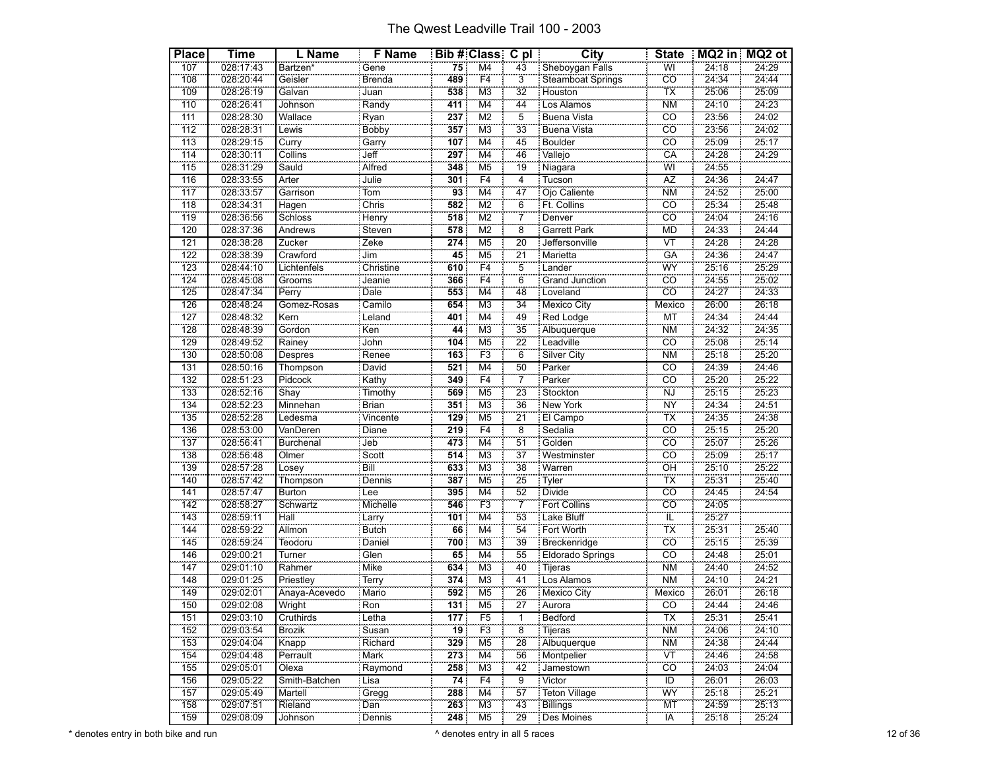| <b>Place</b> | Time                   | L Name             | <b>F</b> Name              |                 | Bib # Class C pl          |                       | <b>City</b>                      | <b>State</b>                      |                | MQ2 in MQ2 ot  |
|--------------|------------------------|--------------------|----------------------------|-----------------|---------------------------|-----------------------|----------------------------------|-----------------------------------|----------------|----------------|
| 107          | 028:17:43              | Bartzen*           | Gene                       | 75              | M <sub>4</sub>            | 43                    | Sheboygan Falls                  | WI                                | 24:18          | 24:29          |
| 108          | 028:20:44              | Geisler            | Brenda                     | 489             | F <sub>4</sub>            | $\overline{3}$        | Steamboat Springs                | CÖ                                | 24:34          | 24:44          |
| 109          | 028:26:19              | Galvan             | Juan                       | 538             | M <sub>3</sub>            | 32                    | Houston                          | TX                                | 25:06          | 25:09          |
| 110          | 028:26:41              | Johnson            | Randy                      | 411             | M4                        | $\overline{44}$       | Los Alamos                       | <b>NM</b>                         | 24:10          | 24:23          |
| 111          | 028:28:30              | Wallace            | Ryan                       | 237             | M <sub>2</sub>            | 5                     | Buena Vista                      | $\overline{c}$                    | 23:56          | 24:02          |
| 112          | 028:28:31              | Lewis              | Bobby                      | 357             | M <sub>3</sub>            | 33                    | Buena Vista                      | CÖ                                | 23:56          | 24:02          |
| 113          | 028:29:15              | Curry              |                            | 107             | M <sub>4</sub>            | 45                    | <b>Boulder</b>                   | $\overline{c}$                    | 25:09          | 25:17          |
| 114          | 028:30:11              | Collins            | Garry<br>Jeff              | 297             | $\overline{\mathsf{M}}$ 4 | 46                    | Vallejo                          | CÄ                                | 24:28          | 24:29          |
| 115          | 028:31:29              | Sauld              | Alfred                     | 348             | M <sub>5</sub>            | $\overline{19}$       | Niagara                          | WI                                | 24:55          |                |
| 116          | 028:33:55              | Arter              | Julie                      | 301             | F <sub>4</sub>            | 4                     | : Tucson                         | AZ                                | 24:36          | 24:47          |
| 117          | 028:33:57              | Garrison           | $\frac{1}{10m}$            | $\overline{93}$ | $\overline{M4}$           | 47                    | Ojo Caliente                     | <b>NM</b>                         | 24:52          | 25:00          |
| 118          | 028:34:31              | Hagen              | Chris                      | 582             | M <sub>2</sub>            | 6                     | Ft. Collins                      | CO                                | 25:34          | 25:48          |
| 119          | 028:36:56              | Schloss            |                            | 518             | $\overline{\mathsf{M2}}$  | $\overline{7}$        | Denver                           | $\overline{c}$ o                  | 24:04          | 24:16          |
| 120          | 028:37:36              | Andrews            | Henry<br>Steven            | 578             | $\overline{\text{M2}}$    | $\overline{8}$        | Garrett Park                     | <b>MD</b>                         | 24:33          | 24:44          |
| 121          | 028:38:28              | Zucker             | Zeke                       | 274             | M <sub>5</sub>            | 20                    | Jeffersonville                   | $\overline{\mathsf{V}\mathsf{T}}$ | 24:28          | 24:28          |
| 122          | 028:38:39              | Crawford           | Jim                        | 45              | M <sub>5</sub>            | $\overline{21}$       | Marietta                         | GÄ                                | 24:36          | 24:47          |
| 123          | 028:44:10              | Lichtenfels        | Christine                  | 610             | F <sub>4</sub>            | $\overline{5}$        | Lander                           | WY                                | 25:16          | 25:29          |
| 124          | 028:45:08              | Grooms             | Jeanie                     | 366             | F4                        | 6                     | Grand Junction                   | CO                                | 24:55          | 25:02          |
| 125          | 028:47:34              | Perry              | Dale                       | 553             | M4                        | 48                    | Loveland                         | $\overline{co}$                   | 24:27          | 24:33          |
| 126          | 028:48:24              | Gomez-Rosas        | Camilo                     | 654             | M <sub>3</sub>            | 34                    | Mexico City                      | Mexico                            | 26:00          | 26:18          |
| 127          | 028:48:32              | Kern               | Leland                     | 401             | M <sub>4</sub>            | 49                    | Red Lodge                        | MT                                | 24:34          | 24:44          |
| 128          | 028:48:39              | Gordon             | Ken                        | 44              | M <sub>3</sub>            | 35                    | Albuquerque                      | <b>NM</b>                         | 24:32          | 24:35          |
| 129          | 028:49:52              | Rainey             | $\overline{\mathsf{John}}$ | 104             | M <sub>5</sub>            | $\overline{22}$       | Leadville                        | <b>CO</b>                         | 25:08          | 25:14          |
| 130          | 028:50:08              | Despres            | Renee                      | 163             | F <sub>3</sub>            | 6                     | <b>Silver City</b>               | <b>NM</b>                         | 25:18          | 25:20          |
| 131          | 028:50:16              | Thompson           | David                      | 521             | M <sub>4</sub>            | 50                    | Parker                           | $\overline{CO}$                   | 24:39          | 24:46          |
| 132          | 028:51:23              | Pidcock            | Kathy                      | 349             | F <sub>4</sub>            | 7                     | Parker                           | CÖ                                | 25:20          | 25:22          |
| 133          | 028:52:16              | Shay               | Timothy                    | 569             | M <sub>5</sub>            | 23                    | Stockton                         | <b>NJ</b>                         | 25:15          | 25:23          |
| 134          | 028:52:23              | Minnehan           | <b>Brian</b>               | 351             | M <sub>3</sub>            | 36                    | New York                         | <b>NY</b>                         | 24:34          | 24:51          |
| 135          | 028:52:28              | Ledesma            | Vincente                   | 129             | M <sub>5</sub>            | $\overline{21}$       | El Campo                         | TX                                | 24:35          | 24:38          |
| 136          | 028:53:00              | VanDeren           | Diane                      | 219             | F4                        | 8                     | Sedalia                          | $\overline{co}$                   | 25:15          | 25:20          |
| 137          | 028:56:41              | Burchenal          | Jeb                        | 473             | M4                        | $\overline{51}$       | Golden                           | $\overline{c}$ o                  | 25:07          | 25:26          |
| 138          | 028:56:48              | Olmer              | Scott                      | 514             | M <sub>3</sub>            | 37                    | Westminster                      | <b>CO</b>                         | 25:09          | 25:17          |
| 139          | 028:57:28              | Losey              | Bill                       | 633             | M <sub>3</sub>            | 38                    | Warren                           | ÖĤ                                | 25:10          | 25:22          |
| 140          | 028:57:42              | Thompson           | Dennis                     | 387             | M <sub>5</sub>            | 25                    | Tyler                            | TX                                | 25:31          | 25:40          |
| 141          | 028:57:47              | <b>Burton</b>      | Lee                        | 395             | M4                        | 52                    | <b>Divide</b>                    | $\overline{co}$                   | 24:45          | 24:54          |
| 142          | 028:58:27              | Schwartz           | Michelle                   | 546             | F3                        | 7                     | Fort Collins                     | CÖ                                | 24:05          |                |
| 143          | 028:59:11              | Hall               | Larry<br>Butch             | 101             | $\overline{M4}$           | $\overline{53}$       | Lake Bluff                       | ΤĖ                                | 25:27          |                |
| 144          | 028:59:22              | Allmon             |                            | 66              | $\overline{\mathsf{M}}$ 4 | 54                    | Fort Worth                       | TX                                | 25:31          | 25:40          |
| 145          | 028:59:24              | Teodoru            | Daniel                     | 700             | M <sub>3</sub>            | 39                    | Breckenridge                     | CO                                | 25:15          | 25:39          |
| 146          | 029:00:21              | Turner             | Glen                       | 65              | M <sub>4</sub>            | 55                    | <b>Eldorado Springs</b>          | $\overline{CO}$                   | 24:48          | 25:01          |
| 147          | 029:01:10              | Rahmer             | Mike                       | 634             | M <sub>3</sub>            | 40                    | Tijeras                          | <b>NM</b>                         | 24:40          | 24:52          |
| 148          | 029:01:25              | Priestley          | Terry                      | 374             | M <sub>3</sub>            | 41                    | Los Alamos                       | <b>NM</b>                         | 24:10          | 24:21          |
| 149          | 029:02:01              | Anaya-Acevedo      | Mario                      | 592<br>131      | M <sub>5</sub>            | $\overline{26}$       | Mexico City                      | Mexico                            | 26:01          | 26:18          |
| 150          | 029:02:08              | Wright             | Ron                        |                 | M <sub>5</sub>            | 27                    | Aurora                           | $\overline{CO}$                   | 24:44          | 24:46          |
| 151          | 029:03:10              | Cruthirds          | Letha                      | 177.            | F5                        | 1                     | Bedford                          | ТX                                | 25:31          | 25:41          |
| 152          | 029:03:54              | <b>Brozik</b>      | Susan                      | 19              | F <sub>3</sub>            | $\overline{8}$<br>28  | Tijeras                          | <b>NM</b>                         | 24:06          | 24:10          |
| 153          | 029:04:04              | Knapp              | Richard                    | 329             | $\overline{\mathsf{M5}}$  |                       | Albuquerque                      | <b>NM</b>                         | 24:38          | 24:44          |
| 154          | 029:04:48              | Perrault           | Mark                       | 273             | M4                        | 56<br>$\overline{42}$ | Montpelier                       | VT                                | 24:46          | 24:58          |
| 155          | 029:05:01              | Olexa              | Raymond                    | 258<br>74       | M <sub>3</sub><br>F4      | 9                     | Jamestown                        | CO<br><b>ID</b>                   | 24:03          | 24:04          |
| 156<br>157   | 029:05:22<br>029:05:49 | Smith-Batchen      | : Lisa                     | 288             |                           | 57                    | <b>Victor</b>                    | WY                                | 26:01          | 26:03<br>25:21 |
| 158          | 029:07:51              | Martell<br>Rieland | Gregg<br>Dan               | 263             | M4<br>M <sub>3</sub>      | 43                    | Teton Village<br><b>Billings</b> | <b>MT</b>                         | 25:18<br>24:59 | 25:13          |
| 159          | 029:08:09              | Johnson            | Dennis                     | 248             | M5                        | 29                    | Des Moines                       | <b>IA</b>                         | 25:18          | 25:24          |
|              |                        |                    |                            |                 |                           |                       |                                  |                                   |                |                |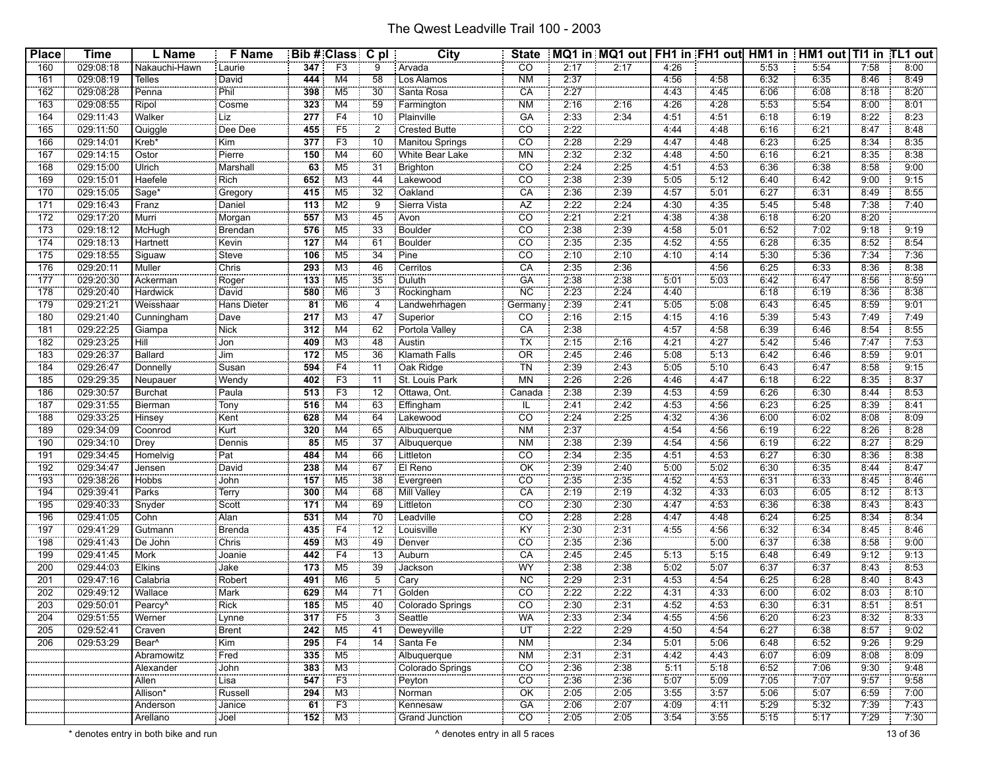| <b>Place</b> | <b>Time</b>            | L Name                                      | <b>F</b> Name        |                  | Bib # Class C pl                 |                 | <b>City</b>                   | <b>State</b>               |              | MQ1 in MQ1 out   FH1 in FH1 out   HM1 in   HM1 out   TI1 in TL1 out |              |         |              |              |              |              |
|--------------|------------------------|---------------------------------------------|----------------------|------------------|----------------------------------|-----------------|-------------------------------|----------------------------|--------------|---------------------------------------------------------------------|--------------|---------|--------------|--------------|--------------|--------------|
| 160          | 029:08:18              | Nakauchi-Hawn                               | : Laurie             | 347              | F3                               | 9               | Arvada                        | CO                         | 2:17         | 2:17                                                                | 4:26         |         | 5:53         | 5:54         | 7:58         | 8:00         |
| 161          | 029:08:19              | <b>Telles</b>                               | David                | 444              | M4                               | 58              | Los Alamos                    | <b>NM</b>                  | 2:37         |                                                                     | 4:56         | 4:58    | 6:32         | 6:35         | 8:46         | 8:49         |
| 162          | 029:08:28              | Penna                                       | Phil                 | 398              | M <sub>5</sub>                   | 30              | Santa Rosa                    | CA                         | 2:27         |                                                                     | 4:43         | 4:45    | 6:06         | 6:08         | 8:18         | 8:20         |
| 163          | 029:08:55              | Ripol                                       | Cosme                | 323              | M4                               | 59              | Farmington                    | <b>NM</b>                  | 2:16         | 2:16                                                                | 4:26         | 4:28    | 5:53         | 5:54         | 8:00         | 8:01         |
| 164          | 029:11:43              | Walker                                      | <b>Liz</b>           | 277              | F4                               | 10              | Plainville                    | GA                         | 2:33         | 2:34                                                                | 4:51         | 4:51    | 6:18         | 6:19         | 8:22         | 8:23         |
| 165          | 029:11:50              | Quiggle                                     | Dee Dee              | 455              | F <sub>5</sub>                   | $\overline{2}$  | <b>Crested Butte</b>          | $\overline{C}\overline{O}$ | 2:22         |                                                                     | 4:44         | 4:48    | 6:16         | 6:21         | 8:47         | 8:48         |
| 166          | 029:14:01              | Kreb*                                       | Kim                  | 377              | F3                               | 10              | Manitou Springs               | CO                         | 2:28         | 2:29                                                                | 4:47         | 4:48    | 6:23         | 6:25         | 8:34         | 8:35         |
| 167          | 029:14:15              | Ostor                                       | Pierre               | 150              | M4                               | 60              | White Bear Lake               | <b>MN</b>                  | 2:32         | 2:32                                                                | 4:48         | 4:50    | 6.16         | 6:21         | 8:35         | 8:38         |
| 168          | 029:15:00              | Ulrich                                      | Marshal              | 63               | M <sub>5</sub>                   | 31              | Brighton                      | $\overline{CO}$            | 2:24         | 2:25                                                                | 4:51         | 4:53    | 6:36         | 6:38         | 8:58         | 9:00         |
| 169          | 029:15:01              | Haefele                                     | Rich                 | 652              | M <sub>3</sub>                   | 44              | Lakewood                      | $\overline{c}$             | 2:38         | 2:39                                                                | 5:05         | 5:12    | 6:40         | 6:42         | 9:00         | 9:15         |
| 170          | 029:15:05              | Sage <sup>*</sup>                           | Gregory              | $\overline{415}$ | M <sub>5</sub>                   | $\overline{32}$ | Oakland                       | CA                         | 2:36         | 2:39                                                                | 4:57         | 5:01    | 6:27         | 6:31         | 8:49         | 8:55         |
| 171          | 029:16:43              | Franz                                       | Daniel               | 113              | M <sub>2</sub>                   | 9               | Sierra Vista                  | AZ                         | 2:22         | 2:24                                                                | 4:30         | 4:35    | 5:45         | 5:48         | 7:38         | 7:40         |
| 172          | 029:17:20              | Murri                                       |                      | 557              | M3                               | 45              | Avon                          | CO                         | 2:21         | 2:21                                                                | 4:38         | 4:38    | 6:18         | 6:20         | 8:20         |              |
| 173          | 029:18:12              | McHugh                                      | Morgan<br>Brendan    | 576              | M <sub>5</sub>                   | 33              | Boulder                       | $\overline{CO}$            | 2:38         | 2:39                                                                | 4.58         | 5:01    | 6:52         | 7:02         | 9:18         | 9:19         |
| 174          | 029:18:13              | Hartnett                                    | Kevin                | 127              | M4                               | 61              | <b>Boulder</b>                | $\overline{CO}$            | 2:35         | 2:35                                                                | 4:52         | 4:55    | 6:28         | 6:35         | 8:52         | 8:54         |
| 175          | 029:18:55              |                                             | Steve                | 106              | M <sub>5</sub>                   | 34              | Pine                          | CO                         | 2:10         | 2:10                                                                | 4:10         | 4:14    | 5:30         | 5:36         | 7:34         | 7:36         |
| 176          | 029:20:11              | Siguaw<br>Muller                            | Chris                | 293              | M <sub>3</sub>                   | 46              | Cerritos                      | CA                         | 2:35         | 2:36                                                                |              | 4:56    | 6:25         | 6:33         | 8:36         | 8:38         |
| 177          | 029:20:30              |                                             |                      | 133              | M <sub>5</sub>                   | 35              |                               | GÄ                         | 2:38         | 2:38                                                                | 5:01         | 5:03    | 6:42         | 6:47         | 8:56         | 8:59         |
| 178          |                        | Ackerman                                    | Roger                | 580              |                                  | $\overline{3}$  | Duluth                        | <b>NC</b>                  | 2:23         | 2:24                                                                |              |         | 6:18         | 6:19         | 8:36         | 8:38         |
| 179          | 029:20:40<br>029:21:21 | Hardwick<br>Weisshaar                       | David<br>Hans Dieter | $\overline{81}$  | M <sub>6</sub><br>M <sub>6</sub> |                 | Rockingham<br>Landwehrhagen   | .                          | 2:39         | 2:41                                                                | 4:40<br>5:05 | $-5.08$ | 6:43         | 6:45         | 8:59         | 9:01         |
|              |                        |                                             |                      |                  |                                  | 4               |                               | Germany                    |              |                                                                     |              |         |              |              |              |              |
| 180          | 029:21:40              | Cunningham                                  | Dave                 | 217              | M3                               | 47              | Superior                      | <b>CO</b>                  | 2:16         | 2:15                                                                | 4:15         | 4:16    | 5:39         | 5:43         | 7:49         | 7:49         |
| 181<br>182   | 029:22:25              | Giampa<br>ΉiΪ                               | Nick                 | 312<br>409       | M <sub>4</sub>                   | 62<br>48        | Portola Valley<br>Austin      | CA<br>ТX                   | 2:38<br>2:15 |                                                                     | 4:57<br>4:21 | 4:58    | 6:39<br>5:42 | 6:46<br>5.46 | 8:54<br>7.47 | 8:55<br>7:53 |
|              | 029:23:25              |                                             | Jon                  |                  | M <sub>3</sub>                   |                 |                               |                            |              | 2:16                                                                |              | 4:27    |              |              |              |              |
| 183          | 029:26:37              | Ballard<br>---------                        | Jim                  | 172              | M <sub>5</sub><br>F4             | 36              | Klamath Falls                 | <b>OR</b>                  | 2:45         | 2:46                                                                | 5:08         | 5:13    | 6:42         | 6:46         | 8:59         | 9:01         |
| 184          | 029:26:47              | Donnelly                                    | Susan                | 594              |                                  | 11              | Oak Ridge                     | TN                         | 2:39         | 2:43                                                                | 5:05         | 5:10    | 6:43         | 6:47         | 8:58         | 9:15         |
| 185          | 029:29:35              | Neupauer                                    | Wendy                | 402              | F <sub>3</sub>                   | 11              | St. Louis Park                | <b>MN</b>                  | 2:26         | 2:26                                                                | 4:46         | 4:47    | 6:18         | 6:22         | 8:35         | 8:37         |
| 186          | 029:30:57              | <b>Burchat</b>                              | Paula                | 513              | F3                               | $\overline{12}$ | Ottawa, Ont.                  | Canada                     | 2:38         | 2:39                                                                | 4:53         | 4:59    | 6:26         | 6:30         | 8:44         | 8:53         |
| 187          | 029:31:55              | Bierman                                     | Tony                 | 516              | M4                               | 63              | Effingham                     | IL                         | 2:41         | 2:42                                                                | 4:53         | 4:56    | 6:23         | 6:25         | 8:39         | 8:41         |
| 188          | 029:33:25              | Hinsey                                      | Kent                 | 628              | M4                               | 64              | Lakewood                      | $\overline{CO}$            | 2:24         | 2:25                                                                | 4:32         | 4:36    | 6:00         | 6:02         | 8:08         | 8:09         |
| 189          | 029:34:09              | Coonrod                                     | Kurt                 | 320              | M4                               | 65              | Albuquerque                   | <b>NM</b>                  | 2:37         |                                                                     | 4:54         | 4:56    | 6:19         | 6:22         | 8:26         | 8:28         |
| 190          | 029:34:10              | Drey                                        | Dennis               | 85               | M5                               | 37              | Albuquerque                   | <b>NM</b>                  | 2:38         | 2:39                                                                | 4:54         | 4:56    | 6:19         | 6:22         | 8:27         | 8:29         |
| 191          | 029:34:45              | Homelvig                                    | Pat                  | 484              | M4                               | 66              | Littleton                     | CO                         | 2:34         | 2:35                                                                | 4:51         | 4:53    | 6:27         | 6:30         | 8:36         | 8:38         |
| 192          | 029:34:47              | Jensen                                      | David                | 238              | M4                               | 67              | El Reno                       | OK                         | 2:39         | 2:40                                                                | 5:00         | 5:02    | 6:30         | 6:35         | 8:44         | 8:47         |
| 193          | 029:38:26              | Hobbs                                       | John                 | 157              | M <sub>5</sub>                   | 38              | Evergreen                     | CO                         | 2:35         | 2:35                                                                | 4:52         | 4:53    | 6:31         | 6:33         | 8:45         | 8:46         |
| 194          | 029:39:41              | Parks                                       | Terry                | 300              | M4                               | 68              | Mill Valley                   | CA                         | 2:19         | 2:19                                                                | 4:32         | 4:33    | 6:03         | 6:05         | 8:12         | 8:13         |
| 195          | 029:40:33              | Snyder                                      | Scott                | 171              | M4                               | 69              | Littleton                     | $\overline{CO}$            | 2:30         | 2:30                                                                | 4:47         | 4:53    | 6:36         | 6:38         | 8:43         | 8:43         |
| 196          | 029:41:05              | Cohn                                        | Alan                 | 531              | M <sub>4</sub>                   | 70              | Leadville                     | CO                         | 2:28         | 2:28                                                                | 4:47         | 4:48    | 6:24         | 6:25         | 8:34         | 8:34         |
| 197          | 029:41:29              | Gutmann                                     | Brenda               | 435              | F4                               | 12              | Louisville                    | KY                         | 2:30         | 2:31                                                                | 4.55         | 4:56    | 6:32         | 6:34         | 8:45         | 8:46         |
| 198          | 029:41:43              | De John                                     | Chris                | 459              | MЗ                               | 49              | Denver                        | CO                         | 2:35         | 2:36                                                                |              | 5:00    | 6:37         | 6:38         | 8:58         | 9:00         |
| 199          | 029:41:45              | Mork                                        | Joanie               | 442              | F4                               | $\overline{13}$ | Auburn                        | CA                         | 2:45         | 2:45                                                                | 5:13         | 5:15    | 6:48         | 6:49         | 9:12         | 9:13         |
| 200          | 029:44:03              | Elkins                                      | Jake                 | 173              | M <sub>5</sub>                   | 39              | Jackson                       | WY                         | 2:38         | 2:38                                                                | 5:02         | 5:07    | 6:37         | 6:37         | 8:43         | 8:53         |
| 201          | 029:47:16              | Calabria                                    | Robert               | 491              | M <sub>6</sub>                   | 5               | Cary                          | <b>NC</b>                  | 2:29         | 2:31                                                                | 4:53         | 4:54    | 6:25         | 6:28         | 8:40         | 8:43         |
| 202          | 029:49:12              | Wallace                                     | Mark                 | 629              | M4                               | $\overline{71}$ | Golden                        | $\overline{co}$            | 2:22         | 2:22                                                                | 4:31         | 4:33    | 6:00         | 6:02         | 8:03         | 8:10         |
| 203          | 029:50:01              | Pearcy <sup>^</sup>                         | Rick                 | 185              | M5                               | 40              | Colorado Springs              | $\overline{CO}$            | 2:30         | 2:31                                                                | 4:52         | 4:53    | 6:30         | 6:31         | 8:51         | 8:51         |
| 204          | 029:51:55              | . <u>.</u><br>Werner                        | : Lynne              |                  | 317 F5                           | 3               | Seattle                       | WA                         | 2:33         | 2:34                                                                | 4:55         | 4:56    | 6:20         | 6:23         | 8:32         | 8:33         |
| 205          | 029:52:41              | 0300000000000<br>Craven                     | <b>Brent</b>         | 242              | M5                               | 41              | -------------<br>: Deweyville | <b>ÜT</b>                  | 2:22         | 2:29                                                                | 4:50         | 4:54    | 6:27         | 6:38         | 8:57         | 9:02         |
| 206          | 029:53:29              | Bear <sup>^</sup>                           | Kim                  | 295              | F4                               | 14              | Santa Fe                      | <b>NM</b>                  |              | 2:34                                                                | 5:01         | 5:06    | 6:48         | 6:52         | 9:26         | 9:29         |
|              |                        | Abramowitz                                  | Fred                 |                  | 335 M5                           |                 | Albuquerque                   | <b>NM</b>                  | 2:31         | 2:31                                                                | 4:42         | 4:43    | 6:07         | 6:09         | 8:08         | 8:09         |
|              |                        | <b><i><u>PARADORES</u></i></b><br>Alexander | 000000000<br>John    | 383 <sup>1</sup> | M3                               |                 | Colorado Springs              | $\overline{co}$            | 2:36         | 2:38                                                                | 5:11         | 5:18    | 6:52         | 7:06         | 9:30         | 9:48         |
|              |                        | Allen                                       | .<br>Lisa            |                  | $\overline{547}$ F3              |                 | Peyton                        | CO                         | 2:36         | 2:36                                                                | 5:07         | $-5:09$ | 7.05         | 7:07         | 9:57         | 9:58         |
|              |                        | Allison*                                    | Russell              |                  | $294$ M3                         |                 | Norman                        | OK                         | 2:05         | 2:05                                                                | 3:55         | 3:57    | 5:06         | 5:07         | 6:59         | 7:00         |
|              |                        | 00000000000000<br>Anderson                  | Janice               |                  | $61$ F3                          |                 | -----------------<br>Kennesaw | GA                         | 2:06         | 2:07                                                                | 4:09         | 4:11    | 5:29         | 5:32         | 7:39         | 7:43         |
|              |                        | Arellano                                    | : Joel               |                  | $152$ M3                         |                 | <b>Grand Junction</b>         | $\overline{CO}$            | 2:05         | 2:05                                                                | 3:54         | 3:55    | 5:15         | 5:17         | 7:29         | 7:30         |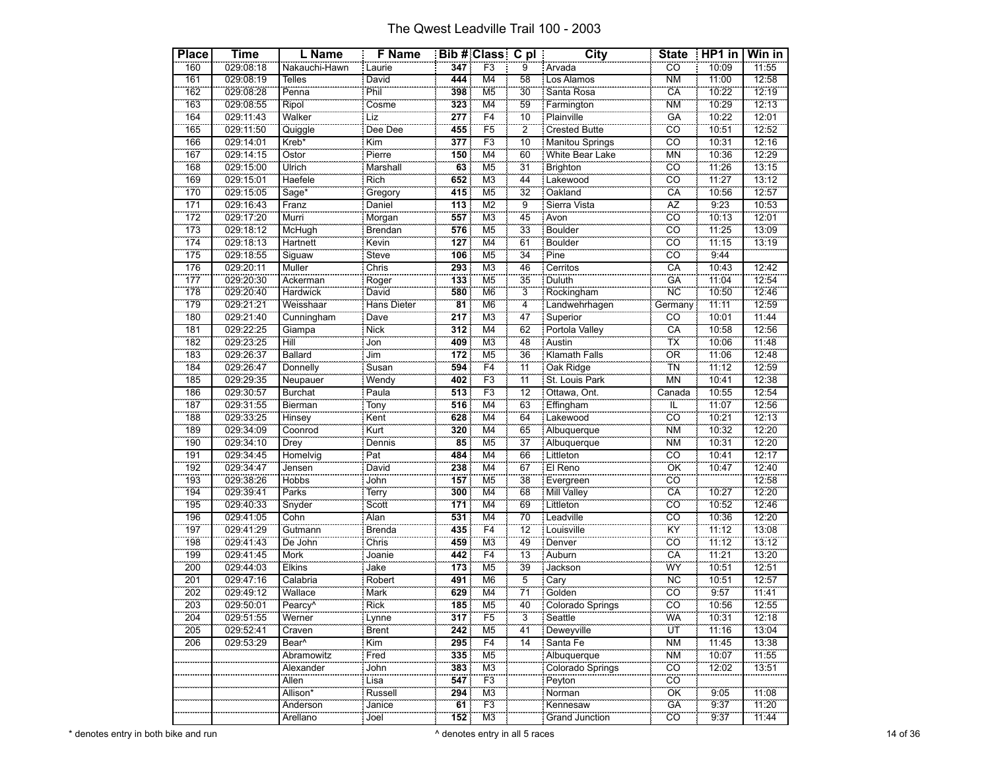| <b>Place</b> | <b>Time</b>            | L Name                | F Name                           |                  | Bib # Class C pl          |                       | <b>City</b>                 | <b>State</b>                   | $HPI$ in       | Win in         |
|--------------|------------------------|-----------------------|----------------------------------|------------------|---------------------------|-----------------------|-----------------------------|--------------------------------|----------------|----------------|
| 160          | 029:08:18              | Nakauchi-Hawn         | Laurie                           | 347              | F <sub>3</sub>            | 9                     | : Arvada                    | $\overline{CO}$                | 10:09          | 11:55          |
| 161          | 029:08:19              | Telles                | David                            | 444              | M4                        | 58                    | Los Alamos                  | <b>NM</b>                      | 11:00          | 12:58          |
| 162          | 029:08:28              | Penna                 | Phil                             | 398              | M <sub>5</sub>            | $\overline{30}$       | Santa Rosa                  | CA                             | 10:22          | 12:19          |
| 163          | 029:08:55              | Ripol                 | Cosme                            | 323              | M4                        | $\frac{1}{59}$        | Farmington                  | <b>NM</b>                      | 10:29          | 12:13          |
| 164          | 029:11:43              | Walker                | .<br>Liz                         | 277              | F4                        | 10                    | Plainville                  | GÄ                             | 10:22          | 12:01          |
| 165          | 029:11:50              | Quiggle               | Dee Dee                          | 455              | F <sub>5</sub>            | $\overline{2}$        | Crested Butte               | CÖ                             | 10:51          | 12:52          |
| 166          | 029:14:01              | Kreb*                 | Kim                              | 377              | F3                        | $\overline{10}$       | Manitou Springs             | $\overline{co}$                | 10:31          | 12:16          |
| 167          | 029:14:15              | Ostor                 | Pierre                           | 150              | M <sub>4</sub>            | 60                    | White Bear Lake             | <b>MN</b>                      | 10:36          | 12:29          |
| 168          | 029:15:00              | Ulrich                | Marshall                         | 63               | M <sub>5</sub>            | 31                    | <b>Brighton</b>             | CÖ                             | 11:26          | 13:15          |
| 169          | 029:15:01              | Haefele               | Rich<br>Gregory                  | 652              | M <sub>3</sub>            | 44                    | Lakewood                    | $\overline{c}\overline{o}$     | 11:27          | 13:12          |
| 170          | 029:15:05              | Sage <sup>*</sup>     |                                  | 415              | M5                        | $\overline{32}$       | Oakland                     | CÄ                             | 10:56          | 12:57          |
| 171          | 029:16:43              | Franz                 | Daniel                           | 113              | M <sub>2</sub>            | 9                     | Sierra Vista                | AZ                             | 9:23           | 10:53          |
| 172          | 029:17:20              | Murri                 | Morgan                           | 557              | M <sub>3</sub>            | $\overline{45}$       | Avon                        | $\overline{co}$                | 10:13          | 12:01          |
| 173          | 029:18:12              | McHugh                | Brendan                          | 576              | M5                        | 33                    | Boulder                     | cö                             | 11:25          | 13:09          |
| 174          | 029:18:13              | Hartnett              | Kevin                            | 127              | $\overline{M4}$           | 61                    | <b>Boulder</b>              | CÖ                             | 11:15          | 13:19          |
| 175          | 029:18:55              | Siguaw                | Steve                            | 106              | M5                        | $\overline{34}$       | Pine                        | $\overline{c}$                 | 9:44           |                |
| 176          | 029:20:11              | Muller                | Chris                            | 293              | M <sub>3</sub>            | 46                    | Cerritos                    | CA                             | 10:43          | 12:42          |
| 177<br>178   | 029:20:30              | Ackerman              | Roger                            | 133<br>580       | M <sub>5</sub>            | 35<br>$\frac{5}{3}$   | Duluth                      | GÄ<br>$\overline{\text{NC}}$   | 11:04<br>10:50 | 12:54          |
|              | 029:20:40<br>029:21:21 | Hardwick              | David<br>Hans Dieter             | $\overline{81}$  | M <sub>6</sub>            | $\overline{4}$        | Rockingham                  | Germany                        | 11:11          | 12:46<br>12:59 |
| 179          |                        | Weisshaar             |                                  |                  | M <sub>6</sub>            |                       | Landwehrhagen               |                                |                |                |
| 180          | 029:21:40              | Cunningham            | Dave                             | 217              | M <sub>3</sub>            | 47                    | Superior                    | CO                             | 10:01          | 11:44          |
| 181<br>182   | 029:22:25<br>029:23:25 | Giampa<br><b>Hill</b> | <b>Nick</b><br>$\overline{J}$ on | 312<br>409       | M4<br>M3                  | 62<br>48              | Portola Valley              | CA<br>$\overline{\mathsf{TX}}$ | 10:58<br>10:06 | 12:56<br>11:48 |
| 183          |                        | <b>Ballard</b>        | <b>Jim</b>                       | 172              |                           | 36                    | Austin<br>Klamath Falls     | <b>OR</b>                      | 11:06          |                |
| 184          | 029:26:37              |                       |                                  | 594              | M <sub>5</sub>            |                       |                             | $\frac{1}{10}$                 |                | 12:48<br>12:59 |
| 185          | 029:26:47<br>029:29:35 | Donnelly<br>Neupauer  | Susan<br>Wendy                   | 402              | F4<br>F <sub>3</sub>      | 11<br>$\overline{11}$ | Oak Ridge<br>St. Louis Park | <b>MN</b>                      | 11:12<br>10:41 | 12:38          |
| 186          | 029:30:57              | <b>Burchat</b>        | Paula                            | 513              | F3                        | 12                    | Ottawa, Ont.                | Canada                         | 10:55          | 12:54          |
| 187          | 029:31:55              | Bierman               |                                  | 516              | $\overline{\mathsf{M}}$ 4 | $\overline{63}$       | Effingham                   | ΪĹ                             | 11:07          | 12:56          |
| 188          | 029:33:25              | Hinsey                | Tony<br>Kent                     | 628              | M4                        | 64                    | Lakewood                    | cö                             | 10:21          | 12:13          |
| 189          | 029:34:09              | Coonrod               | Kurt                             | 320              | M4                        | 65                    | Albuquerque                 | <b>NM</b>                      | 10:32          | 12:20          |
| 190          | 029:34:10              | Drey                  | Dennis                           | $\overline{85}$  | M5                        | $\frac{1}{37}$        | Albuquerque                 | <b>NM</b>                      | 10:31          | 12:20          |
| 191          | 029:34:45              | Homelvig              | Pat                              | 484              | M <sub>4</sub>            | 66                    | Littleton                   | $\overline{c}$                 | 10:41          | 12:17          |
| 192          | 029:34:47              | Jensen                | David                            | 238              | $\overline{M4}$           | 67                    | El Reno                     | ÖK                             | 10:47          | 12:40          |
| 193          | 029:38:26              | Hobbs                 |                                  | 157              | M <sub>5</sub>            | 38                    | Evergreen                   | $\overline{co}$                |                | 12:58          |
| 194          | 029:39:41              | Parks                 | John<br>Terry                    | 300              | M4                        | 68                    | Mill Valley                 | CÄ                             | 10:27          | 12:20          |
| 195          | 029:40:33              | Snyder                | Scott                            | 171              | M4                        | 69                    | Littleton                   | $\overline{CO}$                | 10:52          | 12:46          |
| 196          | 029:41:05              | Cohn                  | Alan                             | 531              | M4                        | 70                    | Leadville                   | $\overline{co}$                | 10:36          | 12:20          |
| 197          | 029:41:29              | Gutmann               | Brenda                           | 435              | F4                        | $\overline{12}$       | Louisville                  | KŸ                             | 11:12          | 13:08          |
| 198          | 029:41:43              | De John               | Chris                            | 459              | M <sub>3</sub>            | 49                    | Denver                      | CÖ                             | 11:12          | 13:12          |
| 199          | 029:41:45              | Mork                  | Joanie                           | 442              | $\overline{F4}$           | $\overline{13}$       | Auburn                      | CÄ                             | 11:21          | 13:20          |
| 200          | 029:44:03              | <b>Elkins</b>         | Jake                             | 173              | M <sub>5</sub>            | 39                    | Jackson                     | WŸ                             | 10:51          | 12:51          |
| 201          | 029:47:16              | Calabria              | Robert                           | 491              | M <sub>6</sub>            | $\overline{5}$        | Cary                        | <b>NC</b>                      | 10:51          | 12:57          |
| 202          | 029:49:12              | Wallace               | Mark<br>Rick                     | 629              | $\overline{\mathsf{M}}$ 4 | $\frac{5}{71}$        | Golden                      | $\overline{CO}$                | 9:57           | 11:41          |
| 203          | 029:50:01              | Pearcy <sup>^</sup>   |                                  | 185              | M <sub>5</sub>            | 40                    | Colorado Springs<br>        | CÖ                             | 10:56          | 12:55          |
| 204          | 029:51:55              | Werner                | Lynne                            | $\overline{317}$ | F <sub>5</sub>            | $\overline{3}$        | Seattle                     | <b>WA</b>                      | 10:31          | 12:18          |
| 205          | 029:52:41              | Craven                | Brent                            | 242              | M5                        | 41                    | Deweyville                  | ÜΤ                             | 11:16          | 13:04          |
| 206          | 029:53:29              | Bear <sup>^</sup>     | Kim                              | 295              | F <sub>4</sub>            | 14                    | Santa Fe                    | <b>NM</b>                      | 11:45          | 13:38          |
|              |                        | Abramowitz            | Fred                             | 335              | M <sub>5</sub>            |                       | Albuquerque                 | <b>NM</b>                      | 10:07          | 11:55          |
|              |                        | Alexander             | John                             | 383              | MЗ                        |                       | Colorado Springs            | $\overline{co}$                | 12:02          | 13:51          |
|              |                        | Allen                 | Lisa<br>                         | 547              | F3                        |                       | Peyton                      | CÖ.                            |                |                |
|              |                        | Allison*              | Russell                          | $\frac{294}{1}$  | M <sub>3</sub>            |                       | Norman                      | ÖK                             | 9:05           | 11:08          |
|              |                        | Anderson              | Janice                           | 61               | F3                        |                       | Kennesaw                    | GA                             | 9:37           | 11:20          |
|              |                        | Arellano              | Joel                             | 152              | M <sub>3</sub>            |                       | <b>Grand Junction</b>       | CÖ                             | 9.37           | 11:44          |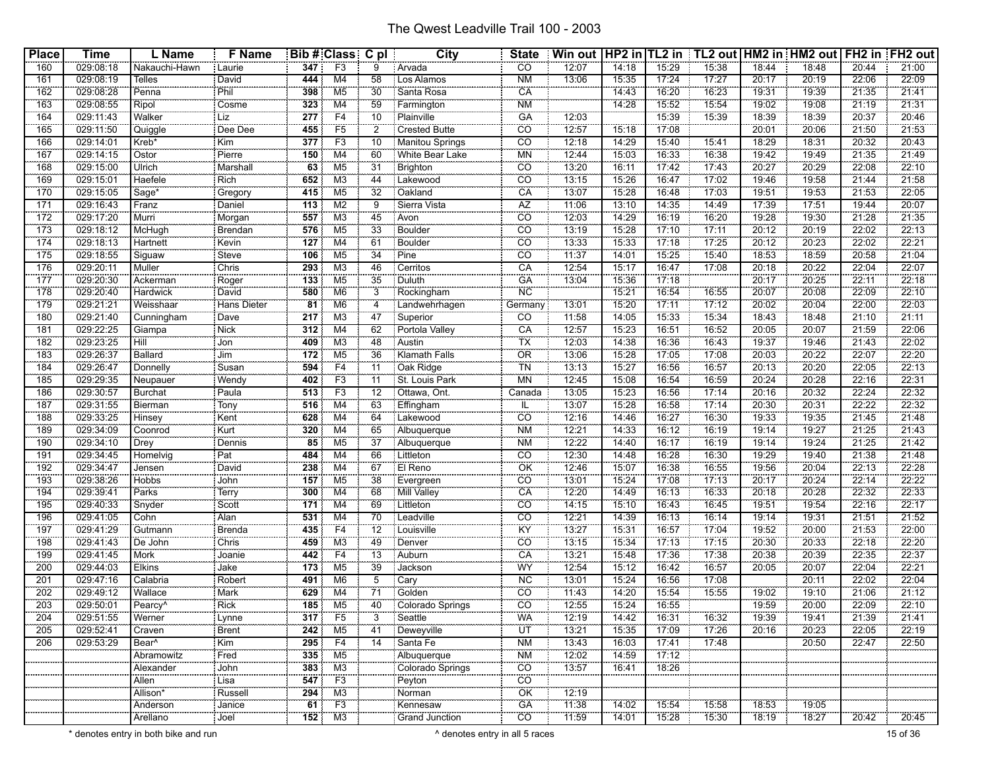| Place | Time      | L Name                         | <b>F</b> Name       |                 | <b>Bib # Class C pl</b> |                 | <b>City</b>               | <b>State</b>    | Win out   HP2 in   TL2 in   TL2 out   HM2 in   HM2 out   FH2 in   FH2 out |       |       |       |       |       |       |       |
|-------|-----------|--------------------------------|---------------------|-----------------|-------------------------|-----------------|---------------------------|-----------------|---------------------------------------------------------------------------|-------|-------|-------|-------|-------|-------|-------|
| 160   | 029:08:18 | Nakauchi-Hawn                  | i Laurie            | 347             | F <sub>3</sub>          | 9               | : Arvada                  | CO              | 12:07                                                                     | 14:18 | 15:29 | 15:38 | 18:44 | 18:48 | 20:44 | 21:00 |
| 161   | 029:08:19 | <b>Telles</b>                  | David               | 444             | M4                      | 58              | : Los Alamos              | <b>NM</b>       | 13:06                                                                     | 15:35 | 17:24 | 17:27 | 20:17 | 20:19 | 22:06 | 22:09 |
| 162   | 029:08:28 | Penna                          | Phil                | 398             | M5                      | 30              | Santa Rosa                | CA              |                                                                           | 14:43 | 16:20 | 16:23 | 19:31 | 19:39 | 21:35 | 21:41 |
| 163   | 029:08:55 | Ripol                          | 0000000000<br>Cosme | 323             | M4                      | 59              | : Farmington              | <b>NM</b>       |                                                                           | 14:28 | 15:52 | 15:54 | 19:02 | 19:08 | 21:19 | 21:31 |
| 164   | 029:11:43 | Walker                         | Liz                 | 277             | F <sub>4</sub>          | $\overline{10}$ | : Plainville              | <b>GA</b>       | 12:03                                                                     |       | 15:39 | 15:39 | 18:39 | 18:39 | 20:37 | 20:46 |
| 165   | 029:11:50 | Quiggle                        | Dee Dee             | 455             | F <sub>5</sub>          | 2               | <b>Crested Butte</b>      | $\overline{CO}$ | 12:57                                                                     | 15:18 | 17:08 |       | 20:01 | 20:06 | 21:50 | 21:53 |
| 166   | 029:14:01 | Kreb*                          | Kim                 | 377             | F3                      | 10              | Manitou Springs           | $\overline{CO}$ | 12:18                                                                     | 14:29 | 15:40 | 15:41 | 18:29 | 18:31 | 20:32 | 20:43 |
| 167   | 029:14:15 | Ostor                          | Pierre              | 150             | M4                      | 60              | White Bear Lake           | <b>MN</b>       | 12:44                                                                     | 15:03 | 16:33 | 16:38 | 19:42 | 19:49 | 21:35 | 21:49 |
| 168   | 029:15:00 | Ulrich                         | Marshall            | 63              | M5                      | 31              | <b>Brighton</b>           | CO              | 13:20                                                                     | 16:11 | 17:42 | 17:43 | 20:27 | 20:29 | 22:08 | 22:10 |
| 169   | 029:15:01 | Haefele                        | Rich                | 652             | MЗ                      | 44              | Lakewood                  | $\overline{co}$ | 13:15                                                                     | 15:26 | 16:47 | 17:02 | 19:46 | 19:58 | 21:44 | 21:58 |
| 170   | 029:15:05 | Sage <sup>®</sup>              | Gregory             | 415             | M <sub>5</sub>          | $\overline{32}$ | Oakland                   | CA              | 13:07                                                                     | 15:28 | 16:48 | 17:03 | 19:51 | 19:53 | 21:53 | 22:05 |
| 171   | 029:16:43 | Franz                          | Daniel              | 113             | M <sub>2</sub>          | 9               | Sierra Vista              | AZ              | 11:06                                                                     | 13:10 | 14:35 | 14:49 | 17:39 | 17:51 | 19:44 | 20:07 |
| 172   | 029:17:20 | Murri                          | Morgan              | 557             | M <sub>3</sub>          | 45              | Avon                      | $\overline{co}$ | 12:03                                                                     | 14:29 | 16:19 | 16:20 | 19:28 | 19:30 | 21:28 | 21:35 |
| 173   | 029:18:12 | McHugh                         | Brendan             | 576             | M <sub>5</sub>          | 33              | Boulder                   | CO              | 13:19                                                                     | 15:28 | 17:10 | 17:11 | 20:12 | 20:19 | 22:02 | 22:13 |
| 174   | 029:18:13 | Hartnett                       | Kevin               | 127             | M4                      | 61              | <b>Boulder</b>            | $\overline{co}$ | 13:33                                                                     | 15:33 | 17:18 | 17:25 | 20:12 | 20:23 | 22:02 | 22:21 |
| 175   | 029:18:55 | Siguaw                         | 000000000<br>Steve  | 106             | M5                      | 34              | 0000000000<br>: Pine      | CO              | 11:37                                                                     | 14:01 | 15:25 | 15:40 | 18:53 | 18:59 | 20:58 | 21:04 |
| 176   | 029:20:11 | Muller                         | Chris               | 293             | M <sub>3</sub>          | 46              | : Cerritos                | CA              | 12:54                                                                     | 15:17 | 16:47 | 17:08 | 20:18 | 20:22 | 22:04 | 22:07 |
| 177   | 029:20:30 | Ackerman                       | Roger               | 133             | M5                      | 35              | Duluth                    | GÄ              | 13:04                                                                     | 15:36 | 17:18 |       | 20:17 | 20:25 | 22:11 | 22:18 |
| 178   | 029:20:40 | Hardwick                       | David               | 580             | M6                      | $\overline{3}$  | Rockingham                | <b>NC</b>       |                                                                           | 15:21 | 16:54 | 16:55 | 20:07 | 20:08 | 22:09 | 22:10 |
| 179   | 029:21:21 | Weisshaar                      | Hans Dieter         | $\overline{81}$ | M6                      | 4               | Landwehrhagen             | Germany         | 13:01                                                                     | 15:20 | 17:11 | 17:12 | 20:02 | 20:04 | 22:00 | 22:03 |
| 180   | 029:21:40 | Cunningham                     | Dave                | 217             | MЗ                      | 47              | Superior                  | CO.             | 11:58                                                                     | 14:05 | 15:33 | 15:34 | 18:43 | 18:48 | 21:10 | 21:11 |
| 181   | 029:22:25 | Giampa                         | Nick                | 312             | M4                      | 62              | Portola Valley            | CA              | 12:57                                                                     | 15:23 | 16:51 | 16:52 | 20:05 | 20:07 | 21:59 | 22:06 |
| 182   | 029:23:25 | <b>Hill</b>                    | Jon                 | 409             | M <sub>3</sub>          | 48              | Austin                    | TX              | 12:03                                                                     | 14:38 | 16:36 | 16:43 | 19:37 | 19:46 | 21:43 | 22:02 |
| 183   | 029:26:37 | <b>Ballard</b>                 | <br>Jim             | 172             | M5                      | 36              | Klamath Falls             | OR              | 13:06                                                                     | 15:28 | 17:05 | 17:08 | 20:03 | 20:22 | 22:07 | 22:20 |
| 184   | 029:26:47 | Donnelly                       | Susan               | 594             | F4                      | 11              | Oak Ridge                 | <b>TN</b>       | 13:13                                                                     | 15:27 | 16:56 | 16:57 | 20:13 | 20:20 | 22:05 | 22:13 |
| 185   | 029:29:35 | Neupauer                       | Wendy               | 402             | F <sub>3</sub>          | 11              | St. Louis Park            | <b>MN</b>       | 12:45                                                                     | 15:08 | 16:54 | 16:59 | 20:24 | 20:28 | 22:16 | 22:31 |
| 186   | 029:30:57 | <b>Burchat</b>                 | Paula               | 513             | F3                      | 12              | Ottawa, Ont.              | Canada          | 13:05                                                                     | 15:23 | 16:56 | 17:14 | 20:16 | 20:32 | 22:24 | 22:32 |
| 187   | 029:31:55 | Bierman                        | Tony                | 516             | M4                      | 63              | Effingham                 | IL              | 13:07                                                                     | 15:28 | 16:58 | 17:14 | 20:30 | 20:31 | 22:22 | 22:32 |
| 188   | 029:33:25 | Hinsey                         | Kent<br>.           | 628             | M4                      | 64              | Lakewood                  | $\overline{co}$ | 12:16                                                                     | 14:46 | 16:27 | 16:30 | 19:33 | 19:35 | 21:45 | 21:48 |
| 189   | 029:34:09 | Coonrod                        | Kurt                | 320             | M4                      | 65              | : Albuquerque             | NM              | 12:21                                                                     | 14:33 | 16:12 | 16:19 | 19:14 | 19:27 | 21:25 | 21:43 |
| 190   | 029:34:10 | Drey                           | Dennis              | 85              | M5                      | 37              | Albuquerque               | ΝM              | 12:22                                                                     | 14:40 | 16:17 | 16:19 | 19:14 | 19:24 | 21:25 | 21:42 |
| 191   | 029:34:45 | Homelvig                       | Pat                 | 484             | M4                      | 66              | : Littleton               | CO              | 12:30                                                                     | 14:48 | 16:28 | 16:30 | 19:29 | 19:40 | 21:38 | 21:48 |
| 192   | 029:34:47 | Jensen                         | David               | 238             | M4                      | 67              | El Reno                   | OK              | 12:46                                                                     | 15:07 | 16:38 | 16:55 | 19:56 | 20:04 | 22:13 | 22:28 |
| 193   | 029:38:26 | Hobbs                          | John                | 157             | M5                      | 38              | Evergreen                 | CO              | 13:01                                                                     | 15:24 | 17:08 | 17:13 | 20:17 | 20:24 | 22:14 | 22:22 |
| 194   | 029:39:41 | Parks                          | Terry               | 300             | M4                      | 68              | Mill Valley               | CA<br>          | 12:20                                                                     | 14:49 | 16:13 | 16:33 | 20:18 | 20:28 | 22:32 | 22:33 |
| 195   | 029:40:33 | Snyder                         | Scott               | 171             | M4                      | 69              | Littleton                 | CO.             | 14:15                                                                     | 15:10 | 16:43 | 16:45 | 19:51 | 19:54 | 22:16 | 22:17 |
| 196   | 029:41:05 | Cohn                           | Alan                | 531             | M4                      | 70              | Leadville                 | $\overline{co}$ | 12:21                                                                     | 14:39 | 16:13 | 16:14 | 19:14 | 19:31 | 21:51 | 21:52 |
| 197   | 029:41:29 | Gutmann                        | <b>Brenda</b><br>.  | 435             | F4                      | 12              | Louisville <sup>®</sup>   | KŸ              | 13:27                                                                     | 15:31 | 16:57 | 17.04 | 19:52 | 20:00 | 21:53 | 22:00 |
| 198   | 029:41:43 | De John                        | Chris<br>00000000   | 459             | ΜЗ                      | 49              | Denver                    | $\overline{CO}$ | 13:15                                                                     | 15:34 | 17:13 | 17:15 | 20:30 | 20:33 | 22:18 | 22:20 |
| 199   | 029:41:45 | Mork                           | Joanie              | 442             | F4                      | 13              | Auburn                    | CA              | 13:21                                                                     | 15:48 | 17:36 | 17:38 | 20:38 | 20:39 | 22:35 | 22:37 |
| 200   | 029:44:03 | <b>Elkins</b>                  | Jake                | 173             | M <sub>5</sub>          | 39              | Jackson                   | WY              | 12:54                                                                     | 15:12 | 16:42 | 16:57 | 20:05 | 20:07 | 22:04 | 22:21 |
| 201   | 029:47:16 | Calabria                       | Robert              | 491             | M6                      | 5               | Cary                      | NC              | 13:01                                                                     | 15:24 | 16:56 | 17:08 |       | 20:11 | 22:02 | 22:04 |
| 202   | 029:49:12 | Wallace                        | Mark                | 629             | M4                      | $\overline{71}$ | : Golden                  | $\overline{CO}$ | 11:43                                                                     | 14:20 | 15:54 | 15:55 | 19:02 | 19:10 | 21:06 | 21:12 |
| 203   | 029:50:01 | Pearcy <sup>^</sup><br>.       | Rick<br>            | 785             | M <sub>5</sub>          | 40              | Colorado Springs<br>      | <b>CO</b>       | 12:55                                                                     | 75:24 | 16:55 |       | 19:59 | 20:00 | 22:09 | 22:10 |
| 204   | 029:51:55 | Werner                         | Lynne<br>ja mana    |                 | $317$ F5                | 3               | Seattle<br><u>in mana</u> | <b>WA</b>       | 12:19                                                                     | 14:42 | 16:31 | 16:32 | 19:39 | 19:41 | 21:39 | 21:41 |
| 205   | 029:52:41 | Craven                         | <b>Brent</b>        | 242             | M5                      | 41              | : Deweyville              | UT              | 13:21                                                                     | 15:35 | 17:09 | 17:26 | 20:16 | 20:23 | 22:05 | 22:19 |
| 206   | 029:53:29 | Bear <sup>^</sup>              | Kim                 | 295             | F4                      | 14              | : Santa Fe                | <b>NM</b>       | 13:43                                                                     | 16:03 | 17:41 | 17:48 |       | 20:50 | 22:47 | 22:50 |
|       |           | Abramowitz                     | Fred<br>            | 335             | M5                      |                 | Albuquerque               | <b>NM</b>       | 12:02                                                                     | 14:59 | 17:12 |       |       |       |       |       |
|       |           | Alexander                      | John                | 383             | ΜЗ                      |                 | Colorado Springs          | $\overline{co}$ | 13:57                                                                     | 16:41 | 18:26 |       |       |       |       |       |
|       |           | Allen                          | Lisa<br>.           | 547             | F3                      |                 | Peyton<br>. <del>.</del>  | CO              |                                                                           |       |       |       |       |       |       |       |
|       |           | Allison*<br><b>programment</b> | Russell             | 294             | ΜЗ                      |                 | Norman<br>ga manan        | OK              | 12:19                                                                     |       |       |       |       |       |       |       |
|       |           | Anderson                       | Janice              | 61              | F3                      |                 | Kennesaw                  | GA              | 11:38                                                                     | 14:02 | 15:54 | 15:58 | 18:53 | 19:05 |       |       |
|       |           | Arellano                       | Joel                | 152             | M3                      |                 | Grand Junction            | CO              | 11:59                                                                     | 14:01 | 15:28 | 15:30 | 18:19 | 18:27 | 20:42 | 20:45 |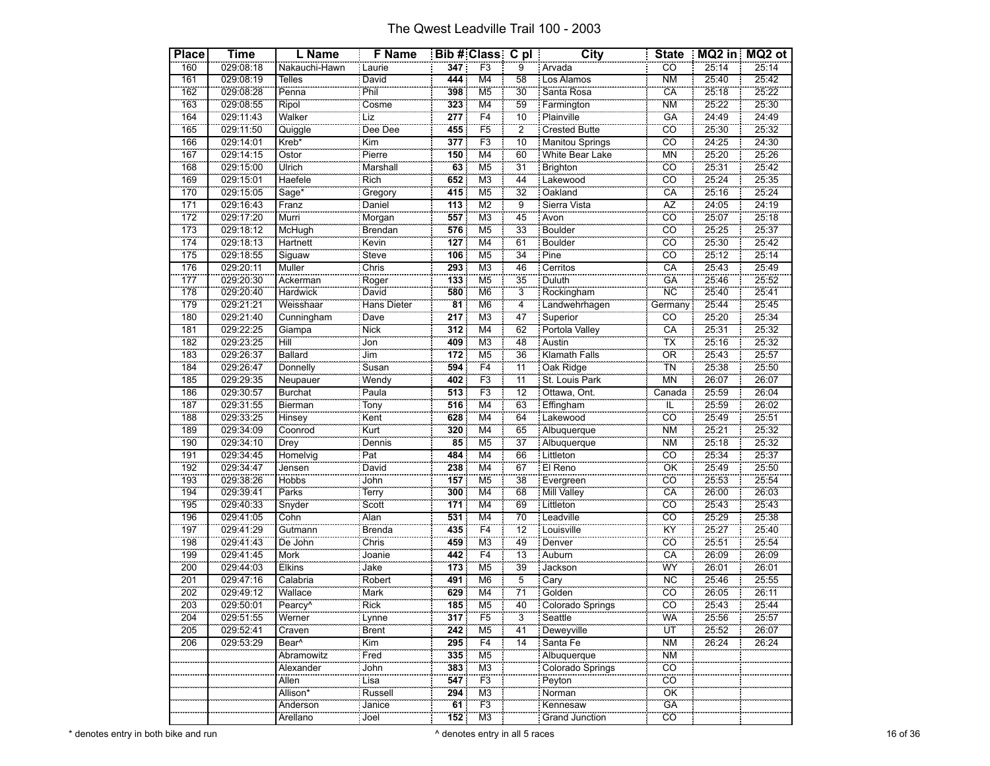| <b>Place</b>     | <b>Time</b> | L Name                   | F Name       |                                     | Bib # Class C pl          |                 | <b>City</b>             | <b>State</b>           |       | MQ2 in MQ2 ot |
|------------------|-------------|--------------------------|--------------|-------------------------------------|---------------------------|-----------------|-------------------------|------------------------|-------|---------------|
| 160              | 029:08:18   | Nakauchi-Hawn            | Laurie       | 347                                 | F3                        | 9               | Arvada                  | $\overline{CO}$        | 25:14 | 25:14         |
| 161              | 029:08:19   | <b>Telles</b>            | <b>David</b> | 444                                 | M4                        | 58              | Los Alamos              | <b>NM</b>              | 25:40 | 25:42         |
| 162              | 029:08:28   | Penna                    | Phil         | 398                                 | M <sub>5</sub>            | 30              | Santa Rosa              | CA                     | 25:18 | 25:22         |
| 163              | 029:08:55   | Ripol                    | Cosme        | 323                                 | $\overline{\mathsf{M}}$ 4 | 59              | Farmington              | $\overline{\text{NM}}$ | 25:22 | 25:30         |
| 164              | 029:11:43   | Walker                   | Liz          | 277                                 | F <sub>4</sub>            | 10              | <b>Plainville</b>       | GÄ                     | 24:49 | 24:49         |
| 165              | 029:11:50   | Quiggle                  | Dee Dee      | 455                                 | F <sub>5</sub>            | $\overline{2}$  | <b>Crested Butte</b>    | <u>co</u>              | 25:30 | 25:32         |
| 166              | 029:14:01   | Kreb*                    | Kim          | 377                                 | F3                        | 10              | <b>Manitou Springs</b>  | $\overline{co}$        | 24:25 | 24:30         |
| 167              | 029:14:15   | Ostor                    | Pierre       | 150                                 | M <sub>4</sub>            | 60              | White Bear Lake         | <b>MN</b>              | 25:20 | 25:26         |
| 168              | 029:15:00   | Ulrich                   | Marshall     | 63                                  | M <sub>5</sub>            | 31              | <b>Brighton</b>         | CO                     | 25:31 | 25:42         |
| 169              | 029:15:01   | Haefele                  | Rich         | 652                                 | M <sub>3</sub>            | 44              | Lakewood                | $\overline{c}$         | 25:24 | 25:35         |
| 170              | 029:15:05   | Sage*                    | Gregory      | 415                                 | M <sub>5</sub>            | 32              | Oakland                 | CA                     | 25:16 | 25:24         |
| 171              | 029:16:43   | Franz                    | Daniel       | 113                                 | M <sub>2</sub>            | 9               | Sierra Vista            | <b>AZ</b>              | 24:05 | 24:19         |
| $\overline{172}$ | 029:17:20   | Murri                    | Morgan       | 557                                 | $\overline{\mathsf{M}3}$  | $\overline{45}$ | Avon                    | $\overline{co}$        | 25:07 | 25:18         |
| 173              | 029:18:12   | McHugh                   | Brendan      | 576                                 | M <sub>5</sub>            | 33              | Boulder                 | cö                     | 25:25 | 25:37         |
| 174              | 029:18:13   | Hartnett                 | : Kevin      | 127                                 | M <sub>4</sub>            | 61              | Boulder                 | CÖ                     | 25:30 | 25:42         |
| 175              | 029:18:55   | Siguaw                   | Steve        | 106                                 | M <sub>5</sub>            | $\overline{34}$ | Pine                    | $\overline{CO}$        | 25:12 | 25:14         |
| 176              | 029:20:11   | Muller                   | Chris        | 293                                 | M <sub>3</sub>            | 46              | Cerritos                | CA                     | 25:43 | 25:49         |
| 177              | 029:20:30   | Ackerman                 | Roger        | 133                                 | M <sub>5</sub>            | 35              | Duluth                  | <b>GA</b>              | 25:46 | 25:52         |
| 178              | 029:20:40   | Hardwick                 | David        | 580                                 | M <sub>6</sub>            | $\frac{1}{3}$   | Rockingham              | $\overline{\text{NC}}$ | 25:40 | 25:41         |
| 179              | 029:21:21   | Weisshaar                | Hans Dieter  | $\overline{81}$                     | M <sub>6</sub>            | $\overline{4}$  | Landwehrhagen           | Germany :              | 25:44 | 25:45         |
| 180              | 029:21:40   | Cunningham               | Dave         | 217                                 | M <sub>3</sub>            | 47              | Superior                | CO                     | 25:20 | 25:34         |
| 181              | 029:22:25   | Giampa                   | <b>Nick</b>  | 312                                 | M <sub>4</sub>            | 62              | Portola Valley          | CA                     | 25:31 | 25:32         |
| 182              | 029:23:25   | <b>Hill</b>              | Jon          | 409                                 | M <sub>3</sub>            | 48              | Austin                  | TX                     | 25:16 | 25:32         |
| 183              | 029:26:37   | <b>Ballard</b>           | Jim          | 172                                 | M <sub>5</sub>            | 36              | Klamath Falls           | OR                     | 25:43 | 25:57         |
| 184              | 029:26:47   | Donnelly                 | Susan        | 594                                 | F4                        | $\frac{1}{11}$  | Oak Ridge               | <b>TN</b>              | 25:38 | 25:50         |
| 185              | 029:29:35   | Neupauer                 | Wendy        | 402                                 | F <sub>3</sub>            | $\overline{11}$ |                         | <b>MN</b>              | 26:07 | 26:07         |
| 186              | 029:30:57   | <b>Burchat</b>           | Paula        | 513                                 | F3                        | $\overline{12}$ | Ottawa, Ont.            | Canada                 | 25:59 | 26:04         |
| 187              | 029:31:55   | Bierman                  | Tony<br>Kent | 516                                 | $\overline{\mathsf{M}}$ 4 | 63              | Effingham               | ïË                     | 25:59 | 26:02         |
| 188              | 029:33:25   | Hinsey                   |              | 628                                 | M <sub>4</sub>            | 64              | Lakewood                | cö                     | 25:49 | 25:51         |
| 189              | 029:34:09   | Coonrod                  | : Kurt       | 320                                 | M4                        | 65              | Albuquerque             | <b>NM</b>              | 25:21 | 25:32         |
| 190              | 029:34:10   | Drey                     | Dennis       | $\overline{\overline{\mathbf{85}}}$ | M <sub>5</sub>            | $\overline{37}$ | Albuquerque             | <b>NM</b>              | 25:18 | 25:32         |
| 191              | 029:34:45   | Homelvig                 | Part         | 484                                 | M4                        | 66              | Littleton               | $\overline{c}$         | 25:34 | 25:37         |
| 192              | 029:34:47   | Jensen                   | David        | 238                                 | M4                        | 67              | El Reno                 | OK                     | 25:49 | 25:50         |
| 193              | 029:38:26   | <b>Hobbs</b>             | John         | 157                                 | M <sub>5</sub>            | 38              | Evergreen               | $\overline{co}$        | 25:53 | 25:54         |
| 194              | 029:39:41   | Parks                    | Terry        | 300                                 | M <sub>4</sub>            | 68              | Mill Valley             | CA                     | 26:00 | 26:03         |
| 195              | 029:40:33   | Snyder                   | Scott        | $\overline{171}$                    | M <sub>4</sub>            | 69              | Littleton               | CÖ                     | 25:43 | 25:43         |
| 196              | 029:41:05   | Cohn                     | : Alan       | 531                                 | M <sub>4</sub>            | 70              | Leadville               | $\overline{co}$        | 25:29 | 25:38         |
| 197              | 029:41:29   | Gutmann                  | Brenda       | 435                                 | F <sub>4</sub>            | $\overline{12}$ | Louisville              | KŸ                     | 25:27 | 25:40         |
| 198              | 029:41:43   | De John                  | Chris        | 459                                 | M <sub>3</sub>            | 49              | Denver                  | CÔ                     | 25:51 | 25:54         |
| 199              | 029:41:45   | Mork                     | Joanie       | 442                                 | F4                        | $\overline{13}$ | Auburn                  | $\overline{CA}$        | 26:09 | 26:09         |
| 200              | 029:44:03   | Elkins                   | Jake         | 173                                 | M <sub>5</sub>            | 39              | Jackson                 | WY                     | 26:01 | 26:01         |
| 201              | 029:47:16   | Calabria                 | Robert       | 491                                 | M <sub>6</sub>            | $\overline{5}$  | Cary                    | $\overline{\text{NC}}$ | 25:46 | 25:55         |
| 202              | 029:49:12   | Wallace                  | Mark<br>Rick | 629                                 | $\overline{\mathsf{M}}$ 4 | $\overline{71}$ | Golden                  | CÔ                     | 26:05 | 26:11         |
| 203              | 029:50:01   | Pearcy <sup>^</sup><br>. |              | 185                                 | M <sub>5</sub>            | 40              | Colorado Springs        | co                     | 25:43 | 25:44         |
| 204              | 029:51:55   | Werner                   | : Lynne      | 317                                 | F5                        | $\overline{3}$  | Seattle                 | WA                     | 25:56 | 25:57         |
| 205              | 029:52:41   | Craven                   | Brent        | 242                                 | M <sub>5</sub>            | $\overline{41}$ | Deweyville              | ÜΤ                     | 25:52 | 26:07         |
| 206              | 029:53:29   | Bear $\overline{A}$      | : Kim        | 295                                 | F4                        | 14              | Santa Fe                | <b>NM</b>              | 26:24 | 26:24         |
|                  |             | Abramowitz               | Fred         | 335                                 | M5                        |                 | Albuquerque             | <b>NM</b>              |       |               |
|                  |             | Alexander                | John         | 383                                 | $\overline{\mathsf{M}3}$  |                 | <b>Colorado Springs</b> | $\overline{co}$        |       |               |
|                  |             | Allen                    | Lisa         | 547                                 | F <sub>3</sub>            |                 | Peyton                  | <b>CO</b>              |       |               |
|                  |             | Allison*<br>ananana      | Russell      | 294                                 | M3                        |                 | Norman                  | OK                     |       |               |
|                  |             | Anderson                 | Janice       | 61                                  | F3                        |                 | Kennesaw                | GÄ                     |       |               |
|                  |             | Arellano                 | : Joel       | 152                                 | M3                        |                 | <b>Grand Junction</b>   | $\overline{CO}$        |       |               |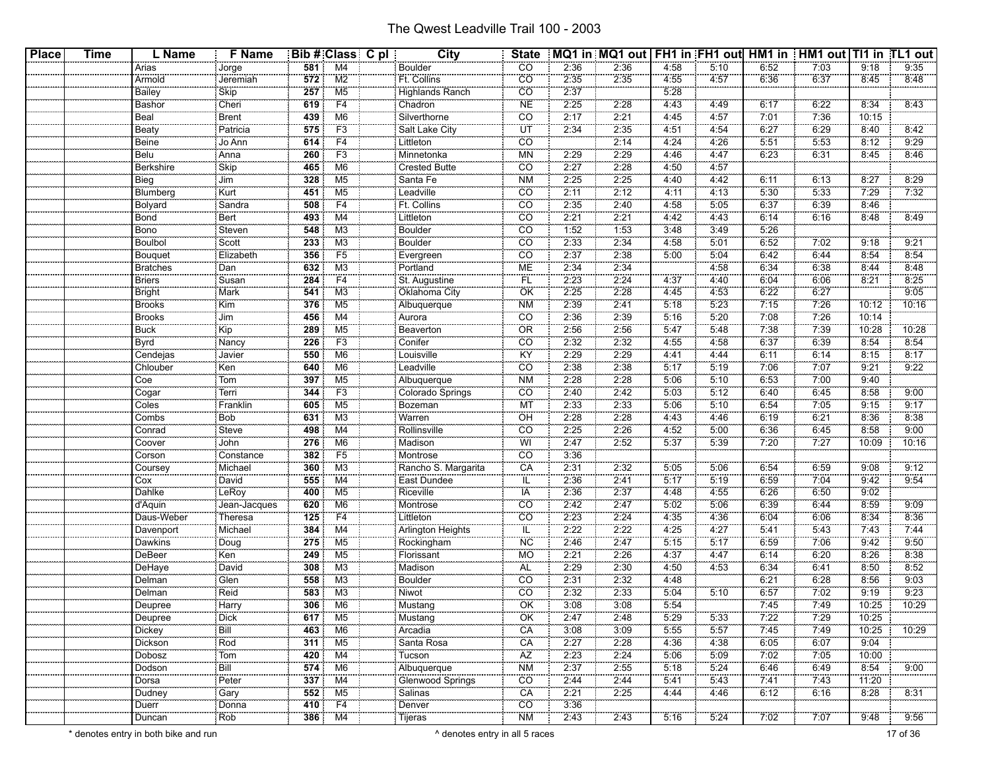| <b>Place</b> | <b>Time</b> | L Name             | <b>F</b> Name |            | Bib # Class C pl          | City                            | <b>State</b>    |              | MQ1 in MQ1 out   FH1 in FH1 out   HM1 in   HM1 out   TI1 in TL1 out |              |              |              |              |       |               |
|--------------|-------------|--------------------|---------------|------------|---------------------------|---------------------------------|-----------------|--------------|---------------------------------------------------------------------|--------------|--------------|--------------|--------------|-------|---------------|
|              |             | Arias              | Jorge         | 581        | M4                        | <b>Boulder</b>                  | CO              | 2:36         | 2:36                                                                | 4:58         | 5:10         | 6:52         | 7:03         | 9:18  | 9:35          |
|              |             | Armold             | Jeremiah      | 572        | $\overline{M2}$           | Ft. Collins                     | CO              | 2:35         | 2:35                                                                | 4:55         | 4.57         | 6:36         | 6:37         | 8:45  | 8:48          |
|              |             | Bailey             | Skip          | 257        | M5                        | <b>Highlands Ranch</b>          | CO              | 2:37         |                                                                     | 5:28         |              |              |              |       |               |
|              |             | Bashor             | Cheri         | 619        | F4                        | Chadron                         | <b>NE</b>       | 2:25         | 2:28                                                                | 4:43         | 4:49         | 6:17         | 6:22         | 8:34  | 8:43          |
|              |             | Beal               | Brent         | 439        | M <sub>6</sub>            | Silverthorne                    | CO              | 2:17         | 2:21                                                                | 4:45         | 4.57         | 7:01         | 7:36         | 10:15 |               |
|              |             | Beaty              | Patricia      | 575        | F <sub>3</sub>            | Salt Lake City                  | ΪŰΤ             | 2:34         | 2:35                                                                | 4:51         | 4:54         | 6:27         | 6:29         | 8:40  | 8:42          |
|              |             | Beine              | Jo Ann        | 614        | F4                        | Littleton                       | CO              |              | 2:14                                                                | 4:24         | 4:26         | 5:51         | 5:53         | 8:12  | 9:29          |
|              |             | Belu               | Anna          | 260        | F <sub>3</sub>            | Minnetonka                      | MN              | 2:29         | 2:29                                                                | 4:46         | 4.47         | 6:23         | 6:31         | 8:45  | 8:46          |
|              |             | Berkshire          | Skip          | 465        | M6                        | <b>Crested Butte</b>            | CO              | 2:27         | 2:28                                                                | 4:50         | 4:57         |              |              |       |               |
|              |             | Bieg               | Jim           | 328        | M5                        | Santa Fe                        | <b>NM</b>       | 2:25         | 2:25                                                                | 4:40         | 4:42         | 6:11         | 6:13         | 8:27  | 8:29          |
|              |             | Blumberg           | Kurt          | 451        | M <sub>5</sub>            | Leadville                       | CO              | 2:11         | 2:12                                                                | 4:11         | 4:13         | 5:30         | 5:33         | 7:29  | 7:32          |
|              |             | Bolyard            | Sandra        | 508        | F <sub>4</sub>            | Ft. Collins                     | $\overline{CO}$ | 2:35         | 2:40                                                                | 4:58         | 5:05         | 6:37         | 6:39         | 8:46  |               |
|              |             | Bond               | Bert          | 493        | M4                        | Littleton                       | CO              | 2:21         | 2:21                                                                | 4:42         | 4:43         | 6:14         | 6:16         | 8:48  | 8:49          |
|              |             | Bono               | Steven        | 548        | M3                        | Boulder                         | CO              | 1:52         | 1:53                                                                | 3:48         | 3:49         | 5:26         |              |       |               |
|              |             | <b>Boulbol</b>     | Scott         | 233        | M <sub>3</sub>            | <b>Boulder</b>                  | $\overline{CO}$ | 2:33         | 2:34                                                                | 4:58         | 5:01         | 6:52         | 7:02         | 9:18  | 9:21          |
|              |             |                    | Elizabeth     | 356        | F <sub>5</sub>            |                                 | CO              | 2:37         | 2:38                                                                | 5:00         | 5:04         | 6:42         | 6:44         | 8:54  | 8:54          |
|              |             | Bouquet            | Dan           | 632        | M <sub>3</sub>            | Evergreen<br>Portland           | ME              | 2:34         | 2:34                                                                |              | 4:58         | 6:34         | 6:38         | 8:44  | 8:48          |
|              |             | <b>Bratches</b>    |               |            | F <sub>4</sub>            |                                 |                 |              |                                                                     |              |              |              |              |       |               |
|              |             | <b>Briers</b>      | Susan         | 284        |                           | St. Augustine                   | FL              | 2:23<br>2:25 | 2:24<br>2:28                                                        | 4:37         | 4:40         | 6:04         | 6:06<br>6:27 | 8:21  | 8:25          |
|              |             | <b>Bright</b>      | Mark<br>Kim   | 541<br>376 | M3<br>M <sub>5</sub>      | Oklahoma City<br>Albuquerque    | OK<br><b>NM</b> | 2:39         | 2:41                                                                | 4:45<br>5:18 | 4:53<br>5:23 | 6:22<br>7:15 | 7:26         | 10:12 | 9:05<br>10:16 |
|              |             | <b>Brooks</b>      |               |            |                           |                                 |                 |              |                                                                     |              |              |              |              |       |               |
|              |             | <b>Brooks</b>      | Jim           | 456        | M4                        | Aurora                          | CO              | 2:36         | 2:39                                                                | 5:16         | 5:20         | 7:08         | 7:26         | 10:14 |               |
|              |             | <b>Buck</b>        | Kip           | 289        | M5<br>F <sub>3</sub>      | Beaverton<br>Conifer            | <b>OR</b>       | 2:56         | 2:56                                                                | 5:47         | 5:48         | 7:38         | 7.39         | 10:28 | 10:28         |
|              |             | Byrd               | Nancy         | 226        |                           |                                 | CO              | 2:32         | 2:32                                                                | 4:55         | 4:58         | 6:37         | 6:39         | 8:54  | 8:54          |
|              |             | Cendejas           | Javier        | 550        | M6                        | Louisville                      | KY              | 2:29         | 2:29                                                                | 4:41         | 4:44         | 6:11         | 6:14         | 8:15  | 8:17          |
|              |             | Chlouber           | Ken           | 640        | M6                        | Leadville                       | CO              | 2:38         | 2:38                                                                | 5:17         | 5:19         | 7:06         | 7:07         | 9:21  | 9:22          |
|              |             | Coe                | Tom           | 397        | M <sub>5</sub>            | Albuquerque                     | <b>NM</b>       | 2:28         | 2:28                                                                | 5.06         | 5:10         | 6:53         | 7:00         | 9.40  |               |
|              |             | Cogar              | Terri         | 344        | F <sub>3</sub>            | Colorado Springs                | CO              | 2:40         | 2:42                                                                | 5:03         | 5:12         | 6:40         | 6:45         | 8:58  | 9:00          |
|              |             | Coles              | Franklin      | 605        | M5                        | Bozeman                         | MT              | 2:33         | 2:33                                                                | 5:06         | 5:10         | 6:54         | 7:05         | 9:15  | 9:17          |
|              |             | Combs              | Bob           | 631        | M <sub>3</sub>            | Warren                          | OH              | 2:28         | 2:28                                                                | 4:43         | 4.46         | 6:19         | 6:21         | 8:36  | 8:38          |
|              |             | Conrad             | Steve         | 498        | M4                        | Rollinsville                    | CO              | 2:25         | 2:26                                                                | 4:52         | 5:00         | 6:36         | 6:45         | 8:58  | 9:00          |
|              |             | Coover             | John          | 276        | M6                        | Madison                         | WI              | 2:47         | 2:52                                                                | 5:37         | 5:39         | 7:20         | 7:27         | 10:09 | 10:16         |
|              |             | Corson             | Constance     | 382        | F <sub>5</sub>            | Montrose                        | CO <sub>1</sub> | 3:36         |                                                                     |              |              |              |              |       |               |
|              |             | Coursey            | Michael       | 360        | M3                        | Rancho S. Margarita             | CA              | 2:31         | 2:32                                                                | 5:05         | 5:06         | 6:54         | 6:59         | 9:08  | 9:12          |
|              |             | Cox                | David         | 555        | M4                        | East Dundee                     | IL              | 2:36         | 2:41                                                                | 5:17         | 5:19         | 6:59         | 7:04         | 9:42  | 9:54          |
|              |             | Dahlke             | LeRoy         | 400        | M <sub>5</sub>            | Riceville                       | <b>IA</b>       | 2:36         | 2:37                                                                | 4:48         | 4:55         | 6:26         | 6:50         | 9.02  |               |
|              |             | d'Aquin            | Jean-Jacques  | 620        | M6                        | Montrose                        | CO              | 2:42         | 2:47                                                                | 5:02         | 5:06         | 6:39         | 6:44         | 8:59  | 9:09          |
|              |             | Daus-Weber         | Theresa       | 125        | F4                        | Littleton                       | CO              | 2:23         | 2:24                                                                | 4:35         | 4:36         | 6:04         | 6:06         | 8:34  | 8:36          |
|              |             | Davenport          | Michael       | 384        | $\overline{\mathsf{M}}$ 4 | <b>Arlington Heights</b>        | ÏĹ.             | 2:22         | 2:22                                                                | 4:25         | 4:27         | 5.41         | 5:43         | 7:43  | 7:44          |
|              |             | Dawkins            | Doug          | 275        | M5                        | Rockingham                      | ΝC              | 2:46         | 2:47                                                                | 5:15         | 5:17         | 6:59         | 7:06         | 9:42  | 9:50          |
|              |             | DeBeer             | Ken           | 249        | M5                        | Florissant                      | МO              | 2:21         | 2:26                                                                | 4:37         | 4:47         | 6:14         | 6:20         | 8:26  | 8:38          |
|              |             | DeHaye             | David         | 308        | M <sub>3</sub>            | Madison                         | AL.             | 2:29         | 2:30                                                                | 4:50         | 4:53         | 6:34         | 6:41         | 8:50  | 8:52          |
|              |             | Delman             | Glen          | 558        | M3                        | <b>Boulder</b>                  | CO              | 2:31         | 2:32                                                                | 4:48         |              | 6:21         | 6:28         | 8:56  | 9:03          |
|              |             | Delman             | Reid          | 583        | M3                        | Niwot                           | CO              | 2:32         | 2:33                                                                | 5:04         | 5:10         | 6:57         | 7:02         | 9:19  | 9:23          |
|              |             | Deupree            | Harry         | 306        | M <sub>6</sub>            | Mustang                         | ÖK              | 3:08         | 3.08                                                                | 5:54         |              | 7:45         | 7:49         | 10:25 | 10:29         |
|              |             | <b></b><br>Deupree | Dick          |            | 617 M5                    | Mustang                         | OK              | 2:47         | 2:48                                                                | 5:29         | 5:33         | 7:22         | 7:29         | 10:25 |               |
|              |             |                    | Bill          | 463        | M6                        | Arcadia                         | CA              | 3:08         | 3:09                                                                | 5:55         | 5:57         | 7:45         | 7.49         | 10:25 | 10:29         |
|              |             | Dickey<br>Dickson  | Rod           | 311        | M5                        | Santa Rosa                      | CA              | 2:27         | 2:28                                                                | 4:36         | 4:38         | 6:05         | 6:07         | 9.04  |               |
|              |             | Dobosz             | Tom           | 420        | M4                        | Tucson                          | AZ              | 2:23         | 2:24                                                                | 5:06         | 5:09         | 7:02         | 7:05         | 10:00 |               |
|              |             | Dodson             | Bill          | 574        | M6                        |                                 | <b>NM</b>       | 2:37         | 2:55                                                                | 5:18         | 5:24         | 6:46         | 6:49         | 8:54  | 9:00          |
|              |             | Dorsa              | Peter         | 337        | M4                        | Albuquerque<br>Glenwood Springs | <b>CO</b>       | 2:44         | 2:44                                                                | 5:41         | 5:43         | 7:41         | 7:43         | 11:20 |               |
|              |             | Dudney             | Gary          |            | $552$ M5                  | Salinas                         | CA              | 2:21         | 2:25                                                                | 4:44         | 4:46         | 6:12         | 6:16         | 8:28  | 8:31          |
|              |             | Duerr              | .<br>Donna    |            | $410$ $F4$                | Denver                          | $\overline{CO}$ | 3:36         |                                                                     |              |              |              |              |       |               |
|              |             | <u>.</u><br>Duncan | Rob           | 386        | M4                        | : Tijeras                       | <b>NM</b>       | 2:43         | 2:43                                                                | 5:16         | 5:24         | 7:02         | 7:07         | 9:48  | 9:56          |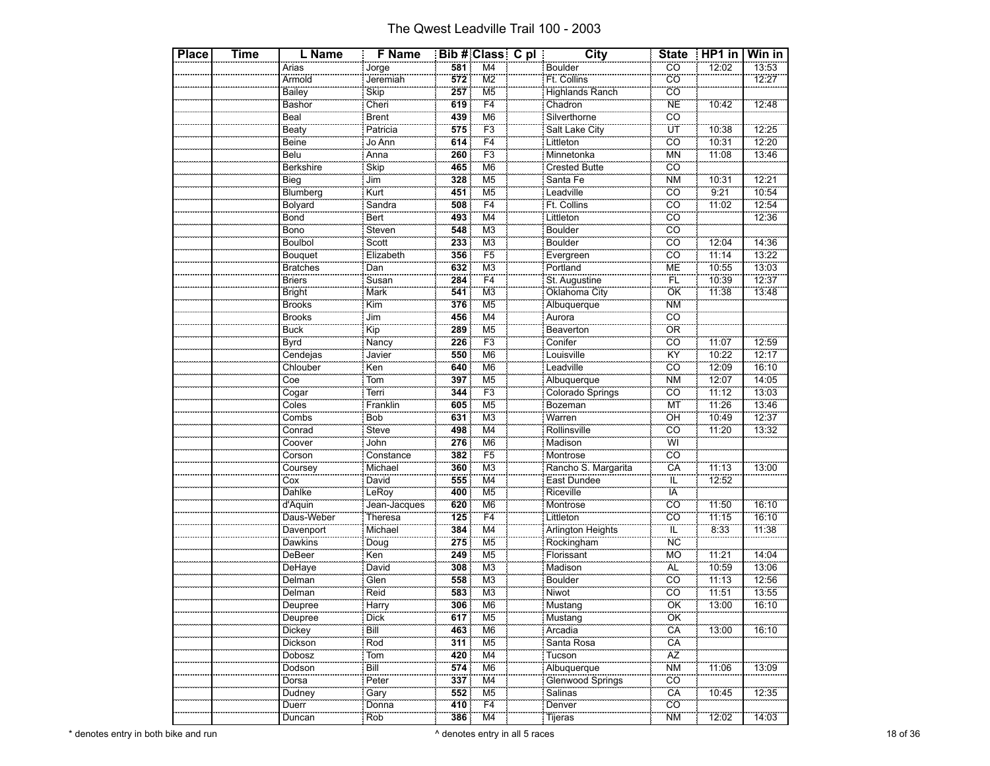| <b>Place</b> | Time | L Name           | <b>F</b> Name           |     | Bib # Class C pl          | City                     | <b>State</b>            | $HPI$ in | Win in |
|--------------|------|------------------|-------------------------|-----|---------------------------|--------------------------|-------------------------|----------|--------|
|              |      | Arias            |                         | 581 | $\overline{\mathsf{M}}$ 4 | Boulder                  | CÖ                      | 12:02    | 13:53  |
|              |      | Armold           | Jorge<br>Jorge          | 572 | M <sub>2</sub>            | Ft. Collins              | cö                      |          | 12:27  |
|              |      | Bailey           | <b>Skip</b>             | 257 | M <sub>5</sub>            | <b>Highlands Ranch</b>   | $\overline{CO}$         |          |        |
|              |      | Bashor           |                         | 619 | F4                        | Chadron                  | <b>NE</b>               | 10:42    | 12:48  |
|              |      | Beal             | Cheri<br>Brent          | 439 | M6                        | Silverthorne             | cö                      |          |        |
|              |      | Beaty            | Patricia                | 575 | F <sub>3</sub>            | Salt Lake City           | ΪÜΤ                     | 10:38    | 12:25  |
|              |      | Beine            |                         | 614 | F4                        |                          | cö                      | 10:31    | 12:20  |
|              |      | Belu             | Jo Ann<br>Anna          | 260 | F <sub>3</sub>            | Littleton<br>Minnetonka  | <b>MN</b>               | 11.08    | 13:46  |
|              |      | <b>Berkshire</b> | Skip                    | 465 | M <sub>6</sub>            | Crested Butte            | $\overline{CO}$         |          |        |
|              |      | Bieg             | Jim                     | 328 | M <sub>5</sub>            |                          | <b>NM</b>               | 10:31    | 12:21  |
|              |      | Blumberg         | Kurt                    | 451 | M <sub>5</sub>            | Santa Fe<br>Leadville    | cö                      | 9:21     | 10:54  |
|              |      | <b>Bolyard</b>   | Sandra                  | 508 | F4                        | Ft. Collins              | CÖ                      | 11:02    | 12:54  |
|              |      |                  | Bert                    | 493 | $\overline{\mathsf{M}}$ 4 |                          | $\overline{co}$         |          | 12:36  |
|              |      | Bond<br>Bono     | Steven                  | 548 | M <sub>3</sub>            | Littleton<br>Boulder     | cö                      |          |        |
|              |      | <b>Boulbol</b>   | Scott                   | 233 | M <sub>3</sub>            | <b>Boulder</b>           | $\overline{CO}$         | 12:04    | 14:36  |
|              |      | Bouquet          | Elizabeth               | 356 | $\overline{F5}$           |                          | CÔ                      | 11:14    | 13:22  |
|              |      | <b>Bratches</b>  | Dan                     | 632 | M <sub>3</sub>            | Evergreen                | <b>ME</b>               | 10:55    | 13:03  |
|              |      | <b>Briers</b>    | Susan                   | 284 | F4                        | St. Augustine            | FL                      | 10:39    | 12:37  |
|              |      | Bright           |                         | 541 | M <sub>3</sub>            | Oklahoma City            | OK                      | 11:38    | 13:48  |
|              |      | <b>Brooks</b>    | Mark<br>Kim             | 376 | M <sub>5</sub>            | Albuquerque              | <b>NM</b>               |          |        |
|              |      | <b>Brooks</b>    | Jim                     | 456 | M4                        | Aurora                   | $\overline{CO}$         |          |        |
|              |      | <b>Buck</b>      | $\overline{\text{Kip}}$ | 289 | M <sub>5</sub>            | Beaverton                | OR                      |          |        |
|              |      | Byrd             | Nancy                   | 226 | F <sub>3</sub>            | Conifer                  | cö                      | 11:07    | 12:59  |
|              |      | Cendejas         | Javier                  | 550 | M <sub>6</sub>            | Louisville               | ΪŸ                      | 10:22    | 12:17  |
|              |      | Chlouber         |                         | 640 | M <sub>6</sub>            |                          | CO                      | 12:09    | 16:10  |
|              |      | Coe              | $\frac{1}{\text{Ken}}$  | 397 | M <sub>5</sub>            | Leadville<br>Albuquerque | <b>NM</b>               | 12:07    | 14:05  |
|              |      | Cogar            | Terri                   | 344 | F <sub>3</sub>            | Colorado Springs         | $\overline{CO}$         | 11:12    | 13:03  |
|              |      | Coles            | Franklin                | 605 | $\overline{\mathsf{M5}}$  | Bozeman<br>Warren        | MT                      | 11:26    | 13:46  |
|              |      | Combs            | Bob                     | 631 | M <sub>3</sub>            |                          | OH                      | 10:49    | 12:37  |
|              |      | Conrad           | Steve                   | 498 | M4                        | Rollinsville             | <b>CO</b>               | 11:20    | 13:32  |
|              |      |                  | John                    | 276 | M <sub>6</sub>            | Madison                  | $\overline{\mathsf{W}}$ |          |        |
|              |      | Coover<br>Corson | Constance               | 382 | F <sub>5</sub>            | Montrose                 | cö                      |          |        |
|              |      | Coursey          | Michael                 | 360 | M <sub>3</sub>            | Rancho S. Margarita      | CA                      | 11:13    | 13:00  |
|              |      | Cox              | David                   | 555 | M <sub>4</sub>            | East Dundee              | iĽ                      | 12:52    |        |
|              |      | Dahlke           | LeRoy                   | 400 | M <sub>5</sub>            | Riceville                | ÏÄ                      |          |        |
|              |      | d'Aquin          | Jean-Jacques            | 620 | M <sub>6</sub>            | Montrose                 | cö                      | 11:50    | 16:10  |
|              |      | Daus-Weber       | Theresa                 | 125 | F4                        | Littleton                | CO                      | 11:15    | 16:10  |
|              |      | Davenport        |                         | 384 | M <sub>4</sub>            | Arlington Heights        | ïÜ                      | 8:33     | 11:38  |
|              |      | Dawkins          | Doug                    | 275 | M <sub>5</sub>            | Rockingham               | <b>NC</b>               |          |        |
|              |      | DeBeer           | Ken                     | 249 | M <sub>5</sub>            | Florissant               | <b>MO</b>               | 11:21    | 14:04  |
|              |      | DeHaye           | David                   | 308 | M3                        | Madison                  | <b>AL</b>               | 10:59    | 13:06  |
|              |      | Delman           | Glen                    | 558 | M <sub>3</sub>            | <b>Boulder</b>           | <b>CO</b>               | 11:13    | 12:56  |
|              |      | Delman           | Reid                    | 583 | M <sub>3</sub>            | Niwot                    | CO                      | 11:51    | 13:55  |
|              |      | Deupree          | Harrv                   | 306 | M6                        | Mustang                  | ÖK                      | 13:00    | 16:10  |
|              |      | Deupree          | Dick                    | 617 | M <sub>5</sub>            | Mustang                  | ÖK                      |          |        |
|              |      | Dickey           | Bill                    | 463 | M <sub>6</sub>            | Arcadia                  | CA                      | 13:00    | 16:10  |
|              |      | Dickson          | $\overline{Rod}$        | 311 | M5                        | Santa Rosa               | CÄ                      |          |        |
|              |      | Dobosz           | Tom                     | 420 | M4                        | Tucson                   | ÄŻ                      |          |        |
|              |      | Dodson           | Bill                    | 574 | M <sub>6</sub>            | Albuquerque              | <b>NM</b>               | 11:06    | 13:09  |
|              |      | Dorsa            | Peter                   | 337 | M4                        | Glenwood Springs         | CÖ                      |          |        |
|              |      | Dudney           | Gary                    | 552 | M <sub>5</sub>            | Salinas                  | CA                      | 10:45    | 12:35  |
|              |      | Duerr            | Donna                   | 410 | $\overline{F4}$           | Denver                   | $\overline{co}$         |          |        |
|              |      | Duncan           | Rob                     | 386 | M <sub>4</sub>            | Tijeras                  | <b>NM</b>               | 12:02    | 14:03  |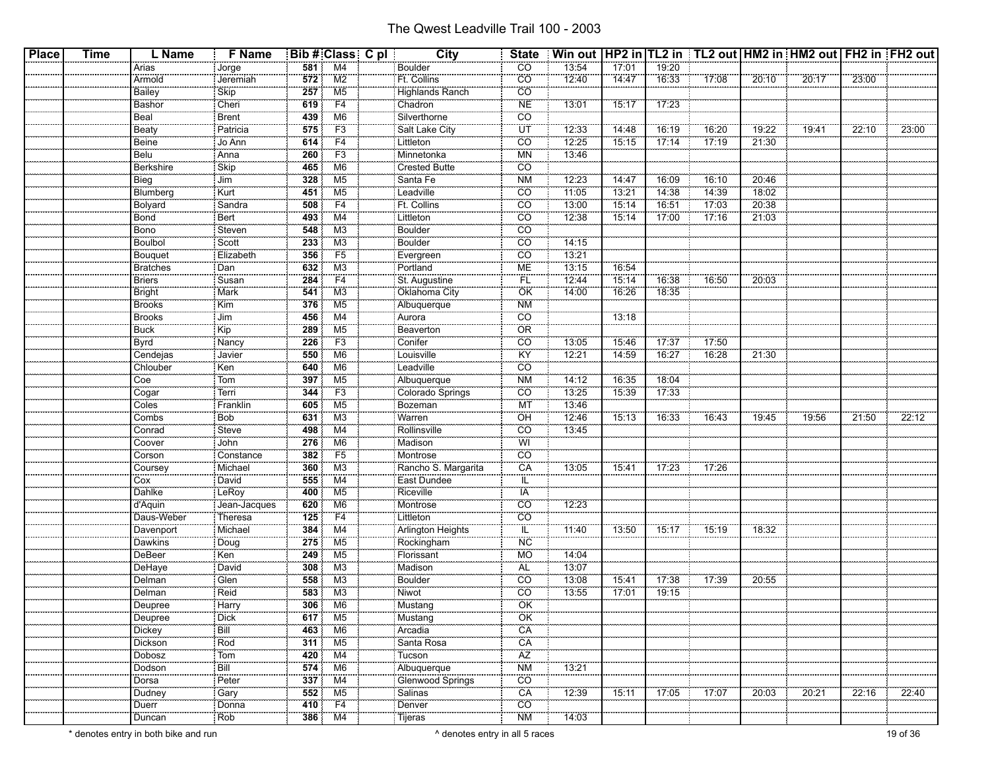| <b>Place</b> | <b>Time</b> | L Name           | F Name                |                  | Bib # Class C pl               | City                     | <b>State</b>            | Win out   HP2 in   TL2 in   TL2 out   HM2 in   HM2 out   FH2 in   FH2 out |       |       |          |       |       |       |       |
|--------------|-------------|------------------|-----------------------|------------------|--------------------------------|--------------------------|-------------------------|---------------------------------------------------------------------------|-------|-------|----------|-------|-------|-------|-------|
|              |             | Arias            | Jorge                 | 581              | M4                             | <b>Boulder</b>           | CO <sub>.</sub>         | 13:54                                                                     | 17:01 | 19:20 |          |       |       |       |       |
|              |             | Armold           | Jeremiah              | $\overline{572}$ | M2                             | Ft. Collins              | co.                     | 12:40                                                                     | 14:47 | 16:33 | $-17:08$ | 20:10 | 20:17 | 23:00 |       |
|              |             | Bailey           | Skip                  | 257              | M <sub>5</sub>                 | Highlands Ranch          | CO                      |                                                                           |       |       |          |       |       |       |       |
|              |             | Bashor           | Cheri                 | 619              | F4                             | Chadron                  | <b>NE</b>               | 13:01                                                                     | 15:17 | 17:23 |          |       |       |       |       |
|              |             | Beal             | Brent                 | 439              | M6                             | Silverthorne             | CO                      |                                                                           |       |       |          |       |       |       |       |
|              |             | Beaty            | Patricia              | 575              | F3                             | Salt Lake City           | ΪÜΤ                     | 12:33                                                                     | 14:48 | 16:19 | 16:20    | 19:22 | 19:41 | 22:10 | 23:00 |
|              |             | Beine            | Jo Ann                | 614              | F4                             |                          | CO                      | 12:25                                                                     | 15:15 | 17:14 | 17:19    | 21:30 |       |       |       |
|              |             | Belu             | Anna                  | 260              | F3                             | Littleton<br>Minnetonka  | <b>MN</b>               | 13:46                                                                     |       |       |          |       |       |       |       |
|              |             | <b>Berkshire</b> | Skip                  | 465              | M6                             | Crested Butte            | $\overline{co}$         |                                                                           |       |       |          |       |       |       |       |
|              |             | Bieg             | Jim                   | 328              | M5                             | Santa Fe                 | <b>NM</b>               | 12:23                                                                     | 14:47 | 16:09 | 16:10    | 20:46 |       |       |       |
|              |             | Blumberg         | Kurt                  | 451              | M <sub>5</sub>                 | Leadville                | co.                     | 11.05                                                                     | 13:21 | 14:38 | 14:39    | 18:02 |       |       |       |
|              |             | <b>Bolyard</b>   | Sandra                | 508              | F4                             | Ft. Collins              | $\overline{co}$         | 13:00                                                                     | 15:14 | 16:51 | 17:03    | 20:38 |       |       |       |
|              |             | Bond             | Bert                  | 493              | M4                             | Littleton                | CO                      | 12:38                                                                     | 15:14 | 17:00 | 17:16    | 21:03 |       |       |       |
|              |             | Bono             | Steven                | 548              | M <sub>3</sub>                 | Boulder                  | $\overline{CO}$         |                                                                           |       |       |          |       |       |       |       |
|              |             | Boulbol          | Scott                 | 233              | M3                             | Boulder                  | CO                      | 14:15                                                                     |       |       |          |       |       |       |       |
|              |             | Bouquet          | Elizabeth             | 356              | $\overline{F5}$                | Evergreen                | <b>CO</b>               | 13:21                                                                     |       |       |          |       |       |       |       |
|              |             | <b>Bratches</b>  | Dan                   | 632              | M <sub>3</sub>                 | Portland                 | <b>ME</b>               | 13:15                                                                     | 16:54 |       |          |       |       |       |       |
|              |             | <b>Briers</b>    | Susan                 | 284              | F4                             | St. Augustine            | FL                      | 12:44                                                                     | 15:14 | 16:38 | 16:50    | 20:03 |       |       |       |
|              |             | <b>Bright</b>    | Mark                  | 541              | ΜЗ                             | Oklahoma City            | <b>OK</b>               | 14:00                                                                     | 16:26 | 18:35 |          |       |       |       |       |
|              |             | Brooks           | Kim                   | 376              | M <sub>5</sub>                 | Albuquerque              | <b>NM</b>               |                                                                           |       |       |          |       |       |       |       |
|              |             | <b>Brooks</b>    | Jim                   | 456              | M4                             | Aurora                   | CO                      |                                                                           | 13:18 |       |          |       |       |       |       |
|              |             | <b>Buck</b>      | Kip                   | 289              | M5                             | Beaverton                | OR                      |                                                                           |       |       |          |       |       |       |       |
|              |             | Byrd             | : Nancy               | 226              | F <sub>3</sub>                 | Conifer                  | $\overline{CO}$         | 13:05                                                                     | 15:46 | 17:37 | 17:50    |       |       |       |       |
|              |             | Cendejas         | Javier                | 550              | M6                             | Louisville               | KŸ                      | 12:21                                                                     | 14:59 | 16:27 | 16:28    | 21:30 |       |       |       |
|              |             | Chlouber         | Ken                   | 640              | M <sub>6</sub>                 | Leadville                | CO                      |                                                                           |       |       |          |       |       |       |       |
|              |             | Coe              | Tom                   | 397              | M <sub>5</sub>                 | Albuquerque              | <b>NM</b>               | 14:12                                                                     | 16:35 | 18:04 |          |       |       |       |       |
|              |             | Cogar            | Terri                 | 344              | F <sub>3</sub>                 | Colorado Springs         | CO                      | 13:25                                                                     | 15:39 | 17:33 |          |       |       |       |       |
|              |             | Coles            | Franklin              | 605              | M <sub>5</sub>                 |                          | <b>MT</b>               | 13:46                                                                     |       |       |          |       |       |       |       |
|              |             | Combs            | Bob                   | 631              | M <sub>3</sub>                 | Bozeman<br>Warren        | OH                      | 12:46                                                                     | 15:13 | 16:33 | 16:43    | 19:45 | 19:56 | 21:50 | 22:12 |
|              |             | Conrad           | <b>Steve</b>          | 498              | M4                             | Rollinsville             | $\overline{CO}$         | 13:45                                                                     |       |       |          |       |       |       |       |
|              |             |                  | John                  | 276              | M <sub>6</sub>                 | Madison                  | WI                      |                                                                           |       |       |          |       |       |       |       |
|              |             | Coover<br>Corson | Constance             | 382              | F5                             | Montrose                 | $\overline{CO}$         |                                                                           |       |       |          |       |       |       |       |
|              |             | Coursey          | Michael               | 360              | M3                             | Rancho S. Margarita      | CA                      | 13:05                                                                     | 15:41 | 17:23 | 17:26    |       |       |       |       |
|              |             | Cox              | David                 | 555              | M4                             |                          | IL                      |                                                                           |       |       |          |       |       |       |       |
|              |             | Dahlke           | LeRoy                 | 400              | M5                             | East Dundee<br>Riceville | <b>IA</b>               |                                                                           |       |       |          |       |       |       |       |
|              |             | d'Aquin          | Jean-Jacques          | 620              | M6                             | Montrose                 | CO                      | 12:23                                                                     |       |       |          |       |       |       |       |
|              |             | Daus-Weber       | : Theresa             | 125              | F4                             | Littleton                | <b>CO</b>               |                                                                           |       |       |          |       |       |       |       |
|              |             | Davenport        | Michael               | 384              | $\overline{M4}$                | <b>Arlington Heights</b> | $\overline{\mathbb{L}}$ | 71:40                                                                     | 13:50 | 15:17 | 15:19    | 18:32 |       |       |       |
|              |             | Dawkins          | Doug                  | 275              | M5                             | Rockingham               | NC                      |                                                                           |       |       |          |       |       |       |       |
|              |             | DeBeer           | Ken                   | 249              | M5                             | Florissant               | <b>MO</b>               | 14:04                                                                     |       |       |          |       |       |       |       |
|              |             | DeHaye           | David                 | 308              | M <sub>3</sub>                 | Madison                  | AL                      | 13:07                                                                     |       |       |          |       |       |       |       |
|              |             | Delman           | Glen                  | 558              | M3                             | <b>Boulder</b>           | <b>CO</b>               | 13:08                                                                     | 15:41 | 17:38 | 17:39    | 20:55 |       |       |       |
|              |             | Delman           | Reid                  | 583              | M3                             | Niwot                    | CO                      | 13:55                                                                     | 17:01 | 19:15 |          |       |       |       |       |
|              |             | Deupree          | Harry                 | 306              | M <sub>6</sub>                 | Mustang                  | ÖK                      |                                                                           |       |       |          |       |       |       |       |
|              |             | .<br>Deupree     | : Dick                |                  | $\frac{1}{617}$ M <sub>5</sub> | Mustang                  | OK                      |                                                                           |       |       |          |       |       |       |       |
|              |             | <b>Dickey</b>    | Bill                  | 463              | M6                             | Arcadia                  | CA                      |                                                                           |       |       |          |       |       |       |       |
|              |             | Dickson          | Rod                   | 311              | M5                             | Santa Rosa               | CA                      |                                                                           |       |       |          |       |       |       |       |
|              |             | Dobosz           | $\sqrt{\frac{1}{10}}$ | 420              | M4                             | Tucson                   | $\overline{AZ}$         |                                                                           |       |       |          |       |       |       |       |
|              |             | Dodson           | Bill                  | 574              | M6                             | Albuquerque              | <b>NM</b>               | 13:21                                                                     |       |       |          |       |       |       |       |
|              |             | <br>Dorsa        | Peter                 | 337              | M4                             | <b>Glenwood Springs</b>  | $\overline{CO}$         |                                                                           |       |       |          |       |       |       |       |
|              |             | Dudney           | Gary                  | 552              | M5                             | Salinas                  | CA                      | 12:39                                                                     | 15:11 | 17:05 | 17:07    | 20:03 | 20:21 | 22:16 | 22:40 |
|              |             | Duerr            | Donna                 | 410              | $\overline{F4}$                | Denver                   | $\overline{CO}$         |                                                                           |       |       |          |       |       |       |       |
|              |             | .<br>Duncan      | : Rob                 | 386              | M4                             | <br>: Tijeras            | <b>NM</b>               | 14:03                                                                     |       |       |          |       |       |       |       |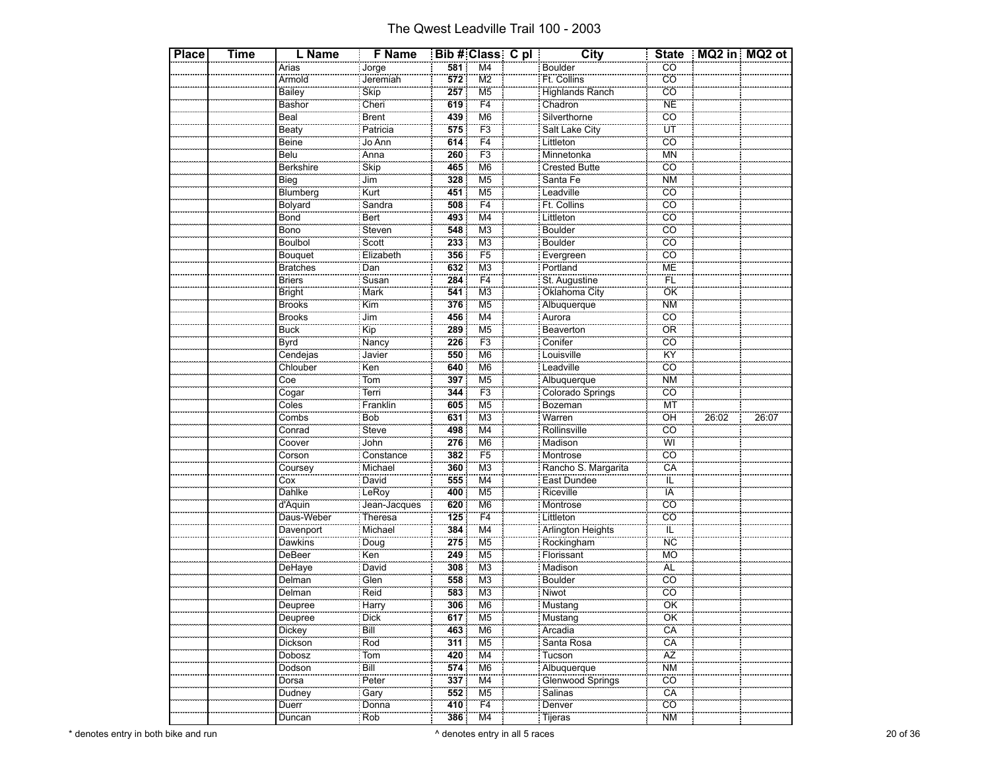| <b>Place</b> | Time | L Name                    | <b>F</b> Name           |     | Bib # Class C pl          | <b>City</b>                  |                              | State   MQ2 in   MQ2 ot |       |
|--------------|------|---------------------------|-------------------------|-----|---------------------------|------------------------------|------------------------------|-------------------------|-------|
|              |      | Arias                     |                         | 581 | M4                        | <b>Boulder</b>               | CO                           |                         |       |
|              |      | Armold                    | Jorge<br>Jeremiah       | 572 | $\overline{\text{M2}}$    | Ft. Collins                  | co                           |                         |       |
|              |      | <b>Bailey</b>             | Skip                    | 257 | M <sub>5</sub>            | <b>Highlands Ranch</b>       | $\overline{CO}$              |                         |       |
|              |      | Bashor                    | Cheri                   | 619 | F <sub>4</sub>            | Chadron                      | <b>NE</b>                    |                         |       |
|              |      | Beal                      | Brent                   | 439 | M <sub>6</sub>            | Silverthorne                 | <b>CO</b>                    |                         |       |
|              |      | Beaty                     | Patricia                | 575 | F3                        | Salt Lake City               | ΪÜΤ                          |                         |       |
|              |      | Beine                     | Jo Ann                  | 614 | $\overline{F4}$           | Littleton<br>Minnetonka      | $\overline{co}$              |                         |       |
|              |      | Belu                      | Anna                    | 260 | F <sub>3</sub>            |                              | <b>MN</b>                    |                         |       |
|              |      | <b>Berkshire</b>          | Skip                    | 465 | M <sub>6</sub>            | Crested Butte                | $\overline{CO}$              |                         |       |
|              |      | Bieg                      | Jim                     | 328 | M <sub>5</sub>            | Santa Fe                     | <b>NM</b>                    |                         |       |
|              |      | Blumberg                  | Kurt                    | 451 | M <sub>5</sub>            | Leadville                    | $\overline{c}\overline{o}$   |                         |       |
|              |      | Bolyard                   | Sandra                  | 508 | F4                        | Ft. Collins                  | $\overline{CO}$              |                         |       |
|              |      | Bond                      | Bert                    | 493 | $\overline{\mathsf{M4}}$  | Littleton                    | $\overline{c}$               |                         |       |
|              |      | <b>Bono</b>               | Steven                  | 548 | M <sub>3</sub>            | Boulder                      | $\overline{co}$              |                         |       |
|              |      | Boulbol                   | Scott                   | 233 | M <sub>3</sub>            | <b>Boulder</b>               | $\overline{co}$              |                         |       |
|              |      | Bouquet                   | Elizabeth               | 356 | $\overline{F5}$           | Evergreen<br>Portland        | $\overline{c}$               |                         |       |
|              |      | Bratches                  | Dan                     | 632 | M <sub>3</sub>            |                              | ME                           |                         |       |
|              |      | <b>Briers</b>             | Susan                   | 284 | F4                        | St. Augustine                | ΪË                           |                         |       |
|              |      | <b>Bright</b>             | Mark                    | 541 | $\overline{\mathsf{M}3}$  | Oklahoma City<br>Albuquerque | ÖK                           |                         |       |
|              |      | <b>Brooks</b>             | $\overline{\text{Kim}}$ | 376 | M <sub>5</sub>            |                              | <b>NM</b>                    |                         |       |
|              |      | <b>Brooks</b>             | Jim                     | 456 | M4                        | Aurora                       | $\overline{CO}$              |                         |       |
|              |      | <b>Buck</b>               | $\overline{\text{Kip}}$ | 289 | M <sub>5</sub>            | Beaverton                    | ÖR                           |                         |       |
|              |      | Byrd                      | Nancy                   | 226 | F <sub>3</sub>            | Conifer                      | CÖ                           |                         |       |
|              |      | Cendejas                  | Javier                  | 550 | M <sub>6</sub>            | Louisville                   | <b>KY</b>                    |                         |       |
|              |      | Chlouber                  | Ken                     | 640 | M <sub>6</sub>            | Leadville<br>Albuquerque     | $\overline{co}$              |                         |       |
|              |      | Coe                       | Tom                     | 397 | M <sub>5</sub>            |                              | <b>NM</b>                    |                         |       |
|              |      | Cogar                     | Terri                   | 344 | $\overline{F3}$           | Colorado Springs             | $\overline{CO}$              |                         |       |
|              |      | Coles                     | Franklin                | 605 | $\overline{\mathsf{M5}}$  | Bozeman                      | <b>MT</b>                    |                         |       |
|              |      | Combs                     | Bob                     | 631 | M <sub>3</sub>            |                              | OH                           | 26:02                   | 26:07 |
|              |      | Conrad                    | Steve                   | 498 | M4                        | Rollinsville                 | <u>co</u>                    |                         |       |
|              |      | Coover                    | John                    | 276 | M <sub>6</sub>            | Madison                      | wi                           |                         |       |
|              |      | Corson                    | Constance               | 382 | F <sub>5</sub>            | Montrose                     | cö                           |                         |       |
|              |      | Coursey                   | Michael                 | 360 | M <sub>3</sub>            | Rancho S. Margarita          | CA                           |                         |       |
|              |      | Cox                       | David                   | 555 | $\overline{\mathsf{M}}$ 4 | East Dundee                  | ΤĒ                           |                         |       |
|              |      | Dahlke                    | LeRoy                   | 400 | M <sub>5</sub>            | Riceville                    | ÏÄ                           |                         |       |
|              |      | d'Aquin                   | Jean-Jacques            | 620 | M6                        | Montrose                     | $\overline{CO}$              |                         |       |
|              |      | Daus-Weber                | Theresa                 | 125 | F <sub>4</sub>            | Littleton                    | $\overline{\text{CO}}$       |                         |       |
|              |      | Davenport                 | Michael                 | 384 | M <sub>4</sub>            | Arlington Heights            | ΪĽ                           |                         |       |
|              |      | Dawkins                   | Doug                    | 275 | M <sub>5</sub>            | Rockingham                   | <b>NC</b>                    |                         |       |
|              |      | DeBeer                    | Ken                     | 249 | M <sub>5</sub>            | Florissant                   | <b>MO</b>                    |                         |       |
|              |      | DeHaye                    | David                   | 308 | M <sub>3</sub>            | Madison                      | ÄĹ                           |                         |       |
|              |      | Delman                    | Glen                    | 558 | M <sub>3</sub>            | <b>Boulder</b>               | <u>co</u>                    |                         |       |
|              |      | Delman                    | Reid                    | 583 | M <sub>3</sub>            | Niwot                        | $\overline{co}$              |                         |       |
|              |      | Deupree                   | Harrv                   | 306 | M <sub>6</sub>            | Mustang                      | ÖK                           |                         |       |
|              |      | Deupree                   | Dick                    | 617 | M <sub>5</sub>            | Mustang                      | ÖK                           |                         |       |
|              |      | Dickey                    | Bill                    | 463 | M <sub>6</sub>            | Arcadia                      | CÄ                           |                         |       |
|              |      | Dickson                   | Rod                     | 311 | M <sub>5</sub>            | Santa Rosa                   | CÄ                           |                         |       |
|              |      | Dobosz<br><b>Contract</b> | Tom                     | 420 | M4                        | Tucson                       | ÄZ                           |                         |       |
|              |      | Dodson                    | Bill<br>Peter           | 574 | M <sub>6</sub>            | Albuquerque                  | $\overline{\text{NM}}$<br>co |                         |       |
|              |      | Dorsa                     |                         | 337 | M4                        | Glenwood Springs             |                              |                         |       |
|              |      | Dudney                    | Gary                    | 552 | M5                        | Salinas                      | CA                           |                         |       |
|              |      | Duerr                     | Donna                   | 410 | $\overline{F4}$           | Denver                       | $\overline{co}$              |                         |       |
|              |      | Duncan                    | Rob                     | 386 | M <sub>4</sub>            | : Tijeras                    | <b>NM</b>                    |                         |       |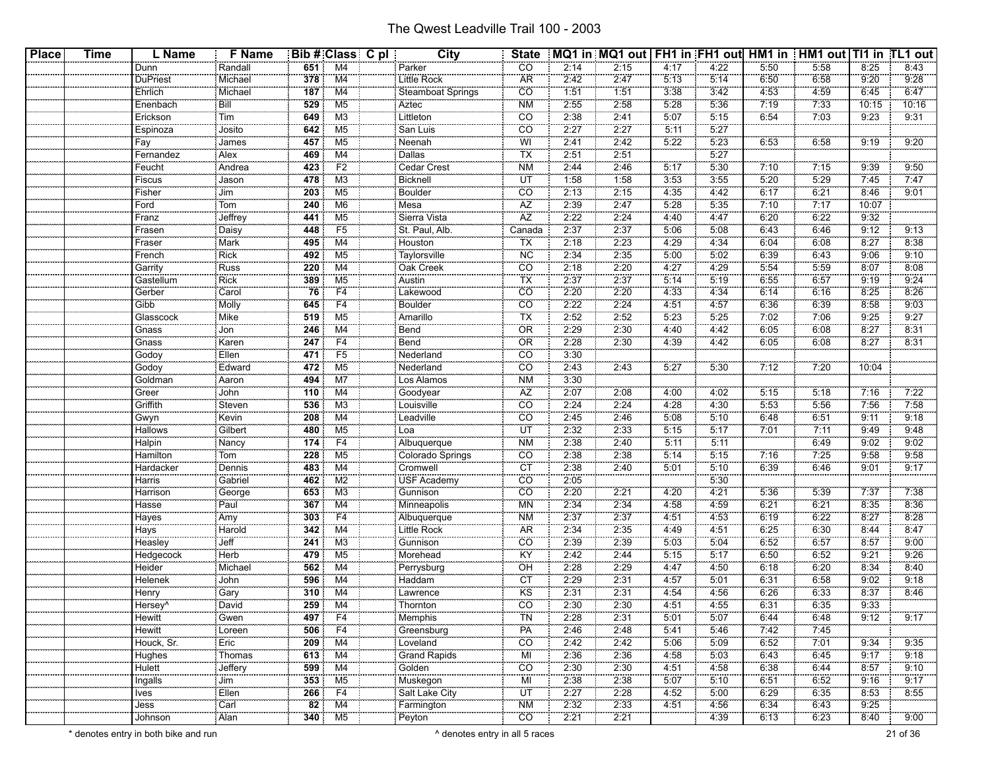| <b>Place</b> | <b>Time</b> | L Name               | <b>F</b> Name |                  | Bib # Class C pl    | City                       | <b>State</b>             |      | MQ1 in MQ1 out   FH1 in FH1 out  HM1 in   HM1 out   TI1 in TL1 out |      |         |      |      |       |       |
|--------------|-------------|----------------------|---------------|------------------|---------------------|----------------------------|--------------------------|------|--------------------------------------------------------------------|------|---------|------|------|-------|-------|
|              |             | Dunn                 | Randall       | 651              | M4                  | Parker                     | CO                       | 2:14 | 2:15                                                               | 4:17 | 4:22    | 5:50 | 5:58 | 8:25  | 8:43  |
|              |             | <b>DuPriest</b>      | Michael       | 378              | M4                  | Little Rock                | ÄR                       | 2:42 | 2:47                                                               | 5:13 | 5:14    | 6:50 | 6:58 | 9:20  | 9:28  |
|              |             | Ehrlich              | Michael       | 187              | M4                  | <b>Steamboat Springs</b>   | CO                       | 1:51 | 1:51                                                               | 3:38 | 3:42    | 4:53 | 4:59 | 6:45  | 6:47  |
|              |             | Enenbach             | Bill          | 529              | M <sub>5</sub>      | Aztec                      | <b>NM</b>                | 2:55 | 2:58                                                               | 5:28 | 5:36    | 7:19 | 7.33 | 10:15 | 10:16 |
|              |             | Erickson             | Tim           | 649              | M3                  | Littleton                  | CO                       | 2:38 | 2:41                                                               | 5:07 | 5:15    | 6:54 | 7.03 | 9:23  | 9:31  |
|              |             | Espinoza             | Josito        | 642              | M <sub>5</sub>      | San Luis                   | CO                       | 2:27 | 2:27                                                               | 5:11 | 5:27    |      |      |       |       |
|              |             | Fay                  | James         | 457              | M <sub>5</sub>      | Neenah                     | WI                       | 2:41 | 2:42                                                               | 5:22 | 5:23    | 6:53 | 6:58 | 9:19  | 9:20  |
|              |             | Fernandez            | Alex          | 469              | M4                  | Dallas                     | ΤX                       | 2:51 | 2:51                                                               |      | 5:27    |      |      |       |       |
|              |             | Feucht               | Andrea        | 423              | F <sub>2</sub>      | Cedar Crest                | <b>NM</b>                | 2:44 | 2:46                                                               | 5:17 | 5:30    | 7:10 | 7:15 | 9:39  | 9:50  |
|              |             | Fiscus               | Jason         | 478              | M <sub>3</sub>      | Bicknell                   | ÜΤ                       | 1:58 | 1:58                                                               | 3:53 | 3:55    | 5:20 | 5:29 | 7:45  | 7:47  |
|              |             | Fisher               | Jim           | $\overline{203}$ | M <sub>5</sub>      | <b>Boulder</b>             | CO                       | 2:13 | 2:15                                                               | 4:35 | 4:42    | 6:17 | 6:21 | 8:46  | 9:01  |
|              |             | Ford                 | Tom           | 240              | M <sub>6</sub>      | Mesa                       | AZ                       | 2:39 | 2:47                                                               | 5:28 | 5:35    | 7:10 | 7:17 | 10:07 |       |
|              |             | Franz                | Jeffrey       | 441              | M <sub>5</sub>      | Sierra Vista               | $\overline{AZ}$          | 2:22 | 2:24                                                               | 4:40 | 4:47    | 6:20 | 6:22 | 9:32  |       |
|              |             | Frasen               | Daisy         | 448              | F <sub>5</sub>      | St. Paul, Alb.             | Canada                   | 2:37 | 2:37                                                               | 5:06 | 5:08    | 6:43 | 6:46 | 9:12  | 9:13  |
|              |             | Fraser               | Mark          | 495              | M4                  | Houston                    | ТX                       | 2:18 | 2:23                                                               | 4:29 | 4:34    | 6:04 | 6:08 | 8:27  | 8:38  |
|              |             | French               | <b>Rick</b>   | 492              | M <sub>5</sub>      | Taylorsville               | <b>NC</b>                | 2:34 | 2:35                                                               | 5:00 | 5:02    | 6:39 | 6:43 | 9:06  | 9:10  |
|              |             | Garrity              | Russ          | 220              | M4                  | Oak Creek                  | CO                       | 2:18 | 2:20                                                               | 4:27 | 4:29    | 5:54 | 5:59 | 8:07  | 8:08  |
|              |             | Gastellum            | Rick          | 389              | M <sub>5</sub>      | Austin                     | ТX                       | 2:37 | 2:37                                                               | 5:14 | 5:19    | 6:55 | 6:57 | 9:19  | 9:24  |
|              |             | Gerber               | Carol         | 76               | F <sub>4</sub>      | Lakewood                   | CO                       | 2:20 | 2:20                                                               | 4:33 | 4:34    | 6:14 | 6:16 | 8:25  | 8:26  |
|              |             | Gibb                 | Molly         | 645              | F4                  | <b>Boulder</b>             | $\overline{CO}$          | 2:22 | 2:24                                                               | 4:51 | 4:57    | 6:36 | 6:39 | 8:58  | 9:03  |
|              |             | Glasscock            | Mike          | 519              | M <sub>5</sub>      | Amarillo                   | ТX                       | 2:52 | 2:52                                                               | 5:23 | 5:25    | 7:02 | 7:06 | 9:25  | 9:27  |
|              |             | Gnass                | Jon           | 246              | M4                  | Bend                       | <b>OR</b>                | 2:29 | 2:30                                                               | 4:40 | 4:42    | 6:05 | 6:08 | 8:27  | 8:31  |
|              |             | Gnass                | Karen         | 247              | F4                  | <br>Bend                   | ÖR                       | 2:28 | 2:30                                                               | 4:39 | 4.42    | 6:05 | 6:08 | 8:27  | 8:31  |
|              |             | Godoy                | Ellen         | 471              | F <sub>5</sub>      | Nederland                  | CO                       | 3:30 |                                                                    |      |         |      |      |       |       |
|              |             | Godoy                | Edward        | 472              | M <sub>5</sub>      | Nederland                  | CO                       | 2:43 | 2:43                                                               | 5:27 | 5:30    | 7:12 | 7:20 | 10:04 |       |
|              |             | Goldman              | Aaron         | 494              | M7                  | <br>Los Alamos             | <b>NM</b>                | 3:30 |                                                                    |      |         |      |      |       |       |
|              |             | Greer                | John          | 110              | M4                  | Goodyear                   | AΖ                       | 2:07 | 2:08                                                               | 4:00 | 4:02    | 5:15 | 5:18 | 7:16  | 7:22  |
|              |             | Griffith             | Steven        | 536              | M <sub>3</sub>      | Louisville                 | CO                       | 2:24 | 2:24                                                               | 4:28 | 4:30    | 5:53 | 5:56 | 7:56  | 7:58  |
|              |             | Gwyn                 | Kevin         | 208              | M4                  | Leadville                  | $\overline{CO}$          | 2:45 | 2:46                                                               | 5:08 | 5:10    | 6:48 | 6:51 | 9:11  | 9:18  |
|              |             | Hallows              | Gilbert       | 480              | M <sub>5</sub>      | Loa                        | ΪÜΤ                      | 2:32 | 2:33                                                               | 5:15 | 5:17    | 7:01 | 7:11 | 9:49  | 9:48  |
|              |             | Halpin               | Nancy         | 174              | F4                  | Albuquerque                | <b>NM</b>                | 2:38 | 2:40                                                               | 5:11 | 5:11    |      | 6:49 | 9:02  | 9:02  |
|              |             | Hamilton             | Tom           | 228              | M <sub>5</sub>      | Colorado Springs           | CÖ                       | 2:38 | 2:38                                                               | 5:14 | 5:15    | 7:16 | 7:25 | 9:58  | 9:58  |
|              |             | Hardacker            | Dennis        | 483              | M4                  | Cromwell                   | <b>CT</b>                | 2:38 | 2:40                                                               | 5:01 | 5:10    | 6:39 | 6:46 | 9:01  | 9:17  |
|              |             | Harris               | Gabriel       | 462              | M <sub>2</sub>      | USF Academy                | $\overline{CO}$          | 2:05 |                                                                    |      | 5:30    |      |      |       |       |
|              |             | Harrison             | George        | 653              | ΜЗ                  | Gunnison                   | CO                       | 2:20 | 2:21                                                               | 4:20 | 4:21    | 5:36 | 5:39 | 7:37  | 7:38  |
|              |             | Hasse                | Paul          | 367              | M4                  | Minneapolis                | <b>MN</b>                | 2:34 | 2:34                                                               | 4:58 | 4:59    | 6:21 | 6:21 | 8:35  | 8:36  |
|              |             | Hayes                | Amy           | 303              | F4                  | Albuquerque                | NΜ                       | 2:37 | 2:37                                                               | 4:51 | 4:53    | 6:19 | 6:22 | 8:27  | 8:28  |
|              |             | Hays                 | Harold        | 342              | M4                  | Little Rock                | <b>AR</b>                | 2:34 | 2:35                                                               | 4:49 | 4:51    | 6:25 | 6:30 | 8:44  | 8:47  |
|              |             | Heasley              | Jeff          | 241              | M <sub>3</sub>      | Gunnison                   | CO                       | 2:39 | 2:39                                                               | 5:03 | 5:04    | 6:52 | 6:57 | 8:57  | 9:00  |
|              |             | Hedgecock            | Herb          | 479              | M <sub>5</sub>      | Morehead                   | KY                       | 2:42 | 2:44                                                               | 5:15 | 5:17    | 6:50 | 6:52 | 9:21  | 9:26  |
|              |             | Heider               | Michael       | 562              | M4                  | Perrysburg                 | OH                       | 2:28 | 2:29                                                               | 4:47 | 4:50    | 6:18 | 6:20 | 8:34  | 8:40  |
|              |             | Helenek              | John          | 596              | M4                  | Haddam                     | <b>CT</b>                | 2:29 | 2:31                                                               | 4:57 | 5:01    | 6:31 | 6:58 | 9:02  | 9:18  |
|              |             | Henry                | Gary          | 310              | M4                  | Lawrence                   | <b>KS</b>                | 2:31 | 2:31                                                               | 4:54 | 4:56    | 6:26 | 6:33 | 8:37  | 8:46  |
|              |             | -lersev^             | David         | 259              | M4                  | Thornton                   | $\overline{CO}$          | 2:30 | 2:30                                                               | 4:51 | 4.55    | 6:31 | 6:35 | 9:33  |       |
|              |             | .<br>Hewitt          | .<br>Gwen     |                  | 497 F4              | Memphis                    | <b>TN</b>                | 2:28 | 2:31                                                               | 5:01 | 5:07    | 6:44 | 6:48 | 9:12  | 9:17  |
|              |             | <b>Hewitt</b>        | Loreen        |                  | $\overline{506}$ F4 | Greensburg                 | PA                       | 2:46 | 2:48                                                               | 5:41 | 5:46    | 7:42 | 7:45 |       |       |
|              |             | Houck, Sr.           | Eric          |                  | $209$ M4            | Loveland                   | $\overline{CO}$          | 2:42 | 2:42                                                               | 5:06 | $-5:09$ | 6:52 | 7:01 | 9:34  | 9:35  |
|              |             | Hughes               | Thomas        |                  | $613$ M4            | Grand Rapids               | ΜÏ                       | 2:36 | 2:36                                                               | 4:58 | 5:03    | 6:43 | 6:45 | 9:17  | 9:18  |
|              |             | Hulett               | Jeffery       |                  | $599$ M4            | Golden                     | $\overline{CO}$          | 2:30 | 2:30                                                               | 4:51 | 4:58    | 6:38 | 6:44 | 8:57  | 9:10  |
|              |             |                      | <br>Jim       |                  | $353$ M5            | .                          | $\overline{\mathsf{MI}}$ | 2:38 | 2:38                                                               | 5:07 | 5:10    | 6:51 | 6:52 | 9:16  | 9:17  |
|              |             | Ingalls<br>Ives      | Ellen         |                  | $266$ $F4$          | Muskegon<br>Salt Lake City | ÜT                       | 2:27 | 2:28                                                               | 4:52 | 5:00    | 6:29 | 6:35 | 8:53  | 8:55  |
|              |             | $\frac{1}{\sqrt{2}}$ | Carl          |                  | $\overline{82}$ M4  | Farmington                 | <b>NM</b>                | 2:32 | 2:33                                                               | 4:51 | 4:56    | 6:34 | 6:43 | 9:25  |       |
|              |             | Johnson              | 5.<br>: Alan  |                  | <b>340</b> M5       | Peyton                     | co.                      | 2:21 | 2:21                                                               |      | 4:39    | 6:13 | 6:23 | 8:40  | 9:00  |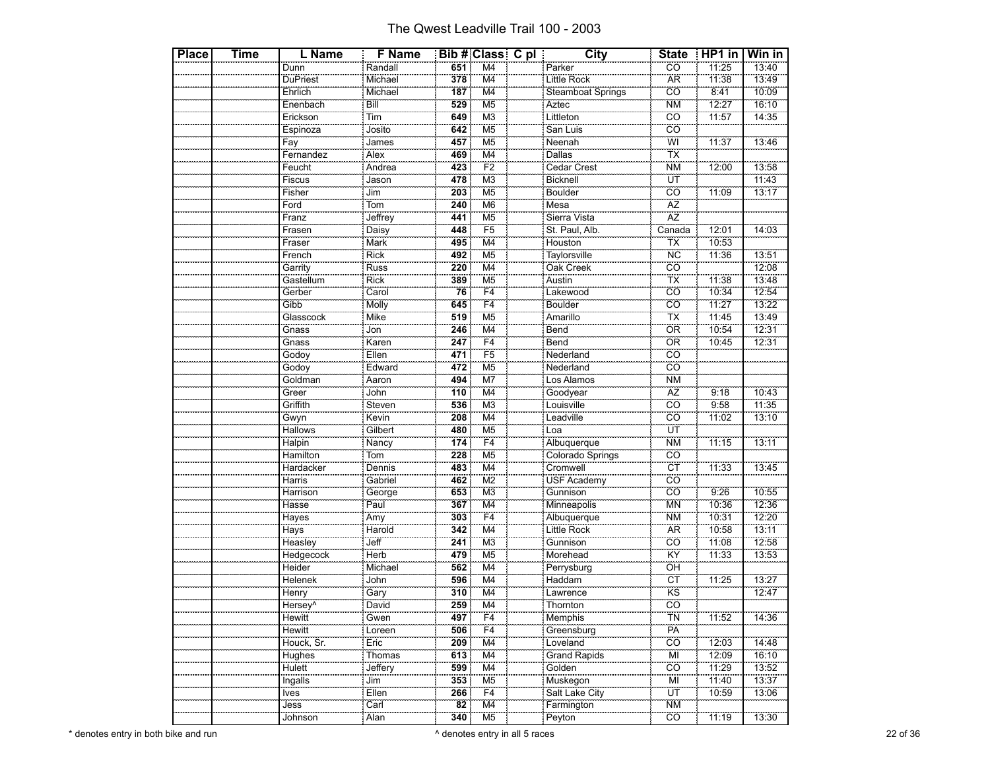| <b>Place</b> | <b>Time</b> | L Name              | <b>F</b> Name    |     | Bib # Class C pl          | <b>City</b>                  | <b>State</b>    | $HPI$ in | Win in            |
|--------------|-------------|---------------------|------------------|-----|---------------------------|------------------------------|-----------------|----------|-------------------|
|              |             | Dunn                | Randall          | 651 | $\overline{\mathsf{M}}$ 4 | Parker                       | CÔ              | 11:25    | 13:40             |
|              |             | DuPriest            | Michael          | 378 | M <sub>4</sub>            | Little Rock                  | <b>AR</b>       | 11:38    | 13:49             |
|              |             | Ehrlich             | Michael          | 187 | M4                        | <b>Steamboat Springs</b>     | $\overline{co}$ | 8:41     | 10:09             |
|              |             | Enenbach            | Bill             | 529 | M <sub>5</sub>            |                              | <b>NM</b>       | 12:27    | 16:10             |
|              |             | Erickson            | <br>Tim          | 649 | M <sub>3</sub>            | Aztec<br>Littleton           | cö              | 11:57    | 14:35             |
|              |             | Espinoza            | Josito           | 642 | M <sub>5</sub>            | San Luis                     | CO              |          |                   |
|              |             | Fay                 | James            | 457 | M <sub>5</sub>            |                              | Wİ              | 11:37    | 13:46             |
|              |             | Fernandez           | Alex             | 469 | M <sub>4</sub>            | Neenah<br>Dallas             | TX              |          |                   |
|              |             | Feucht              | Andrea           | 423 | F2                        | <b>Cedar Crest</b>           | ΝM              | 12:00    | 13:58             |
|              |             | Fiscus              |                  | 478 | M <sub>3</sub>            | Bicknell                     | ΪÜΤ             |          | 11:43             |
|              |             | Fisher              | Jason<br>Jim     | 203 | M <sub>5</sub>            | Boulder                      | cö              | 11:09    | 13:17             |
|              |             | Ford                | Tom              | 240 | M <sub>6</sub>            | Mesa                         |                 |          |                   |
|              |             | Franz               | Jeffrey<br>Daisy | 441 | M <sub>5</sub>            | Sierra Vista                 | $\frac{AZ}{AZ}$ |          |                   |
|              |             | Frasen              |                  | 448 | F <sub>5</sub>            | St. Paul, Alb.               | Canada          | 12:01    | 14:03             |
|              |             | Fraser              | Mark             | 495 | M4                        | Houston                      | ТX              | 10:53    |                   |
|              |             | French              | <b>Rick</b>      | 492 | M <sub>5</sub>            | Taylorsville                 | <b>NC</b>       | 11:36    | 13:51             |
|              |             | Garrity             | Russ             | 220 | M <sub>4</sub>            | Oak Creek                    | cö              |          | 12:08             |
|              |             | Gastellum           | Rick             | 389 | M <sub>5</sub>            | Austin                       | ТX              | 11:38    | 13:48             |
|              |             | Gerber              |                  | 76  | F4                        |                              | CO              | 10:34    | $\frac{1}{12:54}$ |
|              |             | Gibb                | Carol<br>Molly   | 645 | F <sub>4</sub>            | Lakewood<br>Boulder          | cö              | 11:27    | 13:22             |
|              |             | Glasscock           | Mike             | 519 | M <sub>5</sub>            | Amarillo                     | ТX              | 11:45    | 13:49             |
|              |             |                     | Jon              | 246 | M <sub>4</sub>            |                              | ÖR              | 10:54    | 12:31             |
|              |             | Gnass               | Karen            | 247 | F <sub>4</sub>            | Bend<br>Bend                 | ÖR              | 10:45    | 12:31             |
|              |             | Godoy               | Ellen            | 471 | F <sub>5</sub>            | Nederland                    | CO              |          |                   |
|              |             | Godoy               |                  | 472 | $\overline{\mathsf{M5}}$  | Nederland                    | $\overline{co}$ |          |                   |
|              |             | Goldman             | Edward<br>Aaron  | 494 | M7                        | Los Alamos                   | <b>NM</b>       |          |                   |
|              |             | Greer               | John             | 110 | M4                        | Goodyear                     | AZ              | 9:18     | 10:43             |
|              |             | Griffith            |                  | 536 | M <sub>3</sub>            | Louisville                   | cö              | 9:58     | 11:35             |
|              |             | Gwyn                | Steven<br>Kevin  | 208 | M <sub>4</sub>            | Leadville                    | CÖ              | 11:02    | 13:10             |
|              |             | Hallows             | Gilbert          | 480 | M <sub>5</sub>            | Loa                          | UT              |          |                   |
|              |             | Halpin              |                  | 174 | F4                        | Albuquerque                  | <b>NM</b>       | 11:15    | 13:11             |
|              |             | Hamilton            | Nancy<br>Tom     | 228 | M5                        | Colorado Springs             | CÖ              |          |                   |
|              |             | Hardacker           | Dennis           | 483 | M4                        | Cromwell                     | <b>CT</b>       | 11:33    | 13:45             |
|              |             | Harris              | Gabriel          | 462 | $\overline{\text{M2}}$    | USF Academy                  | $\overline{co}$ |          |                   |
|              |             | Harrison            | George           | 653 | M <sub>3</sub>            | ----------------<br>Gunnison | cö              | 9:26     | 10:55             |
|              |             | Hasse               | Paul             | 367 | M4                        | Minneapolis                  | <b>MN</b>       | 10:36    | 12:36             |
|              |             | Hayes               |                  | 303 | F4                        | Albuquerque                  | <b>NM</b>       | 10:31    | $\frac{1}{12:20}$ |
|              |             | <b>Hays</b>         | Amy<br>Harold    | 342 | M <sub>4</sub>            | Little Rock                  | <b>AR</b>       | 10:58    | 13:11             |
|              |             | Heasley             | Jeff             | 241 | M <sub>3</sub>            | Gunnison                     | CO              | 11:08    | 12:58             |
|              |             | Hedgecock           | Herb             | 479 | M <sub>5</sub>            | Morehead                     | KŸ              | 11:33    | 13:53             |
|              |             | Heider              | Michael          | 562 | M <sub>4</sub>            | Perrysburg                   | ÖĤ              |          |                   |
|              |             | Helenek             | John             | 596 | M4                        | Haddam                       | СT              | 11:25    | 13:27             |
|              |             | Henry               | Gary<br>David    | 310 | $\overline{\mathsf{M}}$ 4 | Lawrence                     | KS              |          | 12:47             |
|              |             | Hersey <sup>N</sup> |                  | 259 | M4                        | Thornton                     | cö              |          |                   |
|              |             | Hewitt              | Gwen             | 497 | F4                        | Memphis                      | TÑ              | 11:52    | 14:36             |
|              |             | Hewitt              | Loreen           | 506 | F4                        | Greensburg                   | PA              |          |                   |
|              |             | Houck, Sr.          | Eric             | 209 | M4                        | Loveland                     | CO              | 12:03    | 14:48             |
|              |             | Hughes              | Thomas           | 613 | M4                        | <b>Grand Rapids</b>          | MI              | 12:09    | 16:10             |
|              |             | Hulett              | Jeffery          | 599 | $\overline{\mathsf{M}}$ 4 | Golden                       | CO              | 11:29    | 13:52             |
|              |             | Ingalls             | Jim              | 353 | M <sub>5</sub>            | Muskegon                     | MI              | 11:40    | 13:37             |
|              |             | Ives<br>oocea       | Ellen            | 266 | F4                        | Salt Lake City               | UT              | 10:59    | 13:06             |
|              |             | Jess                | Carl             | 82  | M <sub>4</sub>            | Farmington                   | <b>NM</b>       |          |                   |
|              |             | Johnson             | Alan             | 340 | M <sub>5</sub>            | Peyton                       | CÖ.             | 11:19    | 13:30             |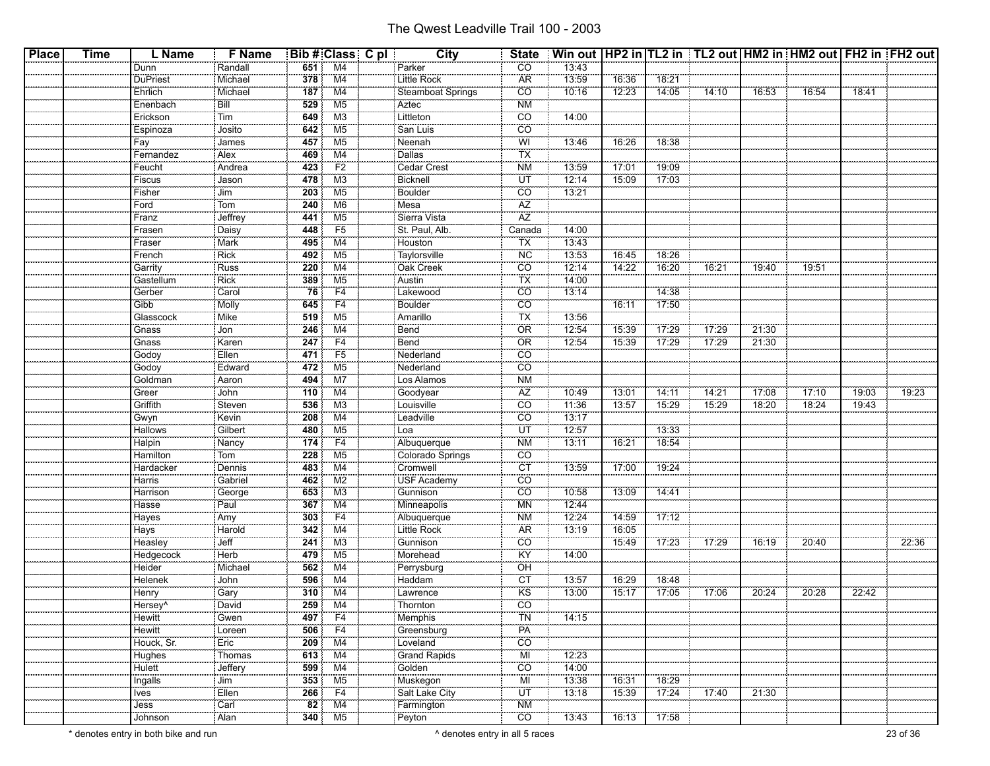| <b>Place</b> | <b>Time</b> | L Name                  | <b>F</b> Name        |                 | <b>Bib # Class C pl</b>                    | <b>City</b>                         |                          | State Win out   HP2 in   TL2 in   TL2 out   HM2 in   HM2 out   FH2 in   FH2 out |                |                |       |       |       |       |       |
|--------------|-------------|-------------------------|----------------------|-----------------|--------------------------------------------|-------------------------------------|--------------------------|---------------------------------------------------------------------------------|----------------|----------------|-------|-------|-------|-------|-------|
|              |             | Dunn                    | Randall              | 651             | M <sub>4</sub>                             | Parker                              | CO                       | 13:43                                                                           |                |                |       |       |       |       |       |
|              |             | DuPriest                | Michael              | 378             | $\overline{M4}$                            | Little Rock                         | <b>AR</b>                | 13:59                                                                           | 16:36          | 18:21          |       |       |       |       |       |
|              |             | Ehrlich                 | Michael              | 187             | M4                                         | Steamboat Springs                   | CO                       | 10:16                                                                           | 12:23          | 14:05          | 14:10 | 16:53 | 16:54 | 18:41 |       |
|              |             | Enenbach                | Bill                 | 529             | $\overline{\mathsf{M5}}$                   | Aztec                               | <b>NM</b>                |                                                                                 |                |                |       |       |       |       |       |
|              |             | Erickson                | $\frac{1}{1}$        | 649             | M <sub>3</sub>                             | Littleton                           | $\overline{co}$          | 14:00                                                                           |                |                |       |       |       |       |       |
|              |             | Espinoza                | Josito               | 642             | M <sub>5</sub>                             | San Luis                            | $\overline{CO}$          |                                                                                 |                |                |       |       |       |       |       |
|              |             | Fay                     | James                | 457             | M <sub>5</sub>                             | Neenah                              | WI                       | 13:46                                                                           | 16:26          | 18:38          |       |       |       |       |       |
|              |             | Fernandez               | Alex                 | 469             | $\overline{\mathsf{M4}}$                   | Dallas                              | <b>TX</b>                |                                                                                 |                |                |       |       |       |       |       |
|              |             | Feucht                  | Andrea               | 423             | F2                                         | Cedar Crest                         | <b>NM</b>                | 13:59                                                                           | 17:01          | 19:09          |       |       |       |       |       |
|              |             | <b>Fiscus</b>           | Jason                | 478             | M3                                         | Bicknell                            | UT                       | 12:14                                                                           | 15:09          | 17:03          |       |       |       |       |       |
|              |             | Fisher                  | $\frac{1}{\sqrt{2}}$ | 203             | M <sub>5</sub>                             | Boulder                             | <b>CO</b>                | 13:21                                                                           |                |                |       |       |       |       |       |
|              |             | Ford                    | Tom                  | 240             | M6                                         | Mesa                                | $\overline{\mathsf{AZ}}$ |                                                                                 |                |                |       |       |       |       |       |
|              |             | Franz                   |                      | 441             | M <sub>5</sub>                             | Sierra Vista                        | ÄŻ                       |                                                                                 |                |                |       |       |       |       |       |
|              |             | Frasen                  | Jeffrey<br>Daisy     | 448             | F5                                         | St. Paul, Alb.                      | .<br>Canada              | 14:00                                                                           |                |                |       |       |       |       |       |
|              |             | Fraser                  | Mark                 | 495             | M4                                         | Houston                             | TX                       | 13:43                                                                           |                |                |       |       |       |       |       |
|              |             | French                  | <b>Rick</b>          | 492             | M <sub>5</sub>                             | Taylorsville                        | <b>NC</b>                | 13:53                                                                           | 16:45          | 18:26          |       |       |       |       |       |
|              |             | Garrity                 | $\frac{1}{R}$ Russ   | 220             | $\overline{M4}$                            | Oak Creek                           | <b>CO</b>                | 12:14                                                                           | 14:22          | 16:20          | 76:21 | 19:40 | 19:51 |       |       |
|              |             | Gastellum               | Rick                 | 389             | M5                                         | : Austin                            | <b>TX</b>                | 14:00                                                                           |                |                |       |       |       |       |       |
|              |             | Gerber                  | Carol                | 76              | F4                                         | Lakewood                            | <b>CO</b>                | 13:14                                                                           |                | 14:38          |       |       |       |       |       |
|              |             | $\frac{1}{\text{Gibb}}$ | Molly                | 645             | F4                                         | Boulder                             | $\overline{co}$          |                                                                                 | 16:11          | 17:50          |       |       |       |       |       |
|              |             | Glasscock               | Mike                 | 519             | M <sub>5</sub>                             | Amarillo                            | ТX                       | 13:56                                                                           |                |                |       |       |       |       |       |
|              |             | Gnass                   | Jon                  | 246             | M4                                         | Bend                                | OR                       | 12:54                                                                           | 15:39          | 17:29          | 17:29 | 21:30 |       |       |       |
|              |             | $rac{34}{6}$            | Karen                | 247             | F4                                         | Bend                                | OR                       | 12:54                                                                           | 15:39          | 17:29          | 17:29 | 21:30 |       |       |       |
|              |             |                         | Ellen                | 471             | F <sub>5</sub>                             | Nederland                           | $\overline{CO}$          |                                                                                 |                |                |       |       |       |       |       |
|              |             | Godoy                   | Edward               | 472             | $\overline{\mathsf{M5}}$                   | Nederland                           | $\overline{co}$          |                                                                                 |                |                |       |       |       |       |       |
|              |             | Godoy<br>Goldman        | Aaron                | 494             | $\overline{\text{M7}}$                     | Los Alamos                          | <b>NM</b>                |                                                                                 |                |                |       |       |       |       |       |
|              |             | Greer                   | John                 | 110             | M4                                         |                                     | AZ                       | 10:49                                                                           | 13:01          | 14:11          | 14:21 | 17:08 | 17:10 | 19:03 | 19:23 |
|              |             | Griffith                | Steven               | 536             | M3                                         | Goodyear<br>Louisville              | $\overline{co}$          | 11:36                                                                           | 13:57          | 15:29          | 15:29 | 18:20 | 18:24 | 19:43 |       |
|              |             | Gwyn                    | Kevin                | 208             | M <sub>4</sub>                             | Leadville                           | <b>CO</b>                | 13:17                                                                           |                |                |       |       |       |       |       |
|              |             | <b>Hallows</b>          |                      | 480             | M <sub>5</sub>                             |                                     | ÜΤ                       | 12:57                                                                           |                |                |       |       |       |       |       |
|              |             |                         | Gilbert              |                 | F4                                         | Loa                                 | <b>NM</b>                | $\overline{13:11}$                                                              | 16:21          | 13:33<br>18:54 |       |       |       |       |       |
|              |             | Halpin<br>Hamilton      | Nancy<br>Tom         | 174<br>228      | M <sub>5</sub>                             | Albuquerque<br>Colorado Springs     | <b>CO</b>                |                                                                                 |                |                |       |       |       |       |       |
|              |             |                         | Dennis               | 483             | M4                                         |                                     | ÖΤ                       | 13:59                                                                           | 17:00          | 19:24          |       |       |       |       |       |
|              |             | Hardacker               |                      |                 |                                            | Cromwell<br>USF Academy<br>Gunnison | $\overline{CO}$          |                                                                                 |                |                |       |       |       |       |       |
|              |             | Harris<br>Harrison      | Gabriel<br>George    | 462<br>653      | M2<br>M <sub>3</sub>                       |                                     | <b>CO</b>                | 70:58                                                                           | 13:09          | 14:41          |       |       |       |       |       |
|              |             |                         |                      |                 |                                            |                                     |                          |                                                                                 |                |                |       |       |       |       |       |
|              |             | Hasse                   | Paul                 | 367             | M4<br>F4                                   | Minneapolis                         | <b>MN</b>                | 12:44<br>12:24                                                                  |                | 17:12          |       |       |       |       |       |
|              |             | Hayes<br>Hays           | Amy<br>Harold        | 303<br>342      | $\overline{\mathsf{M4}}$                   | Albuquerque                         | <b>NM</b><br><b>AR</b>   | 13:19                                                                           | 14:59<br>16:05 |                |       |       |       |       |       |
|              |             |                         |                      |                 |                                            |                                     |                          |                                                                                 |                |                |       |       |       |       |       |
|              |             | Heasley                 | Jeff                 | 241             | M <sub>3</sub><br>$\overline{\mathsf{M5}}$ | Gunnison                            | $\overline{CO}$<br>KŸ    |                                                                                 | 15:49          | 17:23          | 17:29 | 16:19 | 20:40 |       | 22:36 |
|              |             | Hedgecock               | Herb<br>Michael      | 479             | M <sub>4</sub>                             | Morehead<br>Perrysburg              | OH                       | 14:00                                                                           |                |                |       |       |       |       |       |
|              |             | Heider                  |                      | 562             |                                            |                                     |                          |                                                                                 |                |                |       |       |       |       |       |
|              |             | Helenek                 | John                 | 596             | M4<br>$\overline{\mathsf{M4}}$             | Haddam                              | <b>CT</b>                | 13:57                                                                           | 16:29          | 18:48          |       |       |       |       |       |
|              |             | Henry                   | Gary<br>David        | 310             | M4                                         | Lawrence<br>Thornton                | <b>KS</b><br>CO          | 13:00                                                                           | 15:17          | 17:05          | 17:06 | 20:24 | 20:28 | 22:42 |       |
|              |             | Hersey <sup>^</sup>     |                      | 259             |                                            |                                     |                          |                                                                                 |                |                |       |       |       |       |       |
|              |             | Hewitt                  | Gwen                 |                 | 497 F4                                     | Memphis                             | <b>TN</b>                | 14:15                                                                           |                |                |       |       |       |       |       |
|              |             | <b>Hewitt</b>           | Loreen               | 506             | $\overline{F4}$                            | Greensburg                          | PÄ                       |                                                                                 |                |                |       |       |       |       |       |
|              |             | Houck, Sr.              | Eric <sup>1</sup>    | 209             | M4                                         | Loveland                            | <b>CO</b>                |                                                                                 |                |                |       |       |       |       |       |
|              |             | Hughes                  | Thomas               | 613             | M4                                         | <b>Grand Rapids</b>                 | MI                       | 12:23                                                                           |                |                |       |       |       |       |       |
|              |             | Hulett                  | Jeffery<br>Jim       | 599             | M4                                         | Golden                              | $\overline{CO}$          | 14:00                                                                           |                |                |       |       |       |       |       |
|              |             | Ingalls                 |                      | 353             | M <sub>5</sub>                             | Muskegon                            | MI                       | $-13:38$                                                                        | 16:31          | 18:29          |       |       |       |       |       |
|              |             | Ives                    | Ellen                | 266             | F4                                         | Salt Lake City                      | ΪŰΤ                      | 13:18                                                                           | 15:39          | 17:24          | 17:40 | 21:30 |       |       |       |
|              |             | Jess<br>Johnson         | Carl<br>Alan         | $\overline{82}$ | $\overline{\mathsf{M4}}$                   | Farmington                          | <b>NM</b>                |                                                                                 |                |                |       |       |       |       |       |
|              |             |                         |                      | 340             | M <sub>5</sub>                             |                                     | CO                       | 73:43                                                                           | 16:13          | 77:58          |       |       |       |       |       |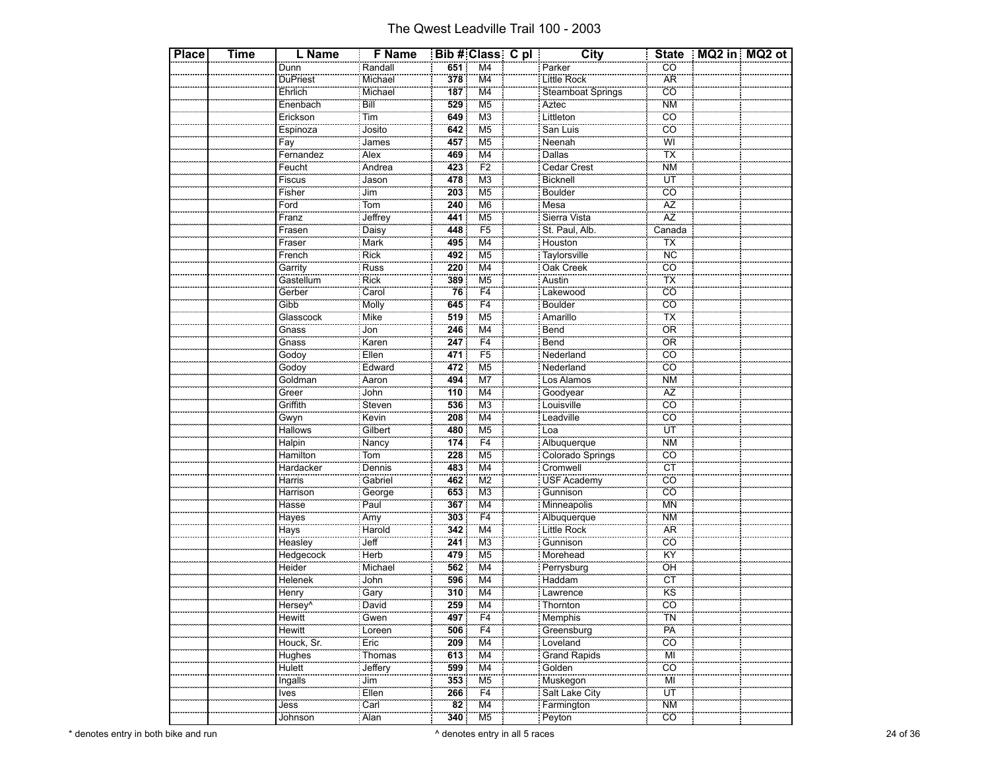| <b>Place</b> | Time | L Name          | <b>F</b> Name     |                 | Bib # Class C pl          | <b>City</b>                     |                                       | State   MQ2 in   MQ2 ot |  |
|--------------|------|-----------------|-------------------|-----------------|---------------------------|---------------------------------|---------------------------------------|-------------------------|--|
|              |      | Dunn            | Randall           | 651             | $\overline{\mathsf{M}}$ 4 | Parker                          | $\overline{CO}$                       |                         |  |
|              |      | DuPriest        | Michael           | 378             | $\overline{\mathsf{M}}$ 4 | Little Rock                     | <b>AR</b>                             |                         |  |
|              |      | Ehrlich         | Michael           | 187             | M4                        | <b>Steamboat Springs</b>        | CO                                    |                         |  |
|              |      | Enenbach        | Bill              | 529             | $\overline{\mathsf{M5}}$  |                                 | $\overline{\text{NM}}$                |                         |  |
|              |      | Erickson        | <br>Tim           | 649             | M <sub>3</sub>            | Aztec<br>Littleton              | $\overline{c}\overline{o}$            |                         |  |
|              |      | Espinoza        | Josito            | 642             | M <sub>5</sub>            | San Luis                        | <u>co</u>                             |                         |  |
|              |      | Fay             | James             | 457             | $\overline{\mathsf{M5}}$  |                                 | Wİ                                    |                         |  |
|              |      | Fernandez       | Alex              | 469             | M <sub>4</sub>            | Neenah<br>Dallas                | ΪX                                    |                         |  |
|              |      | Feucht          | Andrea            | 423             | F2                        | Cedar Crest                     | <b>NM</b>                             |                         |  |
|              |      | Fiscus          | Jason             | 478             | $\overline{\mathsf{M}3}$  | Bicknell                        | ÜŤ                                    |                         |  |
|              |      | Fisher          | .<br>Jim          | 203             | M <sub>5</sub>            | Boulder                         | cö                                    |                         |  |
|              |      | Ford            | Tom               | 240             | M <sub>6</sub>            | Mesa                            |                                       |                         |  |
|              |      | Franz           | Jeffrey<br>Daisy  | 441             | $\overline{\mathsf{M5}}$  | Sierra Vista                    | $\frac{AZ}{AZ}$                       |                         |  |
|              |      | Frasen          |                   | 448             | F <sub>5</sub>            | St. Paul, Alb.                  | $\overline{\overline{\text{Canada}}}$ |                         |  |
|              |      | Fraser          | Mark              | 495             | M4                        | Houston                         | ТX                                    |                         |  |
|              |      | French          | Rick              | 492             | $\overline{\mathsf{M5}}$  |                                 | <b>NC</b>                             |                         |  |
|              |      | Garrity         | Russ              | 220             | $\overline{\mathsf{M}}$ 4 | Taylorsville<br>Oak Creek       | CÖ                                    |                         |  |
|              |      | Gastellum       | Rick              | 389             | M5                        | Austin                          | TX                                    |                         |  |
|              |      | Gerber          |                   | 76              | F <sub>4</sub>            |                                 | $\overline{co}$                       |                         |  |
|              |      | Gibb            | Carol<br>Molly    | 645             | $\overline{F}4$           | Lakewood<br>Boulder             | $\overline{co}$                       |                         |  |
|              |      | Glasscock       | Mike              | 519             | M <sub>5</sub>            | Amarillo                        | TX                                    |                         |  |
|              |      | Gnass           | Jon               | 246             | $\overline{\mathsf{M}}$ 4 |                                 | OR                                    |                         |  |
|              |      | Gnass           | Karen             | 247             | F4                        | Bend<br>Bend                    | ÖR                                    |                         |  |
|              |      | Godoy           | Ellen             | 471             | F <sub>5</sub>            | Nederland                       | $\overline{CO}$                       |                         |  |
|              |      | Godoy           |                   | 472             | $\overline{\mathsf{M5}}$  | Nederland                       | $\overline{co}$                       |                         |  |
|              |      | Goldman         | Edward<br>Aaron   | 494             | M7                        | Los Alamos                      | <b>NM</b>                             |                         |  |
|              |      | Greer           | John              | 110             | M <sub>4</sub>            | Goodyear                        | AZ                                    |                         |  |
|              |      | Griffith        |                   | 536             | M <sub>3</sub>            | Louisville<br>Leadville         | $\overline{co}$                       |                         |  |
|              |      | Gwyn            | Steven<br>Kevin   | 208             | M <sub>4</sub>            |                                 | co                                    |                         |  |
|              |      | Hallows         | Gilbert           | 480             | M <sub>5</sub>            | Loa                             | ΪÜΤ                                   |                         |  |
|              |      | Halpin          | Nancy<br>Tom      | 174             | $\overline{F4}$           | Albuquerque<br>Colorado Springs | <b>NM</b>                             |                         |  |
|              |      | Hamilton        |                   | 228             | M <sub>5</sub>            |                                 | co                                    |                         |  |
|              |      | Hardacker       | Dennis            | 483             | M4                        | Cromwell                        | CT                                    |                         |  |
|              |      | Harris          | Gabriel           | 462             | $\overline{\mathsf{M2}}$  | USF Academy                     | $\overline{co}$                       |                         |  |
|              |      | Harrison        | George            | 653             | M <sub>3</sub>            | ----------------<br>Gunnison    | $\overline{c}\overline{o}$            |                         |  |
|              |      | Hasse           | Paul              | 367             | M4                        | Minneapolis                     | <b>MN</b>                             |                         |  |
|              |      | Hayes           | Amy<br>Harold     | 303             | $\overline{F4}$           | Albuquerque<br>Little Rock      | <b>NM</b>                             |                         |  |
|              |      | Hays            |                   | 342             | $\overline{\mathsf{M}}$ 4 |                                 | <b>AR</b>                             |                         |  |
|              |      | Heasley         | Jeff              | 241             | M <sub>3</sub>            | Gunnison                        | CO                                    |                         |  |
|              |      | Hedgecock       | Herb              | 479             | M <sub>5</sub>            | Morehead                        | KŸ                                    |                         |  |
|              |      | Heider          | Michael           | 562             | M <sub>4</sub>            | Perrysburg                      | ÖH                                    |                         |  |
|              |      | Helenek         | John              | 596             | M4                        | Haddam                          | <b>CT</b>                             |                         |  |
|              |      | Henry           | Gary              | 310             | $\overline{\mathsf{M}}$ 4 | Lawrence<br>Thornton            | KS                                    |                         |  |
|              |      | Hersev^         | David             | 259             | $\overline{M4}$           |                                 | cö                                    |                         |  |
|              |      | Hewitt          | Gwen              | 497             | F4                        | Memphis                         | <b>TN</b>                             |                         |  |
|              |      | Hewitt          | Loreen            | 506             | F4                        | Greensburg                      | PA                                    |                         |  |
|              |      | Houck, Sr.      | Eric              | 209             | M4                        | Loveland                        | CÖ                                    |                         |  |
|              |      | Hughes          | Thomas            | 613             | M4                        | <b>Grand Rapids</b>             | MI                                    |                         |  |
|              |      | Hulett          | Jeffery           | 599             | $\overline{\mathsf{M}}$ 4 | Golden                          | CO                                    |                         |  |
|              |      | Ingalls         | Jim               | 353             | M <sub>5</sub>            | Muskegon                        | Mİ                                    |                         |  |
|              |      | Ives<br>anana a | Ellen             | 266             | F4                        | Salt Lake City                  | ΪÜΤ                                   |                         |  |
|              |      | Jess            | $\overline{Carl}$ | $\overline{82}$ | $\overline{\mathsf{M}}$ 4 | Farmington                      | <b>NM</b>                             |                         |  |
|              |      | Johnson         | Alan              | 340             | M <sub>5</sub>            | Peyton                          | $\overline{CO}$                       |                         |  |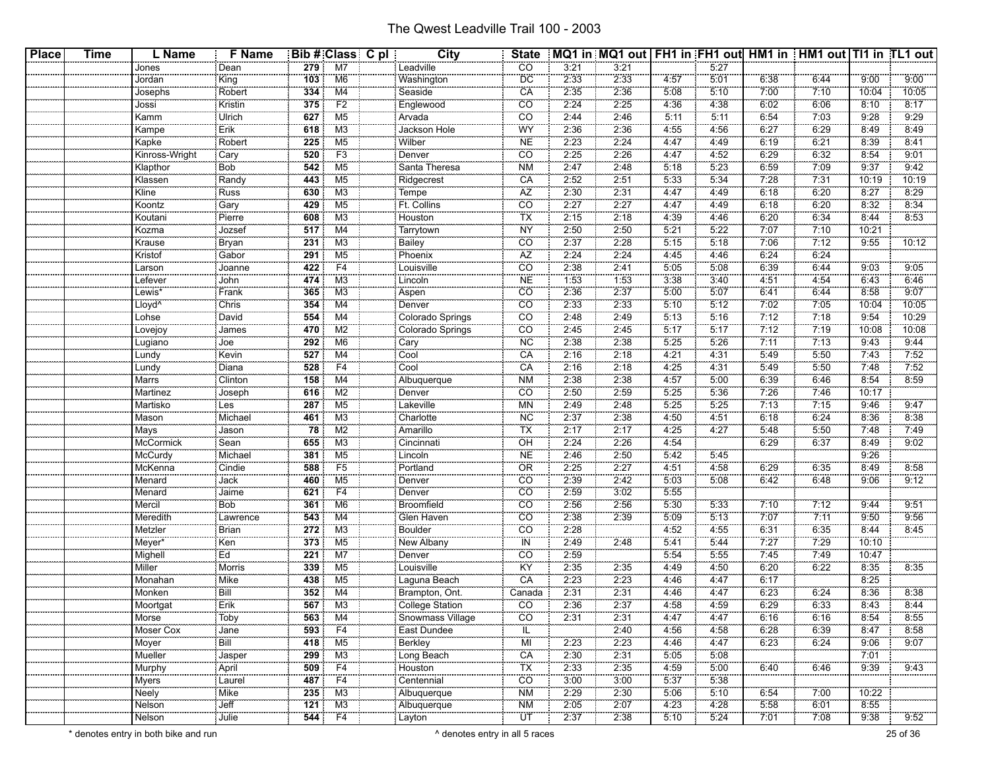| <b>Place</b> | <b>Time</b> | L Name                       | <b>F</b> Name                 |                  | Bib # Class C pl         | <b>City</b>                          | <b>State</b>    |              | MQ1 in MQ1 out   FH1 in FH1 out   HM1 in   HM1 out   TI1 in TL1 out |              |                 |              |              |               |               |
|--------------|-------------|------------------------------|-------------------------------|------------------|--------------------------|--------------------------------------|-----------------|--------------|---------------------------------------------------------------------|--------------|-----------------|--------------|--------------|---------------|---------------|
|              |             | Jones                        | Dean                          | 279              | M7                       | Leadville                            | $\overline{CO}$ | 3:21         | 3:21                                                                |              | 5:27            |              |              |               |               |
|              |             | Jordan                       | King                          | 103              | M6                       | Washington                           | <b>DC</b>       | 2:33         | 2:33                                                                | 4:57         | 5:01            | 6:38         | 6:44         | 9:00          | 9:00          |
|              |             | Josephs                      | Robert                        | 334              | M4                       | Seaside                              | CA              | 2:35         | 2:36                                                                | 5:08         | 5:10            | 7:00         | 7:10         | 10:04         | 10:05         |
|              |             | Jossi                        | Kristin                       | 375              | F2                       | Englewood                            | CO              | 2:24         | 2:25                                                                | 4:36         | 4:38            | 6:02         | 6:06         | 8:10          | 8:17          |
|              |             | Kamm                         | Ulrich                        | 627              | M <sub>5</sub>           | Arvada                               | CO              | 2:44         | 2:46                                                                | 5:11         | 5:11            | 6:54         | 7:03         | 9:28          | 9:29          |
|              |             | Kampe                        | Erik                          | 618              | M <sub>3</sub>           | Jackson Hole                         | <b>WY</b>       | 2:36         | 2:36                                                                | 4:55         | 4:56            | 6:27         | 6:29         | 8:49          | 8:49          |
|              |             | Kapke                        | Robert                        | 225              | M <sub>5</sub>           | Wilber                               | N <sub>E</sub>  | 2:23         | 2:24                                                                | 4:47         | 4:49            | 6:19         | 6:21         | 8:39          | 8:41          |
|              |             | Kinross-Wright               | Cary                          | 520              | F <sub>3</sub>           | Denver                               | CO <sub>1</sub> | 2:25         | 2:26                                                                | 4:47         | 4.52            | 6:29         | 6:32         | 8:54          | 9:01          |
|              |             | Klapthor                     | <b>Bob</b>                    | 542              | M5                       | Santa Theresa                        | NΜ              | 2:47         | 2:48                                                                | 5:18         | 5:23            | 6:59         | 7:09         | 9:37          | 9:42          |
|              |             | Klassen                      | Randy                         | 443              | M <sub>5</sub>           | Ridgecrest                           | CA              | 2:52         | 2:51                                                                | 5:33         | 5:34            | 7:28         | 7:31         | 10:19         | 10:19         |
|              |             | Kline                        | Russ                          | 630              | M <sub>3</sub>           | Tempe                                | AZ              | 2:30         | 2:31                                                                | 4:47         | 4.49            | 6:18         | 6:20         | 8:27          | 8:29          |
|              |             | Koontz                       | Gary                          | 429              | M <sub>5</sub>           | Ft. Collins                          | CO              | 2:27         | 2:27                                                                | 4:47         | 4:49            | 6:18         | 6:20         | 8:32          | 8:34          |
|              |             | Koutani                      | Pierre                        | 608              | M <sub>3</sub>           | Houston                              | TX              | 2:15         | 2:18                                                                | 4:39         | 4:46            | 6:20         | 6:34         | 8:44          | 8:53          |
|              |             | Kozma                        | Jozset                        | 517              | M <sub>4</sub>           | Tarrytown                            | <b>NY</b>       | 2:50         | 2:50                                                                | 5:21         | 5:22            | 7.07         | 7:10         | 10:21         |               |
|              |             | Krause                       | Bryan                         | 231              | M <sub>3</sub>           | Bailey                               | $\overline{CO}$ | 2:37         | 2:28                                                                | 5:15         | 5:18            | 7:06         | 7:12         | 9:55          | 10:12         |
|              |             |                              |                               | 29'              | M <sub>5</sub>           | Phoenix                              | $\overline{AZ}$ | 2:24         | 2:24                                                                | 4:45         | 4:46            |              | 6:24         |               |               |
|              |             | Kristof                      | Gabor<br>Joanne               | 422              | F4                       |                                      | CO              | 2:38         | 2:41                                                                | 5:05         | 5:08            | 6:24<br>6:39 | 6:44         | 9:03          | 9:05          |
|              |             | Larson                       |                               | 474              |                          | Louisville<br>Lincoln                | <b>NE</b>       |              |                                                                     |              |                 |              |              |               |               |
|              |             | Lefever                      | John                          |                  | M <sub>3</sub>           |                                      |                 | 1:53         | 1:53<br>2:37                                                        | 3:38         | 3:40            | 4:51         | 4:54         | 6:43          | 6:46          |
|              |             | Lewis*<br>Lloyd <sup>^</sup> | Frank<br>Chris                | 365<br>354       | M3<br>M4                 | Aspen<br>Denver                      | CO<br>CO        | 2:36<br>2:33 | 2:33                                                                | 5:00<br>5:10 | 5:07<br>$-5:12$ | 6:41<br>7.02 | 6:44<br>7:05 | 8:58<br>10:04 | 9:07<br>10:05 |
|              |             |                              |                               |                  |                          |                                      |                 |              |                                                                     |              |                 |              |              |               |               |
|              |             | Lohse                        | David                         | 554              | M4                       | Colorado Springs                     | CO              | 2:48         | 2:49                                                                | 5:13         | 5:16            | 7:12         | 7:18         | 9:54          | 10:29         |
|              |             | Lovejoy                      | James                         | 470              | M <sub>2</sub>           | Colorado Springs                     | CO              | 2:45         | 2:45                                                                | 5:17         | 5:17            | 7:12         | 7:19         | 10:08         | 10:08         |
|              |             | Lugiano                      | Joe                           | 292              | M <sub>6</sub>           | Cary                                 | <b>NC</b>       | 2:38         | 2:38                                                                | 5:25         | 5:26            | 7:11         | 7:13         | 9:43          | 9:44          |
|              |             | Lundy                        | Kevin                         | 527              | M4                       | Cool                                 | CA              | 2:16         | 2:18                                                                | 4:21         | 4:31            | 5:49         | 5:50         | 7:43          | 7:52          |
|              |             | Lundy<br>Marrs               | Diana                         | 528              | F4                       | Cool                                 | CA              | 2:16         | 2:18                                                                | 4:25         | 4:31            | 5:49         | 5:50         | 7:48          | 7:52          |
|              |             |                              | Clinton                       | 158              | $\overline{\mathsf{M4}}$ | Albuquerque                          | <b>NM</b>       | 2:38         | 2:38                                                                | 4:57         | 5:00            | 6:39         | 6:46         | 8:54          | 8:59          |
|              |             | Martinez                     | Joseph                        | 616              | M <sub>2</sub>           | Denver                               | CO.             | 2:50         | 2:59                                                                | 5:25         | 5:36            | 7:26         | 7:46         | 10:17         |               |
|              |             | Martisko                     | Les                           | 287              | M5                       | Lakeville                            | ΜN              | 2:49         | 2:48                                                                | 5:25         | 5:25            | 7:13         | 7:15         | 9:46          | 9:47          |
|              |             | Mason                        | Michael                       | 461              | M <sub>3</sub>           | Charlotte                            | <b>NC</b>       | 2:37         | 2:38                                                                | 4:50         | 4:51            | 6.18         | 6:24         | 8:36          | 8:38          |
|              |             | Mays                         | Jason                         | 78               | M <sub>2</sub>           | Amarillo                             | <b>TX</b>       | 2:17         | 2:17                                                                | 4:25         | 4:27            | 5:48         | 5:50         | 7:48          | 7:49          |
|              |             | McCormick                    | Sean                          | 655              | M <sub>3</sub>           | Cincinnati                           | OH              | 2:24         | 2:26                                                                | 4:54         |                 | 6:29         | 6:37         | 8:49          | 9:02          |
|              |             | McCurdy                      | Michael                       | 381              | M <sub>5</sub>           | Lincoln                              | <b>NE</b>       | 2:46         | 2:50                                                                | 5.42         | 5.45            |              |              | 9:26          |               |
|              |             | McKenna                      | Cindie                        | 588              | F <sub>5</sub>           | Portland                             | <b>OR</b>       | 2:25         | 2:27                                                                | 4:51         | 4:58            | 6:29         | 6:35         | 8:49          | 8:58          |
|              |             | Menard                       | Jack                          | 460              | M <sub>5</sub>           | Denver                               | CO              | 2:39         | 2:42                                                                | 5:03         | 5:08            | 6:42         | 6:48         | 9:06          | 9:12          |
|              |             | Menard                       | $frac$ Jaime                  | 621              | F4                       | Denver                               | CO <sup>T</sup> | 2:59         | 3:02                                                                | 5:55         |                 |              |              |               |               |
|              |             | Mercil                       | Bob                           | 361              | M6                       | Broomfield                           | CO              | 2:56         | 2:56                                                                | 5:30         | 5:33            | 7:10         | 7:12         | 9:44          | 9:51          |
|              |             | Meredith                     | Lawrence                      | 543              | M4                       | Glen Haven                           | <b>CO</b>       | 2:38         | 2:39                                                                | 5:09         | 5:13            | 7.07         | 7:11         | 9:50          | 9:56          |
|              |             | Metzler                      | Brian                         | 272              | M <sub>3</sub>           | Boulder                              | CO              | 2:28         |                                                                     | 4:52         | 4:55            | 6:31         | 6:35         | 8:44          | 8:45          |
|              |             | Meyer*                       | Ken                           | 373              | M <sub>5</sub>           | New Albany                           | IN              | 2:49         | 2:48                                                                | 5:41         | 5:44            | 7:27         | 7:29         | 10:10         |               |
|              |             | Mighell                      | Ed                            | 221              | M7                       | Denver                               | CO              | 2:59         |                                                                     | 5:54         | 5:55            | 7:45         | 7:49         | 10:47         |               |
|              |             | Miller                       | Morris                        | 339              | M <sub>5</sub>           | Louisville                           | KŸ              | 2:35         | 2:35                                                                | 4.49         | 4:50            | 6:20         | 6:22         | 8:35          | 8:35          |
|              |             | Monahan                      | Mike                          | 438              | M <sub>5</sub>           | Laguna Beach                         | CA              | 2:23         | 2:23                                                                | 4:46         | 4:47            | 6:17         |              | 8:25          |               |
|              |             | Monken                       | Bill                          | 352              | M4                       | Brampton, Ont.                       | Canada          | 2:31         | 2:31                                                                | 4:46         | 4:47            | 6:23         | 6:24         | 8:36          | 8:38          |
|              |             | Moortgat                     | .<br>Erik                     | 567              | M <sub>3</sub>           | College Station                      | $\overline{c}$  | 2:36         | 2:37                                                                | 4:58         | 4:59            | 6:29         | 6:33         | 8:43          | 8:44          |
|              |             | . <del>.</del><br>Morse      | <br>Toby                      |                  | 563 M4                   | . <del>. .</del><br>Snowmass Village | CO              | 2:31         | 2:31                                                                | 4:47         | 4:47            | 6:16         | 6:16         | 8:54          | 8:55          |
|              |             | Moser Cox                    | anan masa<br>Jane             | 593              | F4                       | East Dundee                          | $\mathbb{T}$    |              | 2:40                                                                | 4:56         | 4:58            | 6:28         | 6:39         | 8:47          | 8:58          |
|              |             | Moyer                        | Bill                          |                  | $418$ M5                 | Berkley                              | ΜÏ              | 2:23         | 2:23                                                                | 4:46         | 4:47            | 6:23         | 6:24         | 9:06          | 9:07          |
|              |             | Mueller                      | Jasper                        | 299:             | M3                       | Long Beach                           | CA              | 2:30         | 2:31                                                                | 5:05         | 5:08            |              |              | 7:01          |               |
|              |             |                              |                               | 509              | $\overline{F4}$          | Houston                              | TX              | 2:33         | 2:35                                                                | 4:59         | 5:00            | 6:40         | 6:46         | 9:39          | 9:43          |
|              |             | Murphy<br>Myers              | April<br>Laurel               | 487              | F4                       | Centennial                           | $\overline{CO}$ | 3:00         | 3:00                                                                | 5:37         | $-5:38$         |              |              |               |               |
|              |             | Neely                        | $\overline{\phantom{a}}$ Mike |                  | 235 M3                   | Albuquerque                          | <b>NM</b>       | 2:29         | 2:30                                                                | 5:06         | 5:10            | 6:54         | 7:00         | 10:22         |               |
|              |             | Nelson                       | 00000000<br>Jeff              |                  | $\overline{121}$ M3      |                                      | <b>NM</b>       | 2:05         | 2:07                                                                | 4:23         | 4:28            | 5:58         | 6:01         | 8:55          |               |
|              |             | Nelson                       | ,<br>, Julie                  | $\overline{544}$ | F4                       | Albuquerque<br>Layton                | UT <sup>-</sup> | 2:37         | 2:38                                                                | 5:10         | 5:24            | 7:01         | 7:08         | 9:38          | 9:52          |
|              |             |                              |                               |                  |                          |                                      |                 |              |                                                                     |              |                 |              |              |               |               |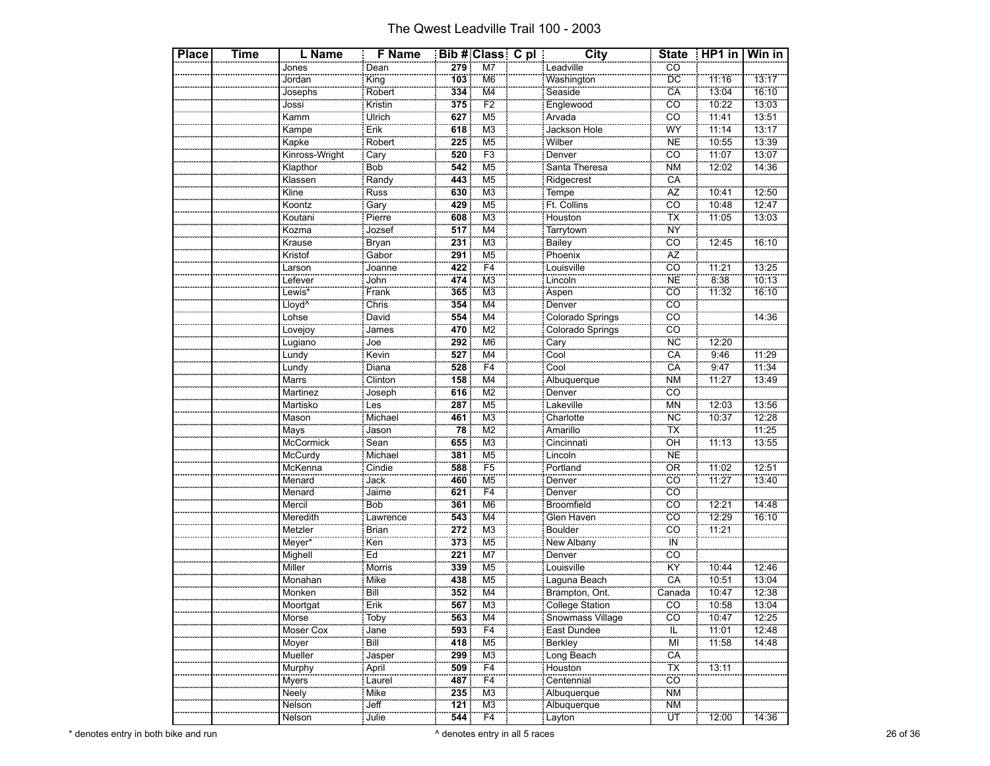| Place | Time | L Name             | <b>F</b> Name            |     | <b>Bib # Class C pl</b>   | <b>City</b>           | <b>State</b>             | $HPI$ in | Win in |
|-------|------|--------------------|--------------------------|-----|---------------------------|-----------------------|--------------------------|----------|--------|
|       |      | Jones              | Dean                     | 279 | $\overline{\text{M7}}$    | Leadville             | $\overline{co}$          |          |        |
|       |      | Jordan             | $\overline{\text{King}}$ | 103 | M <sub>6</sub>            | Washington            | DC                       | 11:16    | 13:17  |
|       |      | Josephs            | Robert                   | 334 | M4                        | Seaside               | CA                       | 13:04    | 16:10  |
|       |      |                    | Kristin                  | 375 | F <sub>2</sub>            | Englewood             | $\overline{c}$ o         | 10:22    | 13:03  |
|       |      | Jossi<br>Kamm      | Ulrich                   | 627 | M <sub>5</sub>            | Arvada                | cö                       | 11:41    | 13:51  |
|       |      | Kampe              | Erik                     | 618 | M <sub>3</sub>            | Jackson Hole          | WŸ                       | 11:14    | 13:17  |
|       |      | Kapke              |                          | 225 | M <sub>5</sub>            | Wilber                | <b>NE</b>                | 10:55    | 13:39  |
|       |      | Kinross-Wright     | Robert<br>Cary           | 520 | F <sub>3</sub>            | Denver                | cö                       | 11:07    | 13:07  |
|       |      | Klapthor           | Bob                      | 542 | M <sub>5</sub>            | Santa Theresa         | <b>NM</b>                | 12:02    | 14:36  |
|       |      | Klassen            | Randy<br>Russ            | 443 | M <sub>5</sub>            |                       | CÄ                       |          |        |
|       |      | Kline              |                          | 630 | M <sub>3</sub>            | Ridgecrest<br>Tempe   | AZ                       | 10:41    | 12:50  |
|       |      | Koontz             | Gary                     | 429 | M <sub>5</sub>            | Ft. Collins           | $\overline{CO}$          | 10:48    | 12:47  |
|       |      | Koutani            | Pierre<br>Jozsef         | 608 | M <sub>3</sub>            | Houston               | $\overline{\mathsf{TX}}$ | 11:05    | 13:03  |
|       |      | Kozma              |                          | 517 | M <sub>4</sub>            | Tarrytown             | <b>NY</b>                |          |        |
|       |      | Krause             | Bryan                    | 231 | M <sub>3</sub>            | Bailey                | CO                       | 12:45    | 16:10  |
|       |      | Kristof            | Gabor<br>Joanne          | 291 | M <sub>5</sub>            | Phoenix               | ÄŻ                       |          |        |
|       |      | Larson             |                          | 422 | F <sub>4</sub>            | Louisville            | CÖ                       | 11:21    | 13:25  |
|       |      | Lefever            | John                     | 474 | M <sub>3</sub>            | Lincoln               | <b>NE</b>                | 8:38     | 10:13  |
|       |      | Lewis*             | Frank<br>Chris           | 365 | M <sub>3</sub>            | Aspen<br>Denver       | $\overline{CO}$          | 11:32    | 16:10  |
|       |      | Lloyd <sup>^</sup> |                          | 354 | M <sub>4</sub>            |                       | $\overline{c}$           |          |        |
|       |      | Lohse              | David                    | 554 | M4                        | Colorado Springs      | CÖ                       |          | 14:36  |
|       |      | Lovejoy            | James                    | 470 | $\overline{\text{M2}}$    | Colorado Springs      | $\overline{co}$          |          |        |
|       |      | Lugiano            | $\frac{1}{\sqrt{1}}$     | 292 | M <sub>6</sub>            | Cary                  | <b>NC</b>                | 12:20    |        |
|       |      | Lundy              | Kevin                    | 527 | M4                        | Cool                  | CA                       | 9:46     | 11:29  |
|       |      | Lundy<br>Marrs     | Diana                    | 528 | $\overline{F4}$           | Cool                  | CÂ                       | 9:47     | 11:34  |
|       |      |                    | Clinton                  | 158 | M <sub>4</sub>            | Albuquerque           | <b>NM</b>                | 11:27    | 13:49  |
|       |      | Martinez           | Joseph                   | 616 | $\overline{\text{M2}}$    | Denver                | $\overline{CO}$          |          |        |
|       |      | Martisko           | Les                      | 287 | M <sub>5</sub>            | Lakeville             | MN                       | 12:03    | 13:56  |
|       |      | Mason              | Michael                  | 461 | M <sub>3</sub>            | Charlotte             | <b>NC</b>                | 10:37    | 12:28  |
|       |      | Mays               | Jason                    | 78  | $\overline{M2}$           | Amarillo              | ТX                       |          | 11:25  |
|       |      | McCormick          | Sean                     | 655 | M <sub>3</sub>            | Cincinnati<br>Lincoln | ÖĤ                       | 11:13    | 13:55  |
|       |      | McCurdy            | Michael                  | 381 | M <sub>5</sub>            |                       | <b>NE</b>                |          |        |
|       |      | McKenna            | Cindie                   | 588 | F <sub>5</sub>            | Portland              | <b>OR</b>                | 11:02    | 12:51  |
|       |      | Menard             | Jack                     | 460 | M <sub>5</sub>            | Denver                | ĊÖ                       | 11:27    | 13:40  |
|       |      | Menard             | Jaime                    | 621 | F <sub>4</sub>            |                       | cö                       |          |        |
|       |      | Mercil             | Bob                      | 361 | M <sub>6</sub>            | Broomfield            | $\overline{CO}$          | 12:21    | 14:48  |
|       |      | Meredith           | Lawrence                 | 543 | M <sub>4</sub>            | Glen Haven            | $\overline{co}$          | 12:29    | 16:10  |
|       |      | Metzler            |                          | 272 | M <sub>3</sub>            | Boulder               | cö                       | 11:21    |        |
|       |      | Meyer*             | Ken                      | 373 | M <sub>5</sub>            | New Albany            | <b>IN</b>                |          |        |
|       |      | Mighell            | Ed                       | 221 | M7                        | Denver<br>Louisville  | $\overline{co}$          |          |        |
|       |      | Miller             | Morris                   | 339 | M <sub>5</sub>            |                       | KŸ                       | 10:44    | 12:46  |
|       |      | Monahan            | Mike                     | 438 | M <sub>5</sub>            | Laguna Beach          | CÄ                       | 10:51    | 13:04  |
|       |      | Monken             | Bill                     | 352 | $\overline{\mathsf{M}}$ 4 | Brampton, Ont.        | Canada                   | 10:47    | 12:38  |
|       |      | Moortgat           | Erik                     | 567 | M3                        | College Station       | CO                       | 10:58    | 13:04  |
|       |      | Morse              | Toby                     | 563 | M4                        | Snowmass Village      | cö                       | 10:47    | 12:25  |
|       |      | Moser Cox          | Jane<br>Bill             | 593 | F4                        | East Dundee           | ΪĹ<br>ΪŴ                 | 11:01    | 12:48  |
|       |      | Moyer              |                          | 418 | M <sub>5</sub>            | Berkley               |                          | 11:58    | 14:48  |
|       |      | Mueller            | Jasper                   | 299 | ΜЗ<br>F4                  | Long Beach            | CA<br>TX                 |          |        |
|       |      | Murphy             | April                    | 509 |                           | Houston               | co                       | 13:11    |        |
|       |      | Myers              | Laurel                   | 487 | F <sub>4</sub>            | Centennial            |                          |          |        |
|       |      | Neely              | Mike<br>Jeff             | 235 | MЗ                        | Albuquerque           | <b>NM</b>                |          |        |
|       |      | Nelson             |                          | 121 | M <sub>3</sub>            | Albuquerque           | <b>NM</b>                |          |        |
|       |      | Nelson             | Julie                    | 544 | F4                        | Layton                | ÜΤ                       | 12:00    | 14:36  |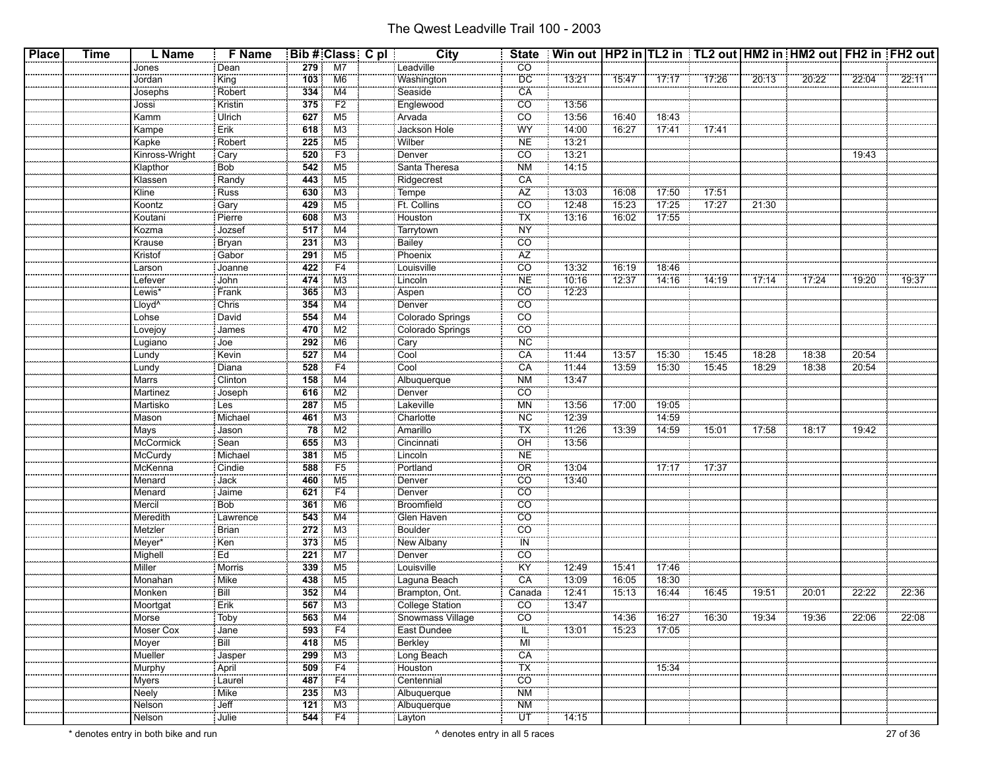| <b>Place</b> | <b>Time</b> | L Name             | <b>F</b> Name              |                  | Bib # Class C pl    | City                    | <b>State</b>             | Win out   HP2 in   TL2 in   TL2 out   HM2 in   HM2 out   FH2 in   FH2 out |       |       |       |       |       |       |       |
|--------------|-------------|--------------------|----------------------------|------------------|---------------------|-------------------------|--------------------------|---------------------------------------------------------------------------|-------|-------|-------|-------|-------|-------|-------|
|              |             | Jones              | : Dean                     | 279              | M <sub>7</sub>      | Leadville               | CO <sub>.</sub>          |                                                                           |       |       |       |       |       |       |       |
|              |             | Jordan             | King                       | 103              | M <sub>6</sub>      | Washington              | <b>DC</b>                | 13:21                                                                     | 15:47 | 17:17 | 17:26 | 20:13 | 20:22 | 22:04 | 22:11 |
|              |             | Josephs            | Robert                     | 334              | M4                  | Seaside                 | CA                       |                                                                           |       |       |       |       |       |       |       |
|              |             | Jossi              | Kristin                    | 375              | F2                  | Englewood               | CO                       | 13:56                                                                     |       |       |       |       |       |       |       |
|              |             | Kamm               | Ulrich                     | 627              | M <sub>5</sub>      | Arvada                  | $\overline{CO}$          | 13:56                                                                     | 16:40 | 18:43 |       |       |       |       |       |
|              |             | Kampe              | Erik                       | 618              | M <sub>3</sub>      | Jackson Hole            | WY                       | 14:00                                                                     | 16:27 | 17:41 | 77:41 |       |       |       |       |
|              |             | Kapke              | Robert                     | 225              | M <sub>5</sub>      | Wilber                  | <b>NE</b>                | 13:21                                                                     |       |       |       |       |       |       |       |
|              |             | Kinross-Wright     | Cary                       | 520              | F3                  | Denver                  | $\overline{CO}$          | 13:21                                                                     |       |       |       |       |       | 19:43 |       |
|              |             | Klapthor           | Bob <sup>1</sup>           | 542              | M <sub>5</sub>      | Santa Theresa           | <b>NM</b>                | 14:15                                                                     |       |       |       |       |       |       |       |
|              |             | Klassen            | Randy                      | 443              | M5                  | Ridgecrest<br>Tempe     | CA                       |                                                                           |       |       |       |       |       |       |       |
|              |             | Kline              | <b>Russ</b>                | 630              | M <sub>3</sub>      |                         | AZ                       | 13:03                                                                     | 16:08 | 17:50 | 17:51 |       |       |       |       |
|              |             | Koontz             | Gary                       | 429              | M <sub>5</sub>      | Ft. Collins             | $\overline{co}$          | 12:48                                                                     | 15:23 | 17:25 | 17:27 | 21:30 |       |       |       |
|              |             | Koutani            | Pierre                     | 608              | M3                  | Houston                 | TX                       | 13:16                                                                     | 16:02 | 17:55 |       |       |       |       |       |
|              |             | Kozma              | Jozsef                     | 517              | M4                  | Tarrytown               | <b>NY</b>                |                                                                           |       |       |       |       |       |       |       |
|              |             | Krause             | Bryan                      | 231              | M3                  | <b>Bailey</b>           | $\overline{co}$          |                                                                           |       |       |       |       |       |       |       |
|              |             | Kristof            | Gabor                      | 291              | M5                  | Phoenix                 | AZ                       |                                                                           |       |       |       |       |       |       |       |
|              |             | Larson             | Joanne                     | 422              | F <sub>4</sub>      | Louisville              | $\overline{CO}$          | 13:32                                                                     | 16:19 | 18:46 |       |       |       |       |       |
|              |             | Lefever            | John                       | 474              | M3                  | Lincoln                 | <b>NE</b>                | 10:16                                                                     | 12:37 | 14:16 | 14:19 | 17:14 | 17:24 | 19:20 | 19:37 |
|              |             | Lewis*             | Frank                      | 365              | M3                  | Aspen                   | CO                       | 12:23                                                                     |       |       |       |       |       |       |       |
|              |             | Lloyd <sup>^</sup> | Chris                      | 354              | M4                  | Denver                  | $\overline{CO}$          |                                                                           |       |       |       |       |       |       |       |
|              |             | Lohse              | David                      | 554              | M4                  | Colorado Springs        | CO                       |                                                                           |       |       |       |       |       |       |       |
|              |             | Lovejoy            | <b>CONTRACTOR</b><br>James | 470              | M2                  | Colorado Springs        | CO                       |                                                                           |       |       |       |       |       |       |       |
|              |             | Lugiano            | Joe                        | 292              | M <sub>6</sub>      | Cary                    | <b>NC</b>                |                                                                           |       |       |       |       |       |       |       |
|              |             | Lundy              | Kevin                      | 527              | M4                  | Cool                    | CA                       | 11:44                                                                     | 13:57 | 15:30 | 15:45 | 18:28 | 18:38 | 20:54 |       |
|              |             |                    | Diana                      | 528              | F4                  | Cool                    | CA                       | 11:44                                                                     | 13:59 | 15:30 | 15:45 | 18:29 | 18:38 | 20:54 |       |
|              |             | Lundy<br>Marrs     | Clinton                    | 158              | $\overline{M4}$     | Albuquerque             | <b>NM</b>                | 13:47                                                                     |       |       |       |       |       |       |       |
|              |             | Martinez           | Joseph                     | 616              | M2                  | Denver                  | CO                       |                                                                           |       |       |       |       |       |       |       |
|              |             | Martisko           | Les                        | 287              | M <sub>5</sub>      | Lakeville               | <b>MN</b>                | 13:56                                                                     | 17:00 | 19:05 |       |       |       |       |       |
|              |             | Mason              | <b>Michael</b>             | 461              | M <sub>3</sub>      | Charlotte               | <b>NC</b>                | 12:39                                                                     |       | 14:59 |       |       |       |       |       |
|              |             | Mays               | Jason                      | 78               | M2                  | Amarillo                | TX                       | 11:26                                                                     | 13:39 | 14:59 | 15:01 | 17:58 | 18:17 | 19:42 |       |
|              |             | McCormick          | Sean                       | 655              | M3                  | Cincinnati              | OH                       | 13:56                                                                     |       |       |       |       |       |       |       |
|              |             | McCurdy            | Michael                    | 381              | M <sub>5</sub>      | Lincoln                 | <b>NE</b>                |                                                                           |       |       |       |       |       |       |       |
|              |             | McKenna            | Cindie                     | 588              | F <sub>5</sub>      | Portland                | OR                       | 13:04                                                                     |       | 17:17 | 17:37 |       |       |       |       |
|              |             | Menard             | Jack                       | 460              | M5                  | Denver                  | CO                       | 13:40                                                                     |       |       |       |       |       |       |       |
|              |             | Menard             | Jaime                      | 621              | F4                  | Denver                  | CÖ                       |                                                                           |       |       |       |       |       |       |       |
|              |             | Mercil             | Bob                        | 361              | M6                  | Broomfield              | $\overline{CO}$          |                                                                           |       |       |       |       |       |       |       |
|              |             | Meredith           | Lawrence                   | 543              | M4                  |                         | CO                       |                                                                           |       |       |       |       |       |       |       |
|              |             | Metzler            | Brian                      | 272              | M3                  | Glen Haven              | CÖ                       |                                                                           |       |       |       |       |       |       |       |
|              |             | Meyer*             | Ken                        | 373              | M5                  | New Albany              | IN                       |                                                                           |       |       |       |       |       |       |       |
|              |             | Mighell            | Ed                         | 221              | M <sub>7</sub>      | Denver                  | CO                       |                                                                           |       |       |       |       |       |       |       |
|              |             | Miller             | Morris                     | 339              | M <sub>5</sub>      | Louisville              | ΪŸ                       | 12:49                                                                     | 15:41 | 17:46 |       |       |       |       |       |
|              |             | Monahan            | Mike                       | 438              | M5                  | Laguna Beach            | CA                       | 13:09                                                                     | 16:05 | 18:30 |       |       |       |       |       |
|              |             | Monken             | Bill                       | 352              | M4                  | Brampton, Ont.          | Canada                   | 12:41                                                                     | 15:13 | 16:44 | 16:45 | 19:51 | 20:01 | 22:22 | 22:36 |
|              |             | Moortgat           | Erik                       | 567              | $\overline{M3}$     | College Station         | $\overline{c}$           | 13:47                                                                     |       |       |       |       |       |       |       |
|              |             | Morse              | <u></u><br>: Toby          |                  | $563$ M4            | Snowmass Village        | CO                       |                                                                           | 14:36 | 16:27 | 16:30 | 19:34 | 19:36 | 22:06 | 22:08 |
|              |             | Moser Cox          | Jane                       | 593              | F4                  | East Dundee             | ïE,                      | 13:01                                                                     | 15:23 | 17:05 |       |       |       |       |       |
|              |             | <br>Moyer          | Bill                       | 418              | M5                  |                         | MI                       |                                                                           |       |       |       |       |       |       |       |
|              |             | Mueller            | Jasper                     | 299              | M3                  | Berkley<br>Long Beach   | CA                       |                                                                           |       |       |       |       |       |       |       |
|              |             | Murphy             | April                      | 509              | F4                  |                         | $\overline{\mathsf{TX}}$ |                                                                           |       | 15:34 |       |       |       |       |       |
|              |             | Myers              | Laurel                     | 487              | F4                  | Houston<br>Centennial   | $\overline{CO}$          |                                                                           |       |       |       |       |       |       |       |
|              |             | Neely              | Mike                       | 235              | M3                  | Albuquerque             | $\overline{\text{NM}}$   |                                                                           |       |       |       |       |       |       |       |
|              |             | Nelson             | $\overline{\mathsf{Jeff}}$ |                  | $\overline{121}$ M3 |                         | <b>NM</b>                |                                                                           |       |       |       |       |       |       |       |
|              |             | <br>Nelson         | : Julie                    | $\overline{544}$ | F4                  | Albuquerque<br>: Layton | ÜΤ                       | 14:15                                                                     |       |       |       |       |       |       |       |
|              |             |                    |                            |                  |                     |                         |                          |                                                                           |       |       |       |       |       |       |       |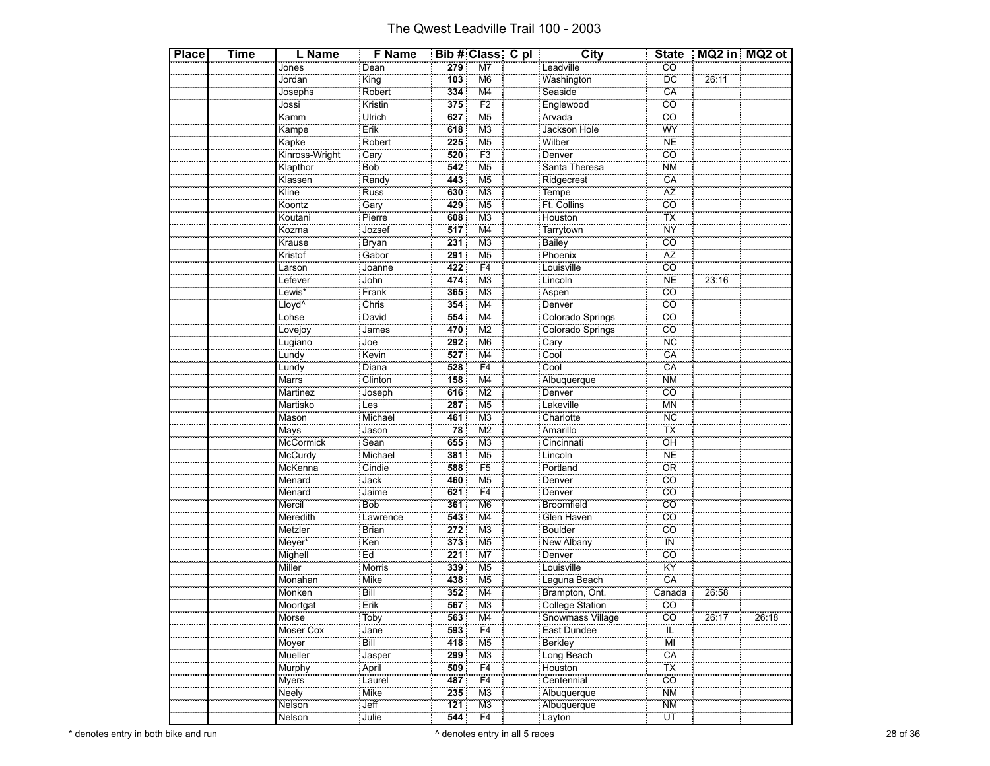| <b>Place</b> | Time | L Name                       | <b>F</b> Name            |     | Bib # Class C pl          | <b>City</b>                                           |                              |       | State   MQ2 in   MQ2 ot |
|--------------|------|------------------------------|--------------------------|-----|---------------------------|-------------------------------------------------------|------------------------------|-------|-------------------------|
|              |      | Jones                        | Dean                     | 279 | M7                        | Leadville                                             | $\overline{CO}$              |       |                         |
|              |      | Jordan                       | $\overline{\text{King}}$ | 103 | M <sub>6</sub>            | Washington                                            | <b>DC</b>                    | 26:11 |                         |
|              |      | Josephs                      | Robert                   | 334 | M4                        | Seaside                                               | CA                           |       |                         |
|              |      | Jossi                        | Kristin                  | 375 | $\overline{F2}$           |                                                       | $\overline{c}\overline{o}$   |       |                         |
|              |      | Kamm                         | Ulrich                   | 627 | M <sub>5</sub>            | Englewood<br>Arvada                                   | .<br>CO                      |       |                         |
|              |      | Kampe                        | Erik                     | 618 | M <sub>3</sub>            | Jackson Hole                                          | WY                           |       |                         |
|              |      | Kapke                        |                          | 225 | $\overline{\mathsf{M5}}$  | Wilber                                                | N <sub>E</sub>               |       |                         |
|              |      | Kinross-Wright               | Robert<br>Cary           | 520 | F3                        | Denver                                                | $\overline{co}$              |       |                         |
|              |      | Klapthor                     | Bob                      | 542 | M <sub>5</sub>            | Santa Theresa                                         | <b>NM</b>                    |       |                         |
|              |      | Klassen                      |                          | 443 | M5                        | Ridgecrest                                            | CA                           |       |                         |
|              |      | Kline                        | Randy<br>Russ            | 630 | M <sub>3</sub>            | Tempe <sup>1</sup>                                    | A <sub>Z</sub>               |       |                         |
|              |      | Koontz                       | Gary                     | 429 | M5                        | Ft. Collins                                           | $\overline{CO}$              |       |                         |
|              |      | Koutani                      |                          | 608 | $\overline{\mathsf{M}3}$  |                                                       | $\frac{1}{1}$                |       |                         |
|              |      | Kozma                        | Pierre<br>Jozsef         | 517 | $\overline{\mathsf{M}}$ 4 | Houston<br>Tarrytown                                  | <b>NY</b>                    |       |                         |
|              |      | Krause                       | <b>Bryan</b>             | 231 | M <sub>3</sub>            |                                                       | $\overline{co}$              |       |                         |
|              |      | Kristof                      | Gabor                    | 291 | M5                        | Bailey                                                | $\overline{AZ}$              |       |                         |
|              |      | Larson                       | Joanne                   | 422 | $\overline{F4}$           | Phoenix<br>Louisville                                 | $\overline{c}$ o             |       |                         |
|              |      | Lefever                      | John                     | 474 | M <sub>3</sub>            | Lincoln                                               | <br>NE                       | 23:16 |                         |
|              |      |                              |                          | 365 | $\overline{\mathsf{M}3}$  |                                                       | $\overline{co}$              |       |                         |
|              |      | Lewis*<br>Lloyd <sup>^</sup> | Frank<br>Chris           | 354 | M <sub>4</sub>            | Aspen<br>Denver                                       | $\overline{co}$              |       |                         |
|              |      | Lohse                        | David                    | 554 | M4                        |                                                       | CÖ                           |       |                         |
|              |      |                              |                          | 470 |                           | Colorado Springs                                      | $\overline{co}$              |       |                         |
|              |      | Lovejoy                      | James<br>-------<br>Joe  | 292 | M2<br>M <sub>6</sub>      | Colorado Springs                                      | <b>NC</b>                    |       |                         |
|              |      | Lugiano                      |                          | 527 |                           | Cary<br>Cool                                          | CA                           |       |                         |
|              |      | Lundy                        | Kevin                    |     | M4<br>$\overline{F4}$     |                                                       | $\overline{CA}$              |       |                         |
|              |      | Lundy                        | Diana                    | 528 | $\overline{\mathsf{M}}$ 4 | Cool                                                  | <b>NM</b>                    |       |                         |
|              |      | Marrs                        | Clinton                  | 158 |                           | Albuquerque                                           |                              |       |                         |
|              |      | Martinez                     | Joseph                   | 616 | M <sub>2</sub>            | Denver                                                | cö<br>$\overline{\text{MN}}$ |       |                         |
|              |      | Martisko<br>Mason            | Les<br>Michael           | 287 | M5                        | Lakeville<br>Charlotte                                |                              |       |                         |
|              |      |                              |                          | 461 | M <sub>3</sub>            |                                                       | <b>NC</b>                    |       |                         |
|              |      | Mays                         | Jason                    | 78  | M2                        | Amarillo                                              | ΪX                           |       |                         |
|              |      | McCormick                    | Sean                     | 655 | MЗ                        | Cincinnati<br>Lincoln                                 | ÖĤ<br>$\overline{\text{NE}}$ |       |                         |
|              |      | McCurdy                      | Michael                  | 381 | M <sub>5</sub>            |                                                       |                              |       |                         |
|              |      | McKenna                      | Cindie                   | 588 | F <sub>5</sub>            | Portland                                              | ÖR                           |       |                         |
|              |      | Menard                       | Jack                     | 460 | M5                        | Denver                                                | $\overline{CO}$              |       |                         |
|              |      | Menard                       | Jaime                    | 621 | F4                        | Denver                                                | .<br>CO                      |       |                         |
|              |      | Mercil                       | Bob                      | 361 | M <sub>6</sub>            | Broomfield                                            | <b>CO</b>                    |       |                         |
|              |      | Meredith                     | Lawrence<br>Brian        | 543 | $\overline{\mathsf{M4}}$  | Glen Haven                                            | $\overline{co}$              |       |                         |
|              |      | Metzler                      |                          | 272 | M <sub>3</sub>            | Boulder                                               | $\overline{c}\overline{o}$   |       |                         |
|              |      | Meyer*                       | Ken                      | 373 | M <sub>5</sub>            | New Albany                                            | ÏÑ                           |       |                         |
|              |      | Mighell                      | Ed                       | 221 | M7                        | Denver                                                | $\overline{co}$              |       |                         |
|              |      | Miller                       | Morris                   | 339 | M <sub>5</sub>            | Louisville                                            | KŸ                           |       |                         |
|              |      | Monahan                      | Mike                     | 438 | M <sub>5</sub>            | <u>Laguna Beach</u>                                   | CA                           |       |                         |
|              |      | Monken                       | Bill                     | 352 | M4                        | Brampton, Ont.<br>College Station<br>Snowmass Village | Canada                       | 26:58 |                         |
|              |      | Moortgat                     | Erik                     | 567 | M <sub>3</sub>            |                                                       | <b>CO</b>                    |       |                         |
|              |      | Morse                        | Toby                     | 563 | $\frac{M4}{F4}$           |                                                       | CO                           | 26:17 | 26:18                   |
|              |      | Moser Cox                    | Jane                     | 593 |                           | East Dundee                                           | IL                           |       |                         |
|              |      | Moyer                        | Bill                     | 418 | M <sub>5</sub>            | Berkley                                               | ΪŴ                           |       |                         |
|              |      | Mueller                      | Jasper                   | 299 | $\frac{M3}{F4}$           | Long Beach                                            | CA                           |       |                         |
|              |      | Murphy                       | April<br>Laurel          | 509 |                           | Houston                                               | $\frac{3}{1}$                |       |                         |
|              |      | Myers                        |                          | 487 | $\overline{F4}$           | Centennial                                            | cö                           |       |                         |
|              |      | Neely                        | Mike                     | 235 | M <sub>3</sub>            | Albuquerque                                           | <b>NM</b>                    |       |                         |
|              |      | Nelson                       | Jeff                     | 121 | M <sub>3</sub>            | Albuquerque                                           | $\overline{\text{NM}}$       |       |                         |
|              |      | Nelson                       | Julie                    | 544 | F4                        | : Layton                                              | ΪÜΪ                          |       |                         |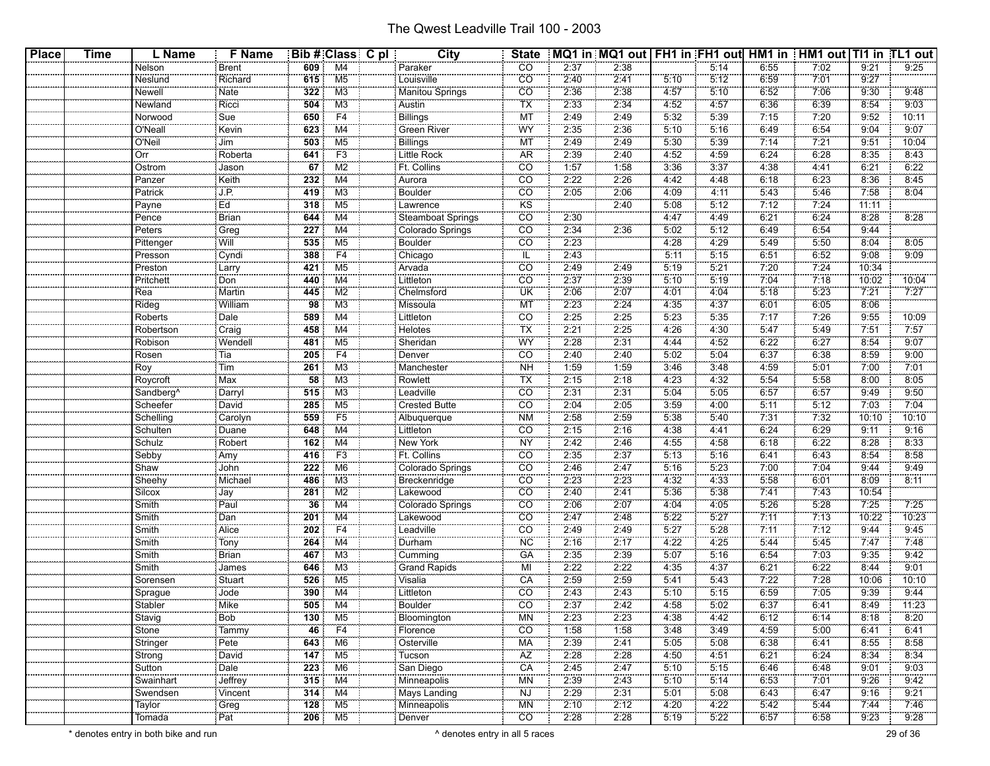| <b>Place</b> | <b>Time</b> | L Name                | F Name                    |            | Bib # Class C pl     | City                    | <b>State</b>    |      | MQ1 in MQ1 out   FH1 in FH1 out  HM1 in   HM1 out   TI1 in TL1 out |              |              |              |              |       |               |
|--------------|-------------|-----------------------|---------------------------|------------|----------------------|-------------------------|-----------------|------|--------------------------------------------------------------------|--------------|--------------|--------------|--------------|-------|---------------|
|              |             | Nelson                | <b>Brent</b>              | 609        | M4                   | Paraker                 | CO              | 2:37 | 2:38                                                               |              | 5:14         | 6:55         | 7:02         | 9:21  | 9:25          |
|              |             | Neslund               | Richard                   | 615        | $\overline{M5}$      | Louisville              | $\overline{CO}$ | 2:40 | 2:41                                                               | 5:10         | 5:12         | 6:59         | 7:01         | 9.27  |               |
|              |             | Newell                | Nate                      | 322        | M3                   | Manitou Springs         | CO              | 2:36 | 2:38                                                               | 4:57         | 5:10         | 6:52         | 7:06         | 9:30  | 9:48          |
|              |             | Newland               | Ricci                     | 504        | M <sub>3</sub>       | Austin                  | TX              | 2:33 | 2:34                                                               | 4:52         | 4:57         | 6:36         | 6:39         | 8:54  | 9:03          |
|              |             | Norwood               | s <sub>ue</sub>           | 650        | F4                   | Billings                | <b>MT</b>       | 2:49 | 2:49                                                               | 5:32         | 5:39         | 7:15         | 7:20         | 9:52  | 10:11         |
|              |             | O'Neall               | Kevin                     | 623        | M4                   | <b>Green River</b>      | WY              | 2:35 | 2:36                                                               | 5:10         | 5:16         | 6:49         | 6:54         | 9:04  | 9:07          |
|              |             | O'Neil                | Jim                       | 503        | M <sub>5</sub>       | <b>Billings</b>         | <b>MT</b>       | 2:49 | 2:49                                                               | 5:30         | 5:39         | 7:14         | 7:21         | 9:51  | 10:04         |
|              |             | Orr                   | Roberta                   | 641        | F3                   | Little Rock             | ÄR              | 2:39 | 2:40                                                               | 4:52         | 4:59         | 6:24         | 6:28         | 8:35  | 8:43          |
|              |             | Ostrom                | Jason                     | 67         | M <sub>2</sub>       | Ft. Collins             | CO              | 1:57 | 1:58                                                               | 3:36         | 3:37         | 4:38         | 4:41         | 6:21  | 6:22          |
|              |             | Panzer                | Keith                     | 232        | M4                   | Aurora                  | CO              | 2:22 | 2:26                                                               | 4:42         | 4:48         | 6:18         | 6:23         | 8:36  | 8:45          |
|              |             | Patrick               | <b>JP</b>                 | 419        | M3                   | <b>Boulder</b>          | CO              | 2:05 | 2:06                                                               | 4:09         | 4:11         | 5:43         | 5:46         | 7:58  | 8:04          |
|              |             | Payne                 | Ed                        | 318        | M <sub>5</sub>       | Lawrence                | KS              |      | 2:40                                                               | 5:08         | 5:12         | 7:12         | 7:24         | 11:11 |               |
|              |             | Pence                 | <b>Brian</b>              | 644        | M4                   | Steamboat Springs       | CO              | 2:30 |                                                                    | 4:47         | 4:49         | 6:21         | 6:24         | 8:28  | 8:28          |
|              |             | Peters                | Greg                      | 227        | M4                   | Colorado Springs        | CO              | 2:34 | 2:36                                                               | 5:02         | 5:12         | 6:49         | 6:54         | 9:44  |               |
|              |             | Pittenger             | Will                      | 535        | M <sub>5</sub>       | <b>Boulder</b>          | $\overline{CO}$ | 2:23 |                                                                    | 4:28         | 4:29         | 5:49         | 5:50         | 8:04  | 8:05          |
|              |             | Presson               | Cyndi                     | 388        | F <sub>4</sub>       | Chicago                 | ΪĽ              | 2:43 |                                                                    | 5:11         | 5:15         | 6:51         | 6:52         | 9:08  | 9:09          |
|              |             | Preston               | Larry                     | 421        | M <sub>5</sub>       | Arvada                  | CO              | 2:49 | 2:49                                                               | 5:19         | 5:21         | 7:20         | 7.24         | 10:34 |               |
|              |             | Pritchett             | Don                       | 440        | M4                   | Littleton               | CO              | 2:37 | 2:39                                                               | 5:10         | 5:19         | 7:04         | 7:18         | 10:02 | 10:04         |
|              |             | Rea                   | Martin                    | 445        | M <sub>2</sub>       | Chelmsford              | UK              | 2:06 | 2:07                                                               | 4:01         | 4:04         | 5:18         | 5:23         | 7:21  | 7:27          |
|              |             | Rideg                 | William                   | 98         | M3                   | Missoula                | <b>MT</b>       | 2:23 | 2:24                                                               | 4:35         | 4:37         | 6:01         | 6:05         | 8:06  |               |
|              |             | Roberts               | Dale                      | 589        | M4                   | Littleton               | CO              | 2:25 | 2:25                                                               | 5:23         | 5:35         | 7:17         | 7:26         | 9:55  | 10:09         |
|              |             | Robertson             | Craig                     | 458        | M4                   | <b>Helotes</b>          | <b>TX</b>       | 2:21 | 2:25                                                               | 4:26         | 4:30         | 5:47         | 5:49         | 7:51  | 7:57          |
|              |             | Robison               | Wendell                   | 481        | M5                   | Sheridan                | WY              | 2:28 | 2:31                                                               | 4:44         | 4:52         | 6:22         | 6:27         | 8:54  | 9:07          |
|              |             | Rosen                 | Tia                       | 205        | F4                   | Denver                  | CO              | 2:40 | 2:40                                                               | 5:02         | 5:04         | 6:37         | 6:38         | 8:59  | 9:00          |
|              |             | Roy                   | Tim                       | 261        | M3                   | Manchester              | <b>NH</b>       | 1:59 | 1:59                                                               | 3:46         | 3:48         | 4:59         | 5:01         | 7:00  | 7:01          |
|              |             | Roycroft              | Max                       | 58         | MЗ                   | Rowlett                 | ТX              | 2:15 | 2:18                                                               | 4:23         | 4:32         | 5:54         | 5:58         | 8:00  | 8:05          |
|              |             | Sandberg <sup>^</sup> | Darryl                    | 515        | M3                   | Leadville               | CO              | 2:31 | 2:31                                                               | 5:04         | 5:05         | 6:57         | 6:57         | 9:49  | 9:50          |
|              |             | Scheefer              | David                     | 285        | M <sub>5</sub>       | <b>Crested Butte</b>    | CO              | 2:04 | 2:05                                                               | 3:59         | 4:00         | 5:11         | 5:12         | 7:03  | 7:04          |
|              |             | Schelling             | Carolyn                   | 559        | F <sub>5</sub>       | Albuquerque             | <b>NM</b>       | 2:58 | 2:59                                                               | 5:38         | 5:40         | 7.31         | 7:32         | 10:10 | 10:10         |
|              |             |                       | Duane                     | 648        | M4                   | Littleton               | CO              | 2:15 | 2:16                                                               | 4:38         |              | 6:24         | 6:29         | 9:11  | 9:16          |
|              |             | Schulten<br>Schulz    | Robert                    | 162        | M4                   | New York                | <b>NY</b>       | 2:42 | 2:46                                                               | 4:55         | 4:41<br>4:58 | 6:18         | 6:22         | 8:28  | 8:33          |
|              |             | Sebby                 | Amy                       | 416        | F3                   | Ft. Collins             | CO              | 2:35 | 2:37                                                               | 5:13         | 5:16         | 6:41         | 6:43         | 8:54  | 8:58          |
|              |             | Shaw                  | John                      | 222        | M <sub>6</sub>       | <b>Colorado Springs</b> | CO              | 2:46 | 2:47                                                               | 5:16         | 5:23         | 7:00         | 7:04         | 9:44  | 9:49          |
|              |             |                       |                           | 486        |                      |                         | CO              | 2:23 | 2:23                                                               | 4:32         | 4:33         | 5:58         | 6:01         | 8:09  | 8:11          |
|              |             | Sheehy<br>Silcox      | Michael                   | 281        | M3<br>M2             | Breckenridge            | CO              | 2:40 | 2:41                                                               | 5:36         | 5:38         | 7.41         |              | 10:54 |               |
|              |             |                       | Jay<br>Paul               | 36         | M4                   | Lakewood                | CO              | 2:06 | 2:07                                                               |              |              |              | 7:43<br>5:28 | 7:25  | 7:25          |
|              |             | Smith                 |                           |            |                      | Colorado Springs        | <b>CO</b>       | 2:47 |                                                                    | 4:04<br>5:22 | 4:05<br>5:27 | 5:26         | 7.13         | 10:22 |               |
|              |             | Smith                 | Dan<br>Alice              | 201<br>202 | M4<br>F4             | Lakewood                | CO              |      | 2:48<br>2:49                                                       | 5:27         | 5:28         | 7:11<br>7:11 | 7:12         | 9:44  | 10:23<br>9:45 |
|              |             | Smith                 |                           | 264        |                      | Leadville               | NC <sup></sup>  | 2:49 |                                                                    |              |              |              |              | 7:47  |               |
|              |             | Smith                 | Tony                      |            | M4                   | Durham                  |                 | 2:16 | 2:17                                                               | 4:22         | 4:25         | 5:44         | 5:45         |       | 7:48          |
|              |             | Smith                 | Brian                     | 467        | M3                   | Cumming                 | GA<br>MI        | 2:35 | 2:39<br>2:22                                                       | 5:07         | 5:16         | 6:54         | 7.03<br>6:22 | 9:35  | 9:42          |
|              |             | Smith                 | James                     | 646        | MЗ                   | <b>Grand Rapids</b>     |                 | 2:22 |                                                                    | 4:35         | 4:37         | 6:21         |              | 8:44  | 9:01          |
|              |             | Sorensen              | Stuart                    | 526        | M <sub>5</sub>       | Visalia                 | CA              | 2:59 | 2:59                                                               | 5:41         | 5:43         | 7:22         | 7:28         | 10:06 | 10:10         |
|              |             | Sprague               | Jode                      | 390        | M4                   | Littleton               | CO              | 2:43 | 2:43                                                               | 5:10         | 5:15         | 6:59         | 7.05         | 9:39  | 9:44          |
|              |             | Stabler<br>.          | Mike                      | 505        | M4                   | <b>Boulder</b><br>.     | CO              | 2:37 | 2:42                                                               | 4:58         | 5:02         | 6:37         | 6:41         | 8:49  | 11:23         |
|              |             | Stavig                | <b>Bob</b>                |            | 130 M5               | Bloomington             | ΜN              | 2:23 | 2:23                                                               | 4:38         | 4:42         | 6:12         | 6:14         | 8:18  | 8:20          |
|              |             | Stone<br>Stringer     | Tammy<br>Pete             |            | $46$ F4              | Florence                | $\overline{CO}$ | 1:58 | 1:58                                                               | 3:48         | 3:49         | 4:59         | 5:00         | 6:41  | 6:41          |
|              |             |                       |                           |            | $643$ M6             | Osterville              | <b>MA</b>       | 2:39 | 2:41                                                               | 5:05         | 5:08         | 6:38         | 6:41         | 8:55  | 8:58          |
|              |             | Strong                | David                     |            | $147$ M <sub>5</sub> | Tucson                  | ÄZ              | 2:28 | 2:28                                                               | 4:50         | 4:51         | 6:21         | 6:24         | 8:34  | 8:34          |
|              |             | Sutton<br>Swainhart   | Dale                      |            | $223$ M6             | San Diego               | $\overline{CA}$ | 2:45 | 2:47                                                               | 5:10         | 5:15         | 6:46         | 6:48         | 9:01  | 9:03          |
|              |             |                       | Jeffrey                   |            | $315$ M4             | Minneapolis             | <b>MN</b>       | 2:39 | 2:43                                                               | 5:10         | 5:14         | 6:53         | 7:01         | 9:26  | 9:42          |
|              |             | Swendsen              | Vincent                   |            | $314$ M4             | Mays Landing            | <b>NJ</b>       | 2:29 | 2:31                                                               | 5:01         | 5:08         | 6:43         | 6:47         | 9:16  | 9:21          |
|              |             | Taylor<br>==          | Greg                      |            | $128$ M5             | Minneapolis             | <b>MN</b>       | 2:10 | 2:12                                                               | 4:20         | 4:22         | 5:42         | 5:44         | 7:44  | 7:46          |
|              |             | Tomada                | $\overline{\mathsf{Pat}}$ |            | <b>206</b> M5        | Denver                  | $\overline{CO}$ | 2:28 | 2:28                                                               | 5:19         | 5:22         | 6:57         | 6:58         | 9:23  | 9:28          |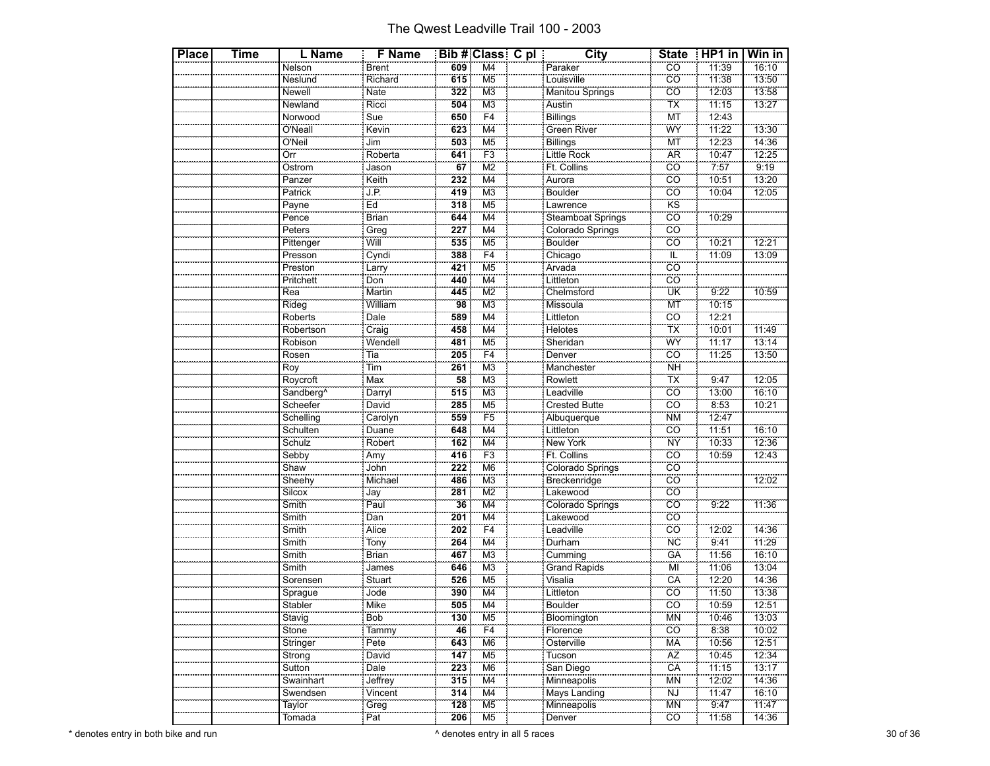| <b>Place</b> | Time | L Name                | <b>F</b> Name       |     | <b>Bib # Class C pl</b>   | City                    | <b>State</b>         | HP1 in | Win in |
|--------------|------|-----------------------|---------------------|-----|---------------------------|-------------------------|----------------------|--------|--------|
|              |      | Nelson                | Brent               | 609 | M4                        | Paraker                 | cö                   | 11:39  | 16:10  |
|              |      | Neslund               | Richard             | 615 | M <sub>5</sub>            | Louisville              | cö                   | 11:38  | 13:50  |
|              |      | Newell                | Nate                | 322 | ΜЗ                        | <b>Manitou Springs</b>  | $\overline{co}$      | 12:03  | 13:58  |
|              |      | Newland               | Ricci               | 504 | M <sub>3</sub>            | Austin                  | $\frac{1}{1}$        | 11:15  | 13:27  |
|              |      | Norwood               | Sue                 | 650 | F <sub>4</sub>            | Billings                | ΜÏ                   | 12:43  |        |
|              |      | O'Neall               | Kevin               | 623 | M4                        | Green River             | WŸ                   | 11:22  | 13:30  |
|              |      | O'Neil                | Jim                 | 503 | M <sub>5</sub>            |                         | <b>MT</b>            | 12:23  | 14:36  |
|              |      | Örr                   | Roberta             | 641 | F3                        | Billings<br>Little Rock | ÄR                   | 10:47  | 12.25  |
|              |      | Ostrom                | Jason               | 67  | M <sub>2</sub>            | Ft. Collins             | $\overline{co}$      | 7:57   | 9:19   |
|              |      | Panzer                | Keith               | 232 | $\overline{\mathsf{M}}$ 4 |                         | $\overline{co}$      | 10:51  | 13:20  |
|              |      | Patrick               | JP.                 | 419 | M <sub>3</sub>            | Aurora                  | cö                   | 10:04  | 12:05  |
|              |      | Payne                 | Ed                  | 318 | M <sub>5</sub>            | Lawrence                | <b>KS</b>            |        |        |
|              |      | Pence                 | Brian<br>Greg       | 644 | $\overline{\mathsf{M}}$ 4 | Steamboat Springs       | $\overline{c}$       | 10:29  |        |
|              |      | Peters                |                     | 227 | M <sub>4</sub>            | Colorado Springs        | cö                   |        |        |
|              |      | Pittenger             | Will                | 535 | M <sub>5</sub>            | Boulder                 | $\overline{co}$      | 10:21  | 12:21  |
|              |      | Presson               |                     | 388 | F4                        | Chicago<br>Arvada       | $\tilde{\mathbb{L}}$ | 11:09  | 13:09  |
|              |      | Preston               | Cyndi<br>Larry      | 421 | M <sub>5</sub>            |                         | cö                   |        |        |
|              |      | Pritchett             | Don                 | 440 | M4                        | Littleton               | CO                   |        |        |
|              |      | Rea                   | Martin              | 445 | M <sub>2</sub>            | Chelmsford              | ÜK                   | 9:22   | 10:59  |
|              |      | Rideg                 | William             | 98  | M <sub>3</sub>            | Missoula                | ΜÏ                   | 10:15  |        |
|              |      | Roberts               | Dale                | 589 | $\overline{\mathsf{M}}$ 4 | Littleton               | CO                   | 12:21  |        |
|              |      | Robertson             |                     | 458 | $\overline{M}$            | Helotes<br>Sheridan     | $\frac{1}{1}$        | 10:01  | 11:49  |
|              |      | Robison               | Craig<br>Wendell    | 481 | M <sub>5</sub>            |                         | WY                   | 11:17  | 13:14  |
|              |      | Rosen                 | Tia                 | 205 | F4                        | Denver                  | ĈÖ                   | 11:25  | 13:50  |
|              |      | Roy                   | $\overline{T}$      | 261 | M <sub>3</sub>            |                         | <b>NH</b>            |        |        |
|              |      | Roycroft              | Max                 | 58  | M <sub>3</sub>            | Manchester<br>Rowlett   | TX                   | 9:47   | 12:05  |
|              |      | Sandberg <sup>^</sup> | Darryl              | 515 | M <sub>3</sub>            | Leadville               | $\overline{co}$      | 13:00  | 16:10  |
|              |      | Scheefer              | David               | 285 | M <sub>5</sub>            | <b>Crested Butte</b>    | $\overline{co}$      | 8:53   | 10:21  |
|              |      | Schelling             | <u>.</u><br>Carolyn | 559 | F <sub>5</sub>            | Albuquerque             | <b>NM</b>            | 12:47  |        |
|              |      | Schulten              | Duane               | 648 | M4                        | Littleton               | ĈÖ                   | 11:51  | 16:10  |
|              |      | Schulz                | Robert<br>Amy       | 162 | $\overline{\mathsf{M}}$ 4 | New York                | <b>NY</b>            | 10:33  | 12:36  |
|              |      | Sebby                 |                     | 416 | F3                        | Ft. Collins             | <b>CO</b>            | 10:59  | 12:43  |
|              |      | Shaw                  | John                | 222 | M <sub>6</sub>            | Colorado Springs        | ĈÖ                   |        |        |
|              |      | Sheehy<br>Silcox      | Michael             | 486 | M <sub>3</sub>            | Breckenridge            | $\overline{co}$      |        | 12:02  |
|              |      |                       | Jay                 | 281 | M <sub>2</sub>            | Lakewood                | cö                   |        |        |
|              |      | Smith                 | Paul                | 36  | M4                        | Colorado Springs        | $\overline{co}$      | 9:22   | 11:36  |
|              |      | Smith                 | Dan                 | 201 | $\overline{\mathsf{M}}$ 4 | Lakewood<br>Leadville   | $\overline{co}$      |        |        |
|              |      | Smith                 | Alice               | 202 | $\overline{F4}$           |                         | cö                   | 12:02  | 14:36  |
|              |      | Smith                 | Tony                | 264 | M4                        | Durham                  | ÑĈ                   | 9:41   | 11:29  |
|              |      | Smith                 | <b>Brian</b>        | 467 | M <sub>3</sub>            | Cumming<br>Grand Rapids | GÄ                   | 11:56  | 16:10  |
|              |      | Smith                 | James               | 646 | M <sub>3</sub>            |                         | MÏ                   | 11:06  | 13:04  |
|              |      | Sorensen              | Stuart              | 526 | M <sub>5</sub>            | Visalia                 | CÄ                   | 12:20  | 14:36  |
|              |      | Sprague               | Jode                | 390 | $\overline{\mathsf{M}}$ 4 | Littleton               | CO                   | 11:50  | 13:38  |
|              |      | <br>Stabler           | <b>Mike</b>         | 505 | M4                        | Boulder                 | cö                   | 10:59  | 12:51  |
|              |      | <br>Stavig            | Bob                 | 130 | M <sub>5</sub>            | Bloomington             | <b>MN</b>            | 10:46  | 13:03  |
|              |      | Stone                 | Tammy               | 46  | F <sub>4</sub>            | Florence                | $\overline{CO}$      | 8:38   | 10:02  |
|              |      | Stringer              | Pete                | 643 | M <sub>6</sub>            | Osterville              | <b>MA</b>            | 10:56  | 72:51  |
|              |      | Strong                | David               | 147 | M5                        | Tucson                  | AZ                   | 10:45  | 12:34  |
|              |      | $\frac{3}{5}$ Sutton  | Dale                | 223 | M <sub>6</sub>            | San Diego               | CÄ                   | 11:15  | 13:17  |
|              |      | Swainhart             | Jeffrey             | 315 | M <sub>4</sub>            | Minneapolis             | MN                   | 12:02  | 14:36  |
|              |      | Swendsen              | Vincent             | 314 | M4                        | Mays Landing            | NJ                   | 11:47  | 16:10  |
|              |      | Taylor                | Greg                | 128 | M <sub>5</sub>            | Minneapolis             | <b>MN</b>            | 9:47   | 11:47  |
|              |      | Tomada                | Pat                 | 206 | M <sub>5</sub>            | Denver                  | .co                  | 11:58  | 14:36  |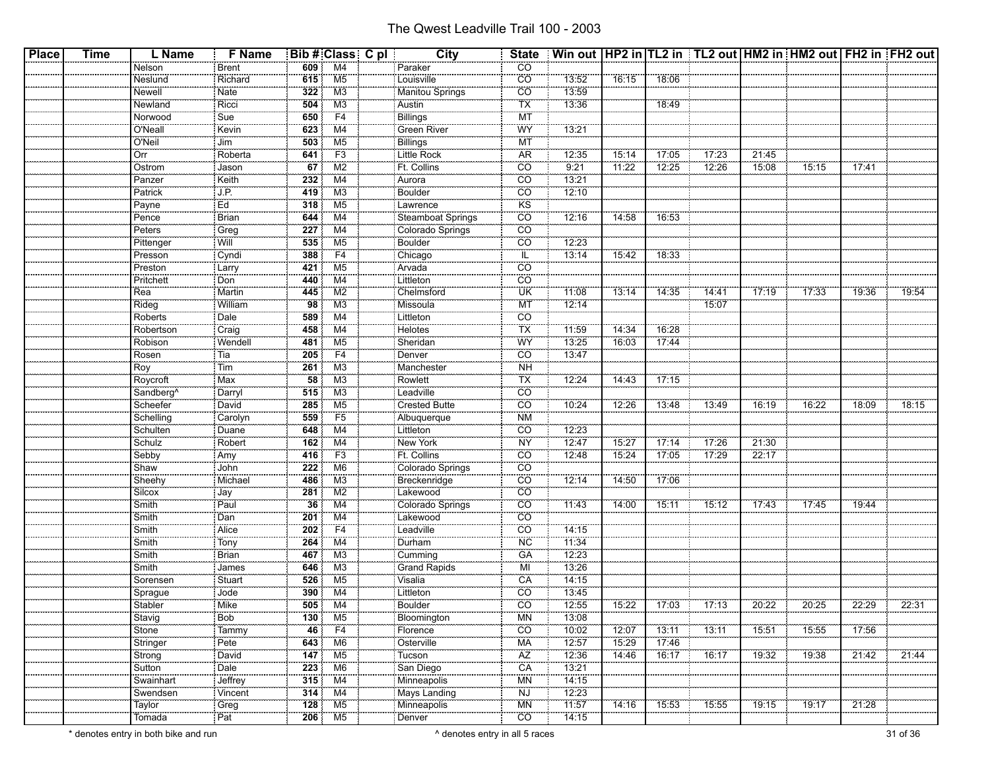| <b>Place</b> | Time | L Name                 | <b>F</b> Name     |                        | <b>Bib # Class C pl</b>  | <b>City</b>                           |                                             | State   Win out   HP2 in   TL2 in   TL2 out   HM2 in   HM2 out   FH2 in   FH2 out |                   |                |                   |       |       |       |       |
|--------------|------|------------------------|-------------------|------------------------|--------------------------|---------------------------------------|---------------------------------------------|-----------------------------------------------------------------------------------|-------------------|----------------|-------------------|-------|-------|-------|-------|
|              |      | Nelson                 | <b>Brent</b>      | 609                    | M4                       | Paraker                               | CO                                          |                                                                                   |                   |                |                   |       |       |       |       |
|              |      | Neslund                | Richard           | 615                    | M <sub>5</sub>           | Louisville                            | $\overline{CO}$                             | 13:52                                                                             | 16:15             | 18:06          |                   |       |       |       |       |
|              |      | Newell                 | Nate              | 322                    | M3                       | Manitou Springs                       | $\overline{CO}$                             | 13:59                                                                             |                   |                |                   |       |       |       |       |
|              |      | Newland                | Ricci             | 504                    | M3                       | Austin                                | TX                                          | 13:36                                                                             |                   | 18:49          |                   |       |       |       |       |
|              |      | Norwood                | Sue               | 650                    | F4                       | Billings                              | MT                                          |                                                                                   |                   |                |                   |       |       |       |       |
|              |      | O'Neall                | <b>Kevin</b>      | 623                    | M4                       | <b>Green River</b>                    | WY                                          | 73:21                                                                             |                   |                |                   |       |       |       |       |
|              |      | O'Neil                 | Jim               | 503                    | M <sub>5</sub>           |                                       | MT                                          |                                                                                   |                   |                |                   |       |       |       |       |
|              |      | $rac{1}{\text{Orr}}$   | Roberta           | 641                    | F3                       | Billings<br>Little Rock               | <b>AR</b>                                   | 12:35                                                                             | 15:14             | 17:05          | 17:23             | 21:45 |       |       |       |
|              |      | Ostrom                 | Jason             | 67                     | M <sub>2</sub>           | Ft. Collins                           | $\overline{CO}$                             | 9:21                                                                              | 11:22             | 12:25          | 12:26             | 15:08 | 15:15 | 17:41 |       |
|              |      | Panzer                 | Keith             | 232                    | M4                       | Aurora                                | <b>CO</b>                                   | 13:21                                                                             |                   |                |                   |       |       |       |       |
|              |      | Patrick                | J.P.              | 419                    | M <sub>3</sub>           | Boulder                               | $\overline{co}$                             | 12:10                                                                             |                   |                |                   |       |       |       |       |
|              |      | Payne                  | Ed                | 318                    | M <sub>5</sub>           | Lawrence                              | <b>KS</b>                                   |                                                                                   |                   |                |                   |       |       |       |       |
|              |      | Pence                  | <b>Brian</b>      | 644                    | M4                       |                                       | $\overline{co}$                             | 12:16                                                                             | 14:58             | 16:53          |                   |       |       |       |       |
|              |      | $\frac{1}{2}$ Peters   | Greg              | 227                    | $\overline{M4}$          | Steamboat Springs<br>Colorado Springs | <b>CO</b>                                   |                                                                                   |                   |                |                   |       |       |       |       |
|              |      |                        | Will              | 535                    | M <sub>5</sub>           |                                       | $\overline{CO}$                             | 12:23                                                                             |                   |                |                   |       |       |       |       |
|              |      | Pittenger              |                   | 388                    | F4                       | Boulder                               | $\overline{\mathbb{L}}$                     | 13:14                                                                             | 15:42             | 18:33          |                   |       |       |       |       |
|              |      | Presson<br>Preston     | Cyndi             | 421                    | M <sub>5</sub>           | Chicago<br>Arvada                     | CO                                          |                                                                                   |                   |                |                   |       |       |       |       |
|              |      |                        | Larry<br>Don      | 440                    | M4                       |                                       | CO <sup>-</sup>                             |                                                                                   |                   |                |                   |       |       |       |       |
|              |      | Pritchett              |                   |                        |                          | Littleton                             | ΪÜΚ                                         |                                                                                   |                   |                |                   | 17:19 | 17:33 |       |       |
|              |      | Rea<br>Rideg           | Martin<br>William | 445<br>$\overline{98}$ | M2<br>M <sub>3</sub>     | Chelmsford<br>Missoula                | <b>MT</b>                                   | 11:08<br>12:14                                                                    | 13:14             | 14:35          | 14:41<br>15:07    |       |       | 19:36 | 19:54 |
|              |      |                        |                   |                        |                          |                                       |                                             |                                                                                   |                   |                |                   |       |       |       |       |
|              |      | Roberts                | Dale              | 589                    | M4                       | Littleton                             | $\overline{CO}$<br>$\overline{\mathsf{TX}}$ | 11:59                                                                             |                   |                |                   |       |       |       |       |
|              |      | Robertson<br>Robison   | Craig             | 458                    | M4                       | Helotes<br>Sheridan                   | WY                                          |                                                                                   | 14:34             | 16:28<br>17:44 |                   |       |       |       |       |
|              |      |                        | Wendell           | 481                    | M <sub>5</sub>           |                                       |                                             | 13:25                                                                             | 16:03             |                |                   |       |       |       |       |
|              |      | Rosen                  | l Tia             | 205                    | F4                       | Denver                                | $\overline{CO}$                             | 13:47                                                                             |                   |                |                   |       |       |       |       |
|              |      | Roy<br>Roy<br>Roycroft | Tim               | 261                    | M3                       | Manchester<br>Rowlett                 | <b>NH</b>                                   |                                                                                   |                   |                |                   |       |       |       |       |
|              |      |                        | :<br>Max          | 58                     | M <sub>3</sub>           |                                       | TX                                          | 12:24                                                                             | 14:43             | 17:15          |                   |       |       |       |       |
|              |      | Sandberg <sup>^</sup>  | Darryl            | 515                    | M <sub>3</sub>           | Leadville                             | $\overline{CO}$                             |                                                                                   |                   |                |                   |       |       |       |       |
|              |      | Scheefer               | David             | 285                    | M <sub>5</sub>           | Crested Butte                         | $\overline{CO}$                             | 10:24                                                                             | 12:26             | 13:48          | 13:49             | 16:19 | 16:22 | 18:09 | 18:15 |
|              |      | Schelling              | Carolyn           | 559                    | F5                       | Albuquerque                           | <b>NM</b>                                   |                                                                                   |                   |                |                   |       |       |       |       |
|              |      | Schulten               | Duane             | 648                    | M4                       | Littleton                             | <b>CO</b>                                   | 12:23                                                                             |                   |                |                   |       |       |       |       |
|              |      | Schulz                 | Robert            | 162                    | M4                       | New York                              | <b>NY</b>                                   | 12:47                                                                             | 15:27             | 17:14          | 17:26             | 21:30 |       |       |       |
|              |      | Sebby                  | Amy               | 416                    | F <sub>3</sub>           | Ft. Collins                           | $\overline{co}$                             | 12:48                                                                             | 15:24             | 17:05          | 17:29             | 22:17 |       |       |       |
|              |      | Shaw                   | John              | 222                    | M6                       | Colorado Springs                      | $\overline{co}$                             |                                                                                   |                   |                |                   |       |       |       |       |
|              |      | Sheehy                 | Michael           | 486                    | M3                       | Breckenridge<br>Lakewood              | CO                                          | 12:14                                                                             | 14:50             | 17:06          |                   |       |       |       |       |
|              |      | Silcov                 | Jay               | 281                    | $\overline{\text{M2}}$   |                                       | CO                                          |                                                                                   |                   |                |                   |       |       |       |       |
|              |      | Smith                  | Paul              | 36                     | M4                       | Colorado Springs                      | $\overline{CO}$                             | 11:43                                                                             | 14:00             | 15:11          | 15:12             | 17:43 | 17:45 | 19:44 |       |
|              |      | Smith                  | Dan               | 201                    | M4                       | Lakewood                              | CO                                          |                                                                                   |                   |                |                   |       |       |       |       |
|              |      | Smith                  | Alice             | 202                    | F4                       | Leadville                             | $\overline{co}$                             | 14:15                                                                             |                   |                |                   |       |       |       |       |
|              |      | Smith                  | Tony              | 264                    | M4                       | Durham                                | <b>NC</b>                                   | 11:34                                                                             |                   |                |                   |       |       |       |       |
|              |      | Smith                  | Brian             | 467                    | M3                       | ------------                          | $G\overline{A}$                             | 12:23                                                                             |                   |                |                   |       |       |       |       |
|              |      | Smith                  | James             | 646                    | M <sub>3</sub>           | Cumming<br>Grand Rapids               | ΪMΙ                                         | 13:26                                                                             |                   |                |                   |       |       |       |       |
|              |      | Sorensen               | Stuart            | 526                    | M <sub>5</sub>           | Visalia                               | CÄ                                          | 14:15                                                                             |                   |                |                   |       |       |       |       |
|              |      |                        | Jode              | 390                    | M4                       | Littleton                             | <b>CO</b>                                   | 13:45                                                                             |                   |                |                   |       |       |       |       |
|              |      | Sprague<br>Stabler     | Mike              | 505                    | M4                       | Boulder                               | $\overline{co}$                             | 12:55                                                                             | $\frac{1}{15:22}$ |                | $-17:03$ $17:13$  | 20:22 | 20:25 | 22:29 | 22:31 |
|              |      | Stavig                 | Bob               | 130                    | M5                       | Bloomington                           | ΜN                                          | 13:08                                                                             |                   |                |                   |       |       |       |       |
|              |      |                        | 0000000000        | 46                     | F4                       |                                       | CO                                          | 10:02                                                                             | 12:07             | 13:11          | $\frac{1}{13:11}$ | 15:51 | 15:55 | 17:56 |       |
|              |      | Stone<br>Stringer      | Tammy<br>Pete     | 643                    | M <sub>6</sub>           | Florence<br>Osterville                | <b>MA</b>                                   | 12:57                                                                             | 15:29             | 17:46          |                   |       |       |       |       |
|              |      | Strong                 | David             | 147                    | M <sub>5</sub>           | Tucson                                | ÄŻ                                          | 12:36                                                                             | 14:46             | 16:17          | 16:17             | 19:32 | 19:38 | 21:42 | 21:44 |
|              |      |                        | Dale              | 223                    | M6                       |                                       | CA                                          | 13:21                                                                             |                   |                |                   |       |       |       |       |
|              |      | Sutton<br>Swainhart    | Jeffrey           | 315                    | $\overline{\mathsf{M4}}$ | San Diego<br>Minneapolis              | <b>MN</b>                                   | 14:15                                                                             |                   |                |                   |       |       |       |       |
|              |      | Swendsen               | Vincent           | 314                    | M4                       | Mays Landing                          | <b>NJ</b>                                   | 12:23                                                                             |                   |                |                   |       |       |       |       |
|              |      |                        | Greg              | 128                    | M <sub>5</sub>           |                                       | <b>MN</b>                                   | 11:57                                                                             | 14:16             | 15:53          |                   | 19:15 |       | 21:28 |       |
|              |      | Taylor<br>Tomada       | Pat               | 206                    | M <sub>5</sub>           | Minneapolis<br>Denver                 | $\overline{CO}$                             | 14:15                                                                             |                   |                | 15:55             |       | 19:17 |       |       |
|              |      |                        |                   |                        |                          |                                       |                                             |                                                                                   |                   |                |                   |       |       |       |       |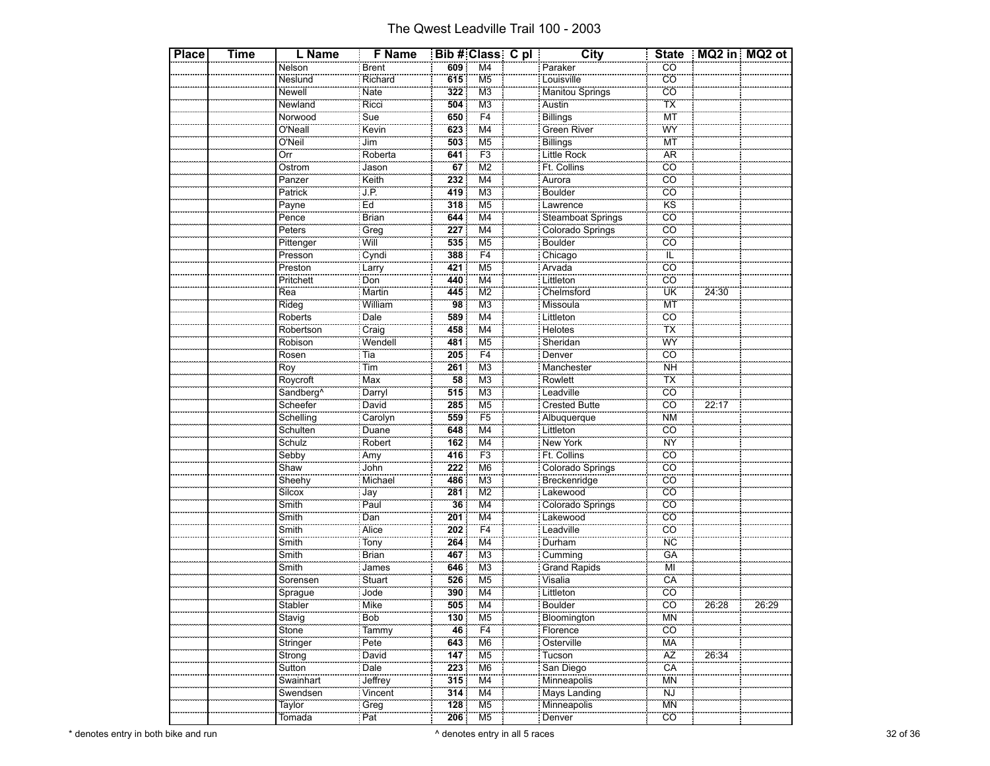| <b>Place</b> | <b>Time</b> | L Name                | <b>F</b> Name                            |                 | Bib # Class C pl                            | <b>City</b>              |                              | State   MQ2 in   MQ2 ot |       |
|--------------|-------------|-----------------------|------------------------------------------|-----------------|---------------------------------------------|--------------------------|------------------------------|-------------------------|-------|
|              |             | Nelson                | Brent                                    | 609             | M4                                          | Paraker                  | CO                           |                         |       |
|              |             | Neslund               | Richard                                  | 615             | M <sub>5</sub>                              | Louisville               | $\overline{c}$               |                         |       |
|              |             | Newell                | Nate                                     | 322             | M <sub>3</sub>                              | Manitou Springs          | CO                           |                         |       |
|              |             | Newland               | Ricci                                    | 504             | M <sub>3</sub>                              | Austin                   | <b>TX</b>                    |                         |       |
|              |             | Norwood               | Sue                                      | 650             | F4                                          | Billings                 | MT                           |                         |       |
|              |             | O'Neall               | Kevin                                    | 623             | M4                                          | Green River              | WY                           |                         |       |
|              |             | O'Neil                | Jim                                      | 503             | M <sub>5</sub>                              |                          | $\overline{MT}$              |                         |       |
|              |             | Örr                   | Roberta                                  | 641             | F <sub>3</sub>                              | Billings<br>Little Rock  | <b>AR</b>                    |                         |       |
|              |             | Ostrom                | Jason                                    | 67              | $\overline{M2}$                             | Ft. Collins              | CO                           |                         |       |
|              |             | Panzer                | Keith                                    | 232             | $\overline{\mathsf{M}}$ 4                   |                          | $\overline{c}$               |                         |       |
|              |             | Patrick               | J.P.                                     | 419             | M <sub>3</sub>                              | Aurora<br>Boulder        | CÖ                           |                         |       |
|              |             | Payne                 | $E\overline{d}$                          | 318             | M <sub>5</sub>                              | Lawrence                 | <b>KS</b>                    |                         |       |
|              |             | Pence                 | Brian                                    | 644             | $\overline{\mathsf{M}}$ 4                   | Steamboat Springs        | $\overline{c}$               |                         |       |
|              |             | Peters                | <br>Greg                                 | 227             | M <sub>4</sub>                              | Colorado Springs         | <b>CO</b>                    |                         |       |
|              |             | Pittenger             | Will                                     | 535             | M <sub>5</sub>                              | Boulder                  | $\overline{CO}$              |                         |       |
|              |             | Presson               | Cyndi                                    | 388             | F4                                          |                          | ΤĽ                           |                         |       |
|              |             | Preston               | Larry                                    | 421             | M <sub>5</sub>                              | Chicago<br>Arvada        | <b>CO</b>                    |                         |       |
|              |             | Pritchett             | Don                                      | 440             | M4                                          | Littleton                | <u>co</u>                    |                         |       |
|              |             | Rea                   | Martin                                   | 445             | $\overline{\text{M2}}$                      | Chelmsford               | UK                           | 24:30                   |       |
|              |             | Rideg                 | William                                  | 98              | M <sub>3</sub>                              | Missoula                 | <b>MT</b>                    |                         |       |
|              |             | Roberts               | Dale                                     | 589             | M4                                          | Littleton                | CO                           |                         |       |
|              |             | Robertson             |                                          | 458             | $\overline{\mathsf{M}}$ 4                   | Helotes                  | <b>TX</b>                    |                         |       |
|              |             | Robison               | Craig<br>Wendell                         | 481             | M <sub>5</sub>                              | Sheridan                 | WŸ                           |                         |       |
|              |             | Rosen                 |                                          | 205             | F4                                          | Denver                   | CÖ                           |                         |       |
|              |             | Roy                   | Tia<br>oo.<br>Tim                        | 261             | $\overline{\mathsf{M}3}$                    | Manchester               | <b>NH</b>                    |                         |       |
|              |             | Roycroft              | Max                                      | $\overline{58}$ | M <sub>3</sub>                              | Rowlett                  | TX                           |                         |       |
|              |             | Sandberg <sup>^</sup> | Darryl                                   | 515             | M <sub>3</sub>                              | Leadville                | CÖ                           |                         |       |
|              |             | Scheefer              | David                                    | 285             | M <sub>5</sub>                              | Crested Butte            | $\overline{c}$               | 22:17                   |       |
|              |             | Schelling             | Carolyn                                  | 559             | F <sub>5</sub>                              | Albuquerque              | <b>NM</b>                    |                         |       |
|              |             | Schulten              |                                          | 648             | M4                                          | Littleton                | <u>co</u>                    |                         |       |
|              |             | Schulz                | Duane                                    | 162             | $\overline{\mathsf{M}}$ 4                   | New York                 | <b>NY</b>                    |                         |       |
|              |             | Sebby                 | Robert<br>Amy                            | 416             | F <sub>3</sub>                              | Ft. Collins              | <b>CO</b>                    |                         |       |
|              |             | Shaw                  | John                                     | 222             | M <sub>6</sub>                              | Colorado Springs         | $\overline{CO}$              |                         |       |
|              |             |                       | Michael                                  | 486             | M <sub>3</sub>                              |                          | $\overline{co}$              |                         |       |
|              |             | Sheehy<br>Silcox      | $rac{1}{\text{Jay}}$                     | 281             | $\overline{\text{M2}}$                      | Breckenridge<br>Lakewood | CÖ                           |                         |       |
|              |             |                       |                                          | $\overline{36}$ | M4                                          |                          | CÖ                           |                         |       |
|              |             | Smith<br>Smith        | Paul                                     | 201             | $\overline{\mathsf{M}}$ 4                   | Colorado Springs         | $\overline{co}$              |                         |       |
|              |             |                       | Dan<br>Alice                             | 202             | F4                                          | Lakewood<br>Leadville    | <b>CO</b>                    |                         |       |
|              |             | Smith                 |                                          | 264             | M4                                          |                          | <b>NC</b>                    |                         |       |
|              |             | Smith                 | Tony                                     | 467             |                                             | Durham                   | GÄ                           |                         |       |
|              |             | Smith<br>Smith        | Brian<br><br>James                       | 646             | M <sub>3</sub><br>M <sub>3</sub>            | Cumming<br>Grand Rapids  | Mİ                           |                         |       |
|              |             |                       |                                          |                 |                                             |                          |                              |                         |       |
|              |             | Sorensen              | Stuart                                   | 526             | M <sub>5</sub><br>$\overline{\mathsf{M}}$ 4 | <br>Visalia              | CA<br>$\overline{c}$ o       |                         |       |
|              |             | Sprague<br>Stabler    | Jode<br>Mike                             | 390<br>505      | $\overline{\mathsf{M}}$ 4                   | Littleton                | $\overline{CO}$              |                         |       |
|              |             | سيستب                 |                                          |                 |                                             | <b>Boulder</b>           |                              | 26:28                   | 26:29 |
|              |             | Stavig                | Bob                                      | 130<br>46       | M <sub>5</sub><br>F4                        | Bloomington              | MN<br>$\overline{CO}$        |                         |       |
|              |             | Stone                 | Tammy                                    | 643             | M <sub>6</sub>                              | Florence                 | <b>MA</b>                    |                         |       |
|              |             | Stringer              | Pete                                     |                 |                                             | Osterville               |                              |                         |       |
|              |             | Strong                | David                                    | 147             | M <sub>5</sub>                              | Tucson                   | AZ<br>CA                     | 26:34                   |       |
|              |             | Sutton                | Dale<br>$\overline{\phantom{a}}$ Jeffrey | 223             | M <sub>6</sub>                              | San Diego                | <b>MN</b>                    |                         |       |
|              |             | Swainhart             |                                          | 315             | M <sub>4</sub>                              | Minneapolis              |                              |                         |       |
|              |             | Swendsen              | Vincent                                  | 314             | M4                                          | Mays Landing             | <b>NJ</b>                    |                         |       |
|              |             | Taylor                | Greg                                     | 128             | M <sub>5</sub>                              | Minneapolis              | <b>MN</b><br>$\overline{CO}$ |                         |       |
|              |             | Tomada                | : Pat                                    | 206             | M <sub>5</sub>                              | Denver                   |                              |                         |       |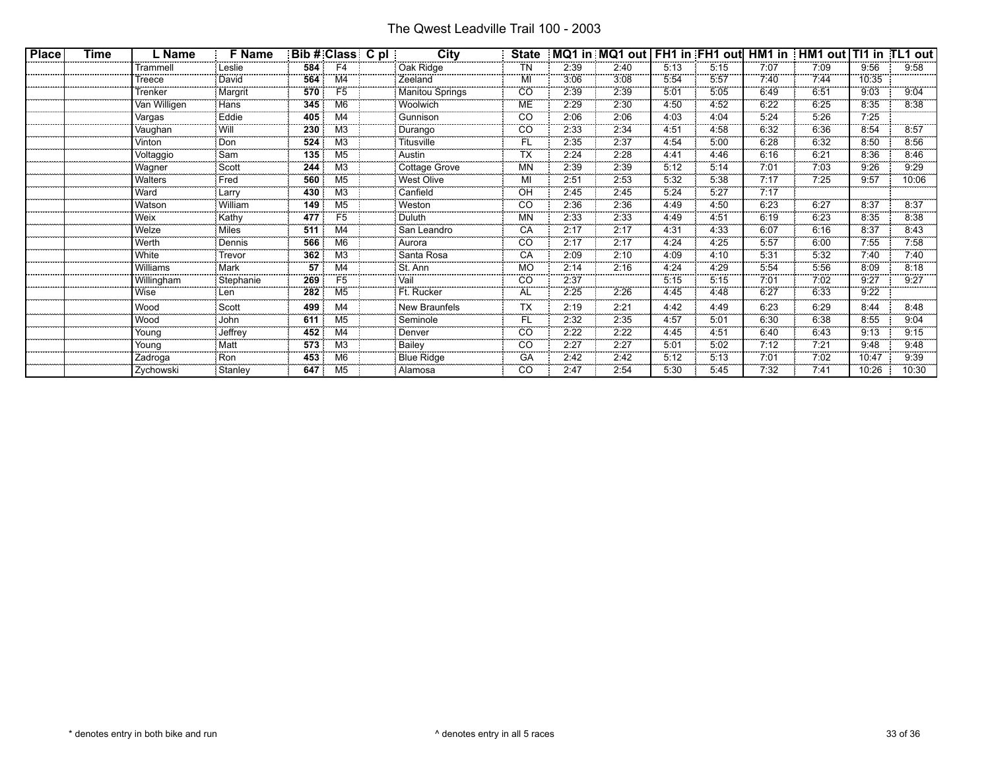| <b>Place</b> | Time | . Name       | F Name    | Bib#                     | Class          | C pl | City                   | <b>State</b>            |                          |                           |                           |          |          |                           |                           |          |
|--------------|------|--------------|-----------|--------------------------|----------------|------|------------------------|-------------------------|--------------------------|---------------------------|---------------------------|----------|----------|---------------------------|---------------------------|----------|
|              |      | Trammell     | Leslie    | 584                      | F4             |      | Oak Ridge              | ΤN                      | 2:39                     | 2:40                      | 5:13                      | 5:15     | 7:07     | 7:09                      | 9:56                      | 9:58     |
|              |      | Treece       | David     | 564                      |                |      | Zeeland                | MI                      | 3:06                     | 3:08                      | 5:54                      | 5:57     | 7:40     | 7:44                      | 10:35                     |          |
|              |      | Trenker      | Margrit   | 570                      | F5             |      | <b>Manitou Springs</b> | <br>CO                  | 2:39                     | 2:39                      | 5:01                      | 5:05     | 6:49     | 6:51                      | 9:03                      | 9:04     |
|              |      | /an Willigen | Hans      | 345                      | М6             |      | Woolwich               | МE                      | 2:29                     | 2:30                      | 4:50                      | 4:52     | 6:22     | 6:25                      | 8:35                      | 8:38     |
|              |      | Vargas       | Eddie     | 405                      |                |      | Gunnison               | <br>CO                  | <br>2:06                 | .<br>2:06                 | .<br>4:03                 | 4:04     | 5:24     | -------<br>5:26           | <br>7:25                  |          |
|              |      | Vaughan      | Wil       | 230                      | M3             |      | Durango                | CO                      | 2:33                     | .<br>2:34                 | 4:51                      | 4:58     | <br>6:32 | 6:36                      | <br>8:54                  | 8:57     |
|              |      | Vinton       | Don       | 524                      | M <sub>3</sub> |      | Titusville             | <b>CONTRACTOR</b><br>FL | 2:35                     | 2:37                      | <b>CONTRACTOR</b><br>4:54 | 5:00     | 6:28     | <b>STATISTICS</b><br>6:32 | <b>CONTRACTOR</b><br>8:50 | 8:56     |
|              |      | Voltaggio    | Sam       | 135                      | M5             |      | Austin                 | <br>гх                  | <br>2:24                 | <br>2:28                  | 4:41                      | 4:46     | 6:16     | 6:21                      | 8:36                      | 8:46     |
|              |      | Wagner       | Scott     | 244                      | M3             |      | Cottage Grove          | MN                      | 2:39                     | 2:39                      | 5:12                      | 5:14     | 7:01     | 7:03                      | 9:26                      | 9:29     |
|              |      | Walters      | Fred      | 560                      | M5             |      | <b>West Olive</b>      | MI                      | 2:51                     | 2:53                      | 5:32                      | 5:38     | 7:17     | 7:25                      | 9:57                      | 10:06    |
|              |      | Ward         | Larrv     | 430                      |                |      | Canfield               | O۲                      | ********<br>2:45         | .<br>2:45                 | <br>5:24                  | <br>5:27 | <br>7:17 |                           |                           |          |
|              |      | Watson       | William   | 149                      | M5             |      | Weston                 | <br>CO                  | 2:36                     | <br>2:36                  | 4:49                      | 4:50     | 6:23     | 6:27                      | 8:37                      | 8:37     |
|              |      | Weix         | Kathy     | 477                      | F5             |      | Duluth                 | MN                      | 2:33                     | <b>CONTRACTOR</b><br>2:33 | 4:49                      | 4:51     | 6:19     | 6:23                      | <b>CONTRACTOR</b><br>8:35 | 8:38     |
|              |      | Welze        | Miles     | 511                      | M4             |      | San Leandro            | <br>CА                  | ********<br>2:17         | <br>2:17                  | 4:31                      | 4:33     | <br>6:07 | 6:16                      | <br>8:37                  | 8:43     |
|              |      | Werth        | Dennis    | 566                      | M6             |      | Aurora                 | <br>CO                  | 2:17                     | 2:17                      | 4:24                      | 4:25     | 5:57     | 6:00                      | 7:55                      | 7:58     |
|              |      | White        | Trevoi    | 362                      |                |      | Santa Rosa             | СA                      | 2:09                     | 2:10                      | 4:09                      | 4:10     | 5:31     | 5:32                      | 7:40                      | 7:40     |
|              |      | Williams     | Mark      | <br>57                   |                |      | St. Ann                | .<br>МC                 | ********<br>2:14         | <br>2:16                  | .<br>4:24                 | <br>4:29 | <br>5:54 | .<br>5:56                 | <br>8:09                  | <br>8:18 |
|              |      | Willingham   | Stephanie | 269                      | F5             |      | Jai                    | CO                      | 2:37                     |                           | 5:15                      | 5:15     | 7:01     | <br>7:02                  | <br>9:27                  | 9:27     |
|              |      | Wise         | Len       | <b>CONTRACTOR</b><br>282 | M <sub>5</sub> |      | Ft. Rucker             | <b>CONTRACTOR</b><br>AL | 000000000<br>2:25        | .<br>2:26                 | <b>COOKING</b><br>4:45    | 4:48     | 6:27     | 00000000<br>6:33          | -------<br>9:22           |          |
|              |      | Wood         | Scott     | 499                      |                |      | <b>New Braunfels</b>   | TХ                      | 2:19                     | 2:21                      | 4:42                      | 4:49     | 6:23     | 6:29                      | 8:44                      | 8:48     |
|              |      | .<br>Wood    | <br>John  | 611                      | M5             |      | Seminole               |                         | <br>2:32                 | <br>2:35                  | <br>4:57                  | <br>5:01 | <br>6:30 | <br>6:38                  | <br>8:55                  | <br>9:04 |
|              |      | Young        | Jeffre\   | 452                      | M4             |      | Denver                 | CO                      | <b>*********</b><br>2:22 | .<br>2:22                 | .<br>4:45                 | 4:51     | 6:40     | <br>6:43                  | <br>9:13                  | 9:15     |
|              |      | Young        | Matt      | <b>MARKET</b><br>573     | ΜЗ             |      | Bailey                 | <b>CONTRACTOR</b><br>CO | 2:27                     | 0000000000<br>2:27        | 5:01                      | 5:02     | 7:12     | 7:21                      | 10000000<br>9:48          | 9:48     |
|              |      | Zadroga      | Ron       | 453                      |                |      | <b>Blue Ridge</b>      | <br>GА                  | 2:42                     | <br>2:42                  | 5:12                      | 5:13     | 7:01     | <br>7:02                  | 10:47                     | 9:39     |
|              |      | Zychowski    | Stanley   | 647                      | M5             |      | Alamosa                | CO                      | 2:47                     | 2:54                      | 5:30                      | 5:45     | 7:32     | 7:41                      | 10:26                     | 10:30    |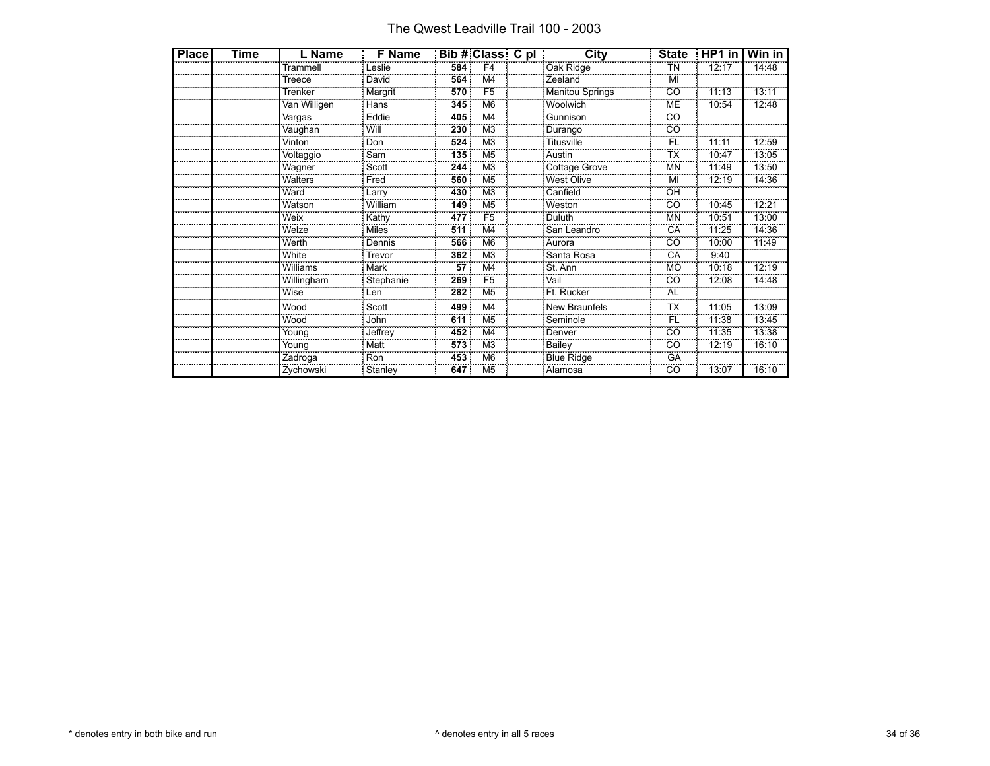The Qwest Leadville Trail 100 - 2003

| <b>Place</b> | Time | L Name       | <b>F</b> Name |     |                | City                   | <b>State</b> | HP1 in | Win in |
|--------------|------|--------------|---------------|-----|----------------|------------------------|--------------|--------|--------|
|              |      | Trammell     | Leslie        | 584 | F <sub>4</sub> | Oak Ridge              | ΤN           | 12:17  | 14:48  |
|              |      | Treece       | David         | 564 | M4             | Zeeland                | MI           |        |        |
|              |      | Trenker      | Margrit       | 570 | F <sub>5</sub> | <b>Manitou Springs</b> | CO           | 11:13  | 13:11  |
|              |      | Van Willigen | Hans          | 345 | M <sub>6</sub> | Woolwich               | ME           | 10:54  | 12:48  |
|              |      | Vargas       | Eddie         | 405 | M <sub>4</sub> | Gunnison               | CO           |        |        |
|              |      | Vaughan      | Will          | 230 | M <sub>3</sub> | Durango                | CO           |        |        |
|              |      | Vinton       | Don           | 524 | M <sub>3</sub> | <b>Titusville</b>      | FL           | 11:11  | 12:59  |
|              |      | Voltaggio    | Sam           | 135 | M <sub>5</sub> | Austin                 | ТX           | 10:47  | 13:05  |
|              |      | Wagner       | Scott         | 244 | M <sub>3</sub> | Cottage Grove          | <b>MN</b>    | 11:49  | 13:50  |
|              |      | Walters      | Fred          | 560 | M <sub>5</sub> | West Olive             | MI           | 12:19  | 14:36  |
|              |      | Ward         | Larry         | 430 | M <sub>3</sub> | Canfield               | OH           |        |        |
|              |      | Watson       | William       | 149 | M <sub>5</sub> | Weston                 | CO           | 10:45  | 12:21  |
|              |      | Weix         | Kathy         | 477 | F <sub>5</sub> | Duluth                 | <b>MN</b>    | 10:51  | 13:00  |
|              |      | Welze        | Miles         | 511 | M <sub>4</sub> | San Leandro            | CA           | 11:25  | 14:36  |
|              |      | Werth        | Dennis        | 566 | M <sub>6</sub> | Aurora                 | CO           | 10:00  | 11:49  |
|              |      | White        | Trevor        | 362 | M <sub>3</sub> | Santa Rosa             | CA           | 9:40   |        |
|              |      | Williams     | Mark          | 57  | M <sub>4</sub> | St. Ann                | <b>MO</b>    | 10:18  | 12:19  |
|              |      | Willingham   | Stephanie     | 269 | F <sub>5</sub> | Vail                   | CO           | 12:08  | 14:48  |
|              |      | Wise         | Len           | 282 | M <sub>5</sub> | Ft. Rucker             | <b>AL</b>    |        |        |
|              |      | Wood         | Scott         | 499 | M <sub>4</sub> | New Braunfels          | <b>TX</b>    | 11:05  | 13:09  |
|              |      | Wood         | John          | 611 | M <sub>5</sub> | Seminole               | FL           | 11:38  | 13:45  |
|              |      | Young        | Jeffrey       | 452 | M <sub>4</sub> | Denver                 | CO           | 11:35  | 13:38  |
|              |      | Young        | Matt          | 573 | M <sub>3</sub> | Bailey                 | CO           | 12:19  | 16:10  |
|              |      | Zadroga      | Ron           | 453 | M <sub>6</sub> | <b>Blue Ridge</b>      | GA           |        |        |
|              |      | Zychowski    | Stanley       | 647 | M <sub>5</sub> | Alamosa                | CO           | 13:07  | 16:10  |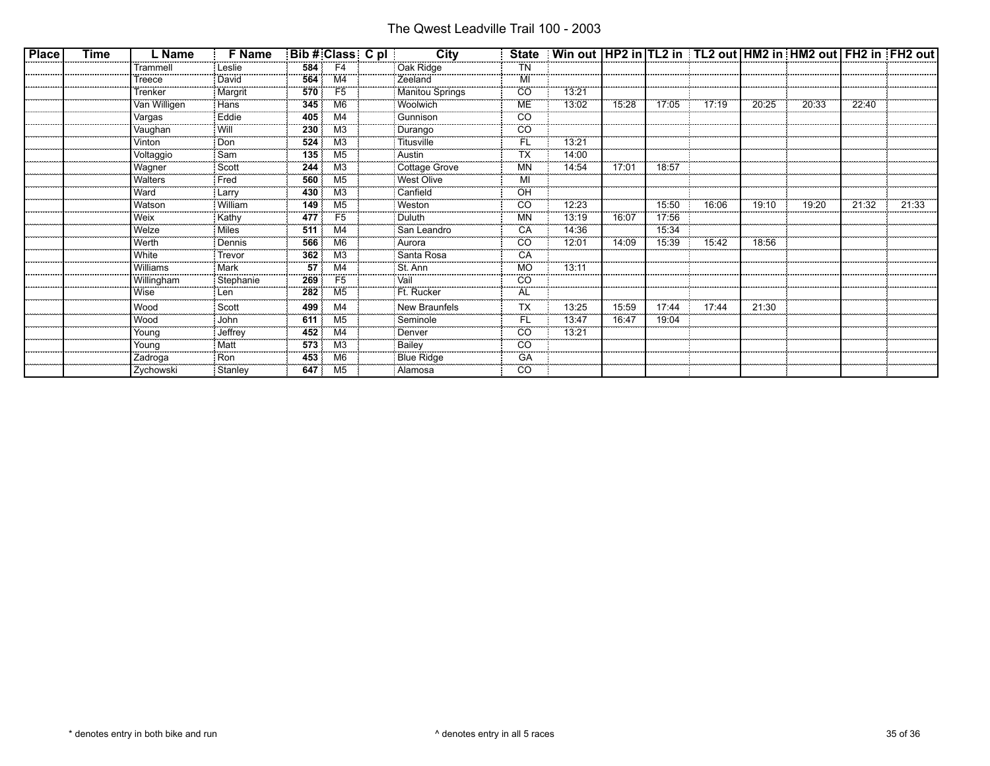| <b>Place</b> | Time | ∟ Name       | <b>F</b> Name | Bib # Class C pl         |                                          | City            | <b>State</b>            | Win out                 HP2 in  TL2 in   TL2 out                HM2 in  HM2 out                 FH2 in  FH2 out |                     |                                    |       |       |       |       |       |
|--------------|------|--------------|---------------|--------------------------|------------------------------------------|-----------------|-------------------------|-----------------------------------------------------------------------------------------------------------------|---------------------|------------------------------------|-------|-------|-------|-------|-------|
|              |      | Trammel      | Leslie        | 584                      | F4                                       | Oak Ridge       | ΤN                      |                                                                                                                 |                     |                                    |       |       |       |       |       |
|              |      | Treece       | David         | 564                      | M4                                       | : Zeeland       |                         |                                                                                                                 |                     |                                    |       |       |       |       |       |
|              |      | Trenker      | Margrit       | 570                      | F5                                       | Manitou Springs | CO                      | 13:2 <sup>.</sup>                                                                                               |                     |                                    |       |       |       |       |       |
|              |      | Van Willigen | Hans          | <b>CONTROL</b><br>345    | M6                                       | Woolwich        | ME                      | <b>CONTRACTOR</b><br>13:02                                                                                      | 15:28               | 17:05                              | 17:19 | 20:25 | 20:33 | 22:40 |       |
|              |      | Vargas       | Eddie         | <br>405                  | M4                                       | Gunnison        | CO                      |                                                                                                                 |                     |                                    |       |       |       |       |       |
|              |      | Vaughan      | Will          | 230                      | MЗ                                       | Durango         | CO                      |                                                                                                                 |                     |                                    |       |       |       |       |       |
|              |      | Vinton       | Don           | 524                      | M <sub>3</sub>                           | Titusville      | FL                      | $13:2^{\circ}$                                                                                                  |                     |                                    |       |       |       |       |       |
|              |      | Voltaggio    | Sam           | 135                      | M <sub>5</sub>                           | : Austin        |                         | 14:00                                                                                                           |                     |                                    |       |       |       |       |       |
|              |      | Wagner       | Scott<br>.    | 244<br><b>CONTRACTOR</b> | M <sub>3</sub><br><b>Concert Concert</b> | Cottage Grove   | ΜN<br>----------        | 14:54                                                                                                           | 17:01               | 18:57<br><b>Service Contractor</b> |       |       |       |       |       |
|              |      | Walters      | Fred          | 560<br>                  | M <sub>5</sub>                           | West Olive      | M                       |                                                                                                                 |                     |                                    |       |       |       |       |       |
|              |      | Ward         | Larry         | 430                      | M3                                       | Canfield        | OΗ                      |                                                                                                                 |                     |                                    |       |       |       |       |       |
|              |      | Watson       | William       | 149<br><b>CONTRACTOR</b> | M5                                       | Weston          | CO<br><b>STATISTICS</b> | 12:23                                                                                                           |                     | 15:50<br><b>CONTRACTOR</b>         | 16:06 | 19:10 | 19:20 | 21:32 | 21:33 |
|              |      | Weix         | Kathy         | 477                      | F <sub>5</sub>                           | i Duluth        | MN                      | 13:19                                                                                                           | 0000000000<br>16:07 | 17:56                              |       |       |       |       |       |
|              |      | Welze        | Miles         | 511                      | M4                                       | : San Leandro   | CА                      | 14:36                                                                                                           |                     | 15:34                              |       |       |       |       |       |
|              |      | Werth        | Dennis        | 566<br><b>CONTRACTOR</b> | M <sub>6</sub>                           | : Aurora        | CO                      | 12:01                                                                                                           | 14:09               | 15:39                              | 15:42 | 18:56 |       |       |       |
|              |      | White<br>    | Trevor        | 362                      | ΜЗ                                       | Santa Rosa      |                         |                                                                                                                 |                     |                                    |       |       |       |       |       |
|              |      | Williams     | Mark          | 57                       | M4                                       | l St. Ann       | МO                      | 13:11                                                                                                           |                     |                                    |       |       |       |       |       |
|              |      | Willingham   | Stephanie     | 269                      | F <sub>5</sub>                           | Vail            | CO                      |                                                                                                                 |                     |                                    |       |       |       |       |       |
|              |      | Wise         | Len           | 282                      | M5                                       | Ft. Rucker      | AL                      |                                                                                                                 |                     |                                    |       |       |       |       |       |
|              |      | Wood         | Scott         | 499                      | M4                                       | New Braunfels   | ТX                      | 13:25                                                                                                           | 15:59               | 17:44                              | 17:44 | 21:30 |       |       |       |
|              |      | Wood         | John          | 611                      | M5                                       | Seminole        | FI.                     | <br>13:47                                                                                                       | 16:47               | 19:04                              |       |       |       |       |       |
|              |      | Young        | Jeffrey       | 452                      | M4                                       | <b>Denver</b>   | CO                      | <br>13:21                                                                                                       |                     |                                    |       |       |       |       |       |
|              |      | Young        | Matt          | 573                      | M3                                       | Bailey          | CO                      |                                                                                                                 |                     |                                    |       |       |       |       |       |
|              |      | Zadroga      | Ron           | 453                      | M6                                       | Blue Ridge      | GA                      |                                                                                                                 |                     |                                    |       |       |       |       |       |
|              |      | Zychowski    | : Stanley     | 647                      | M5                                       | : Alamosa       | CO                      |                                                                                                                 |                     |                                    |       |       |       |       |       |